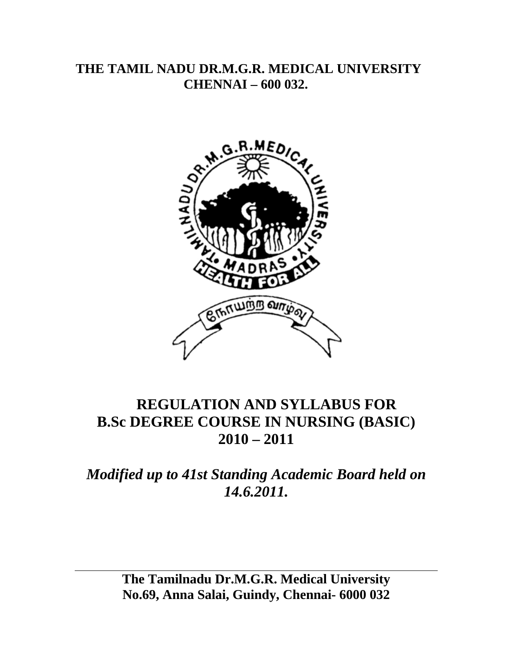# **THE TAMIL NADU DR.M.G.R. MEDICAL UNIVERSITY CHENNAI – 600 032.**



# **REGULATION AND SYLLABUS FOR B.Sc DEGREE COURSE IN NURSING (BASIC) 2010 – 2011**

# *Modified up to 41st Standing Academic Board held on 14.6.2011.*

**The Tamilnadu Dr.M.G.R. Medical University No.69, Anna Salai, Guindy, Chennai- 6000 032**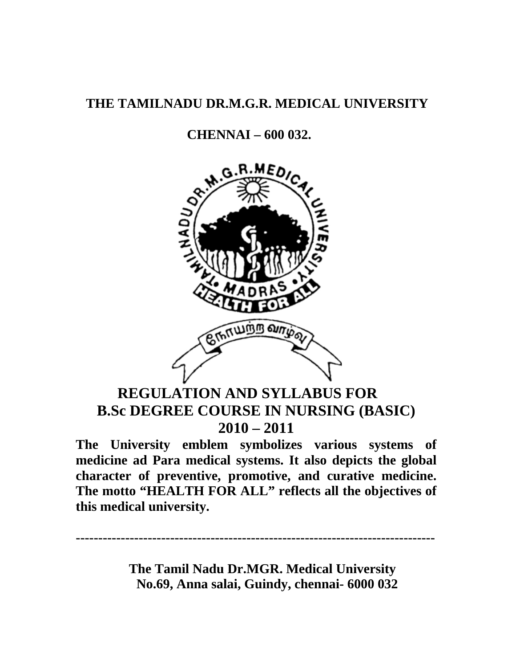# **THE TAMILNADU DR.M.G.R. MEDICAL UNIVERSITY**

# **CHENNAI – 600 032.**



# **REGULATION AND SYLLABUS FOR B.Sc DEGREE COURSE IN NURSING (BASIC) 2010 – 2011**

**The University emblem symbolizes various systems of medicine ad Para medical systems. It also depicts the global character of preventive, promotive, and curative medicine. The motto "HEALTH FOR ALL" reflects all the objectives of this medical university.** 

**--------------------------------------------------------------------------------** 

 **The Tamil Nadu Dr.MGR. Medical University No.69, Anna salai, Guindy, chennai- 6000 032**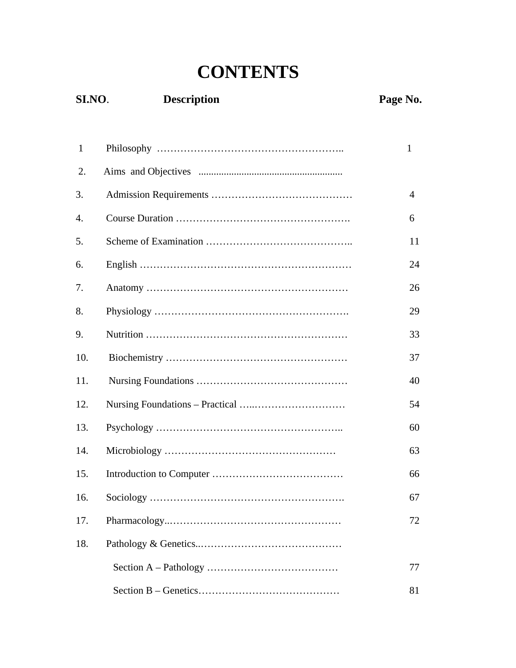# **CONTENTS**

# **SI.NO**. **Description Page No.**

| $\mathbf{1}$ | $\mathbf{1}$   |
|--------------|----------------|
| 2.           |                |
| 3.           | $\overline{4}$ |
| 4.           | 6              |
| 5.           | 11             |
| 6.           | 24             |
| 7.           | 26             |
| 8.           | 29             |
| 9.           | 33             |
| 10.          | 37             |
| 11.          | 40             |
| 12.          | 54             |
| 13.          | 60             |
| 14.          | 63             |
| 15.          | 66             |
| 16.          | 67             |
| 17.          | 72             |
| 18.          |                |
|              | 77             |
|              | 81             |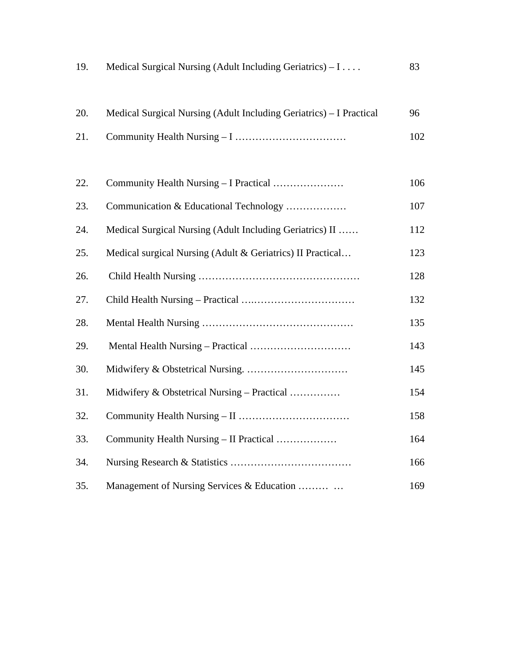| 19. | Medical Surgical Nursing (Adult Including Geriatrics) – I           | 83  |
|-----|---------------------------------------------------------------------|-----|
| 20. | Medical Surgical Nursing (Adult Including Geriatrics) – I Practical | 96  |
| 21. |                                                                     | 102 |
| 22. | Community Health Nursing – I Practical                              | 106 |
| 23. | Communication & Educational Technology                              | 107 |
| 24. | Medical Surgical Nursing (Adult Including Geriatrics) II            | 112 |
| 25. | Medical surgical Nursing (Adult & Geriatrics) II Practical          | 123 |
| 26. |                                                                     | 128 |
| 27. |                                                                     | 132 |
| 28. |                                                                     | 135 |
| 29. |                                                                     | 143 |
| 30. |                                                                     | 145 |
| 31. | Midwifery & Obstetrical Nursing – Practical                         | 154 |
| 32. |                                                                     | 158 |
| 33. | Community Health Nursing – II Practical                             | 164 |
| 34. |                                                                     | 166 |
| 35. | Management of Nursing Services & Education                          | 169 |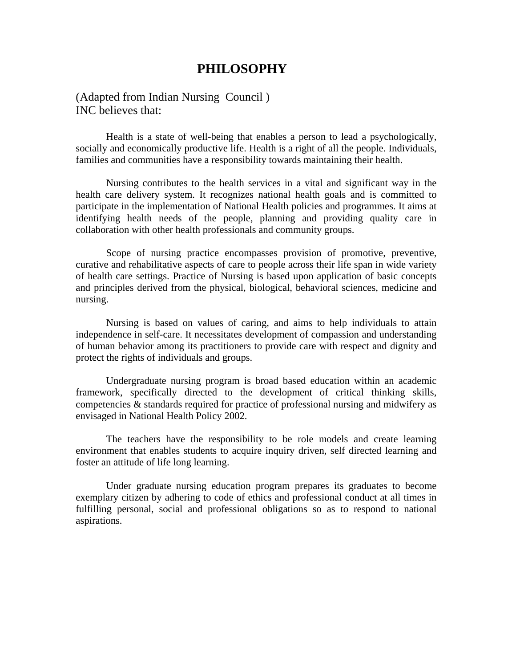# **PHILOSOPHY**

(Adapted from Indian Nursing Council ) INC believes that:

Health is a state of well-being that enables a person to lead a psychologically, socially and economically productive life. Health is a right of all the people. Individuals, families and communities have a responsibility towards maintaining their health.

Nursing contributes to the health services in a vital and significant way in the health care delivery system. It recognizes national health goals and is committed to participate in the implementation of National Health policies and programmes. It aims at identifying health needs of the people, planning and providing quality care in collaboration with other health professionals and community groups.

Scope of nursing practice encompasses provision of promotive, preventive, curative and rehabilitative aspects of care to people across their life span in wide variety of health care settings. Practice of Nursing is based upon application of basic concepts and principles derived from the physical, biological, behavioral sciences, medicine and nursing.

Nursing is based on values of caring, and aims to help individuals to attain independence in self-care. It necessitates development of compassion and understanding of human behavior among its practitioners to provide care with respect and dignity and protect the rights of individuals and groups.

Undergraduate nursing program is broad based education within an academic framework, specifically directed to the development of critical thinking skills, competencies & standards required for practice of professional nursing and midwifery as envisaged in National Health Policy 2002.

The teachers have the responsibility to be role models and create learning environment that enables students to acquire inquiry driven, self directed learning and foster an attitude of life long learning.

Under graduate nursing education program prepares its graduates to become exemplary citizen by adhering to code of ethics and professional conduct at all times in fulfilling personal, social and professional obligations so as to respond to national aspirations.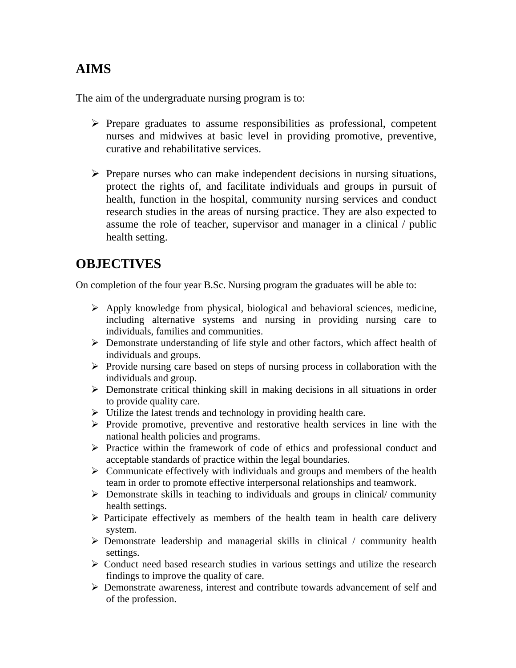# **AIMS**

The aim of the undergraduate nursing program is to:

- $\triangleright$  Prepare graduates to assume responsibilities as professional, competent nurses and midwives at basic level in providing promotive, preventive, curative and rehabilitative services.
- $\triangleright$  Prepare nurses who can make independent decisions in nursing situations, protect the rights of, and facilitate individuals and groups in pursuit of health, function in the hospital, community nursing services and conduct research studies in the areas of nursing practice. They are also expected to assume the role of teacher, supervisor and manager in a clinical / public health setting.

# **OBJECTIVES**

On completion of the four year B.Sc. Nursing program the graduates will be able to:

- $\triangleright$  Apply knowledge from physical, biological and behavioral sciences, medicine, including alternative systems and nursing in providing nursing care to individuals, families and communities.
- ¾ Demonstrate understanding of life style and other factors, which affect health of individuals and groups.
- $\triangleright$  Provide nursing care based on steps of nursing process in collaboration with the individuals and group.
- $\triangleright$  Demonstrate critical thinking skill in making decisions in all situations in order to provide quality care.
- $\triangleright$  Utilize the latest trends and technology in providing health care.
- $\triangleright$  Provide promotive, preventive and restorative health services in line with the national health policies and programs.
- ¾ Practice within the framework of code of ethics and professional conduct and acceptable standards of practice within the legal boundaries.
- $\triangleright$  Communicate effectively with individuals and groups and members of the health team in order to promote effective interpersonal relationships and teamwork.
- $\triangleright$  Demonstrate skills in teaching to individuals and groups in clinical/ community health settings.
- $\triangleright$  Participate effectively as members of the health team in health care delivery system.
- $\triangleright$  Demonstrate leadership and managerial skills in clinical / community health settings.
- $\triangleright$  Conduct need based research studies in various settings and utilize the research findings to improve the quality of care.
- ¾ Demonstrate awareness, interest and contribute towards advancement of self and of the profession.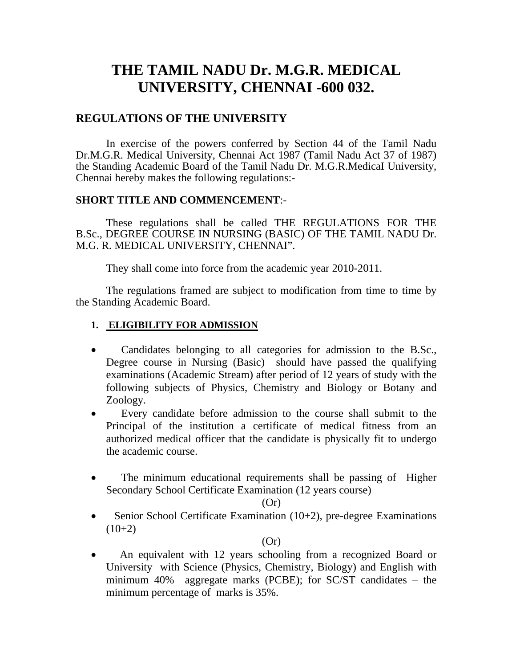# **THE TAMIL NADU Dr. M.G.R. MEDICAL UNIVERSITY, CHENNAI -600 032.**

# **REGULATIONS OF THE UNIVERSITY**

In exercise of the powers conferred by Section 44 of the Tamil Nadu Dr.M.G.R. Medical University, Chennai Act 1987 (Tamil Nadu Act 37 of 1987) the Standing Academic Board of the Tamil Nadu Dr. M.G.R.MedicaI University, Chennai hereby makes the following regulations:-

## **SHORT TITLE AND COMMENCEMENT**:-

These regulations shall be called THE REGULATIONS FOR THE B.Sc., DEGREE COURSE IN NURSING (BASIC) OF THE TAMIL NADU Dr. M.G. R. MEDICAL UNIVERSITY, CHENNAI".

They shall come into force from the academic year 2010-2011.

The regulations framed are subject to modification from time to time by the Standing Academic Board.

# **1. ELIGIBILITY FOR ADMISSION**

- Candidates belonging to all categories for admission to the B.Sc., Degree course in Nursing (Basic) should have passed the qualifying examinations (Academic Stream) after period of 12 years of study with the following subjects of Physics, Chemistry and Biology or Botany and Zoology.
- Every candidate before admission to the course shall submit to the Principal of the institution a certificate of medical fitness from an authorized medical officer that the candidate is physically fit to undergo the academic course.
- The minimum educational requirements shall be passing of Higher Secondary School Certificate Examination (12 years course)

#### $(Or)$

• Senior School Certificate Examination (10+2), pre-degree Examinations  $(10+2)$ 

## $(Or)$

• An equivalent with 12 years schooling from a recognized Board or University with Science (Physics, Chemistry, Biology) and English with minimum 40% aggregate marks (PCBE); for SC/ST candidates – the minimum percentage of marks is 35%.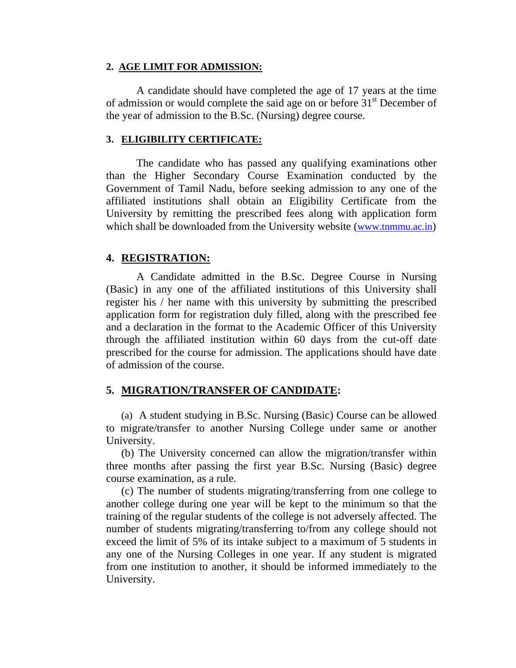#### **2. AGE LIMIT FOR ADMISSION:**

A candidate should have completed the age of 17 years at the time of admission or would complete the said age on or before 31<sup>st</sup> December of the year of admission to the B.Sc. (Nursing) degree course.

#### **3. ELIGIBILITY CERTIFICATE:**

The candidate who has passed any qualifying examinations other than the Higher Secondary Course Examination conducted by the Government of Tamil Nadu, before seeking admission to any one of the affiliated institutions shall obtain an Eligibility Certificate from the University by remitting the prescribed fees along with application form which shall be downloaded from the University website [\(www.tnmmu.ac.in](http://www.tnmmu.ac.in/))

## **4. REGISTRATION:**

A Candidate admitted in the B.Sc. Degree Course in Nursing (Basic) in any one of the affiliated institutions of this University shall register his / her name with this university by submitting the prescribed application form for registration duly filled, along with the prescribed fee and a declaration in the format to the Academic Officer of this University through the affiliated institution within 60 days from the cut-off date prescribed for the course for admission. The applications should have date of admission of the course.

## **5. MIGRATION/TRANSFER OF CANDIDATE:**

(a) A student studying in B.Sc. Nursing (Basic) Course can be allowed to migrate/transfer to another Nursing College under same or another University.

(b) The University concerned can allow the migration/transfer within three months after passing the first year B.Sc. Nursing (Basic) degree course examination, as a rule.

(c) The number of students migrating/transferring from one college to another college during one year will be kept to the minimum so that the training of the regular students of the college is not adversely affected. The number of students migrating/transferring to/from any college should not exceed the limit of 5% of its intake subject to a maximum of 5 students in any one of the Nursing Colleges in one year. If any student is migrated from one institution to another, it should be informed immediately to the University.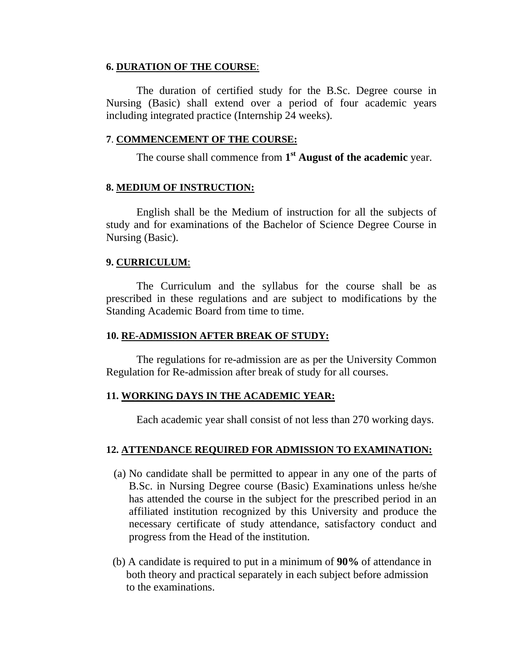#### **6. DURATION OF THE COURSE**:

The duration of certified study for the B.Sc. Degree course in Nursing (Basic) shall extend over a period of four academic years including integrated practice (Internship 24 weeks).

#### **7**. **COMMENCEMENT OF THE COURSE:**

The course shall commence from **1st August of the academic** year.

## **8. MEDIUM OF INSTRUCTION:**

English shall be the Medium of instruction for all the subjects of study and for examinations of the Bachelor of Science Degree Course in Nursing (Basic).

## **9. CURRICULUM**:

The Curriculum and the syllabus for the course shall be as prescribed in these regulations and are subject to modifications by the Standing Academic Board from time to time.

#### **10. RE-ADMISSION AFTER BREAK OF STUDY:**

The regulations for re-admission are as per the University Common Regulation for Re-admission after break of study for all courses.

## **11. WORKING DAYS IN THE ACADEMIC YEAR:**

Each academic year shall consist of not less than 270 working days.

## **12. ATTENDANCE REQUIRED FOR ADMISSION TO EXAMINATION:**

- (a) No candidate shall be permitted to appear in any one of the parts of B.Sc. in Nursing Degree course (Basic) Examinations unless he/she has attended the course in the subject for the prescribed period in an affiliated institution recognized by this University and produce the necessary certificate of study attendance, satisfactory conduct and progress from the Head of the institution.
- (b) A candidate is required to put in a minimum of **90%** of attendance in both theory and practical separately in each subject before admission to the examinations.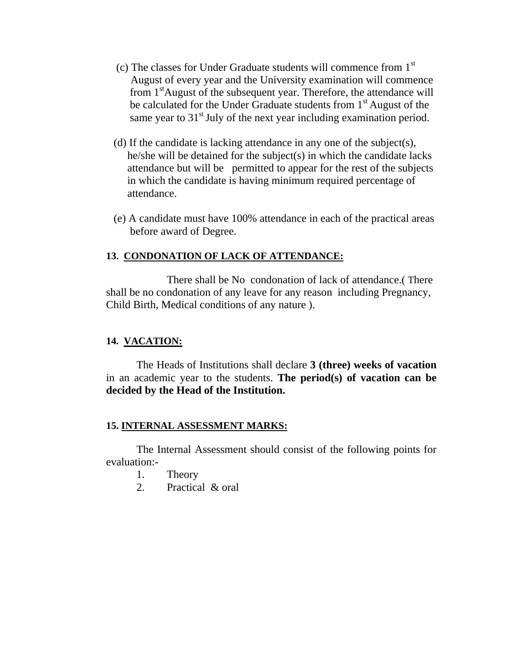- (c) The classes for Under Graduate students will commence from  $1<sup>st</sup>$  August of every year and the University examination will commence from  $1<sup>st</sup>$ August of the subsequent year. Therefore, the attendance will be calculated for the Under Graduate students from 1<sup>st</sup> August of the same year to  $31<sup>st</sup>$  July of the next year including examination period.
- (d) If the candidate is lacking attendance in any one of the subject(s), he/she will be detained for the subject(s) in which the candidate lacks attendance but will be permitted to appear for the rest of the subjects in which the candidate is having minimum required percentage of attendance.
- (e) A candidate must have 100% attendance in each of the practical areas before award of Degree.

# **13. CONDONATION OF LACK OF ATTENDANCE:**

 There shall be No condonation of lack of attendance.( There shall be no condonation of any leave for any reason including Pregnancy, Child Birth, Medical conditions of any nature ).

## **14. VACATION:**

The Heads of Institutions shall declare **3 (three) weeks of vacation** in an academic year to the students. **The period(s) of vacation can be decided by the Head of the Institution.** 

## **15. INTERNAL ASSESSMENT MARKS:**

The Internal Assessment should consist of the following points for evaluation:-

- 1. Theory
- 2. Practical & oral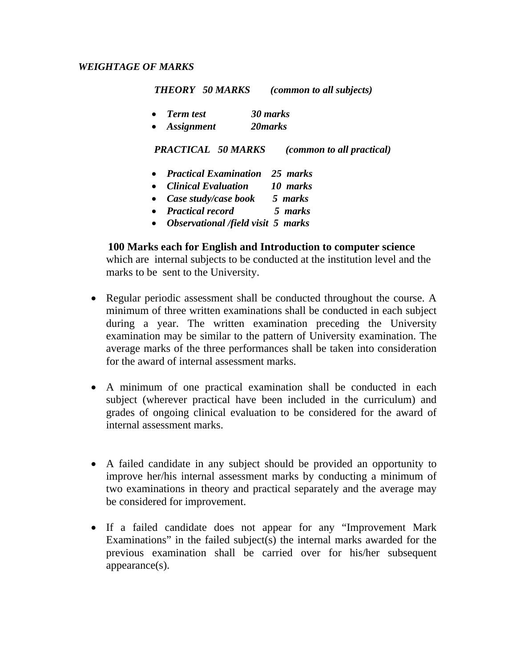#### *WEIGHTAGE OF MARKS*

 *THEORY 50 MARKS (common to all subjects)* 

• *Term test 30 marks*  • *Assignment 20marks* 

 *PRACTICAL 50 MARKS (common to all practical)* 

- *Practical Examination 25 marks*
- *Clinical Evaluation 10 marks*
- *Case study/case book 5 marks*
- *Practical record 5 marks*
- *Observational /field visit 5 marks*

#### **100 Marks each for English and Introduction to computer science**

which are internal subjects to be conducted at the institution level and the marks to be sent to the University.

- Regular periodic assessment shall be conducted throughout the course. A minimum of three written examinations shall be conducted in each subject during a year. The written examination preceding the University examination may be similar to the pattern of University examination. The average marks of the three performances shall be taken into consideration for the award of internal assessment marks.
- A minimum of one practical examination shall be conducted in each subject (wherever practical have been included in the curriculum) and grades of ongoing clinical evaluation to be considered for the award of internal assessment marks.
- A failed candidate in any subject should be provided an opportunity to improve her/his internal assessment marks by conducting a minimum of two examinations in theory and practical separately and the average may be considered for improvement.
- If a failed candidate does not appear for any "Improvement Mark Examinations" in the failed subject(s) the internal marks awarded for the previous examination shall be carried over for his/her subsequent appearance(s).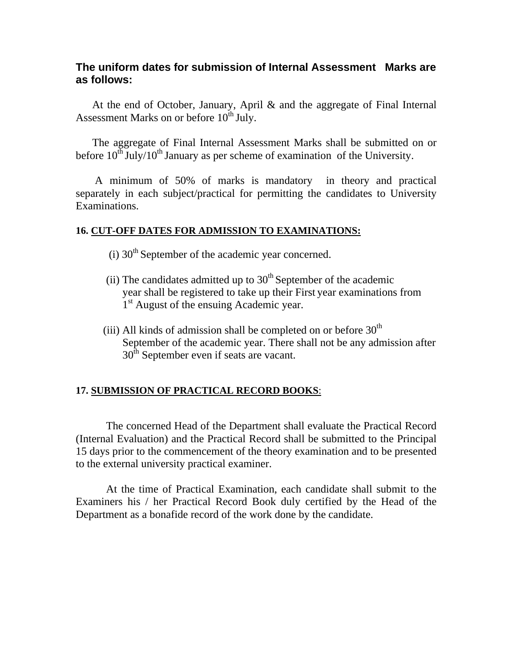# **The uniform dates for submission of Internal Assessment Marks are as follows:**

 At the end of October, January, April & and the aggregate of Final Internal Assessment Marks on or before  $10^{th}$  July.

 The aggregate of Final Internal Assessment Marks shall be submitted on or before  $10^{th}$  July/ $10^{th}$  January as per scheme of examination of the University.

 A minimum of 50% of marks is mandatory in theory and practical separately in each subject/practical for permitting the candidates to University Examinations.

#### **16. CUT-OFF DATES FOR ADMISSION TO EXAMINATIONS:**

- $(i)$  30<sup>th</sup> September of the academic year concerned.
- (ii) The candidates admitted up to  $30<sup>th</sup>$  September of the academic year shall be registered to take up their First year examinations from 1<sup>st</sup> August of the ensuing Academic year.
- (iii) All kinds of admission shall be completed on or before  $30<sup>th</sup>$  September of the academic year. There shall not be any admission after  $30<sup>th</sup>$  September even if seats are vacant.

## **17. SUBMISSION OF PRACTICAL RECORD BOOKS**:

The concerned Head of the Department shall evaluate the Practical Record (Internal Evaluation) and the Practical Record shall be submitted to the Principal 15 days prior to the commencement of the theory examination and to be presented to the external university practical examiner.

At the time of Practical Examination, each candidate shall submit to the Examiners his / her Practical Record Book duly certified by the Head of the Department as a bonafide record of the work done by the candidate.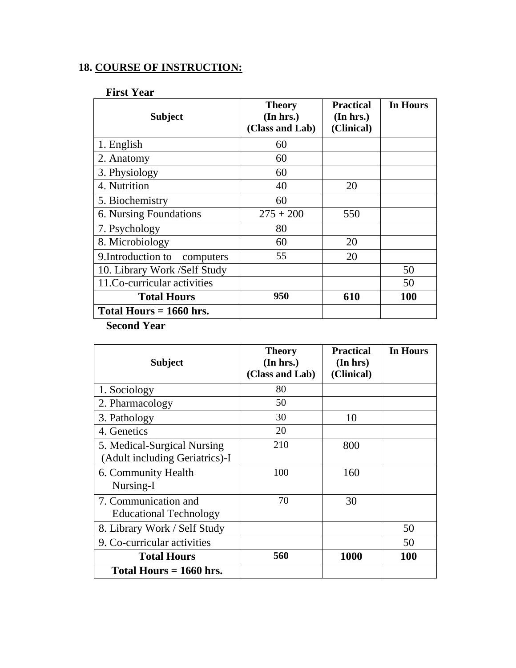# **18. COURSE OF INSTRUCTION:**

# **First Year**

| <b>Subject</b>               | <b>Theory</b><br>(In hrs.)<br>(Class and Lab) | <b>Practical</b><br>(In hrs.)<br>(Clinical) | In Hours   |  |  |
|------------------------------|-----------------------------------------------|---------------------------------------------|------------|--|--|
| 1. English                   | 60                                            |                                             |            |  |  |
| 2. Anatomy                   | 60                                            |                                             |            |  |  |
| 3. Physiology                | 60                                            |                                             |            |  |  |
| 4. Nutrition                 | 40                                            | 20                                          |            |  |  |
| 5. Biochemistry              | 60                                            |                                             |            |  |  |
| 6. Nursing Foundations       | $275 + 200$                                   | 550                                         |            |  |  |
| 7. Psychology                | 80                                            |                                             |            |  |  |
| 8. Microbiology              | 60                                            | 20                                          |            |  |  |
| 9. Introduction to computers | 55                                            | 20                                          |            |  |  |
| 10. Library Work /Self Study |                                               |                                             | 50         |  |  |
| 11.Co-curricular activities  |                                               |                                             | 50         |  |  |
| <b>Total Hours</b>           | 950                                           | 610                                         | <b>100</b> |  |  |
| Total Hours $= 1660$ hrs.    |                                               |                                             |            |  |  |
| <b>Second Year</b>           |                                               |                                             |            |  |  |

| <b>Subject</b>                                                | <b>Theory</b><br>(In hrs.)<br>(Class and Lab) | <b>Practical</b><br>(In hrs)<br>(Clinical) | <b>In Hours</b> |
|---------------------------------------------------------------|-----------------------------------------------|--------------------------------------------|-----------------|
| 1. Sociology                                                  | 80                                            |                                            |                 |
| 2. Pharmacology                                               | 50                                            |                                            |                 |
| 3. Pathology                                                  | 30                                            | 10                                         |                 |
| 4. Genetics                                                   | 20                                            |                                            |                 |
| 5. Medical-Surgical Nursing<br>(Adult including Geriatrics)-I | 210                                           | 800                                        |                 |
| 6. Community Health<br>Nursing-I                              | 100                                           | 160                                        |                 |
| 7. Communication and<br><b>Educational Technology</b>         | 70                                            | 30                                         |                 |
| 8. Library Work / Self Study                                  |                                               |                                            | 50              |
| 9. Co-curricular activities                                   |                                               |                                            | 50              |
| <b>Total Hours</b>                                            | 560                                           | <b>1000</b>                                | <b>100</b>      |
| Total Hours $= 1660$ hrs.                                     |                                               |                                            |                 |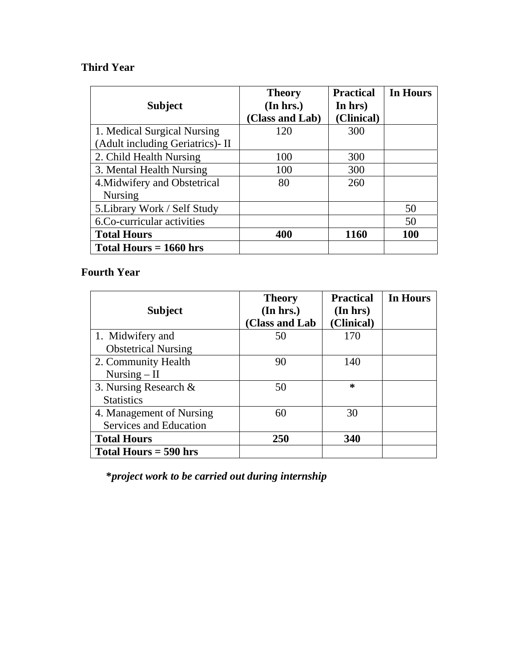# **Third Year**

|                                  | <b>Theory</b>   | <b>Practical</b> | <b>In Hours</b> |
|----------------------------------|-----------------|------------------|-----------------|
| <b>Subject</b>                   | (In hrs.)       | In hrs)          |                 |
|                                  | (Class and Lab) | (Clinical)       |                 |
| 1. Medical Surgical Nursing      | 120             | 300              |                 |
| (Adult including Geriatrics)- II |                 |                  |                 |
| 2. Child Health Nursing          | 100             | 300              |                 |
| 3. Mental Health Nursing         | 100             | 300              |                 |
| 4. Midwifery and Obstetrical     | 80              | 260              |                 |
| <b>Nursing</b>                   |                 |                  |                 |
| 5. Library Work / Self Study     |                 |                  | 50              |
| 6.Co-curricular activities       |                 |                  | 50              |
| <b>Total Hours</b>               | 400             | 1160             | <b>100</b>      |
| Total Hours $= 1660$ hrs         |                 |                  |                 |

# **Fourth Year**

| <b>Subject</b>             | <b>Theory</b><br>(In hrs.)<br>(Class and Lab | <b>Practical</b><br>(In hrs)<br>(Clinical) | In Hours |
|----------------------------|----------------------------------------------|--------------------------------------------|----------|
| 1. Midwifery and           | 50                                           | 170                                        |          |
| <b>Obstetrical Nursing</b> |                                              |                                            |          |
| 2. Community Health        | 90                                           | 140                                        |          |
| Nursing $-$ II             |                                              |                                            |          |
| 3. Nursing Research $\&$   | 50                                           | $\ast$                                     |          |
| <b>Statistics</b>          |                                              |                                            |          |
| 4. Management of Nursing   | 60                                           | 30                                         |          |
| Services and Education     |                                              |                                            |          |
| <b>Total Hours</b>         | 250                                          | 340                                        |          |
| Total Hours $=$ 590 hrs    |                                              |                                            |          |

**\****project work to be carried out during internship*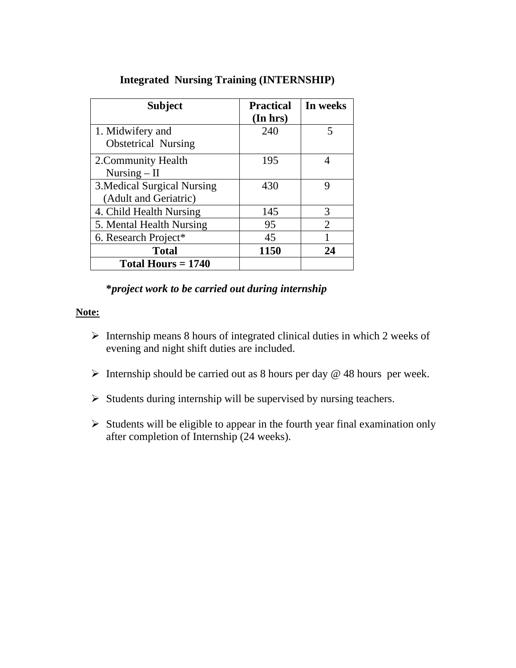| <b>Subject</b>                                       | <b>Practical</b><br>(In hrs) | In weeks |
|------------------------------------------------------|------------------------------|----------|
| 1. Midwifery and<br><b>Obstetrical Nursing</b>       | 240                          | 5        |
| 2. Community Health<br>Nursing $-$ II                | 195                          |          |
| 3. Medical Surgical Nursing<br>(Adult and Geriatric) | 430                          | Q        |
| 4. Child Health Nursing                              | 145                          | 3        |
| 5. Mental Health Nursing                             | 95                           | 2        |
| 6. Research Project*                                 | 45                           |          |
| <b>Total</b>                                         | 1150                         | 24       |
| Total Hours $= 1740$                                 |                              |          |

# **Integrated Nursing Training (INTERNSHIP)**

# **\****project work to be carried out during internship*

#### **Note:**

- ¾ Internship means 8 hours of integrated clinical duties in which 2 weeks of evening and night shift duties are included.
- $\triangleright$  Internship should be carried out as 8 hours per day @ 48 hours per week.
- $\triangleright$  Students during internship will be supervised by nursing teachers.
- $\triangleright$  Students will be eligible to appear in the fourth year final examination only after completion of Internship (24 weeks).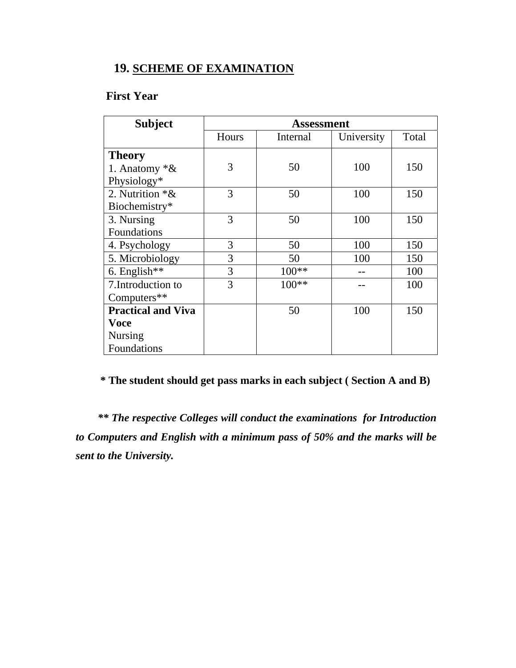# **19. SCHEME OF EXAMINATION**

# **First Year**

| <b>Subject</b>            |       | Assessment |            |       |
|---------------------------|-------|------------|------------|-------|
|                           | Hours | Internal   | University | Total |
| <b>Theory</b>             |       |            |            |       |
| 1. Anatomy $*$ &          | 3     | 50         | 100        | 150   |
| Physiology*               |       |            |            |       |
| 2. Nutrition $*$ &        | 3     | 50         | 100        | 150   |
| Biochemistry*             |       |            |            |       |
| 3. Nursing                | 3     | 50         | 100        | 150   |
| Foundations               |       |            |            |       |
| 4. Psychology             | 3     | 50         | 100        | 150   |
| 5. Microbiology           | 3     | 50         | 100        | 150   |
| 6. English**              | 3     | $100**$    |            | 100   |
| 7. Introduction to        | 3     | 100**      |            | 100   |
| Computers**               |       |            |            |       |
| <b>Practical and Viva</b> |       | 50         | 100        | 150   |
| <b>Voce</b>               |       |            |            |       |
| <b>Nursing</b>            |       |            |            |       |
| Foundations               |       |            |            |       |

# **\* The student should get pass marks in each subject ( Section A and B)**

 *\*\* The respective Colleges will conduct the examinations for Introduction to Computers and English with a minimum pass of 50% and the marks will be sent to the University.*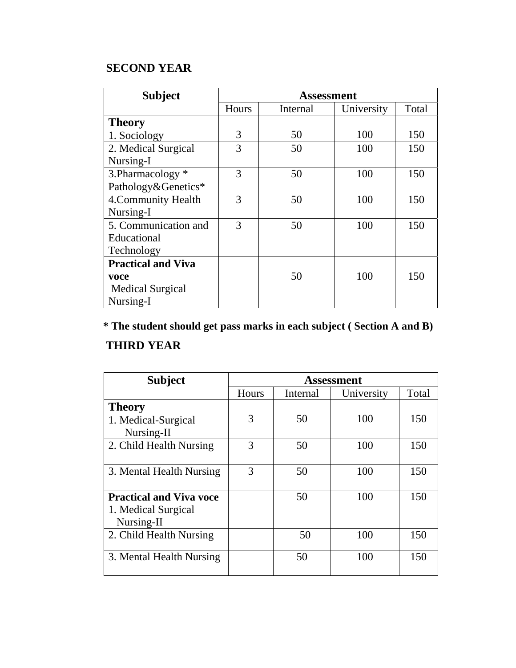# **SECOND YEAR**

| <b>Subject</b>            |       |          | <b>Assessment</b> |       |
|---------------------------|-------|----------|-------------------|-------|
|                           | Hours | Internal | University        | Total |
| <b>Theory</b>             |       |          |                   |       |
| 1. Sociology              | 3     | 50       | 100               | 150   |
| 2. Medical Surgical       | 3     | 50       | 100               | 150   |
| Nursing-I                 |       |          |                   |       |
| 3. Pharmacology *         | 3     | 50       | 100               | 150   |
| Pathology&Genetics*       |       |          |                   |       |
| 4. Community Health       | 3     | 50       | 100               | 150   |
| Nursing-I                 |       |          |                   |       |
| 5. Communication and      | 3     | 50       | 100               | 150   |
| Educational               |       |          |                   |       |
| Technology                |       |          |                   |       |
| <b>Practical and Viva</b> |       |          |                   |       |
| voce                      |       | 50       | 100               | 150   |
| <b>Medical Surgical</b>   |       |          |                   |       |
| Nursing-I                 |       |          |                   |       |

# **\* The student should get pass marks in each subject ( Section A and B)**

# **THIRD YEAR**

| <b>Subject</b>                 | <b>Assessment</b> |          |            |       |
|--------------------------------|-------------------|----------|------------|-------|
|                                | Hours             | Internal | University | Total |
| <b>Theory</b>                  |                   |          |            |       |
| 1. Medical-Surgical            | 3                 | 50       | 100        | 150   |
| Nursing-II                     |                   |          |            |       |
| 2. Child Health Nursing        | 3                 | 50       | 100        | 150   |
|                                |                   |          |            |       |
| 3. Mental Health Nursing       | 3                 | 50       | 100        | 150   |
|                                |                   |          |            |       |
| <b>Practical and Viva voce</b> |                   | 50       | 100        | 150   |
| 1. Medical Surgical            |                   |          |            |       |
| Nursing-II                     |                   |          |            |       |
| 2. Child Health Nursing        |                   | 50       | 100        | 150   |
|                                |                   |          |            |       |
| 3. Mental Health Nursing       |                   | 50       | 100        | 150   |
|                                |                   |          |            |       |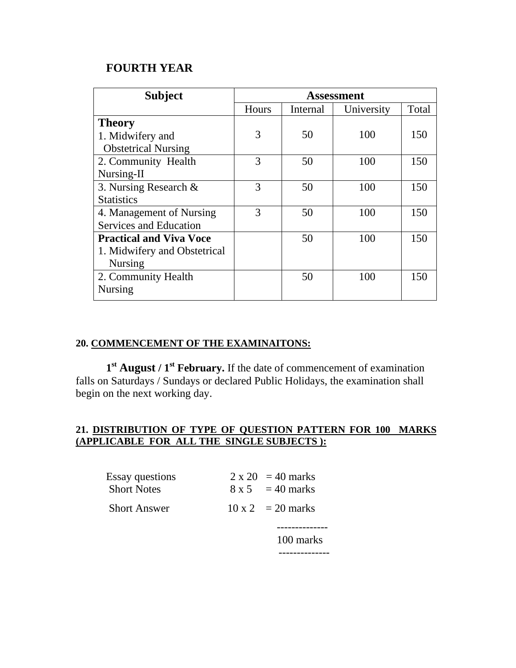# **FOURTH YEAR**

| <b>Subject</b>                 | <b>Assessment</b> |          |            |       |
|--------------------------------|-------------------|----------|------------|-------|
|                                | <b>Hours</b>      | Internal | University | Total |
| <b>Theory</b>                  |                   |          |            |       |
| 1. Midwifery and               | 3                 | 50       | 100        | 150   |
| <b>Obstetrical Nursing</b>     |                   |          |            |       |
| 2. Community Health            | 3                 | 50       | 100        | 150   |
| Nursing-II                     |                   |          |            |       |
| 3. Nursing Research &          | 3                 | 50       | 100        | 150   |
| <b>Statistics</b>              |                   |          |            |       |
| 4. Management of Nursing       | 3                 | 50       | 100        | 150   |
| <b>Services and Education</b>  |                   |          |            |       |
| <b>Practical and Viva Voce</b> |                   | 50       | 100        | 150   |
| 1. Midwifery and Obstetrical   |                   |          |            |       |
| <b>Nursing</b>                 |                   |          |            |       |
| 2. Community Health            |                   | 50       | 100        | 150   |
| <b>Nursing</b>                 |                   |          |            |       |

## **20. COMMENCEMENT OF THE EXAMINAITONS:**

**1st August / 1st February.** If the date of commencement of examination falls on Saturdays / Sundays or declared Public Holidays, the examination shall begin on the next working day.

# **21. DISTRIBUTION OF TYPE OF QUESTION PATTERN FOR 100 MARKS (APPLICABLE FOR ALL THE SINGLE SUBJECTS ):**

| <b>Essay questions</b><br><b>Short Notes</b> | $2 \times 20 = 40$ marks<br>$8 \times 5 = 40$ marks |
|----------------------------------------------|-----------------------------------------------------|
| <b>Short Answer</b>                          | $10 \times 2 = 20$ marks                            |
|                                              | 100 marks                                           |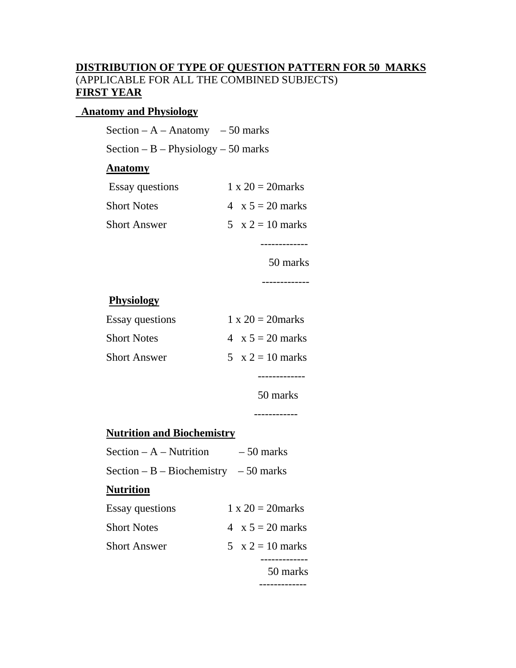# **DISTRIBUTION OF TYPE OF QUESTION PATTERN FOR 50 MARKS** (APPLICABLE FOR ALL THE COMBINED SUBJECTS) **FIRST YEAR**

### **Anatomy and Physiology**

Section –  $A$  – Anatomy – 50 marks

Section –  $B$  – Physiology – 50 marks

# **Anatomy**

| <b>Essay questions</b> | $1 \times 20 = 20$ marks |
|------------------------|--------------------------|
| <b>Short Notes</b>     | $4 \times 5 = 20$ marks  |
| Short Answer           | $5 \times 2 = 10$ marks  |

50 marks

-------------

-------------

# **Physiology**

| <b>Essay questions</b> | $1 \times 20 = 20$ marks |
|------------------------|--------------------------|
| <b>Short Notes</b>     | $4 \times 5 = 20$ marks  |
| <b>Short Answer</b>    | $5 \times 2 = 10$ marks  |
|                        |                          |

50 marks

------------

# **Nutrition and Biochemistry**

| Section $- A -$ Nutrition              | $-50$ marks              |
|----------------------------------------|--------------------------|
| Section $-B - Biochemistry - 50$ marks |                          |
| <b>Nutrition</b>                       |                          |
| Essay questions                        | $1 \times 20 = 20$ marks |
| <b>Short Notes</b>                     | $4 \times 5 = 20$ marks  |
| <b>Short Answer</b>                    | $5 \times 2 = 10$ marks  |
|                                        |                          |
|                                        | 50 marks                 |
|                                        |                          |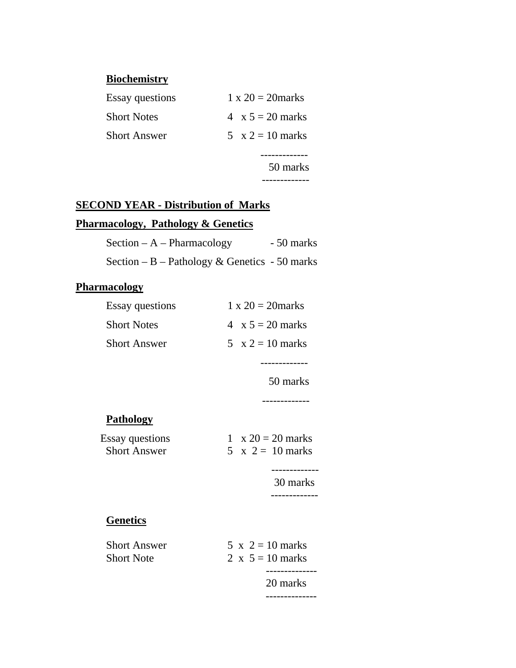# **Biochemistry**

| <b>Essay questions</b> | $1 \times 20 = 20$ marks |
|------------------------|--------------------------|
| <b>Short Notes</b>     | 4 $x 5 = 20$ marks       |
| <b>Short Answer</b>    | $5 \times 2 = 10$ marks  |
|                        |                          |
|                        | 50 marks                 |
|                        |                          |

# **SECOND YEAR - Distribution of Marks**

# **Pharmacology, Pathology & Genetics**

| Section $-A$ – Pharmacology                   | - 50 marks |
|-----------------------------------------------|------------|
| Section – B – Pathology & Genetics - 50 marks |            |

# **Pharmacology**

| <b>Essay questions</b> | $1 \times 20 = 20$ marks |
|------------------------|--------------------------|
| <b>Short Notes</b>     | $4 \times 5 = 20$ marks  |
| <b>Short Answer</b>    | $5 \times 2 = 10$ marks  |
|                        |                          |
|                        | 50 marks                 |
|                        |                          |
| <b>Pathology</b>       |                          |
| <b>Essay questions</b> | 1 $x 20 = 20$ marks      |
| <b>Short Answer</b>    | $5 \times 2 = 10$ marks  |
|                        | 30 marks                 |
| <b>Genetics</b>        |                          |
| <b>Short Answer</b>    | $5 \times 2 = 10$ marks  |
| <b>Short Note</b>      | 2 x $5 = 10$ marks       |
|                        |                          |

 20 marks --------------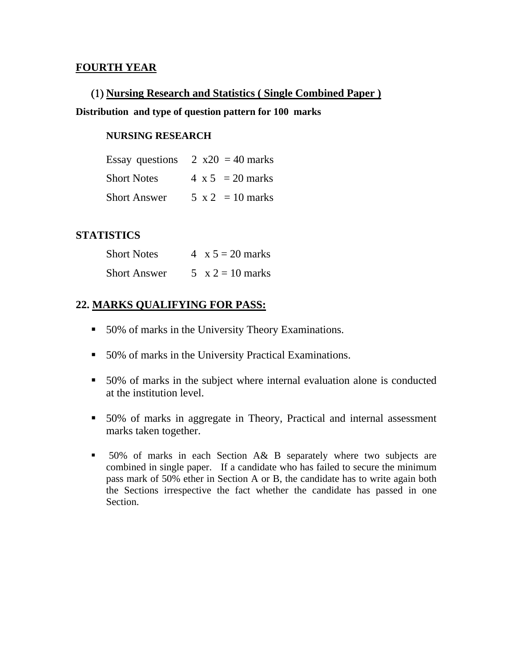# **FOURTH YEAR**

# (1) **Nursing Research and Statistics ( Single Combined Paper )**

## **Distribution and type of question pattern for 100 marks**

#### **NURSING RESEARCH**

|                     | Essay questions $2 x20 = 40$ marks |
|---------------------|------------------------------------|
| <b>Short Notes</b>  | $4 \times 5 = 20$ marks            |
| <b>Short Answer</b> | $5 \times 2 = 10$ marks            |

## **STATISTICS**

| <b>Short Notes</b>  | $4 \times 5 = 20$ marks |
|---------------------|-------------------------|
| <b>Short Answer</b> | $5 \times 2 = 10$ marks |

# **22. MARKS QUALIFYING FOR PASS:**

- 50% of marks in the University Theory Examinations.
- 50% of marks in the University Practical Examinations.
- 50% of marks in the subject where internal evaluation alone is conducted at the institution level.
- 50% of marks in aggregate in Theory, Practical and internal assessment marks taken together.
- $\blacksquare$  50% of marks in each Section A& B separately where two subjects are combined in single paper. If a candidate who has failed to secure the minimum pass mark of 50% ether in Section A or B, the candidate has to write again both the Sections irrespective the fact whether the candidate has passed in one Section.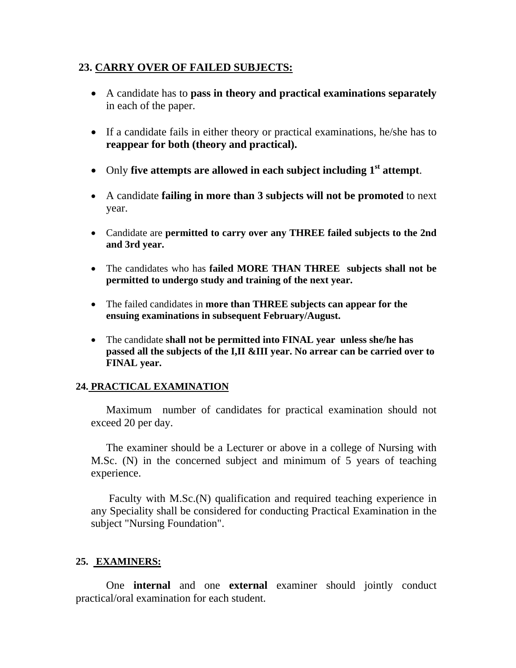# **23. CARRY OVER OF FAILED SUBJECTS:**

- A candidate has to **pass in theory and practical examinations separately** in each of the paper.
- If a candidate fails in either theory or practical examinations, he/she has to **reappear for both (theory and practical).**
- Only five attempts are allowed in each subject including 1<sup>st</sup> attempt.
- A candidate **failing in more than 3 subjects will not be promoted** to next year.
- Candidate are **permitted to carry over any THREE failed subjects to the 2nd and 3rd year.**
- The candidates who has **failed MORE THAN THREE subjects shall not be permitted to undergo study and training of the next year.**
- The failed candidates in **more than THREE subjects can appear for the ensuing examinations in subsequent February/August.**
- The candidate **shall not be permitted into FINAL year unless she/he has passed all the subjects of the I,II &III year. No arrear can be carried over to FINAL year.**

## **24. PRACTICAL EXAMINATION**

Maximum number of candidates for practical examination should not exceed 20 per day.

The examiner should be a Lecturer or above in a college of Nursing with M.Sc. (N) in the concerned subject and minimum of 5 years of teaching experience.

 Faculty with M.Sc.(N) qualification and required teaching experience in any Speciality shall be considered for conducting Practical Examination in the subject "Nursing Foundation".

## **25. EXAMINERS:**

One **internal** and one **external** examiner should jointly conduct practical/oral examination for each student.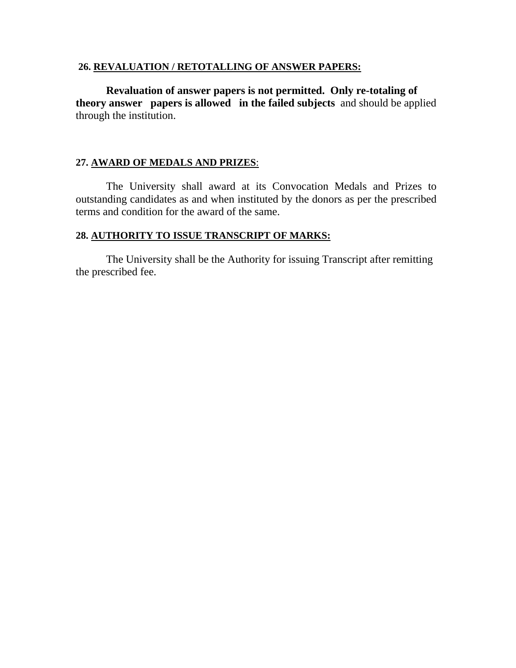#### **26. REVALUATION / RETOTALLING OF ANSWER PAPERS:**

**Revaluation of answer papers is not permitted. Only re-totaling of theory answer papers is allowed in the failed subjects** and should be applied through the institution.

# **27. AWARD OF MEDALS AND PRIZES**:

 The University shall award at its Convocation Medals and Prizes to outstanding candidates as and when instituted by the donors as per the prescribed terms and condition for the award of the same.

## **28. AUTHORITY TO ISSUE TRANSCRIPT OF MARKS:**

 The University shall be the Authority for issuing Transcript after remitting the prescribed fee.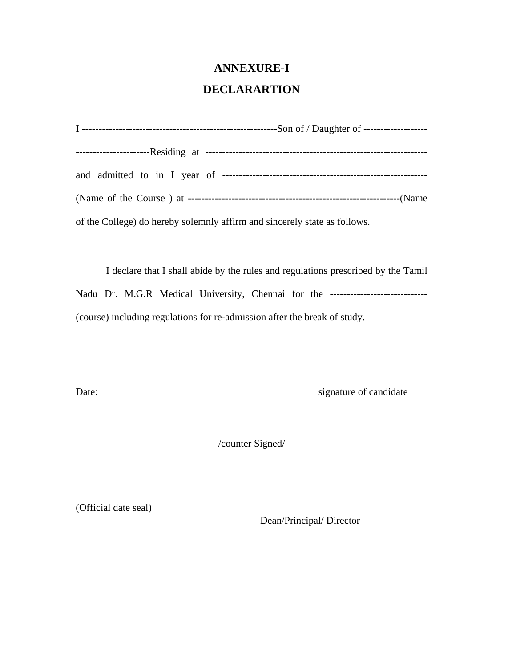# **ANNEXURE-I**

# **DECLARARTION**

| of the College) do hereby solemnly affirm and sincerely state as follows. |
|---------------------------------------------------------------------------|

 I declare that I shall abide by the rules and regulations prescribed by the Tamil Nadu Dr. M.G.R Medical University, Chennai for the -----------------------------(course) including regulations for re-admission after the break of study.

Date: signature of candidate

/counter Signed/

(Official date seal)

Dean/Principal/ Director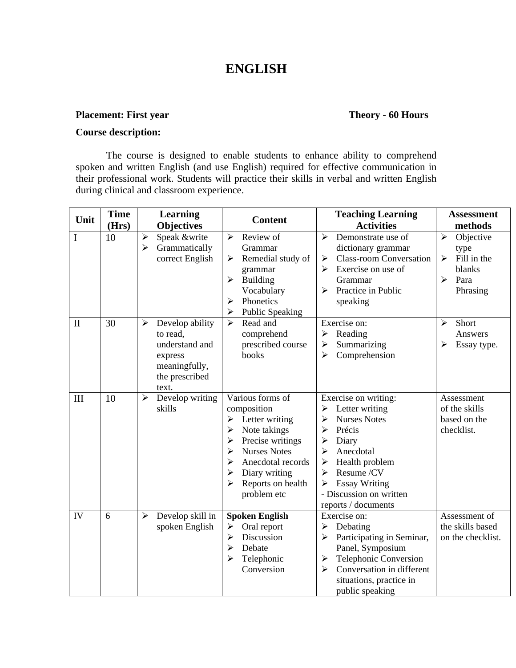# **ENGLISH**

#### **Placement: First year Theory - 60 Hours**

### **Course description:**

The course is designed to enable students to enhance ability to comprehend spoken and written English (and use English) required for effective communication in their professional work. Students will practice their skills in verbal and written English during clinical and classroom experience.

| Unit         | <b>Time</b><br>(Hrs) | <b>Learning</b><br><b>Objectives</b>                                                                                          | <b>Content</b>                                                                                                                                                                                                                                | <b>Teaching Learning</b><br><b>Activities</b>                                                                                                                                                                                                   | <b>Assessment</b><br>methods                                                                                          |
|--------------|----------------------|-------------------------------------------------------------------------------------------------------------------------------|-----------------------------------------------------------------------------------------------------------------------------------------------------------------------------------------------------------------------------------------------|-------------------------------------------------------------------------------------------------------------------------------------------------------------------------------------------------------------------------------------------------|-----------------------------------------------------------------------------------------------------------------------|
| I            | 10                   | Speak &write<br>$\blacktriangleright$<br>$\blacktriangleright$<br>Grammatically<br>correct English                            | Review of<br>$\blacktriangleright$<br>Grammar<br>Remedial study of<br>➤<br>grammar<br><b>Building</b><br>➤<br>Vocabulary<br>Phonetics<br>⋗<br><b>Public Speaking</b><br>≻                                                                     | $\blacktriangleright$<br>Demonstrate use of<br>dictionary grammar<br><b>Class-room Conversation</b><br>➤<br>Exercise on use of<br>Grammar<br>Practice in Public<br>➤<br>speaking                                                                | $\blacktriangleright$<br>Objective<br>type<br>Fill in the<br>➤<br>blanks<br>$\blacktriangleright$<br>Para<br>Phrasing |
| $\mathbf{I}$ | 30                   | Develop ability<br>$\blacktriangleright$<br>to read.<br>understand and<br>express<br>meaningfully,<br>the prescribed<br>text. | Read and<br>↘<br>comprehend<br>prescribed course<br>books                                                                                                                                                                                     | Exercise on:<br>Reading<br>≻<br>Summarizing<br>➤<br>Comprehension<br>➤                                                                                                                                                                          | Short<br>$\blacktriangleright$<br>Answers<br>➤<br>Essay type.                                                         |
| III          | 10                   | $\blacktriangleright$<br>Develop writing<br>skills                                                                            | Various forms of<br>composition<br>Letter writing<br>➤<br>$\blacktriangleright$<br>Note takings<br>Precise writings<br>➤<br><b>Nurses Notes</b><br>➤<br>Anecdotal records<br>⋗<br>Diary writing<br>➤<br>Reports on health<br>➤<br>problem etc | Exercise on writing:<br>Letter writing<br>➤<br><b>Nurses Notes</b><br>⋗<br>Précis<br>⋗<br>Diary<br>➤<br>Anecdotal<br>⋗<br>Health problem<br>➤<br>Resume /CV<br>⋗<br><b>Essay Writing</b><br>➤<br>- Discussion on written<br>reports / documents | Assessment<br>of the skills<br>based on the<br>checklist.                                                             |
| IV           | 6                    | Develop skill in<br>➤<br>spoken English                                                                                       | <b>Spoken English</b><br>Oral report<br>➤<br>Discussion<br>$\blacktriangleright$<br>⋗<br>Debate<br>Telephonic<br>➤<br>Conversion                                                                                                              | Exercise on:<br>Debating<br>➤<br>Participating in Seminar,<br>➤<br>Panel, Symposium<br>Telephonic Conversion<br>$\blacktriangleright$<br>Conversation in different<br>➤<br>situations, practice in<br>public speaking                           | Assessment of<br>the skills based<br>on the checklist.                                                                |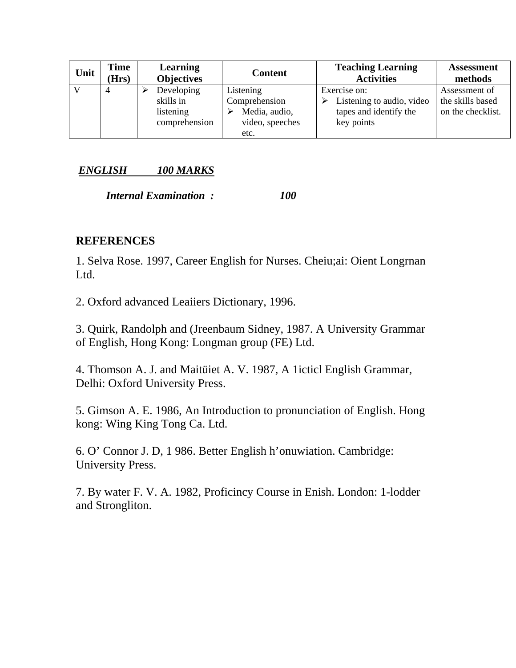| Unit | Time<br>(Hrs | <b>Learning</b><br><b>Objectives</b>                  | <b>Content</b>                                                         | <b>Teaching Learning</b><br><b>Activities</b>                                     | <b>Assessment</b><br>methods                           |
|------|--------------|-------------------------------------------------------|------------------------------------------------------------------------|-----------------------------------------------------------------------------------|--------------------------------------------------------|
|      | 4            | Developing<br>skills in<br>listening<br>comprehension | Listening<br>Comprehension<br>Media, audio,<br>video, speeches<br>etc. | Exercise on:<br>Listening to audio, video<br>tapes and identify the<br>key points | Assessment of<br>the skills based<br>on the checklist. |

# *ENGLISH 100 MARKS*

 *Internal Examination : 100* 

# **REFERENCES**

1. Selva Rose. 1997, Career English for Nurses. Cheiu;ai: Oient Longrnan Ltd.

2. Oxford advanced Leaiiers Dictionary, 1996.

3. Quirk, Randolph and (Jreenbaum Sidney, 1987. A University Grammar of English, Hong Kong: Longman group (FE) Ltd.

4. Thomson A. J. and Maitüiet A. V. 1987, A 1icticl English Grammar, Delhi: Oxford University Press.

5. Gimson A. E. 1986, An Introduction to pronunciation of English. Hong kong: Wing King Tong Ca. Ltd.

6. O' Connor J. D, 1 986. Better English h'onuwiation. Cambridge: University Press.

7. By water F. V. A. 1982, Proficincy Course in Enish. London: 1-lodder and Strongliton.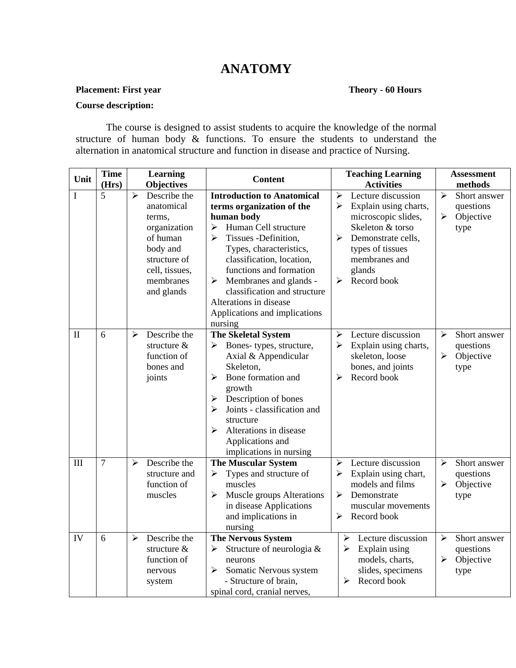# **ANATOMY**

# **Placement: First year Theory - 60 Hours**

#### **Course description:**

The course is designed to assist students to acquire the knowledge of the normal structure of human body & functions. To ensure the students to understand the alternation in anatomical structure and function in disease and practice of Nursing.

| Unit         | <b>Time</b>    | Learning                                                                                                                                       | <b>Content</b>                                                                                                                                                                                                                                                                                                                                                                                                             | <b>Teaching Learning</b>                                                                                                                                                                       | <b>Assessment</b>                                                            |  |
|--------------|----------------|------------------------------------------------------------------------------------------------------------------------------------------------|----------------------------------------------------------------------------------------------------------------------------------------------------------------------------------------------------------------------------------------------------------------------------------------------------------------------------------------------------------------------------------------------------------------------------|------------------------------------------------------------------------------------------------------------------------------------------------------------------------------------------------|------------------------------------------------------------------------------|--|
|              | (Hrs)          | Objectives                                                                                                                                     |                                                                                                                                                                                                                                                                                                                                                                                                                            | <b>Activities</b>                                                                                                                                                                              | methods                                                                      |  |
| $\bf I$      | 5              | Describe the<br>⋗<br>anatomical<br>terms.<br>organization<br>of human<br>body and<br>structure of<br>cell, tissues,<br>membranes<br>and glands | <b>Introduction to Anatomical</b><br>terms organization of the<br>human body<br>Human Cell structure<br>$\blacktriangleright$<br>Tissues -Definition,<br>$\blacktriangleright$<br>Types, characteristics,<br>classification, location,<br>functions and formation<br>$\blacktriangleright$<br>Membranes and glands -<br>classification and structure<br>Alterations in disease<br>Applications and implications<br>nursing | Lecture discussion<br>≻<br>Explain using charts,<br>➤<br>microscopic slides,<br>Skeleton & torso<br>➤<br>Demonstrate cells,<br>types of tissues<br>membranes and<br>glands<br>Record book<br>⋗ | Short answer<br>➤<br>questions<br>➤<br>Objective<br>type                     |  |
| $\mathbf{I}$ | 6              | Describe the<br>$\blacktriangleright$<br>structure $&$<br>function of<br>bones and<br>joints                                                   | <b>The Skeletal System</b><br>Bones-types, structure,<br>➤<br>Axial & Appendicular<br>Skeleton,<br>Bone formation and<br>➤<br>growth<br>Description of bones<br>➤<br>Joints - classification and<br>➤<br>structure<br>Alterations in disease<br>➤<br>Applications and<br>implications in nursing                                                                                                                           | Lecture discussion<br>➤<br>➤<br>Explain using charts,<br>skeleton, loose<br>bones, and joints<br>Record book<br>➤                                                                              | $\blacktriangleright$<br>Short answer<br>questions<br>Objective<br>≻<br>type |  |
| III          | $\overline{7}$ | Describe the<br>$\blacktriangleright$<br>structure and<br>function of<br>muscles                                                               | <b>The Muscular System</b><br>Types and structure of<br>➤<br>muscles<br>➤<br>Muscle groups Alterations<br>in disease Applications<br>and implications in<br>nursing                                                                                                                                                                                                                                                        | Lecture discussion<br>➤<br>Explain using chart,<br>➤<br>models and films<br>$\blacktriangleright$<br>Demonstrate<br>muscular movements<br>➤<br>Record book                                     | Short answer<br>➤<br>questions<br>Objective<br>➤<br>type                     |  |
| IV           | 6              | Describe the<br>$\blacktriangleright$<br>structure $&$<br>function of<br>nervous<br>system                                                     | <b>The Nervous System</b><br>Structure of neurologia &<br>➤<br>neurons<br>Somatic Nervous system<br>$\blacktriangleright$<br>- Structure of brain,<br>spinal cord, cranial nerves,                                                                                                                                                                                                                                         | Lecture discussion<br>$\blacktriangleright$<br>Explain using<br>➤<br>models, charts,<br>slides, specimens<br>$\blacktriangleright$<br>Record book                                              | $\blacktriangleright$<br>Short answer<br>questions<br>Objective<br>≻<br>type |  |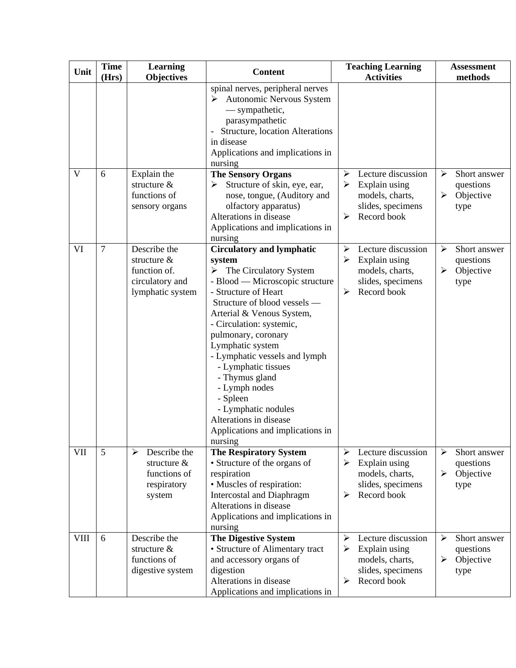| Unit        | <b>Time</b><br>(Hrs) | <b>Learning</b><br><b>Objectives</b>                                                 | <b>Content</b>                                                                                                                                                                                                                                                                                                                                                                                                                                                                              | <b>Teaching Learning</b><br><b>Activities</b>                                                                                 | <b>Assessment</b><br>methods                                                 |  |  |
|-------------|----------------------|--------------------------------------------------------------------------------------|---------------------------------------------------------------------------------------------------------------------------------------------------------------------------------------------------------------------------------------------------------------------------------------------------------------------------------------------------------------------------------------------------------------------------------------------------------------------------------------------|-------------------------------------------------------------------------------------------------------------------------------|------------------------------------------------------------------------------|--|--|
|             |                      |                                                                                      | spinal nerves, peripheral nerves<br>➤<br>Autonomic Nervous System<br>— sympathetic,<br>parasympathetic<br>Structure, location Alterations<br>in disease<br>Applications and implications in<br>nursing                                                                                                                                                                                                                                                                                      |                                                                                                                               |                                                                              |  |  |
| V           | 6                    | Explain the<br>structure &<br>functions of<br>sensory organs                         | <b>The Sensory Organs</b><br>Structure of skin, eye, ear,<br>≻<br>nose, tongue, (Auditory and<br>olfactory apparatus)<br>Alterations in disease<br>Applications and implications in<br>nursing                                                                                                                                                                                                                                                                                              | Lecture discussion<br>➤<br>Explain using<br>➤<br>models, charts,<br>slides, specimens<br>Record book<br>≻                     | $\blacktriangleright$<br>Short answer<br>questions<br>Objective<br>➤<br>type |  |  |
| VI          | $\overline{7}$       | Describe the<br>structure $&$<br>function of.<br>circulatory and<br>lymphatic system | <b>Circulatory and lymphatic</b><br>system<br>$\triangleright$ The Circulatory System<br>- Blood — Microscopic structure<br>- Structure of Heart<br>Structure of blood vessels -<br>Arterial & Venous System,<br>- Circulation: systemic,<br>pulmonary, coronary<br>Lymphatic system<br>- Lymphatic vessels and lymph<br>- Lymphatic tissues<br>- Thymus gland<br>- Lymph nodes<br>- Spleen<br>- Lymphatic nodules<br>Alterations in disease<br>Applications and implications in<br>nursing | Lecture discussion<br>➤<br>Explain using<br>➤<br>models, charts,<br>slides, specimens<br>Record book<br>➤                     | Short answer<br>⋗<br>questions<br>$\blacktriangleright$<br>Objective<br>type |  |  |
| VII         | 5                    | Describe the<br>➤<br>structure $&$<br>functions of<br>respiratory<br>system          | <b>The Respiratory System</b><br>• Structure of the organs of<br>respiration<br>• Muscles of respiration:<br><b>Intercostal and Diaphragm</b><br>Alterations in disease<br>Applications and implications in<br>nursing                                                                                                                                                                                                                                                                      | Lecture discussion<br>➤<br>➤<br>Explain using<br>models, charts,<br>slides, specimens<br>Record book<br>➤                     | ➤<br>Short answer<br>questions<br>Objective<br>➤<br>type                     |  |  |
| <b>VIII</b> | 6                    | Describe the<br>structure $&$<br>functions of<br>digestive system                    | <b>The Digestive System</b><br>• Structure of Alimentary tract<br>and accessory organs of<br>digestion<br>Alterations in disease<br>Applications and implications in                                                                                                                                                                                                                                                                                                                        | Lecture discussion<br>$\blacktriangleright$<br>Explain using<br>➤<br>models, charts,<br>slides, specimens<br>Record book<br>➤ | ➤<br>Short answer<br>questions<br>Objective<br>➤<br>type                     |  |  |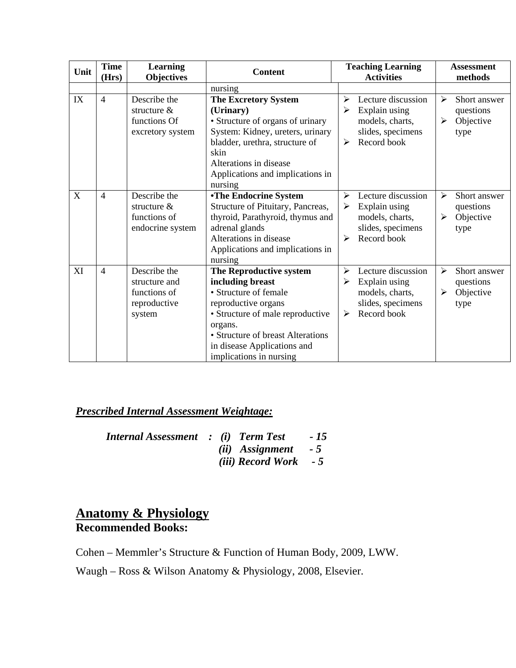| Unit | <b>Time</b>    | <b>Learning</b>                                                         | <b>Content</b>                                                                                                                                                                                                                            | <b>Teaching Learning</b>                                                                                  | <b>Assessment</b>                                        |
|------|----------------|-------------------------------------------------------------------------|-------------------------------------------------------------------------------------------------------------------------------------------------------------------------------------------------------------------------------------------|-----------------------------------------------------------------------------------------------------------|----------------------------------------------------------|
|      | (Hrs)          | <b>Objectives</b>                                                       |                                                                                                                                                                                                                                           | <b>Activities</b>                                                                                         | methods                                                  |
|      |                |                                                                         | nursing                                                                                                                                                                                                                                   |                                                                                                           |                                                          |
| IX   | $\overline{4}$ | Describe the<br>structure $\&$<br>functions Of<br>excretory system      | <b>The Excretory System</b><br>(Urinary)<br>• Structure of organs of urinary<br>System: Kidney, ureters, urinary<br>bladder, urethra, structure of<br>skin<br>Alterations in disease<br>Applications and implications in<br>nursing       | Lecture discussion<br>➤<br>Explain using<br>≻<br>models, charts,<br>slides, specimens<br>Record book<br>➤ | ➤<br>Short answer<br>questions<br>Objective<br>≻<br>type |
| X    | 4              | Describe the<br>structure $\&$<br>functions of<br>endocrine system      | <b>•The Endocrine System</b><br>Structure of Pituitary, Pancreas,<br>thyroid, Parathyroid, thymus and<br>adrenal glands<br>Alterations in disease<br>Applications and implications in<br>nursing                                          | Lecture discussion<br>↘<br>Explain using<br>➤<br>models, charts,<br>slides, specimens<br>Record book<br>≻ | ≻<br>Short answer<br>questions<br>Objective<br>➤<br>type |
| XI   | $\overline{4}$ | Describe the<br>structure and<br>functions of<br>reproductive<br>system | The Reproductive system<br>including breast<br>• Structure of female<br>reproductive organs<br>• Structure of male reproductive<br>organs.<br>• Structure of breast Alterations<br>in disease Applications and<br>implications in nursing | Lecture discussion<br>➤<br>Explain using<br>➤<br>models, charts,<br>slides, specimens<br>Record book<br>➤ | ➤<br>Short answer<br>questions<br>Objective<br>➤<br>type |

# *Prescribed Internal Assessment Weightage:*

| <b>Internal Assessment</b> : (i) Term Test |  |                                | $-15$ |
|--------------------------------------------|--|--------------------------------|-------|
|                                            |  | $(ii)$ Assignment - 5          |       |
|                                            |  | <i>(iii)</i> $Record Work - 5$ |       |

# **Anatomy & Physiology Recommended Books:**

Cohen – Memmler's Structure & Function of Human Body, 2009, LWW.

Waugh – Ross & Wilson Anatomy & Physiology, 2008, Elsevier.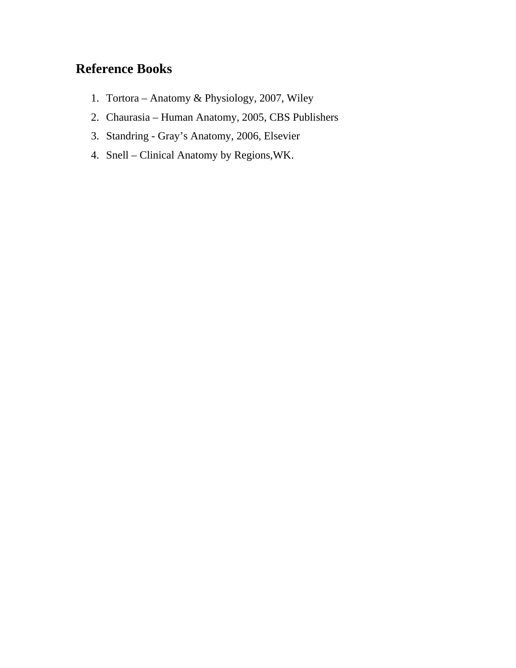# **Reference Books**

- 1. Tortora Anatomy & Physiology, 2007, Wiley
- 2. Chaurasia Human Anatomy, 2005, CBS Publishers
- 3. Standring Gray's Anatomy, 2006, Elsevier
- 4. Snell Clinical Anatomy by Regions,WK.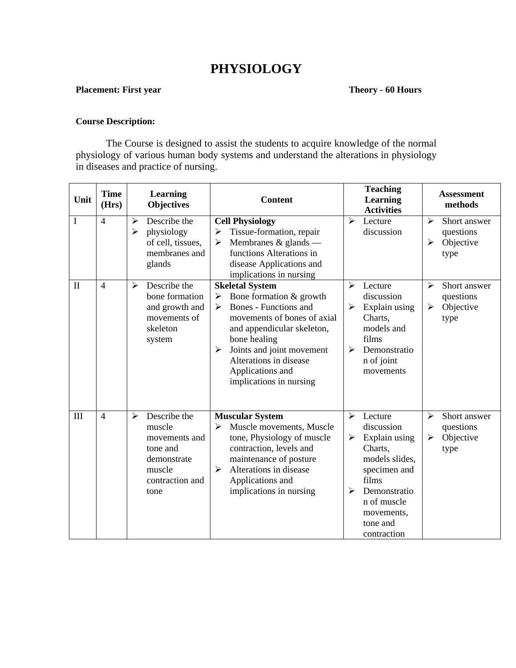# **PHYSIOLOGY**

### **Placement: First year Theory - 60 Hours**

#### **Course Description:**

The Course is designed to assist the students to acquire knowledge of the normal physiology of various human body systems and understand the alterations in physiology in diseases and practice of nursing.

| Unit     | <b>Time</b><br>(Hrs) | Learning<br><b>Objectives</b>                                                                                | <b>Content</b>                                                                                                                                                                                                                                                                                   | <b>Teaching</b><br><b>Learning</b><br><b>Activities</b>                                                                                                                                                                     | <b>Assessment</b><br>methods                                                 |
|----------|----------------------|--------------------------------------------------------------------------------------------------------------|--------------------------------------------------------------------------------------------------------------------------------------------------------------------------------------------------------------------------------------------------------------------------------------------------|-----------------------------------------------------------------------------------------------------------------------------------------------------------------------------------------------------------------------------|------------------------------------------------------------------------------|
| I        | $\overline{4}$       | Describe the<br>≻<br>physiology<br>$\blacktriangleright$<br>of cell, tissues,<br>membranes and<br>glands     | <b>Cell Physiology</b><br>Tissue-formation, repair<br>➤<br>Membranes $&$ glands —<br>$\blacktriangleright$<br>functions Alterations in<br>disease Applications and<br>implications in nursing                                                                                                    | $\blacktriangleright$<br>Lecture<br>discussion                                                                                                                                                                              | ➤<br>Short answer<br>questions<br>Objective<br>➤<br>type                     |
| $\rm II$ | $\overline{4}$       | Describe the<br>➤<br>bone formation<br>and growth and<br>movements of<br>skeleton<br>system                  | <b>Skeletal System</b><br>Bone formation & growth<br>➤<br>Bones - Functions and<br>➤<br>movements of bones of axial<br>and appendicular skeleton,<br>bone healing<br>Joints and joint movement<br>$\blacktriangleright$<br>Alterations in disease<br>Applications and<br>implications in nursing | $\blacktriangleright$<br>Lecture<br>discussion<br>$\blacktriangleright$<br>Explain using<br>Charts,<br>models and<br>films<br>$\blacktriangleright$<br>Demonstratio<br>n of joint<br>movements                              | ➤<br>Short answer<br>questions<br>➤<br>Objective<br>type                     |
| III      | $\overline{4}$       | Describe the<br>➤<br>muscle<br>movements and<br>tone and<br>demonstrate<br>muscle<br>contraction and<br>tone | <b>Muscular System</b><br>Muscle movements, Muscle<br>≻<br>tone, Physiology of muscle<br>contraction, levels and<br>maintenance of posture<br>Alterations in disease<br>$\blacktriangleright$<br>Applications and<br>implications in nursing                                                     | $\blacktriangleright$<br>Lecture<br>discussion<br>Explain using<br>➤<br>Charts,<br>models slides,<br>specimen and<br>films<br>$\blacktriangleright$<br>Demonstratio<br>n of muscle<br>movements,<br>tone and<br>contraction | $\blacktriangleright$<br>Short answer<br>questions<br>Objective<br>➤<br>type |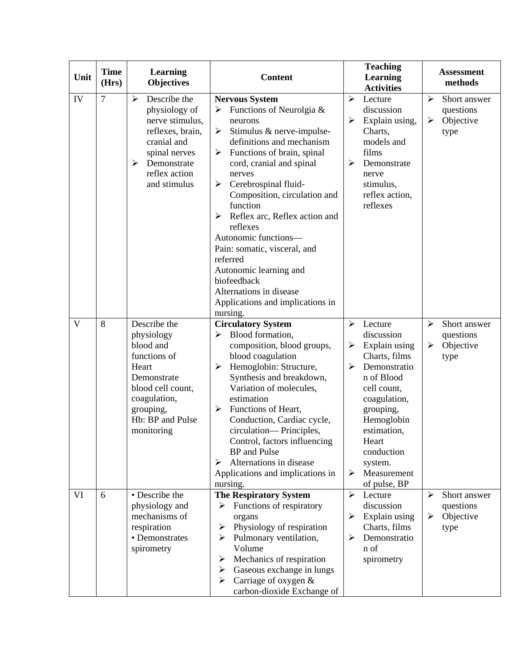| Unit | <b>Time</b><br>(Hrs) | Learning<br><b>Objectives</b>                                                                                                                                       | <b>Content</b>                                                                                                                                                                                                                                                                                                                                                                                                                                                                                                               | <b>Teaching</b><br>Learning<br><b>Activities</b>                                                                                                                                                                                                                        | <b>Assessment</b><br>methods                                                 |
|------|----------------------|---------------------------------------------------------------------------------------------------------------------------------------------------------------------|------------------------------------------------------------------------------------------------------------------------------------------------------------------------------------------------------------------------------------------------------------------------------------------------------------------------------------------------------------------------------------------------------------------------------------------------------------------------------------------------------------------------------|-------------------------------------------------------------------------------------------------------------------------------------------------------------------------------------------------------------------------------------------------------------------------|------------------------------------------------------------------------------|
| IV   | $\tau$               | Describe the<br>➤<br>physiology of<br>nerve stimulus,<br>reflexes, brain,<br>cranial and<br>spinal nerves<br>➤<br>Demonstrate<br>reflex action<br>and stimulus      | <b>Nervous System</b><br>Functions of Neurolgia &<br>≻<br>neurons<br>Stimulus & nerve-impulse-<br>➤<br>definitions and mechanism<br>Functions of brain, spinal<br>➤<br>cord, cranial and spinal<br>nerves<br>Cerebrospinal fluid-<br>➤<br>Composition, circulation and<br>function<br>Reflex arc, Reflex action and<br>➤<br>reflexes<br>Autonomic functions-<br>Pain: somatic, visceral, and<br>referred<br>Autonomic learning and<br>biofeedback<br>Alternations in disease<br>Applications and implications in<br>nursing. | $\blacktriangleright$<br>Lecture<br>discussion<br>Explain using,<br>➤<br>Charts,<br>models and<br>films<br>➤<br>Demonstrate<br>nerve<br>stimulus,<br>reflex action,<br>reflexes                                                                                         | ➤<br>Short answer<br>questions<br>Objective<br>$\blacktriangleright$<br>type |
| V    | 8                    | Describe the<br>physiology<br>blood and<br>functions of<br>Heart<br>Demonstrate<br>blood cell count,<br>coagulation,<br>grouping,<br>Hb: BP and Pulse<br>monitoring | <b>Circulatory System</b><br>Blood formation,<br>⋗<br>composition, blood groups,<br>blood coagulation<br>Hemoglobin: Structure,<br>➤<br>Synthesis and breakdown,<br>Variation of molecules,<br>estimation<br>Functions of Heart,<br>➤<br>Conduction, Cardiac cycle,<br>circulation— Principles,<br>Control, factors influencing<br><b>BP</b> and Pulse<br>Alternations in disease<br>➤<br>Applications and implications in<br>nursing.                                                                                       | ➤<br>Lecture<br>discussion<br>Explain using<br>➤<br>Charts, films<br>Demonstratio<br>⋗<br>n of Blood<br>cell count,<br>coagulation,<br>grouping,<br>Hemoglobin<br>estimation,<br>Heart<br>conduction<br>system.<br>$\blacktriangleright$<br>Measurement<br>of pulse, BP | ➤<br>Short answer<br>questions<br>$\blacktriangleright$<br>Objective<br>type |
| VI   | 6                    | • Describe the<br>physiology and<br>mechanisms of<br>respiration<br>• Demonstrates<br>spirometry                                                                    | <b>The Respiratory System</b><br>Functions of respiratory<br>➤<br>organs<br>Physiology of respiration<br>➤<br>Pulmonary ventilation,<br>➤<br>Volume<br>Mechanics of respiration<br>➤<br>Gaseous exchange in lungs<br>➤<br>Carriage of oxygen $\&$<br>➤<br>carbon-dioxide Exchange of                                                                                                                                                                                                                                         | ⋗<br>Lecture<br>discussion<br>Explain using<br>➤<br>Charts, films<br>Demonstratio<br>⋗<br>n of<br>spirometry                                                                                                                                                            | Short answer<br>➤<br>questions<br>Objective<br>➤<br>type                     |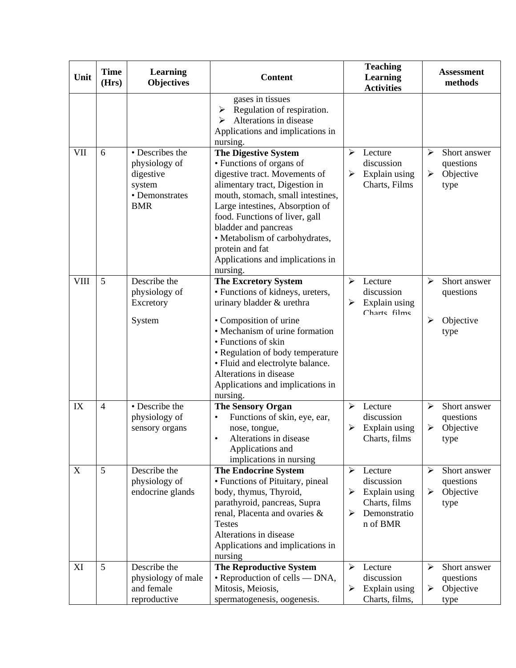| Unit        | <b>Time</b><br>(Hrs) | <b>Learning</b><br><b>Objectives</b>                                                    | <b>Content</b>                                                                                                                                                                                                                                                                                                                                                    | <b>Teaching</b><br>Learning<br><b>Activities</b>                                                           | <b>Assessment</b><br>methods                             |
|-------------|----------------------|-----------------------------------------------------------------------------------------|-------------------------------------------------------------------------------------------------------------------------------------------------------------------------------------------------------------------------------------------------------------------------------------------------------------------------------------------------------------------|------------------------------------------------------------------------------------------------------------|----------------------------------------------------------|
|             |                      |                                                                                         | gases in tissues<br>Regulation of respiration.<br>➤<br>Alterations in disease<br>Applications and implications in<br>nursing.                                                                                                                                                                                                                                     |                                                                                                            |                                                          |
| VII         | 6                    | • Describes the<br>physiology of<br>digestive<br>system<br>• Demonstrates<br><b>BMR</b> | <b>The Digestive System</b><br>• Functions of organs of<br>digestive tract. Movements of<br>alimentary tract, Digestion in<br>mouth, stomach, small intestines,<br>Large intestines, Absorption of<br>food. Functions of liver, gall<br>bladder and pancreas<br>· Metabolism of carbohydrates,<br>protein and fat<br>Applications and implications in<br>nursing. | $\blacktriangleright$<br>Lecture<br>discussion<br>Explain using<br>➤<br>Charts, Films                      | ➤<br>Short answer<br>questions<br>Objective<br>➤<br>type |
| <b>VIII</b> | 5                    | Describe the<br>physiology of<br>Excretory<br>System                                    | <b>The Excretory System</b><br>• Functions of kidneys, ureters,<br>urinary bladder & urethra<br>• Composition of urine<br>• Mechanism of urine formation<br>• Functions of skin<br>• Regulation of body temperature<br>· Fluid and electrolyte balance.<br>Alterations in disease<br>Applications and implications in<br>nursing.                                 | $\blacktriangleright$<br>Lecture<br>discussion<br>Explain using<br>➤<br>Charte filme                       | Short answer<br>➤<br>questions<br>Objective<br>➤<br>type |
| IX          | $\overline{4}$       | • Describe the<br>physiology of<br>sensory organs                                       | <b>The Sensory Organ</b><br>Functions of skin, eye, ear,<br>$\bullet$<br>nose, tongue,<br>Alterations in disease<br>Applications and<br>implications in nursing                                                                                                                                                                                                   | $\blacktriangleright$<br>Lecture<br>discussion<br>Explain using<br>➤<br>Charts, films                      | Short answer<br>➤<br>questions<br>Objective<br>➤<br>type |
| $\mathbf X$ | 5                    | Describe the<br>physiology of<br>endocrine glands                                       | <b>The Endocrine System</b><br>• Functions of Pituitary, pineal<br>body, thymus, Thyroid,<br>parathyroid, pancreas, Supra<br>renal, Placenta and ovaries &<br><b>Testes</b><br>Alterations in disease<br>Applications and implications in<br>nursing                                                                                                              | ➤<br>Lecture<br>discussion<br>Explain using<br>➤<br>Charts, films<br>Demonstratio<br>➤<br>n of BMR         | ➤<br>Short answer<br>questions<br>Objective<br>➤<br>type |
| XI          | 5                    | Describe the<br>physiology of male<br>and female<br>reproductive                        | <b>The Reproductive System</b><br>• Reproduction of cells — DNA,<br>Mitosis, Meiosis,<br>spermatogenesis, oogenesis.                                                                                                                                                                                                                                              | $\blacktriangleright$<br>Lecture<br>discussion<br>$\blacktriangleright$<br>Explain using<br>Charts, films, | Short answer<br>➤<br>questions<br>Objective<br>➤<br>type |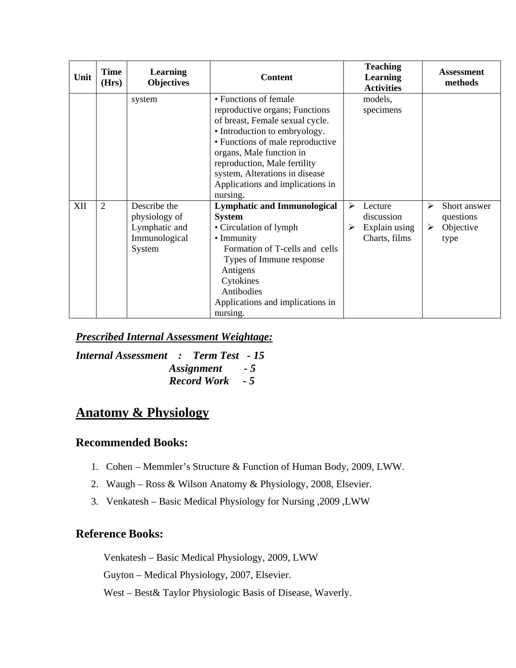| Unit | <b>Time</b><br>(Hrs) | <b>Learning</b><br><b>Objectives</b>                                      | <b>Content</b>                                                                                                                                                                                                                                                                                                |   | <b>Teaching</b><br><b>Learning</b><br><b>Activities</b> |        | <b>Assessment</b><br>methods                   |
|------|----------------------|---------------------------------------------------------------------------|---------------------------------------------------------------------------------------------------------------------------------------------------------------------------------------------------------------------------------------------------------------------------------------------------------------|---|---------------------------------------------------------|--------|------------------------------------------------|
|      |                      | system                                                                    | • Functions of female<br>reproductive organs; Functions<br>of breast, Female sexual cycle.<br>• Introduction to embryology.<br>• Functions of male reproductive<br>organs, Male function in<br>reproduction, Male fertility<br>system, Alterations in disease<br>Applications and implications in<br>nursing. |   | models,<br>specimens                                    |        |                                                |
| XII  | $\overline{2}$       | Describe the<br>physiology of<br>Lymphatic and<br>Immunological<br>System | <b>Lymphatic and Immunological</b><br><b>System</b><br>• Circulation of lymph<br>• Immunity<br>Formation of T-cells and cells<br>Types of Immune response<br>Antigens<br>Cytokines<br>Antibodies<br>Applications and implications in<br>nursing.                                                              | ➤ | Lecture<br>discussion<br>Explain using<br>Charts, films | ⋗<br>➤ | Short answer<br>questions<br>Objective<br>type |

*Prescribed Internal Assessment Weightage:*

*Internal Assessment : Term Test - 15 Assignment - 5 Record Work - 5*

# **Anatomy & Physiology**

# **Recommended Books:**

- 1. Cohen Memmler's Structure & Function of Human Body, 2009, LWW.
- 2. Waugh Ross & Wilson Anatomy & Physiology, 2008, Elsevier.
- 3. Venkatesh Basic Medical Physiology for Nursing ,2009 ,LWW

# **Reference Books:**

Venkatesh – Basic Medical Physiology, 2009, LWW

Guyton – Medical Physiology, 2007, Elsevier.

West – Best& Taylor Physiologic Basis of Disease, Waverly.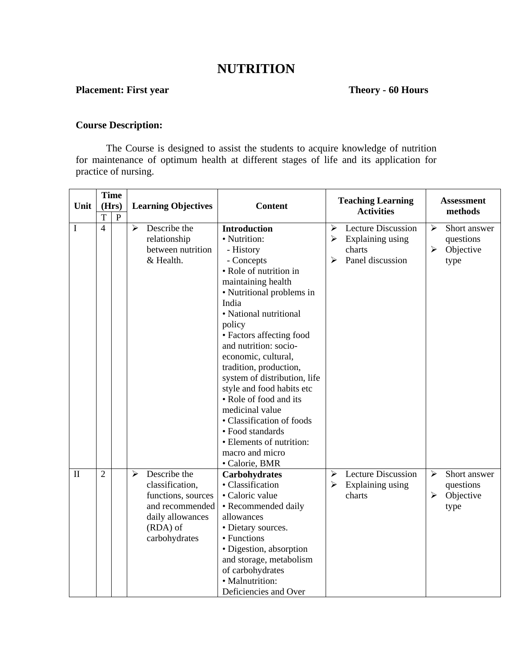# **NUTRITION**

# **Placement: First year Theory - 60 Hours**

#### **Course Description:**

The Course is designed to assist the students to acquire knowledge of nutrition for maintenance of optimum health at different stages of life and its application for practice of nursing.

|              |                |              | <b>Time</b>                                                                                                                                          |                                                                                                                                                                                                                                                                                                                                                                                                                                                                                                                            |                                                                                            |                                                                                                  |  |  |  |  |  |  |  |  |  | <b>Assessment</b> |  |
|--------------|----------------|--------------|------------------------------------------------------------------------------------------------------------------------------------------------------|----------------------------------------------------------------------------------------------------------------------------------------------------------------------------------------------------------------------------------------------------------------------------------------------------------------------------------------------------------------------------------------------------------------------------------------------------------------------------------------------------------------------------|--------------------------------------------------------------------------------------------|--------------------------------------------------------------------------------------------------|--|--|--|--|--|--|--|--|--|-------------------|--|
| Unit         |                | (Hrs)        | <b>Learning Objectives</b>                                                                                                                           | <b>Content</b>                                                                                                                                                                                                                                                                                                                                                                                                                                                                                                             | <b>Teaching Learning</b><br><b>Activities</b>                                              | methods                                                                                          |  |  |  |  |  |  |  |  |  |                   |  |
|              | $\mathbf T$    | $\, {\bf P}$ |                                                                                                                                                      |                                                                                                                                                                                                                                                                                                                                                                                                                                                                                                                            |                                                                                            |                                                                                                  |  |  |  |  |  |  |  |  |  |                   |  |
| I            | $\overline{4}$ |              | Describe the<br>$\blacktriangleright$<br>relationship<br>between nutrition<br>& Health.                                                              | <b>Introduction</b><br>· Nutrition:<br>- History<br>- Concepts<br>• Role of nutrition in<br>maintaining health<br>• Nutritional problems in<br>India<br>• National nutritional<br>policy<br>• Factors affecting food<br>and nutrition: socio-<br>economic, cultural,<br>tradition, production,<br>system of distribution, life<br>style and food habits etc<br>• Role of food and its<br>medicinal value<br>• Classification of foods<br>• Food standards<br>• Elements of nutrition:<br>macro and micro<br>• Calorie, BMR | <b>Lecture Discussion</b><br>➤<br>➤<br>Explaining using<br>charts<br>Panel discussion<br>⋗ | ➤<br>Short answer<br>questions<br>Objective<br>$\blacktriangleright$<br>type                     |  |  |  |  |  |  |  |  |  |                   |  |
| $\mathbf{I}$ | $\overline{2}$ |              | Describe the<br>$\blacktriangleright$<br>classification,<br>functions, sources<br>and recommended<br>daily allowances<br>$(RDA)$ of<br>carbohydrates | Carbohydrates<br>• Classification<br>• Caloric value<br>• Recommended daily<br>allowances<br>· Dietary sources.<br>• Functions<br>• Digestion, absorption<br>and storage, metabolism<br>of carbohydrates<br>· Malnutrition:<br>Deficiencies and Over                                                                                                                                                                                                                                                                       | <b>Lecture Discussion</b><br>➤<br>$\blacktriangleright$<br>Explaining using<br>charts      | $\blacktriangleright$<br>Short answer<br>questions<br>$\blacktriangleright$<br>Objective<br>type |  |  |  |  |  |  |  |  |  |                   |  |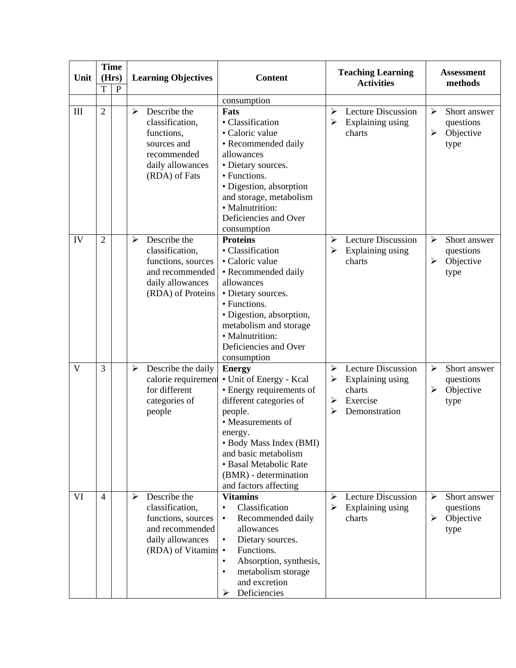|      |                | <b>Time</b>  |                                                                                                                                  |                                                                                                                                                                                                                                                                           | <b>Teaching Learning</b>                                                                                                     | <b>Assessment</b>                                        |  |
|------|----------------|--------------|----------------------------------------------------------------------------------------------------------------------------------|---------------------------------------------------------------------------------------------------------------------------------------------------------------------------------------------------------------------------------------------------------------------------|------------------------------------------------------------------------------------------------------------------------------|----------------------------------------------------------|--|
| Unit | (Hrs)<br>T     | $\mathbf{P}$ | <b>Learning Objectives</b>                                                                                                       | <b>Content</b>                                                                                                                                                                                                                                                            | <b>Activities</b>                                                                                                            | methods                                                  |  |
|      |                |              |                                                                                                                                  | consumption                                                                                                                                                                                                                                                               |                                                                                                                              |                                                          |  |
| III  | $\overline{2}$ |              | Describe the<br>➤<br>classification,<br>functions,<br>sources and<br>recommended<br>daily allowances<br>(RDA) of Fats            | Fats<br>• Classification<br>• Caloric value<br>• Recommended daily<br>allowances<br>• Dietary sources.<br>• Functions.<br>· Digestion, absorption<br>and storage, metabolism<br>· Malnutrition:<br>Deficiencies and Over<br>consumption                                   | <b>Lecture Discussion</b><br>≻<br>Explaining using<br>➤<br>charts                                                            | ≻<br>Short answer<br>questions<br>➤<br>Objective<br>type |  |
| IV   | $\overline{2}$ |              | Describe the<br>≻<br>classification,<br>functions, sources<br>and recommended<br>daily allowances<br>(RDA) of Proteins           | <b>Proteins</b><br>• Classification<br>· Caloric value<br>• Recommended daily<br>allowances<br>• Dietary sources.<br>• Functions.<br>· Digestion, absorption,<br>metabolism and storage<br>· Malnutrition:<br>Deficiencies and Over<br>consumption                        | <b>Lecture Discussion</b><br>≻<br>Explaining using<br>➤<br>charts                                                            | ↘<br>Short answer<br>questions<br>Objective<br>➤<br>type |  |
| V    | 3              |              | Describe the daily<br>$\blacktriangleright$<br>calorie requirement<br>for different<br>categories of<br>people                   | <b>Energy</b><br>· Unit of Energy - Kcal<br>• Energy requirements of<br>different categories of<br>people.<br>• Measurements of<br>energy.<br>• Body Mass Index (BMI)<br>and basic metabolism<br>• Basal Metabolic Rate<br>(BMR) - determination<br>and factors affecting | <b>Lecture Discussion</b><br>$\blacktriangleright$<br>Explaining using<br>➤<br>charts<br>Exercise<br>≻<br>Demonstration<br>⋗ | Short answer<br>➤<br>questions<br>Objective<br>➤<br>type |  |
| VI   | $\overline{4}$ |              | Describe the<br>➤<br>classification,<br>functions, sources<br>and recommended<br>daily allowances<br>(RDA) of Vitamins $\bullet$ | <b>Vitamins</b><br>Classification<br>Recommended daily<br>$\bullet$<br>allowances<br>Dietary sources.<br>$\bullet$<br>Functions.<br>Absorption, synthesis,<br>metabolism storage<br>$\bullet$<br>and excretion<br>Deficiencies<br>➤                                       | <b>Lecture Discussion</b><br>➤<br>Explaining using<br>➤<br>charts                                                            | Short answer<br>≻<br>questions<br>Objective<br>➤<br>type |  |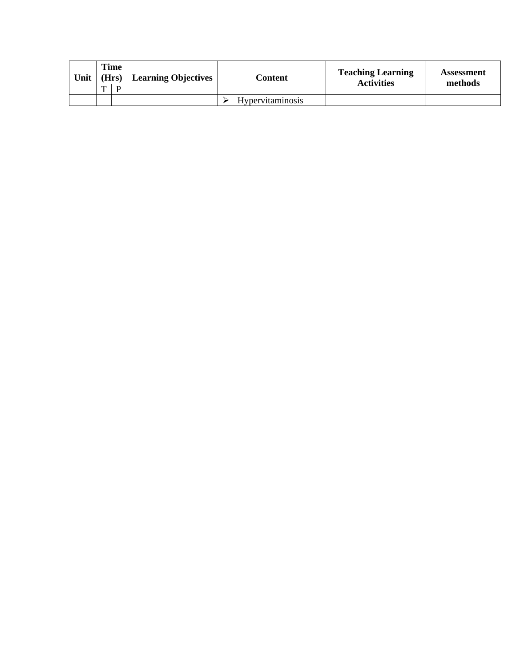| Unit | $\mathbf{r}$ | Time<br>(Hrs)<br>D | <b>Learning Objectives</b> | Content                 | <b>Teaching Learning</b><br><b>Activities</b> | Assessment<br>methods |
|------|--------------|--------------------|----------------------------|-------------------------|-----------------------------------------------|-----------------------|
|      |              |                    |                            | <b>Hypervitaminosis</b> |                                               |                       |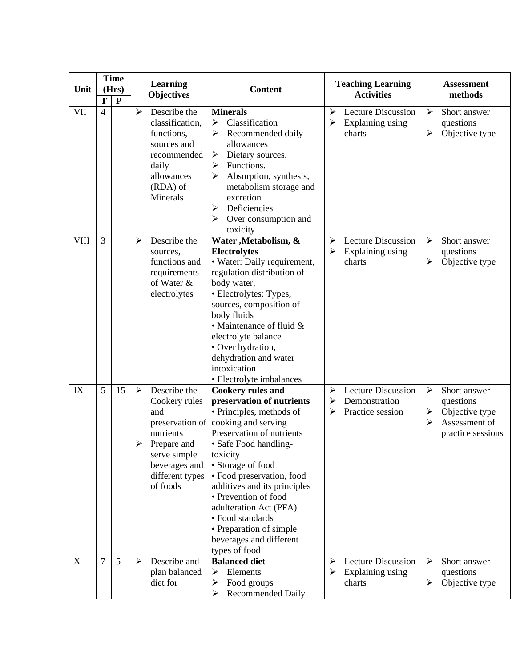| Unit        | T              | <b>Time</b><br>(Hrs)<br>${\bf P}$ |                                   | <b>Learning</b><br><b>Objectives</b>                                                                                                         | <b>Content</b>                                                                                                                                                                                                                                                                                                                                                                                            |                                                     | <b>Teaching Learning</b><br><b>Activities</b>           |                                 | <b>Assessment</b><br>methods                                                      |
|-------------|----------------|-----------------------------------|-----------------------------------|----------------------------------------------------------------------------------------------------------------------------------------------|-----------------------------------------------------------------------------------------------------------------------------------------------------------------------------------------------------------------------------------------------------------------------------------------------------------------------------------------------------------------------------------------------------------|-----------------------------------------------------|---------------------------------------------------------|---------------------------------|-----------------------------------------------------------------------------------|
| VII         | $\overline{4}$ |                                   | ➤                                 | Describe the<br>classification,<br>functions,<br>sources and<br>recommended<br>daily<br>allowances<br>$(RDA)$ of<br>Minerals                 | <b>Minerals</b><br>Classification<br>$\blacktriangleright$<br>Recommended daily<br>➤<br>allowances<br>Dietary sources.<br>➤<br>Functions.<br>➤<br>Absorption, synthesis,<br>➤<br>metabolism storage and<br>excretion<br>Deficiencies<br>➤<br>Over consumption and<br>toxicity                                                                                                                             | ➤<br>≻                                              | <b>Lecture Discussion</b><br>Explaining using<br>charts | $\blacktriangleright$<br>➤      | Short answer<br>questions<br>Objective type                                       |
| <b>VIII</b> | 3              |                                   | ➤                                 | Describe the<br>sources,<br>functions and<br>requirements<br>of Water &<br>electrolytes                                                      | Water , Metabolism, &<br><b>Electrolytes</b><br>• Water: Daily requirement,<br>regulation distribution of<br>body water,<br>• Electrolytes: Types,<br>sources, composition of<br>body fluids<br>$\bullet$ Maintenance of fluid $\&$<br>electrolyte balance<br>• Over hydration,<br>dehydration and water<br>intoxication<br>• Electrolyte imbalances                                                      | $\blacktriangleright$<br>$\blacktriangleright$      | <b>Lecture Discussion</b><br>Explaining using<br>charts | ≻<br>➤                          | Short answer<br>questions<br>Objective type                                       |
| IX          | 5              | 15                                | $\blacktriangleright$<br>and<br>➤ | Describe the<br>Cookery rules<br>preservation of<br>nutrients<br>Prepare and<br>serve simple<br>beverages and<br>different types<br>of foods | <b>Cookery rules and</b><br>preservation of nutrients<br>• Principles, methods of<br>cooking and serving<br>Preservation of nutrients<br>• Safe Food handling-<br>toxicity<br>• Storage of food<br>· Food preservation, food<br>additives and its principles<br>• Prevention of food<br>adulteration Act (PFA)<br>• Food standards<br>• Preparation of simple<br>beverages and different<br>types of food | $\blacktriangleright$<br>$\blacktriangleright$<br>➤ | Lecture Discussion<br>Demonstration<br>Practice session | $\blacktriangleright$<br>➤<br>➤ | Short answer<br>questions<br>Objective type<br>Assessment of<br>practice sessions |
| X           | 7              | 5                                 | ➤                                 | Describe and<br>plan balanced<br>diet for                                                                                                    | <b>Balanced diet</b><br>Elements<br>➤<br>Food groups<br>➤<br><b>Recommended Daily</b><br>➤                                                                                                                                                                                                                                                                                                                | ➤<br>≻                                              | <b>Lecture Discussion</b><br>Explaining using<br>charts | ➤<br>➤                          | Short answer<br>questions<br>Objective type                                       |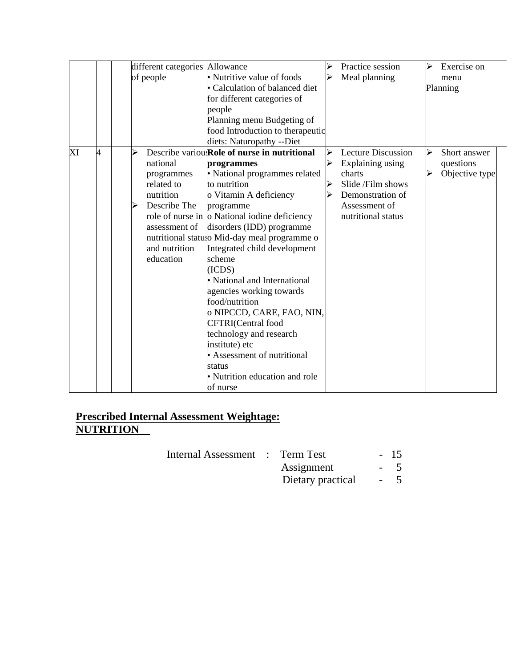|    |   |   | different categories Allowance |                                                       | ⋗ | Practice session          | $\blacktriangleright$ | Exercise on    |
|----|---|---|--------------------------------|-------------------------------------------------------|---|---------------------------|-----------------------|----------------|
|    |   |   | of people                      | • Nutritive value of foods                            | ⋗ | Meal planning             |                       | menu           |
|    |   |   |                                | • Calculation of balanced diet                        |   |                           |                       | Planning       |
|    |   |   |                                | for different categories of                           |   |                           |                       |                |
|    |   |   |                                | people                                                |   |                           |                       |                |
|    |   |   |                                | Planning menu Budgeting of                            |   |                           |                       |                |
|    |   |   |                                | food Introduction to therapeutic                      |   |                           |                       |                |
|    |   |   |                                | diets: Naturopathy --Diet                             |   |                           |                       |                |
| XI | 4 | ➢ |                                | Describe variou: Role of nurse in nutritional         | ⋗ | <b>Lecture Discussion</b> |                       | Short answer   |
|    |   |   | national                       | programmes                                            | ≻ | Explaining using          |                       | questions      |
|    |   |   | programmes                     | • National programmes related                         |   | charts                    |                       | Objective type |
|    |   |   | related to                     | to nutrition                                          |   | Slide /Film shows         |                       |                |
|    |   |   | nutrition                      | o Vitamin A deficiency                                |   | Demonstration of          |                       |                |
|    |   | ⋗ | Describe The                   | programme                                             |   | Assessment of             |                       |                |
|    |   |   |                                | role of nurse in $\vert$ o National iodine deficiency |   | nutritional status        |                       |                |
|    |   |   | assessment of                  | disorders (IDD) programme                             |   |                           |                       |                |
|    |   |   |                                | nutritional statuso Mid-day meal programme o          |   |                           |                       |                |
|    |   |   | and nutrition                  | Integrated child development                          |   |                           |                       |                |
|    |   |   | education                      | scheme                                                |   |                           |                       |                |
|    |   |   |                                | (ICDS)                                                |   |                           |                       |                |
|    |   |   |                                | • National and International                          |   |                           |                       |                |
|    |   |   |                                | agencies working towards                              |   |                           |                       |                |
|    |   |   |                                | food/nutrition                                        |   |                           |                       |                |
|    |   |   |                                | o NIPCCD, CARE, FAO, NIN,                             |   |                           |                       |                |
|    |   |   |                                | <b>CFTRI</b> (Central food                            |   |                           |                       |                |
|    |   |   |                                | technology and research                               |   |                           |                       |                |
|    |   |   |                                | institute) etc                                        |   |                           |                       |                |
|    |   |   |                                | • Assessment of nutritional                           |   |                           |                       |                |
|    |   |   |                                | status                                                |   |                           |                       |                |
|    |   |   |                                | • Nutrition education and role                        |   |                           |                       |                |
|    |   |   |                                | of nurse                                              |   |                           |                       |                |

Internal Assessment : Term Test - 15

Assignment - 5<br>Dietary practical - 5

Dietary practical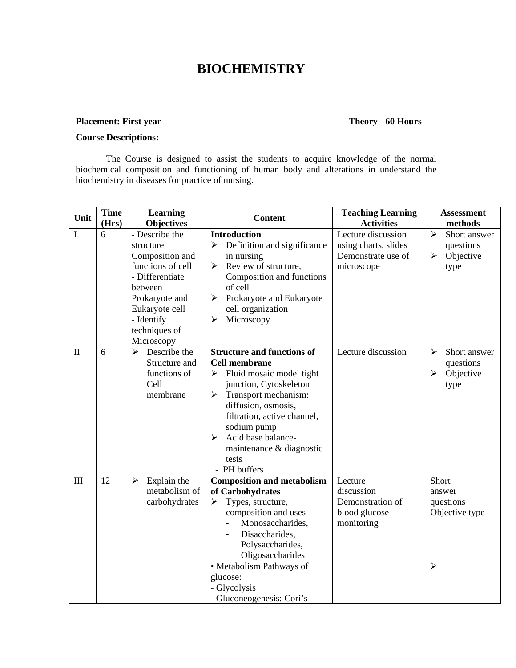# **BIOCHEMISTRY**

### **Placement: First year Theory - 60 Hours**

### **Course Descriptions:**

The Course is designed to assist the students to acquire knowledge of the normal biochemical composition and functioning of human body and alterations in understand the biochemistry in diseases for practice of nursing.

| Unit         | <b>Time</b><br>(Hrs) | <b>Learning</b><br><b>Objectives</b>                                                                                                                                               | <b>Content</b>                                                                                                                                                                                                                                                                                                     | <b>Teaching Learning</b><br><b>Activities</b>                                  | <b>Assessment</b><br>methods                                                 |
|--------------|----------------------|------------------------------------------------------------------------------------------------------------------------------------------------------------------------------------|--------------------------------------------------------------------------------------------------------------------------------------------------------------------------------------------------------------------------------------------------------------------------------------------------------------------|--------------------------------------------------------------------------------|------------------------------------------------------------------------------|
| I            | 6                    | - Describe the<br>structure<br>Composition and<br>functions of cell<br>- Differentiate<br>between<br>Prokaryote and<br>Eukaryote cell<br>- Identify<br>techniques of<br>Microscopy | <b>Introduction</b><br>Definition and significance<br>➤<br>in nursing<br>Review of structure,<br>➤<br>Composition and functions<br>of cell<br>Prokaryote and Eukaryote<br>➤<br>cell organization<br>Microscopy<br>$\blacktriangleright$                                                                            | Lecture discussion<br>using charts, slides<br>Demonstrate use of<br>microscope | $\blacktriangleright$<br>Short answer<br>questions<br>Objective<br>➤<br>type |
| $\mathbf{I}$ | 6                    | Describe the<br>⋗<br>Structure and<br>functions of<br>Cell<br>membrane                                                                                                             | <b>Structure and functions of</b><br><b>Cell membrane</b><br>$\triangleright$ Fluid mosaic model tight<br>junction, Cytoskeleton<br>Transport mechanism:<br>➤<br>diffusion, osmosis,<br>filtration, active channel,<br>sodium pump<br>Acid base balance-<br>➤<br>maintenance & diagnostic<br>tests<br>- PH buffers | Lecture discussion                                                             | ↘<br>Short answer<br>questions<br>➤<br>Objective<br>type                     |
| III          | 12                   | Explain the<br>➤<br>metabolism of<br>carbohydrates                                                                                                                                 | <b>Composition and metabolism</b><br>of Carbohydrates<br>Types, structure,<br>➤<br>composition and uses<br>Monosaccharides,<br>Disaccharides,<br>Polysaccharides,<br>Oligosaccharides<br>• Metabolism Pathways of<br>glucose:<br>- Glycolysis<br>- Gluconeogenesis: Cori's                                         | Lecture<br>discussion<br>Demonstration of<br>blood glucose<br>monitoring       | Short<br>answer<br>questions<br>Objective type<br>↘                          |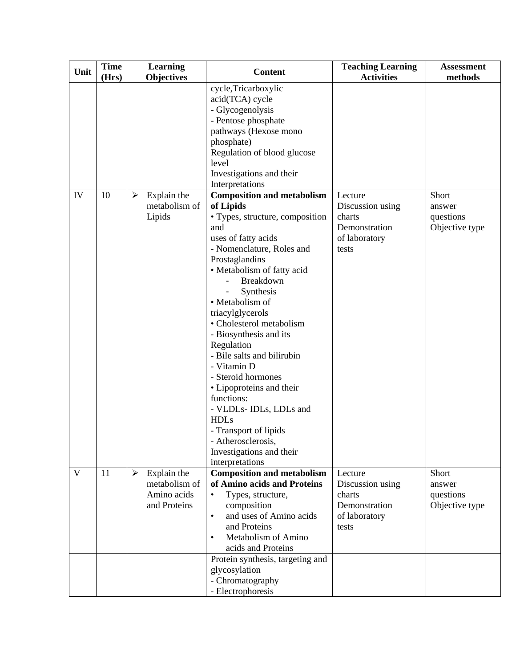| Unit | <b>Time</b> | Learning                                                         | <b>Content</b>                                                                                                                                                                                                                                                                                                                                                                                                                                                                                                                                                                                                                                                                                               | <b>Teaching Learning</b>                                                                              | Assessment                                                |
|------|-------------|------------------------------------------------------------------|--------------------------------------------------------------------------------------------------------------------------------------------------------------------------------------------------------------------------------------------------------------------------------------------------------------------------------------------------------------------------------------------------------------------------------------------------------------------------------------------------------------------------------------------------------------------------------------------------------------------------------------------------------------------------------------------------------------|-------------------------------------------------------------------------------------------------------|-----------------------------------------------------------|
|      |             |                                                                  |                                                                                                                                                                                                                                                                                                                                                                                                                                                                                                                                                                                                                                                                                                              |                                                                                                       |                                                           |
| IV   | (Hrs)<br>10 | <b>Objectives</b><br>Explain the<br>➤<br>metabolism of<br>Lipids | cycle, Tricarboxylic<br>acid(TCA) cycle<br>- Glycogenolysis<br>- Pentose phosphate<br>pathways (Hexose mono<br>phosphate)<br>Regulation of blood glucose<br>level<br>Investigations and their<br>Interpretations<br><b>Composition and metabolism</b><br>of Lipids<br>• Types, structure, composition<br>and<br>uses of fatty acids<br>- Nomenclature, Roles and<br>Prostaglandins<br>• Metabolism of fatty acid<br>Breakdown<br>Synthesis<br>• Metabolism of<br>triacylglycerols<br>• Cholesterol metabolism<br>- Biosynthesis and its<br>Regulation<br>- Bile salts and bilirubin<br>- Vitamin D<br>- Steroid hormones<br>• Lipoproteins and their<br>functions:<br>- VLDLs- IDLs, LDLs and<br><b>HDLs</b> | <b>Activities</b><br>Lecture<br>Discussion using<br>charts<br>Demonstration<br>of laboratory<br>tests | methods<br>Short<br>answer<br>questions<br>Objective type |
|      |             |                                                                  | - Transport of lipids<br>- Atherosclerosis,<br>Investigations and their<br>interpretations                                                                                                                                                                                                                                                                                                                                                                                                                                                                                                                                                                                                                   |                                                                                                       |                                                           |
| V    | 11          | Explain the<br>➤<br>metabolism of<br>Amino acids<br>and Proteins | <b>Composition and metabolism</b><br>of Amino acids and Proteins<br>Types, structure,<br>$\bullet$<br>composition<br>and uses of Amino acids<br>$\bullet$<br>and Proteins<br>Metabolism of Amino<br>$\bullet$<br>acids and Proteins                                                                                                                                                                                                                                                                                                                                                                                                                                                                          | Lecture<br>Discussion using<br>charts<br>Demonstration<br>of laboratory<br>tests                      | Short<br>answer<br>questions<br>Objective type            |
|      |             |                                                                  | Protein synthesis, targeting and<br>glycosylation<br>- Chromatography<br>- Electrophoresis                                                                                                                                                                                                                                                                                                                                                                                                                                                                                                                                                                                                                   |                                                                                                       |                                                           |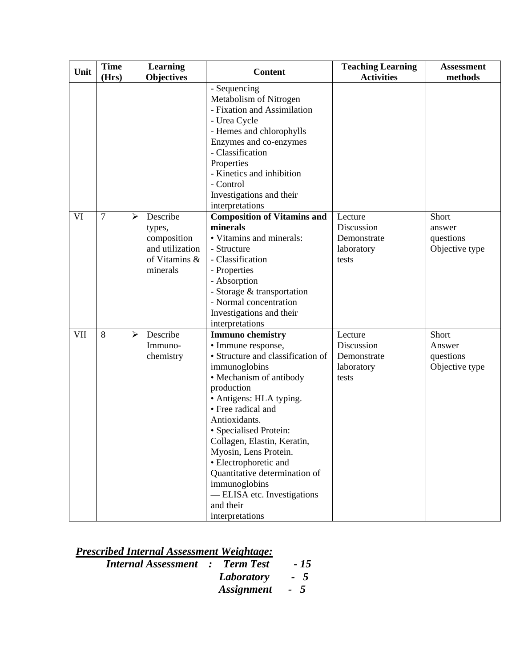| Unit | <b>Time</b><br>(Hrs) |   | Learning<br><b>Objectives</b> | <b>Content</b>                        | <b>Teaching Learning</b><br><b>Activities</b> | <b>Assessment</b><br>methods |
|------|----------------------|---|-------------------------------|---------------------------------------|-----------------------------------------------|------------------------------|
|      |                      |   |                               | - Sequencing                          |                                               |                              |
|      |                      |   |                               | Metabolism of Nitrogen                |                                               |                              |
|      |                      |   |                               | - Fixation and Assimilation           |                                               |                              |
|      |                      |   |                               | - Urea Cycle                          |                                               |                              |
|      |                      |   |                               | - Hemes and chlorophylls              |                                               |                              |
|      |                      |   |                               | Enzymes and co-enzymes                |                                               |                              |
|      |                      |   |                               | - Classification                      |                                               |                              |
|      |                      |   |                               | Properties                            |                                               |                              |
|      |                      |   |                               | - Kinetics and inhibition             |                                               |                              |
|      |                      |   |                               | - Control                             |                                               |                              |
|      |                      |   |                               | Investigations and their              |                                               |                              |
|      |                      |   |                               | interpretations                       |                                               |                              |
| VI   | $\overline{7}$       | ≻ | Describe                      | <b>Composition of Vitamins and</b>    | Lecture                                       | Short                        |
|      |                      |   | types,                        | minerals                              | Discussion                                    | answer                       |
|      |                      |   | composition                   | • Vitamins and minerals:              | Demonstrate                                   | questions                    |
|      |                      |   | and utilization               | - Structure                           | laboratory                                    | Objective type               |
|      |                      |   | of Vitamins &                 | - Classification                      | tests                                         |                              |
|      |                      |   | minerals                      | - Properties                          |                                               |                              |
|      |                      |   |                               | - Absorption                          |                                               |                              |
|      |                      |   |                               | - Storage & transportation            |                                               |                              |
|      |                      |   |                               | - Normal concentration                |                                               |                              |
|      |                      |   |                               | Investigations and their              |                                               |                              |
|      |                      |   |                               | interpretations                       |                                               |                              |
| VII  | 8                    | ➤ | Describe                      | <b>Immuno chemistry</b>               | Lecture                                       | Short                        |
|      |                      |   | Immuno-                       | • Immune response,                    | Discussion                                    | Answer                       |
|      |                      |   | chemistry                     | • Structure and classification of     | Demonstrate                                   | questions                    |
|      |                      |   |                               | immunoglobins                         | laboratory                                    | Objective type               |
|      |                      |   |                               | • Mechanism of antibody               | tests                                         |                              |
|      |                      |   |                               | production<br>• Antigens: HLA typing. |                                               |                              |
|      |                      |   |                               | • Free radical and                    |                                               |                              |
|      |                      |   |                               | Antioxidants.                         |                                               |                              |
|      |                      |   |                               | • Specialised Protein:                |                                               |                              |
|      |                      |   |                               | Collagen, Elastin, Keratin,           |                                               |                              |
|      |                      |   |                               | Myosin, Lens Protein.                 |                                               |                              |
|      |                      |   |                               | • Electrophoretic and                 |                                               |                              |
|      |                      |   |                               | Quantitative determination of         |                                               |                              |
|      |                      |   |                               | immunoglobins                         |                                               |                              |
|      |                      |   |                               | -ELISA etc. Investigations            |                                               |                              |
|      |                      |   |                               | and their                             |                                               |                              |
|      |                      |   |                               | interpretations                       |                                               |                              |

| <b>Prescribed Internal Assessment Weightage:</b> |  |
|--------------------------------------------------|--|
|--------------------------------------------------|--|

| <b>Internal Assessment : Term Test</b> |                | $-15$ |
|----------------------------------------|----------------|-------|
|                                        | Laboratory - 5 |       |
|                                        | Assignment - 5 |       |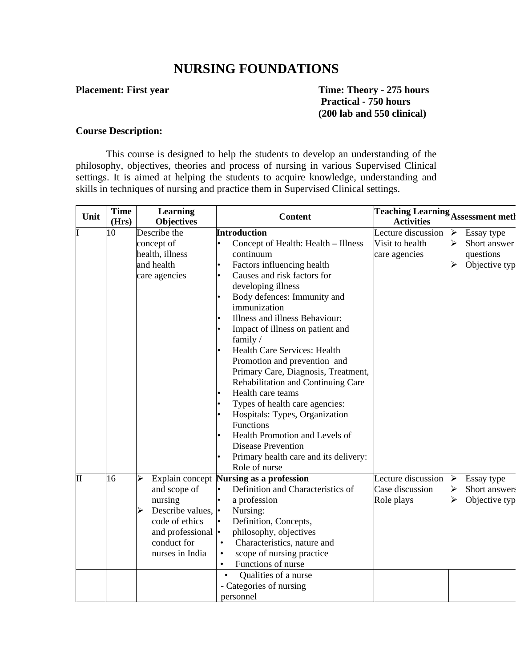## **NURSING FOUNDATIONS**

**Placement: First year Time: Theory - 275 hours Practical - 750 hours (200 lab and 550 clinical)** 

#### **Course Description:**

This course is designed to help the students to develop an understanding of the philosophy, objectives, theories and process of nursing in various Supervised Clinical settings. It is aimed at helping the students to acquire knowledge, understanding and skills in techniques of nursing and practice them in Supervised Clinical settings.

| Unit         | <b>Time</b><br>(Hrs) | <b>Learning</b><br><b>Objectives</b> | <b>Content</b>                                               | <b>Teaching Learning</b> Assessment meth<br><b>Activities</b> |                                        |
|--------------|----------------------|--------------------------------------|--------------------------------------------------------------|---------------------------------------------------------------|----------------------------------------|
|              | 10                   | Describe the                         | <b>Introduction</b>                                          | Lecture discussion                                            | $\blacktriangleleft$<br>Essay type     |
|              |                      | concept of                           | Concept of Health: Health - Illness                          | Visit to health                                               | $\blacktriangleright$<br>Short answer  |
|              |                      | health, illness                      | continuum                                                    | care agencies                                                 | questions                              |
|              |                      | and health                           | Factors influencing health<br>$\bullet$                      |                                                               | Objective typ<br>➤                     |
|              |                      | care agencies                        | Causes and risk factors for<br>$\bullet$                     |                                                               |                                        |
|              |                      |                                      | developing illness                                           |                                                               |                                        |
|              |                      |                                      | Body defences: Immunity and<br>$\bullet$                     |                                                               |                                        |
|              |                      |                                      | immunization                                                 |                                                               |                                        |
|              |                      |                                      | Illness and illness Behaviour:<br>$\bullet$                  |                                                               |                                        |
|              |                      |                                      | Impact of illness on patient and<br>$\bullet$                |                                                               |                                        |
|              |                      |                                      | family/                                                      |                                                               |                                        |
|              |                      |                                      | Health Care Services: Health<br>$\bullet$                    |                                                               |                                        |
|              |                      |                                      | Promotion and prevention and                                 |                                                               |                                        |
|              |                      |                                      | Primary Care, Diagnosis, Treatment,                          |                                                               |                                        |
|              |                      |                                      | Rehabilitation and Continuing Care                           |                                                               |                                        |
|              |                      |                                      | Health care teams<br>$\bullet$                               |                                                               |                                        |
|              |                      |                                      | Types of health care agencies:<br>$\bullet$                  |                                                               |                                        |
|              |                      |                                      | Hospitals: Types, Organization<br>$\bullet$                  |                                                               |                                        |
|              |                      |                                      | Functions                                                    |                                                               |                                        |
|              |                      |                                      | Health Promotion and Levels of<br>$\bullet$                  |                                                               |                                        |
|              |                      |                                      | <b>Disease Prevention</b>                                    |                                                               |                                        |
|              |                      |                                      | Primary health care and its delivery:<br>$\bullet$           |                                                               |                                        |
|              |                      |                                      | Role of nurse                                                |                                                               |                                        |
| $\mathbf{I}$ | 16                   | ➤                                    | Explain concept Nursing as a profession                      | Lecture discussion                                            | $\blacktriangleright$<br>Essay type    |
|              |                      | and scope of                         | Definition and Characteristics of<br>$\bullet$               | Case discussion                                               | $\blacktriangleright$<br>Short answers |
|              |                      | nursing                              | a profession<br>$\bullet$                                    | Role plays                                                    | ⋗<br>Objective typ                     |
|              |                      | Describe values,  •<br>⋗             | Nursing:                                                     |                                                               |                                        |
|              |                      | code of ethics                       | Definition, Concepts,<br>$\bullet$                           |                                                               |                                        |
|              |                      | and professional  •                  | philosophy, objectives                                       |                                                               |                                        |
|              |                      | conduct for                          | Characteristics, nature and<br>$\bullet$                     |                                                               |                                        |
|              |                      | nurses in India                      | scope of nursing practice<br>$\bullet$<br>Functions of nurse |                                                               |                                        |
|              |                      |                                      | $\bullet$<br>$\bullet$                                       |                                                               |                                        |
|              |                      |                                      | Qualities of a nurse                                         |                                                               |                                        |
|              |                      |                                      | - Categories of nursing                                      |                                                               |                                        |
|              |                      |                                      | personnel                                                    |                                                               |                                        |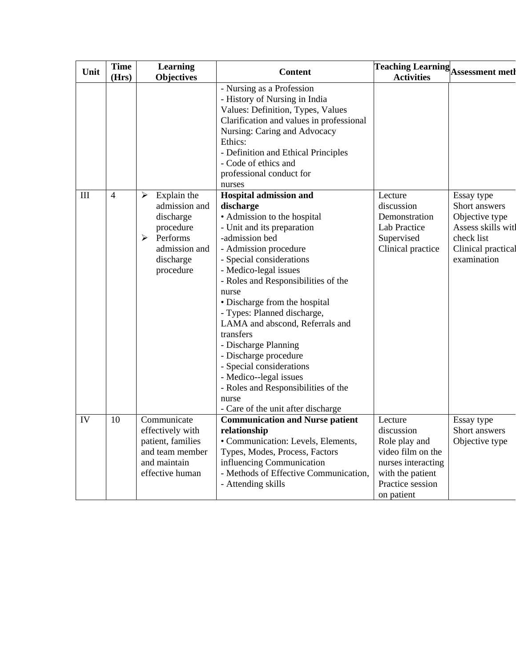| Unit               | <b>Time</b>    | <b>Learning</b>                                                                                                         | <b>Content</b>                                                                                                                                                                                                                                                                                                                                                                                                                                                                                                                                                       | <b>Teaching Learning</b> Assessment meth                                                                                                |                                                                                                                        |
|--------------------|----------------|-------------------------------------------------------------------------------------------------------------------------|----------------------------------------------------------------------------------------------------------------------------------------------------------------------------------------------------------------------------------------------------------------------------------------------------------------------------------------------------------------------------------------------------------------------------------------------------------------------------------------------------------------------------------------------------------------------|-----------------------------------------------------------------------------------------------------------------------------------------|------------------------------------------------------------------------------------------------------------------------|
|                    | (Hrs)          | <b>Objectives</b>                                                                                                       |                                                                                                                                                                                                                                                                                                                                                                                                                                                                                                                                                                      | <b>Activities</b>                                                                                                                       |                                                                                                                        |
|                    |                |                                                                                                                         | - Nursing as a Profession<br>- History of Nursing in India<br>Values: Definition, Types, Values<br>Clarification and values in professional<br>Nursing: Caring and Advocacy<br>Ethics:<br>- Definition and Ethical Principles<br>- Code of ethics and<br>professional conduct for<br>nurses                                                                                                                                                                                                                                                                          |                                                                                                                                         |                                                                                                                        |
| $\mathop{\rm III}$ | $\overline{4}$ | Explain the<br>➤<br>admission and<br>discharge<br>procedure<br>➤<br>Performs<br>admission and<br>discharge<br>procedure | <b>Hospital admission and</b><br>discharge<br>• Admission to the hospital<br>- Unit and its preparation<br>-admission bed<br>- Admission procedure<br>- Special considerations<br>- Medico-legal issues<br>- Roles and Responsibilities of the<br>nurse<br>· Discharge from the hospital<br>- Types: Planned discharge,<br>LAMA and abscond, Referrals and<br>transfers<br>- Discharge Planning<br>- Discharge procedure<br>- Special considerations<br>- Medico--legal issues<br>- Roles and Responsibilities of the<br>nurse<br>- Care of the unit after discharge | Lecture<br>discussion<br>Demonstration<br><b>Lab Practice</b><br>Supervised<br>Clinical practice                                        | Essay type<br>Short answers<br>Objective type<br>Assess skills witl<br>check list<br>Clinical practical<br>examination |
| IV                 | 10             | Communicate<br>effectively with<br>patient, families<br>and team member<br>and maintain<br>effective human              | <b>Communication and Nurse patient</b><br>relationship<br>· Communication: Levels, Elements,<br>Types, Modes, Process, Factors<br>influencing Communication<br>- Methods of Effective Communication,<br>- Attending skills                                                                                                                                                                                                                                                                                                                                           | Lecture<br>discussion<br>Role play and<br>video film on the<br>nurses interacting<br>with the patient<br>Practice session<br>on patient | Essay type<br>Short answers<br>Objective type                                                                          |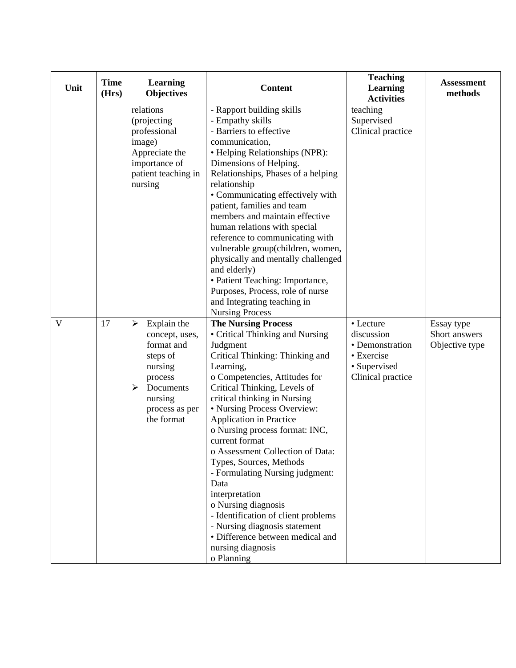| Unit | <b>Time</b><br>(Hrs) | Learning<br><b>Objectives</b>                                                                                                                   | <b>Content</b>                                                                                                                                                                                                                                                                                                                                                                                                                                                                                                                                                                                                                             | <b>Teaching</b><br><b>Learning</b><br><b>Activities</b>                                       | <b>Assessment</b><br>methods                  |
|------|----------------------|-------------------------------------------------------------------------------------------------------------------------------------------------|--------------------------------------------------------------------------------------------------------------------------------------------------------------------------------------------------------------------------------------------------------------------------------------------------------------------------------------------------------------------------------------------------------------------------------------------------------------------------------------------------------------------------------------------------------------------------------------------------------------------------------------------|-----------------------------------------------------------------------------------------------|-----------------------------------------------|
|      |                      | relations<br>(projecting<br>professional<br>image)<br>Appreciate the<br>importance of<br>patient teaching in<br>nursing                         | - Rapport building skills<br>- Empathy skills<br>- Barriers to effective<br>communication,<br>• Helping Relationships (NPR):<br>Dimensions of Helping.<br>Relationships, Phases of a helping<br>relationship<br>• Communicating effectively with<br>patient, families and team<br>members and maintain effective<br>human relations with special<br>reference to communicating with<br>vulnerable group(children, women,<br>physically and mentally challenged<br>and elderly)<br>• Patient Teaching: Importance,<br>Purposes, Process, role of nurse<br>and Integrating teaching in<br><b>Nursing Process</b>                             | teaching<br>Supervised<br>Clinical practice                                                   |                                               |
| V    | 17                   | Explain the<br>➤<br>concept, uses,<br>format and<br>steps of<br>nursing<br>process<br>Documents<br>➤<br>nursing<br>process as per<br>the format | <b>The Nursing Process</b><br>• Critical Thinking and Nursing<br>Judgment<br>Critical Thinking: Thinking and<br>Learning,<br>o Competencies, Attitudes for<br>Critical Thinking, Levels of<br>critical thinking in Nursing<br>• Nursing Process Overview:<br>Application in Practice<br>o Nursing process format: INC,<br>current format<br>o Assessment Collection of Data:<br>Types, Sources, Methods<br>- Formulating Nursing judgment:<br>Data<br>interpretation<br>o Nursing diagnosis<br>- Identification of client problems<br>- Nursing diagnosis statement<br>• Difference between medical and<br>nursing diagnosis<br>o Planning | • Lecture<br>discussion<br>• Demonstration<br>• Exercise<br>• Supervised<br>Clinical practice | Essay type<br>Short answers<br>Objective type |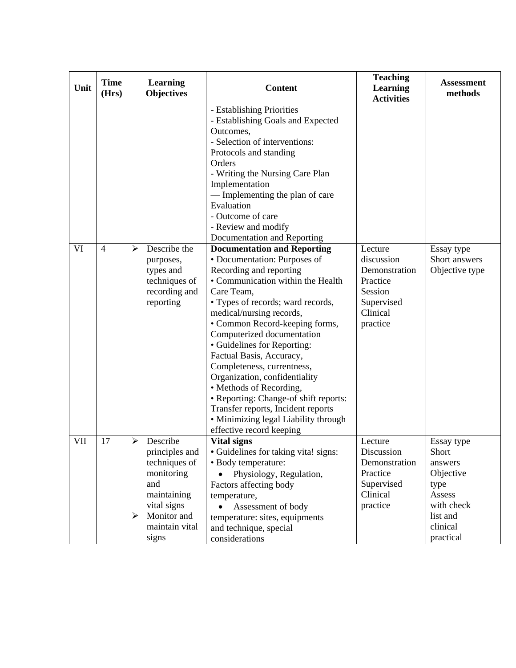| Unit | <b>Time</b><br>(Hrs) | Learning<br><b>Objectives</b>                                                                                                                                 | <b>Content</b>                                                                                                                                                                                                                                                                                                                                                                                                                                                                                                                                                                                                                                                                                                                                                                                                                                                                                                                 | <b>Teaching</b><br><b>Learning</b><br><b>Activities</b>                                             | <b>Assessment</b><br>methods                                                                        |
|------|----------------------|---------------------------------------------------------------------------------------------------------------------------------------------------------------|--------------------------------------------------------------------------------------------------------------------------------------------------------------------------------------------------------------------------------------------------------------------------------------------------------------------------------------------------------------------------------------------------------------------------------------------------------------------------------------------------------------------------------------------------------------------------------------------------------------------------------------------------------------------------------------------------------------------------------------------------------------------------------------------------------------------------------------------------------------------------------------------------------------------------------|-----------------------------------------------------------------------------------------------------|-----------------------------------------------------------------------------------------------------|
| VI   | $\overline{4}$       | Describe the<br>➤<br>purposes,<br>types and<br>techniques of<br>recording and<br>reporting                                                                    | - Establishing Priorities<br>- Establishing Goals and Expected<br>Outcomes,<br>- Selection of interventions:<br>Protocols and standing<br>Orders<br>- Writing the Nursing Care Plan<br>Implementation<br>— Implementing the plan of care<br>Evaluation<br>- Outcome of care<br>- Review and modify<br>Documentation and Reporting<br><b>Documentation and Reporting</b><br>• Documentation: Purposes of<br>Recording and reporting<br>• Communication within the Health<br>Care Team,<br>• Types of records; ward records,<br>medical/nursing records,<br>• Common Record-keeping forms,<br>Computerized documentation<br>• Guidelines for Reporting:<br>Factual Basis, Accuracy,<br>Completeness, currentness,<br>Organization, confidentiality<br>• Methods of Recording,<br>• Reporting: Change-of shift reports:<br>Transfer reports, Incident reports<br>• Minimizing legal Liability through<br>effective record keeping | Lecture<br>discussion<br>Demonstration<br>Practice<br>Session<br>Supervised<br>Clinical<br>practice | Essay type<br>Short answers<br>Objective type                                                       |
| VII  | 17                   | Describe<br>➤<br>principles and<br>techniques of<br>monitoring<br>and<br>maintaining<br>vital signs<br>Monitor and<br>$\blacktriangleright$<br>maintain vital | <b>Vital signs</b><br>• Guidelines for taking vita! signs:<br>· Body temperature:<br>Physiology, Regulation,<br>Factors affecting body<br>temperature,<br>Assessment of body<br>$\bullet$<br>temperature: sites, equipments<br>and technique, special                                                                                                                                                                                                                                                                                                                                                                                                                                                                                                                                                                                                                                                                          | Lecture<br>Discussion<br>Demonstration<br>Practice<br>Supervised<br>Clinical<br>practice            | Essay type<br>Short<br>answers<br>Objective<br>type<br>Assess<br>with check<br>list and<br>clinical |
|      |                      | signs                                                                                                                                                         | considerations                                                                                                                                                                                                                                                                                                                                                                                                                                                                                                                                                                                                                                                                                                                                                                                                                                                                                                                 |                                                                                                     | practical                                                                                           |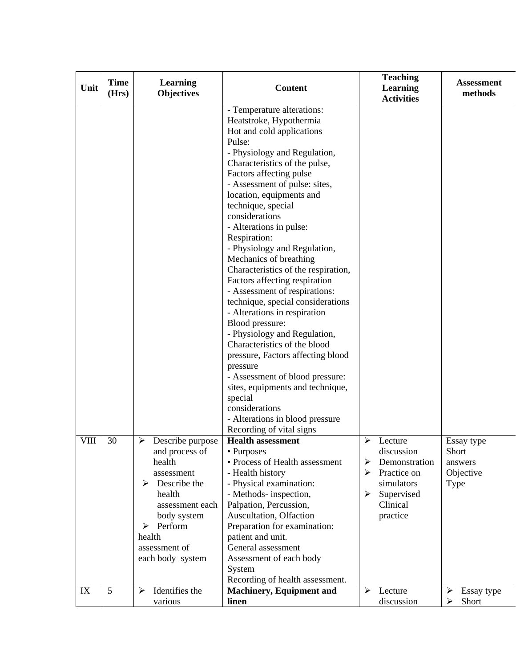| Unit | <b>Time</b><br>(Hrs) | <b>Learning</b><br><b>Objectives</b>                                                                                                                                                            | <b>Content</b>                                                                                                                                                                                                                                                                                                                                                                                                                                                                                                                                                                                                                                                                                                                                                                                                                                                                          | <b>Teaching</b><br><b>Learning</b><br><b>Activities</b>                                                                                           | <b>Assessment</b><br>methods                               |
|------|----------------------|-------------------------------------------------------------------------------------------------------------------------------------------------------------------------------------------------|-----------------------------------------------------------------------------------------------------------------------------------------------------------------------------------------------------------------------------------------------------------------------------------------------------------------------------------------------------------------------------------------------------------------------------------------------------------------------------------------------------------------------------------------------------------------------------------------------------------------------------------------------------------------------------------------------------------------------------------------------------------------------------------------------------------------------------------------------------------------------------------------|---------------------------------------------------------------------------------------------------------------------------------------------------|------------------------------------------------------------|
|      |                      |                                                                                                                                                                                                 | - Temperature alterations:<br>Heatstroke, Hypothermia<br>Hot and cold applications<br>Pulse:<br>- Physiology and Regulation,<br>Characteristics of the pulse,<br>Factors affecting pulse<br>- Assessment of pulse: sites,<br>location, equipments and<br>technique, special<br>considerations<br>- Alterations in pulse:<br>Respiration:<br>- Physiology and Regulation,<br>Mechanics of breathing<br>Characteristics of the respiration,<br>Factors affecting respiration<br>- Assessment of respirations:<br>technique, special considerations<br>- Alterations in respiration<br>Blood pressure:<br>- Physiology and Regulation,<br>Characteristics of the blood<br>pressure, Factors affecting blood<br>pressure<br>- Assessment of blood pressure:<br>sites, equipments and technique,<br>special<br>considerations<br>- Alterations in blood pressure<br>Recording of vital signs |                                                                                                                                                   |                                                            |
| VIII | 30                   | ➤<br>Describe purpose<br>and process of<br>health<br>assessment<br>Describe the<br>➤<br>health<br>assessment each<br>body system<br>Perform<br>➤<br>health<br>assessment of<br>each body system | <b>Health assessment</b><br>• Purposes<br>• Process of Health assessment<br>- Health history<br>- Physical examination:<br>- Methods- inspection,<br>Palpation, Percussion,<br>Auscultation, Olfaction<br>Preparation for examination:<br>patient and unit.<br>General assessment<br>Assessment of each body<br>System<br>Recording of health assessment.                                                                                                                                                                                                                                                                                                                                                                                                                                                                                                                               | ➤<br>Lecture<br>discussion<br>Demonstration<br>➤<br>Practice on<br>$\blacktriangleright$<br>simulators<br>Supervised<br>➤<br>Clinical<br>practice | Essay type<br>Short<br>answers<br>Objective<br><b>Type</b> |
| IX   | 5                    | Identifies the<br>➤<br>various                                                                                                                                                                  | <b>Machinery, Equipment and</b><br>linen                                                                                                                                                                                                                                                                                                                                                                                                                                                                                                                                                                                                                                                                                                                                                                                                                                                | $\blacktriangleright$<br>Lecture<br>discussion                                                                                                    | $\blacktriangleright$<br>Essay type<br>Short<br>➤          |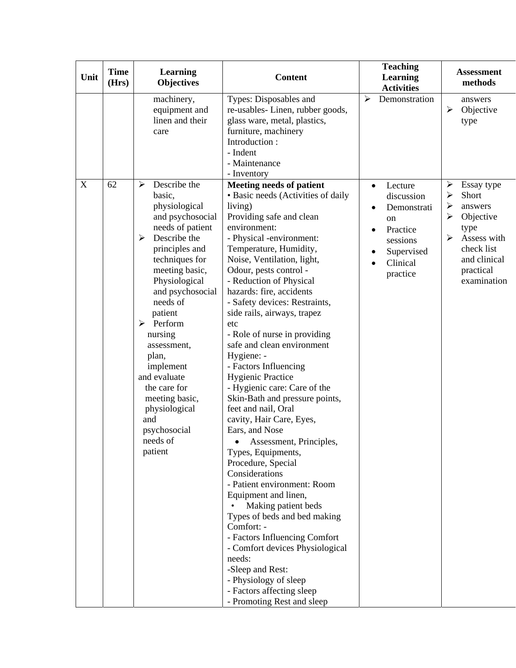| Unit                      | <b>Time</b><br>(Hrs) | Learning<br><b>Objectives</b>                                                                                                                                                                                                                                                                                                                                                                                                                   | <b>Content</b>                                                                                                                                                                                                                                                                                                                                                                                                                                                                                                                                                                                                                                                                                                                                                                                                                                                                                                                                                                                                                                              | <b>Teaching</b><br><b>Learning</b><br><b>Activities</b>                                                                            | <b>Assessment</b><br>methods                                                                                                                                              |
|---------------------------|----------------------|-------------------------------------------------------------------------------------------------------------------------------------------------------------------------------------------------------------------------------------------------------------------------------------------------------------------------------------------------------------------------------------------------------------------------------------------------|-------------------------------------------------------------------------------------------------------------------------------------------------------------------------------------------------------------------------------------------------------------------------------------------------------------------------------------------------------------------------------------------------------------------------------------------------------------------------------------------------------------------------------------------------------------------------------------------------------------------------------------------------------------------------------------------------------------------------------------------------------------------------------------------------------------------------------------------------------------------------------------------------------------------------------------------------------------------------------------------------------------------------------------------------------------|------------------------------------------------------------------------------------------------------------------------------------|---------------------------------------------------------------------------------------------------------------------------------------------------------------------------|
|                           |                      | machinery,<br>equipment and<br>linen and their<br>care                                                                                                                                                                                                                                                                                                                                                                                          | Types: Disposables and<br>re-usables-Linen, rubber goods,<br>glass ware, metal, plastics,<br>furniture, machinery<br>Introduction:<br>- Indent<br>- Maintenance<br>- Inventory                                                                                                                                                                                                                                                                                                                                                                                                                                                                                                                                                                                                                                                                                                                                                                                                                                                                              | $\blacktriangleright$<br>Demonstration                                                                                             | answers<br>➤<br>Objective<br>type                                                                                                                                         |
| $\boldsymbol{\mathrm{X}}$ | 62                   | Describe the<br>$\blacktriangleright$<br>basic,<br>physiological<br>and psychosocial<br>needs of patient<br>Describe the<br>$\blacktriangleright$<br>principles and<br>techniques for<br>meeting basic,<br>Physiological<br>and psychosocial<br>needs of<br>patient<br>Perform<br>nursing<br>assessment,<br>plan,<br>implement<br>and evaluate<br>the care for<br>meeting basic,<br>physiological<br>and<br>psychosocial<br>needs of<br>patient | <b>Meeting needs of patient</b><br>• Basic needs (Activities of daily<br>living)<br>Providing safe and clean<br>environment:<br>- Physical -environment:<br>Temperature, Humidity,<br>Noise, Ventilation, light,<br>Odour, pests control -<br>- Reduction of Physical<br>hazards: fire, accidents<br>- Safety devices: Restraints,<br>side rails, airways, trapez<br>etc<br>- Role of nurse in providing<br>safe and clean environment<br>Hygiene: -<br>- Factors Influencing<br><b>Hygienic Practice</b><br>- Hygienic care: Care of the<br>Skin-Bath and pressure points,<br>feet and nail, Oral<br>cavity, Hair Care, Eyes,<br>Ears, and Nose<br>Assessment, Principles,<br>Types, Equipments,<br>Procedure, Special<br>Considerations<br>- Patient environment: Room<br>Equipment and linen,<br>Making patient beds<br>Types of beds and bed making<br>Comfort: -<br>- Factors Influencing Comfort<br>- Comfort devices Physiological<br>needs:<br>-Sleep and Rest:<br>- Physiology of sleep<br>- Factors affecting sleep<br>- Promoting Rest and sleep | Lecture<br>$\bullet$<br>discussion<br>Demonstrati<br>on<br>Practice<br>$\bullet$<br>sessions<br>Supervised<br>Clinical<br>practice | Essay type<br>➤<br>$\blacktriangleright$<br>Short<br>➤<br>answers<br>Objective<br>⋗<br>type<br>➤<br>Assess with<br>check list<br>and clinical<br>practical<br>examination |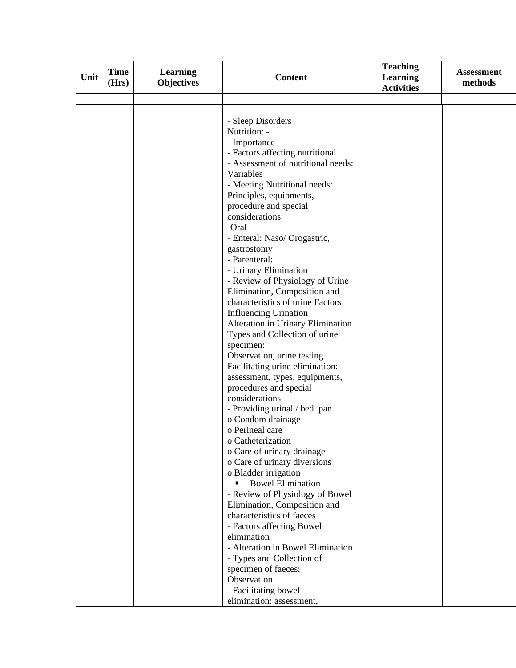| Unit | <b>Time</b> | <b>Learning</b>   | <b>Content</b>                                           | <b>Teaching</b><br><b>Learning</b> | <b>Assessment</b><br>methods |
|------|-------------|-------------------|----------------------------------------------------------|------------------------------------|------------------------------|
|      | (Hrs)       | <b>Objectives</b> |                                                          | <b>Activities</b>                  |                              |
|      |             |                   |                                                          |                                    |                              |
|      |             |                   |                                                          |                                    |                              |
|      |             |                   | - Sleep Disorders                                        |                                    |                              |
|      |             |                   | Nutrition: -                                             |                                    |                              |
|      |             |                   | - Importance                                             |                                    |                              |
|      |             |                   | - Factors affecting nutritional                          |                                    |                              |
|      |             |                   | - Assessment of nutritional needs:                       |                                    |                              |
|      |             |                   | Variables                                                |                                    |                              |
|      |             |                   | - Meeting Nutritional needs:                             |                                    |                              |
|      |             |                   | Principles, equipments,                                  |                                    |                              |
|      |             |                   | procedure and special                                    |                                    |                              |
|      |             |                   | considerations                                           |                                    |                              |
|      |             |                   | -Oral                                                    |                                    |                              |
|      |             |                   | - Enteral: Naso/ Orogastric,                             |                                    |                              |
|      |             |                   | gastrostomy<br>- Parenteral:                             |                                    |                              |
|      |             |                   |                                                          |                                    |                              |
|      |             |                   | - Urinary Elimination<br>- Review of Physiology of Urine |                                    |                              |
|      |             |                   | Elimination, Composition and                             |                                    |                              |
|      |             |                   | characteristics of urine Factors                         |                                    |                              |
|      |             |                   | <b>Influencing Urination</b>                             |                                    |                              |
|      |             |                   | Alteration in Urinary Elimination                        |                                    |                              |
|      |             |                   | Types and Collection of urine                            |                                    |                              |
|      |             |                   | specimen:                                                |                                    |                              |
|      |             |                   | Observation, urine testing                               |                                    |                              |
|      |             |                   | Facilitating urine elimination:                          |                                    |                              |
|      |             |                   | assessment, types, equipments,                           |                                    |                              |
|      |             |                   | procedures and special                                   |                                    |                              |
|      |             |                   | considerations                                           |                                    |                              |
|      |             |                   | - Providing urinal / bed pan                             |                                    |                              |
|      |             |                   | o Condom drainage                                        |                                    |                              |
|      |             |                   | o Perineal care                                          |                                    |                              |
|      |             |                   | o Catheterization                                        |                                    |                              |
|      |             |                   | o Care of urinary drainage                               |                                    |                              |
|      |             |                   | o Care of urinary diversions                             |                                    |                              |
|      |             |                   | o Bladder irrigation                                     |                                    |                              |
|      |             |                   | <b>Bowel Elimination</b>                                 |                                    |                              |
|      |             |                   | - Review of Physiology of Bowel                          |                                    |                              |
|      |             |                   | Elimination, Composition and                             |                                    |                              |
|      |             |                   | characteristics of faeces                                |                                    |                              |
|      |             |                   | - Factors affecting Bowel                                |                                    |                              |
|      |             |                   | elimination                                              |                                    |                              |
|      |             |                   | - Alteration in Bowel Elimination                        |                                    |                              |
|      |             |                   | - Types and Collection of                                |                                    |                              |
|      |             |                   | specimen of faeces:                                      |                                    |                              |
|      |             |                   | Observation                                              |                                    |                              |
|      |             |                   | - Facilitating bowel                                     |                                    |                              |
|      |             |                   | elimination: assessment,                                 |                                    |                              |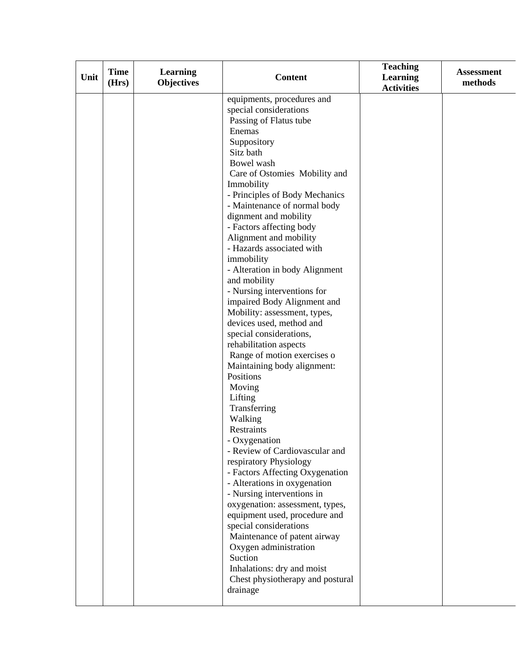| (Hrs) | <b>Objectives</b> | equipments, procedures and                                                                                                                                                                                                                                                                                                                                                                                                                                                                                                                                                                                                                                                                                                                                                                                                                                                                                                                                                                                                            | <b>Activities</b> | methods |
|-------|-------------------|---------------------------------------------------------------------------------------------------------------------------------------------------------------------------------------------------------------------------------------------------------------------------------------------------------------------------------------------------------------------------------------------------------------------------------------------------------------------------------------------------------------------------------------------------------------------------------------------------------------------------------------------------------------------------------------------------------------------------------------------------------------------------------------------------------------------------------------------------------------------------------------------------------------------------------------------------------------------------------------------------------------------------------------|-------------------|---------|
|       |                   |                                                                                                                                                                                                                                                                                                                                                                                                                                                                                                                                                                                                                                                                                                                                                                                                                                                                                                                                                                                                                                       |                   |         |
|       |                   | special considerations<br>Passing of Flatus tube<br>Enemas<br>Suppository<br>Sitz bath<br>Bowel wash<br>Care of Ostomies Mobility and<br>Immobility<br>- Principles of Body Mechanics<br>- Maintenance of normal body<br>dignment and mobility<br>- Factors affecting body<br>Alignment and mobility<br>- Hazards associated with<br>immobility<br>- Alteration in body Alignment<br>and mobility<br>- Nursing interventions for<br>impaired Body Alignment and<br>Mobility: assessment, types,<br>devices used, method and<br>special considerations,<br>rehabilitation aspects<br>Range of motion exercises o<br>Maintaining body alignment:<br>Positions<br>Moving<br>Lifting<br>Transferring<br>Walking<br>Restraints<br>- Oxygenation<br>- Review of Cardiovascular and<br>respiratory Physiology<br>- Factors Affecting Oxygenation<br>- Alterations in oxygenation<br>- Nursing interventions in<br>oxygenation: assessment, types,<br>equipment used, procedure and<br>special considerations<br>Maintenance of patent airway |                   |         |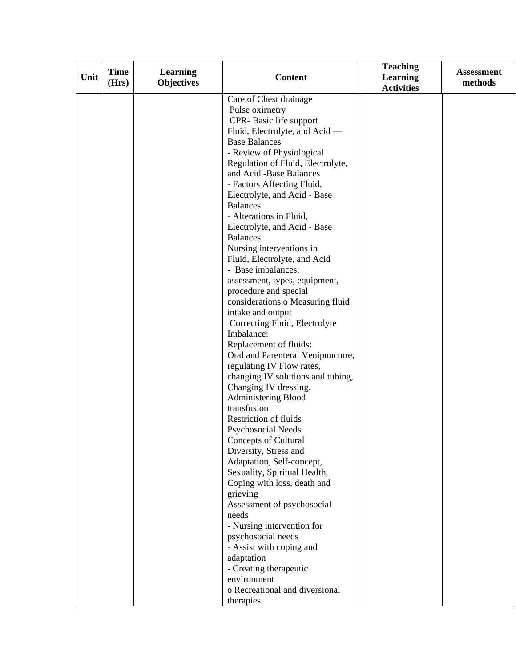| Unit | <b>Time</b> | <b>Learning</b>   | <b>Content</b>                                 | <b>Teaching</b><br><b>Learning</b> | <b>Assessment</b> |
|------|-------------|-------------------|------------------------------------------------|------------------------------------|-------------------|
|      | (Hrs)       | <b>Objectives</b> |                                                | <b>Activities</b>                  | methods           |
|      |             |                   | Care of Chest drainage                         |                                    |                   |
|      |             |                   | Pulse oximetry                                 |                                    |                   |
|      |             |                   | CPR-Basic life support                         |                                    |                   |
|      |             |                   | Fluid, Electrolyte, and Acid —                 |                                    |                   |
|      |             |                   | <b>Base Balances</b>                           |                                    |                   |
|      |             |                   | - Review of Physiological                      |                                    |                   |
|      |             |                   | Regulation of Fluid, Electrolyte,              |                                    |                   |
|      |             |                   | and Acid -Base Balances                        |                                    |                   |
|      |             |                   | - Factors Affecting Fluid,                     |                                    |                   |
|      |             |                   | Electrolyte, and Acid - Base                   |                                    |                   |
|      |             |                   | <b>Balances</b>                                |                                    |                   |
|      |             |                   | - Alterations in Fluid,                        |                                    |                   |
|      |             |                   | Electrolyte, and Acid - Base                   |                                    |                   |
|      |             |                   | <b>Balances</b>                                |                                    |                   |
|      |             |                   | Nursing interventions in                       |                                    |                   |
|      |             |                   | Fluid, Electrolyte, and Acid                   |                                    |                   |
|      |             |                   | - Base imbalances:                             |                                    |                   |
|      |             |                   | assessment, types, equipment,                  |                                    |                   |
|      |             |                   | procedure and special                          |                                    |                   |
|      |             |                   | considerations o Measuring fluid               |                                    |                   |
|      |             |                   | intake and output                              |                                    |                   |
|      |             |                   | Correcting Fluid, Electrolyte                  |                                    |                   |
|      |             |                   | Imbalance:                                     |                                    |                   |
|      |             |                   | Replacement of fluids:                         |                                    |                   |
|      |             |                   | Oral and Parenteral Venipuncture,              |                                    |                   |
|      |             |                   | regulating IV Flow rates,                      |                                    |                   |
|      |             |                   | changing IV solutions and tubing,              |                                    |                   |
|      |             |                   | Changing IV dressing,                          |                                    |                   |
|      |             |                   | <b>Administering Blood</b>                     |                                    |                   |
|      |             |                   | transfusion                                    |                                    |                   |
|      |             |                   | Restriction of fluids                          |                                    |                   |
|      |             |                   | <b>Psychosocial Needs</b>                      |                                    |                   |
|      |             |                   | Concepts of Cultural                           |                                    |                   |
|      |             |                   | Diversity, Stress and                          |                                    |                   |
|      |             |                   | Adaptation, Self-concept,                      |                                    |                   |
|      |             |                   | Sexuality, Spiritual Health,                   |                                    |                   |
|      |             |                   | Coping with loss, death and                    |                                    |                   |
|      |             |                   | grieving                                       |                                    |                   |
|      |             |                   | Assessment of psychosocial                     |                                    |                   |
|      |             |                   | needs                                          |                                    |                   |
|      |             |                   | - Nursing intervention for                     |                                    |                   |
|      |             |                   | psychosocial needs<br>- Assist with coping and |                                    |                   |
|      |             |                   |                                                |                                    |                   |
|      |             |                   | adaptation<br>- Creating therapeutic           |                                    |                   |
|      |             |                   | environment                                    |                                    |                   |
|      |             |                   | o Recreational and diversional                 |                                    |                   |
|      |             |                   |                                                |                                    |                   |
|      |             |                   | therapies.                                     |                                    |                   |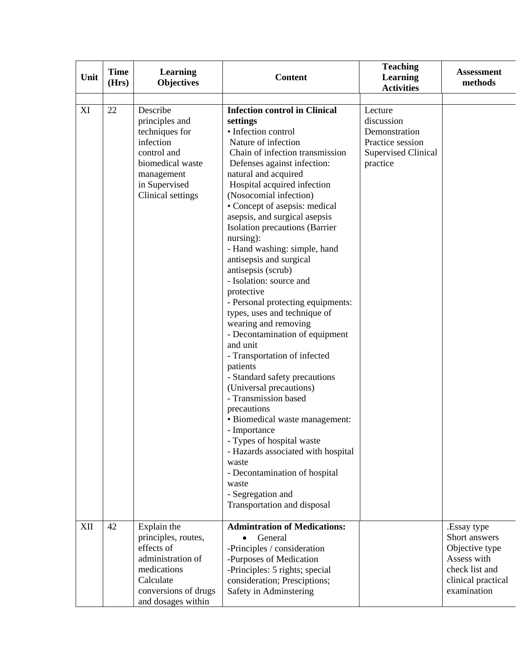| Unit | <b>Time</b><br>(Hrs) | Learning<br><b>Objectives</b>                                                                                                                    | <b>Content</b>                                                                                                                                                                                                                                                                                                                                                                                                                                                                                                                                                                                                                                                                                                                                                                                                                                                                                                                                                                                                     | <b>Teaching</b><br><b>Learning</b><br><b>Activities</b>                                              | <b>Assessment</b><br>methods                                                                                         |
|------|----------------------|--------------------------------------------------------------------------------------------------------------------------------------------------|--------------------------------------------------------------------------------------------------------------------------------------------------------------------------------------------------------------------------------------------------------------------------------------------------------------------------------------------------------------------------------------------------------------------------------------------------------------------------------------------------------------------------------------------------------------------------------------------------------------------------------------------------------------------------------------------------------------------------------------------------------------------------------------------------------------------------------------------------------------------------------------------------------------------------------------------------------------------------------------------------------------------|------------------------------------------------------------------------------------------------------|----------------------------------------------------------------------------------------------------------------------|
| XI   | 22                   | Describe<br>principles and<br>techniques for<br>infection<br>control and<br>biomedical waste<br>management<br>in Supervised<br>Clinical settings | <b>Infection control in Clinical</b><br>settings<br>· Infection control<br>Nature of infection<br>Chain of infection transmission<br>Defenses against infection:<br>natural and acquired<br>Hospital acquired infection<br>(Nosocomial infection)<br>• Concept of asepsis: medical<br>asepsis, and surgical asepsis<br>Isolation precautions (Barrier<br>nursing):<br>- Hand washing: simple, hand<br>antisepsis and surgical<br>antisepsis (scrub)<br>- Isolation: source and<br>protective<br>- Personal protecting equipments:<br>types, uses and technique of<br>wearing and removing<br>- Decontamination of equipment<br>and unit<br>- Transportation of infected<br>patients<br>- Standard safety precautions<br>(Universal precautions)<br>- Transmission based<br>precautions<br>· Biomedical waste management:<br>- Importance<br>- Types of hospital waste<br>- Hazards associated with hospital<br>waste<br>- Decontamination of hospital<br>waste<br>- Segregation and<br>Transportation and disposal | Lecture<br>discussion<br>Demonstration<br>Practice session<br><b>Supervised Clinical</b><br>practice |                                                                                                                      |
| XII  | 42                   | Explain the<br>principles, routes,<br>effects of<br>administration of<br>medications<br>Calculate<br>conversions of drugs<br>and dosages within  | <b>Admintration of Medications:</b><br>General<br>-Principles / consideration<br>-Purposes of Medication<br>-Principles: 5 rights; special<br>consideration; Presciptions;<br>Safety in Adminstering                                                                                                                                                                                                                                                                                                                                                                                                                                                                                                                                                                                                                                                                                                                                                                                                               |                                                                                                      | .Essay type<br>Short answers<br>Objective type<br>Assess with<br>check list and<br>clinical practical<br>examination |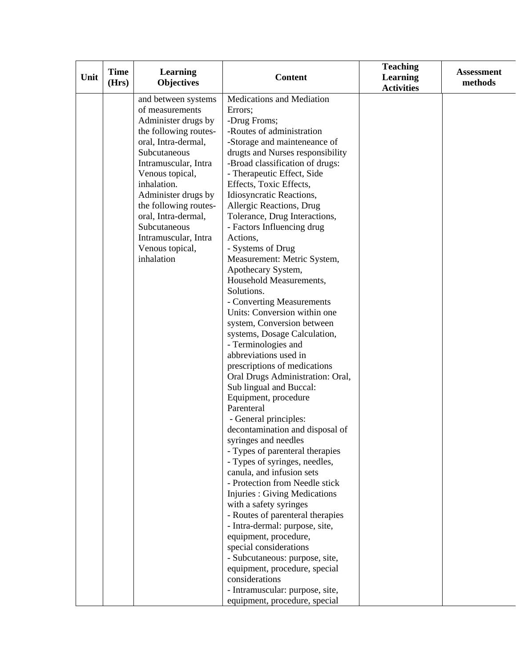|      | <b>Time</b> | <b>Learning</b>       |                                                            | <b>Teaching</b>                      | <b>Assessment</b> |
|------|-------------|-----------------------|------------------------------------------------------------|--------------------------------------|-------------------|
| Unit | (Hrs)       | <b>Objectives</b>     | <b>Content</b>                                             | <b>Learning</b><br><b>Activities</b> | methods           |
|      |             | and between systems   | Medications and Mediation                                  |                                      |                   |
|      |             | of measurements       | Errors;                                                    |                                      |                   |
|      |             | Administer drugs by   | -Drug Froms;                                               |                                      |                   |
|      |             | the following routes- | -Routes of administration                                  |                                      |                   |
|      |             | oral, Intra-dermal,   | -Storage and mainteneance of                               |                                      |                   |
|      |             | Subcutaneous          | drugts and Nurses responsibility                           |                                      |                   |
|      |             | Intramuscular, Intra  | -Broad classification of drugs:                            |                                      |                   |
|      |             | Venous topical,       | - Therapeutic Effect, Side                                 |                                      |                   |
|      |             | inhalation.           | Effects, Toxic Effects,                                    |                                      |                   |
|      |             | Administer drugs by   | Idiosyncratic Reactions,                                   |                                      |                   |
|      |             | the following routes- | Allergic Reactions, Drug                                   |                                      |                   |
|      |             | oral, Intra-dermal,   | Tolerance, Drug Interactions,                              |                                      |                   |
|      |             | Subcutaneous          | - Factors Influencing drug                                 |                                      |                   |
|      |             | Intramuscular, Intra  | Actions,                                                   |                                      |                   |
|      |             | Venous topical,       | - Systems of Drug                                          |                                      |                   |
|      |             | inhalation            | Measurement: Metric System,                                |                                      |                   |
|      |             |                       | Apothecary System,                                         |                                      |                   |
|      |             |                       | Household Measurements,                                    |                                      |                   |
|      |             |                       | Solutions.                                                 |                                      |                   |
|      |             |                       | - Converting Measurements                                  |                                      |                   |
|      |             |                       | Units: Conversion within one                               |                                      |                   |
|      |             |                       | system, Conversion between                                 |                                      |                   |
|      |             |                       | systems, Dosage Calculation,                               |                                      |                   |
|      |             |                       | - Terminologies and                                        |                                      |                   |
|      |             |                       | abbreviations used in                                      |                                      |                   |
|      |             |                       | prescriptions of medications                               |                                      |                   |
|      |             |                       | Oral Drugs Administration: Oral,                           |                                      |                   |
|      |             |                       | Sub lingual and Buccal:                                    |                                      |                   |
|      |             |                       | Equipment, procedure                                       |                                      |                   |
|      |             |                       | Parenteral                                                 |                                      |                   |
|      |             |                       | - General principles:                                      |                                      |                   |
|      |             |                       | decontamination and disposal of                            |                                      |                   |
|      |             |                       | syringes and needles                                       |                                      |                   |
|      |             |                       | - Types of parenteral therapies                            |                                      |                   |
|      |             |                       | - Types of syringes, needles,<br>canula, and infusion sets |                                      |                   |
|      |             |                       | - Protection from Needle stick                             |                                      |                   |
|      |             |                       | <b>Injuries: Giving Medications</b>                        |                                      |                   |
|      |             |                       | with a safety syringes                                     |                                      |                   |
|      |             |                       | - Routes of parenteral therapies                           |                                      |                   |
|      |             |                       | - Intra-dermal: purpose, site,                             |                                      |                   |
|      |             |                       | equipment, procedure,                                      |                                      |                   |
|      |             |                       | special considerations                                     |                                      |                   |
|      |             |                       | - Subcutaneous: purpose, site,                             |                                      |                   |
|      |             |                       | equipment, procedure, special                              |                                      |                   |
|      |             |                       | considerations                                             |                                      |                   |
|      |             |                       | - Intramuscular: purpose, site,                            |                                      |                   |
|      |             |                       | equipment, procedure, special                              |                                      |                   |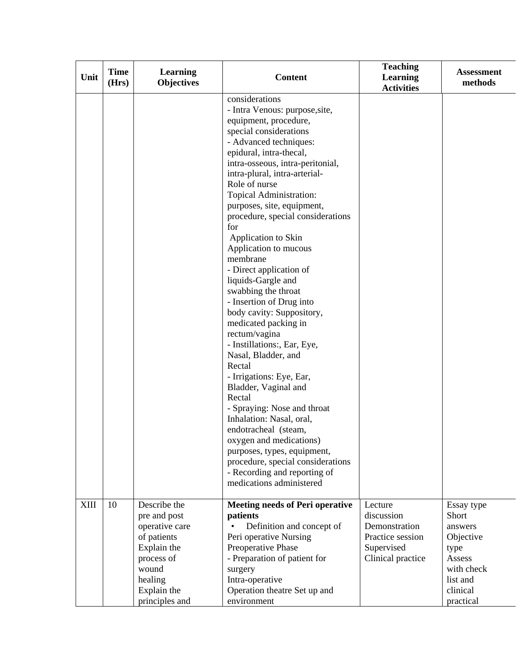| Unit        | <b>Time</b><br>(Hrs) | <b>Learning</b><br><b>Objectives</b>                                                                                                            | <b>Content</b>                                                                                                                                                                                                                                                                                                                                                                                                                                                                                                                                                                                                                                                                                                                                                                                                                                                                                                                                                        | <b>Teaching</b><br><b>Learning</b><br><b>Activities</b>                                       | <b>Assessment</b><br>methods                                                                                     |
|-------------|----------------------|-------------------------------------------------------------------------------------------------------------------------------------------------|-----------------------------------------------------------------------------------------------------------------------------------------------------------------------------------------------------------------------------------------------------------------------------------------------------------------------------------------------------------------------------------------------------------------------------------------------------------------------------------------------------------------------------------------------------------------------------------------------------------------------------------------------------------------------------------------------------------------------------------------------------------------------------------------------------------------------------------------------------------------------------------------------------------------------------------------------------------------------|-----------------------------------------------------------------------------------------------|------------------------------------------------------------------------------------------------------------------|
|             |                      |                                                                                                                                                 | considerations<br>- Intra Venous: purpose, site,<br>equipment, procedure,<br>special considerations<br>- Advanced techniques:<br>epidural, intra-thecal,<br>intra-osseous, intra-peritonial,<br>intra-plural, intra-arterial-<br>Role of nurse<br>Topical Administration:<br>purposes, site, equipment,<br>procedure, special considerations<br>for<br>Application to Skin<br>Application to mucous<br>membrane<br>- Direct application of<br>liquids-Gargle and<br>swabbing the throat<br>- Insertion of Drug into<br>body cavity: Suppository,<br>medicated packing in<br>rectum/vagina<br>- Instillations:, Ear, Eye,<br>Nasal, Bladder, and<br>Rectal<br>- Irrigations: Eye, Ear,<br>Bladder, Vaginal and<br>Rectal<br>- Spraying: Nose and throat<br>Inhalation: Nasal, oral,<br>endotracheal (steam,<br>oxygen and medications)<br>purposes, types, equipment,<br>procedure, special considerations<br>- Recording and reporting of<br>medications administered |                                                                                               |                                                                                                                  |
| <b>XIII</b> | 10                   | Describe the<br>pre and post<br>operative care<br>of patients<br>Explain the<br>process of<br>wound<br>healing<br>Explain the<br>principles and | <b>Meeting needs of Peri operative</b><br>patients<br>Definition and concept of<br>Peri operative Nursing<br>Preoperative Phase<br>- Preparation of patient for<br>surgery<br>Intra-operative<br>Operation theatre Set up and<br>environment                                                                                                                                                                                                                                                                                                                                                                                                                                                                                                                                                                                                                                                                                                                          | Lecture<br>discussion<br>Demonstration<br>Practice session<br>Supervised<br>Clinical practice | Essay type<br>Short<br>answers<br>Objective<br>type<br>Assess<br>with check<br>list and<br>clinical<br>practical |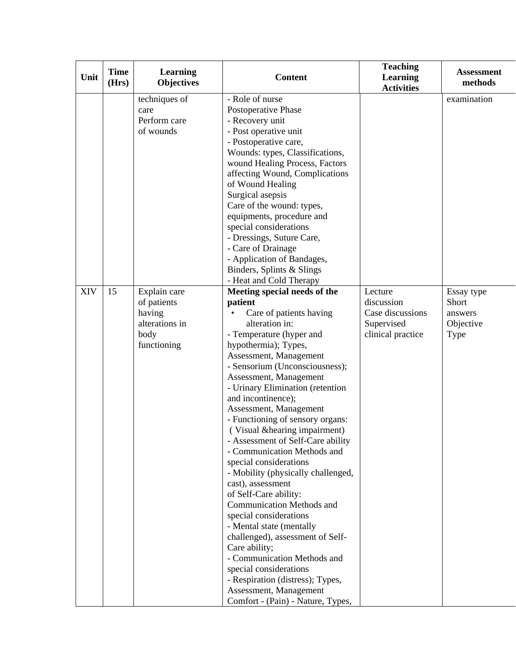| Unit | <b>Time</b><br>(Hrs) | <b>Learning</b><br><b>Objectives</b>                                           | <b>Content</b>                                                                                                                                                                                                                                                                                                                                                                                                                                                                                                                                                                                                                                                                                                                                                                                                                                                                | <b>Teaching</b><br><b>Learning</b><br><b>Activities</b>                      | <b>Assessment</b><br>methods                        |
|------|----------------------|--------------------------------------------------------------------------------|-------------------------------------------------------------------------------------------------------------------------------------------------------------------------------------------------------------------------------------------------------------------------------------------------------------------------------------------------------------------------------------------------------------------------------------------------------------------------------------------------------------------------------------------------------------------------------------------------------------------------------------------------------------------------------------------------------------------------------------------------------------------------------------------------------------------------------------------------------------------------------|------------------------------------------------------------------------------|-----------------------------------------------------|
|      |                      | techniques of<br>care<br>Perform care<br>of wounds                             | - Role of nurse<br>Postoperative Phase<br>- Recovery unit<br>- Post operative unit<br>- Postoperative care,<br>Wounds: types, Classifications,<br>wound Healing Process, Factors<br>affecting Wound, Complications<br>of Wound Healing<br>Surgical asepsis<br>Care of the wound: types,<br>equipments, procedure and<br>special considerations<br>- Dressings, Suture Care,<br>- Care of Drainage<br>- Application of Bandages,<br>Binders, Splints & Slings<br>- Heat and Cold Therapy                                                                                                                                                                                                                                                                                                                                                                                       |                                                                              | examination                                         |
| XIV  | 15                   | Explain care<br>of patients<br>having<br>alterations in<br>body<br>functioning | Meeting special needs of the<br>patient<br>Care of patients having<br>alteration in:<br>- Temperature (hyper and<br>hypothermia); Types,<br>Assessment, Management<br>- Sensorium (Unconsciousness);<br>Assessment, Management<br>- Urinary Elimination (retention<br>and incontinence);<br>Assessment, Management<br>- Functioning of sensory organs:<br>(Visual & hearing impairment)<br>- Assessment of Self-Care ability<br>- Communication Methods and<br>special considerations<br>- Mobility (physically challenged,<br>cast), assessment<br>of Self-Care ability:<br>Communication Methods and<br>special considerations<br>- Mental state (mentally<br>challenged), assessment of Self-<br>Care ability;<br>- Communication Methods and<br>special considerations<br>- Respiration (distress); Types,<br>Assessment, Management<br>Comfort - (Pain) - Nature, Types, | Lecture<br>discussion<br>Case discussions<br>Supervised<br>clinical practice | Essay type<br>Short<br>answers<br>Objective<br>Type |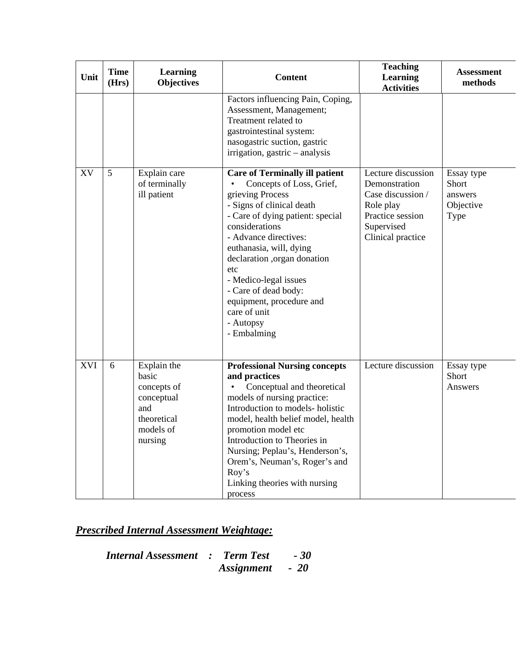| Unit       | <b>Time</b><br>(Hrs) | Learning<br><b>Objectives</b>                                                                   | <b>Content</b>                                                                                                                                                                                                                                                                                                                                                                              | <b>Teaching</b><br>Learning<br><b>Activities</b>                                                                             | <b>Assessment</b><br>methods                        |
|------------|----------------------|-------------------------------------------------------------------------------------------------|---------------------------------------------------------------------------------------------------------------------------------------------------------------------------------------------------------------------------------------------------------------------------------------------------------------------------------------------------------------------------------------------|------------------------------------------------------------------------------------------------------------------------------|-----------------------------------------------------|
|            |                      |                                                                                                 | Factors influencing Pain, Coping,<br>Assessment, Management;<br>Treatment related to<br>gastrointestinal system:<br>nasogastric suction, gastric<br>irrigation, gastric - analysis                                                                                                                                                                                                          |                                                                                                                              |                                                     |
| XV         | 5                    | Explain care<br>of terminally<br>ill patient                                                    | <b>Care of Terminally ill patient</b><br>Concepts of Loss, Grief,<br>grieving Process<br>- Signs of clinical death<br>- Care of dying patient: special<br>considerations<br>- Advance directives:<br>euthanasia, will, dying<br>declaration ,organ donation<br>etc<br>- Medico-legal issues<br>- Care of dead body:<br>equipment, procedure and<br>care of unit<br>- Autopsy<br>- Embalming | Lecture discussion<br>Demonstration<br>Case discussion /<br>Role play<br>Practice session<br>Supervised<br>Clinical practice | Essay type<br>Short<br>answers<br>Objective<br>Type |
| <b>XVI</b> | 6                    | Explain the<br>basic<br>concepts of<br>conceptual<br>and<br>theoretical<br>models of<br>nursing | <b>Professional Nursing concepts</b><br>and practices<br>Conceptual and theoretical<br>models of nursing practice:<br>Introduction to models- holistic<br>model, health belief model, health<br>promotion model etc<br>Introduction to Theories in<br>Nursing; Peplau's, Henderson's,<br>Orem's, Neuman's, Roger's and<br>Roy's<br>Linking theories with nursing<br>process                 | Lecture discussion                                                                                                           | Essay type<br>Short<br>Answers                      |

*Internal Assessment : Term Test - 30*   $\bm{A}$ *ssignment*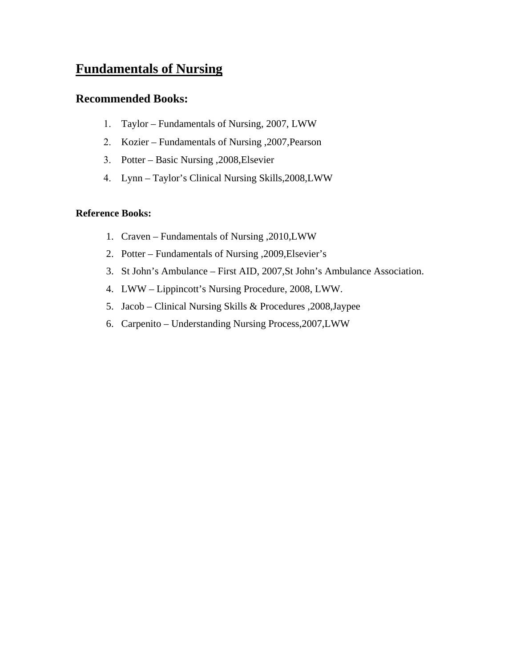# **Fundamentals of Nursing**

## **Recommended Books:**

- 1. Taylor Fundamentals of Nursing, 2007, LWW
- 2. Kozier Fundamentals of Nursing ,2007,Pearson
- 3. Potter Basic Nursing ,2008,Elsevier
- 4. Lynn Taylor's Clinical Nursing Skills,2008,LWW

## **Reference Books:**

- 1. Craven Fundamentals of Nursing ,2010,LWW
- 2. Potter Fundamentals of Nursing ,2009,Elsevier's
- 3. St John's Ambulance First AID, 2007,St John's Ambulance Association.
- 4. LWW Lippincott's Nursing Procedure, 2008, LWW.
- 5. Jacob Clinical Nursing Skills & Procedures ,2008,Jaypee
- 6. Carpenito Understanding Nursing Process,2007,LWW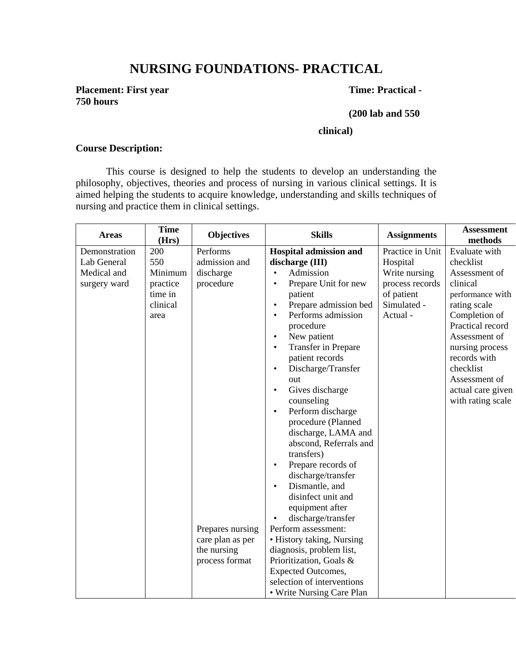# **NURSING FOUNDATIONS- PRACTICAL**

**Placement: First year Time: Practical -750 hours** 

#### **(200 lab and 550**

#### **clinical)**

### **Course Description:**

This course is designed to help the students to develop an understanding the philosophy, objectives, theories and process of nursing in various clinical settings. It is aimed helping the students to acquire knowledge, understanding and skills techniques of nursing and practice them in clinical settings.

| <b>Areas</b>  | <b>Time</b><br>(Hrs) | <b>Objectives</b> | <b>Skills</b>                      | <b>Assignments</b> | <b>Assessment</b><br>methods |
|---------------|----------------------|-------------------|------------------------------------|--------------------|------------------------------|
| Demonstration | 200                  | Performs          | <b>Hospital admission and</b>      | Practice in Unit   | Evaluate with                |
| Lab General   | 550                  | admission and     | discharge (III)                    | Hospital           | checklist                    |
| Medical and   | Minimum              | discharge         | Admission<br>$\bullet$             | Write nursing      | Assessment of                |
| surgery ward  | practice             | procedure         | Prepare Unit for new<br>$\bullet$  | process records    | clinical                     |
|               | time in              |                   | patient                            | of patient         | performance with             |
|               | clinical             |                   | Prepare admission bed<br>$\bullet$ | Simulated -        | rating scale                 |
|               | area                 |                   | Performs admission<br>$\bullet$    | Actual -           | Completion of                |
|               |                      |                   | procedure                          |                    | Practical record             |
|               |                      |                   | New patient<br>$\bullet$           |                    | Assessment of                |
|               |                      |                   | Transfer in Prepare<br>$\bullet$   |                    | nursing process              |
|               |                      |                   | patient records                    |                    | records with                 |
|               |                      |                   | Discharge/Transfer<br>$\bullet$    |                    | checklist                    |
|               |                      |                   | out                                |                    | Assessment of                |
|               |                      |                   | Gives discharge<br>$\bullet$       |                    | actual care given            |
|               |                      |                   | counseling                         |                    | with rating scale            |
|               |                      |                   | Perform discharge<br>$\bullet$     |                    |                              |
|               |                      |                   | procedure (Planned                 |                    |                              |
|               |                      |                   | discharge, LAMA and                |                    |                              |
|               |                      |                   | abscond, Referrals and             |                    |                              |
|               |                      |                   | transfers)                         |                    |                              |
|               |                      |                   | Prepare records of<br>$\bullet$    |                    |                              |
|               |                      |                   | discharge/transfer                 |                    |                              |
|               |                      |                   | Dismantle, and<br>$\bullet$        |                    |                              |
|               |                      |                   | disinfect unit and                 |                    |                              |
|               |                      |                   | equipment after                    |                    |                              |
|               |                      |                   | discharge/transfer<br>$\bullet$    |                    |                              |
|               |                      | Prepares nursing  | Perform assessment:                |                    |                              |
|               |                      | care plan as per  | • History taking, Nursing          |                    |                              |
|               |                      | the nursing       | diagnosis, problem list,           |                    |                              |
|               |                      | process format    | Prioritization, Goals &            |                    |                              |
|               |                      |                   | <b>Expected Outcomes,</b>          |                    |                              |
|               |                      |                   | selection of interventions         |                    |                              |
|               |                      |                   | • Write Nursing Care Plan          |                    |                              |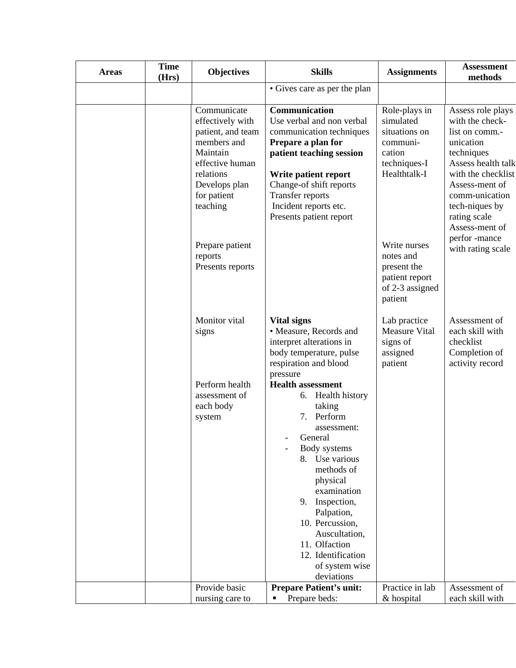| <b>Areas</b> | <b>Time</b><br>(Hrs) | <b>Objectives</b>                                                                                                                                           | <b>Skills</b>                                                                                                                                                                                                                                                                                                                                  | <b>Assignments</b>                                                                                | <b>Assessment</b><br>methods                                                                                                                                                                                          |
|--------------|----------------------|-------------------------------------------------------------------------------------------------------------------------------------------------------------|------------------------------------------------------------------------------------------------------------------------------------------------------------------------------------------------------------------------------------------------------------------------------------------------------------------------------------------------|---------------------------------------------------------------------------------------------------|-----------------------------------------------------------------------------------------------------------------------------------------------------------------------------------------------------------------------|
|              |                      |                                                                                                                                                             | • Gives care as per the plan                                                                                                                                                                                                                                                                                                                   |                                                                                                   |                                                                                                                                                                                                                       |
|              |                      | Communicate<br>effectively with<br>patient, and team<br>members and<br>Maintain<br>effective human<br>relations<br>Develops plan<br>for patient<br>teaching | Communication<br>Use verbal and non verbal<br>communication techniques<br>Prepare a plan for<br>patient teaching session<br>Write patient report<br>Change-of shift reports<br><b>Transfer reports</b><br>Incident reports etc.<br>Presents patient report                                                                                     | Role-plays in<br>simulated<br>situations on<br>communi-<br>cation<br>techniques-I<br>Healthtalk-I | Assess role plays<br>with the check-<br>list on comm.-<br>unication<br>techniques<br>Assess health talk<br>with the checklist<br>Assess-ment of<br>comm-unication<br>tech-niques by<br>rating scale<br>Assess-ment of |
|              |                      | Prepare patient<br>reports<br>Presents reports                                                                                                              |                                                                                                                                                                                                                                                                                                                                                | Write nurses<br>notes and<br>present the<br>patient report<br>of 2-3 assigned<br>patient          | perfor -mance<br>with rating scale                                                                                                                                                                                    |
|              |                      | Monitor vital<br>signs                                                                                                                                      | <b>Vital signs</b><br>• Measure, Records and<br>interpret alterations in<br>body temperature, pulse<br>respiration and blood                                                                                                                                                                                                                   | Lab practice<br><b>Measure Vital</b><br>signs of<br>assigned<br>patient                           | Assessment of<br>each skill with<br>checklist<br>Completion of<br>activity record                                                                                                                                     |
|              |                      | Perform health<br>assessment of<br>each body<br>system                                                                                                      | pressure<br><b>Health assessment</b><br><b>Health history</b><br>6.<br>taking<br>7. Perform<br>assessment:<br>General<br>Body systems<br>8. Use various<br>methods of<br>physical<br>examination<br>Inspection,<br>9.<br>Palpation,<br>10. Percussion,<br>Auscultation,<br>11. Olfaction<br>12. Identification<br>of system wise<br>deviations |                                                                                                   |                                                                                                                                                                                                                       |
|              |                      | Provide basic<br>nursing care to                                                                                                                            | <b>Prepare Patient's unit:</b><br>Prepare beds:                                                                                                                                                                                                                                                                                                | Practice in lab<br>& hospital                                                                     | Assessment of<br>each skill with                                                                                                                                                                                      |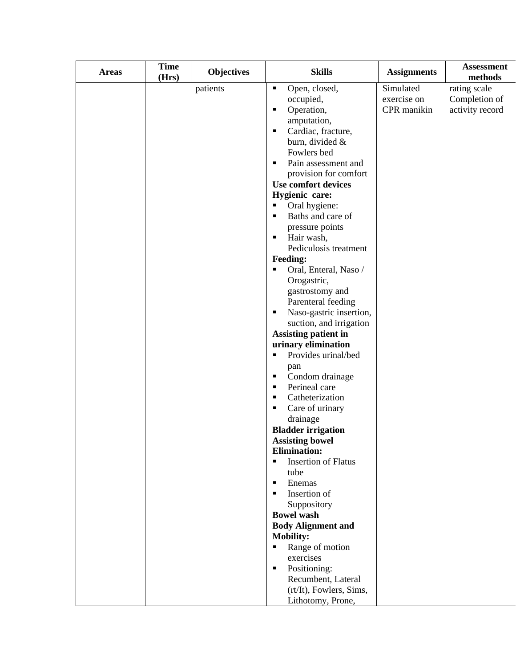| <b>Areas</b> | <b>Time</b><br>(Hrs) | <b>Objectives</b> | <b>Skills</b>                                                       | <b>Assignments</b> | <b>Assessment</b><br>methods |
|--------------|----------------------|-------------------|---------------------------------------------------------------------|--------------------|------------------------------|
|              |                      | patients          | Open, closed,<br>٠                                                  | Simulated          | rating scale                 |
|              |                      |                   | occupied,                                                           | exercise on        | Completion of                |
|              |                      |                   | Operation,<br>٠                                                     | CPR manikin        | activity record              |
|              |                      |                   | amputation,                                                         |                    |                              |
|              |                      |                   | Cardiac, fracture,<br>٠                                             |                    |                              |
|              |                      |                   | burn, divided &                                                     |                    |                              |
|              |                      |                   | Fowlers bed                                                         |                    |                              |
|              |                      |                   | Pain assessment and<br>٠                                            |                    |                              |
|              |                      |                   | provision for comfort                                               |                    |                              |
|              |                      |                   | <b>Use comfort devices</b>                                          |                    |                              |
|              |                      |                   | Hygienic care:                                                      |                    |                              |
|              |                      |                   | Oral hygiene:                                                       |                    |                              |
|              |                      |                   | Baths and care of<br>$\blacksquare$                                 |                    |                              |
|              |                      |                   | pressure points                                                     |                    |                              |
|              |                      |                   | Hair wash,<br>п                                                     |                    |                              |
|              |                      |                   | Pediculosis treatment                                               |                    |                              |
|              |                      |                   | <b>Feeding:</b>                                                     |                    |                              |
|              |                      |                   | Oral, Enteral, Naso /<br>$\blacksquare$                             |                    |                              |
|              |                      |                   | Orogastric,                                                         |                    |                              |
|              |                      |                   | gastrostomy and                                                     |                    |                              |
|              |                      |                   | Parenteral feeding                                                  |                    |                              |
|              |                      |                   | Naso-gastric insertion,<br>٠                                        |                    |                              |
|              |                      |                   | suction, and irrigation                                             |                    |                              |
|              |                      |                   | <b>Assisting patient in</b>                                         |                    |                              |
|              |                      |                   | urinary elimination                                                 |                    |                              |
|              |                      |                   | Provides urinal/bed<br>٠                                            |                    |                              |
|              |                      |                   | pan                                                                 |                    |                              |
|              |                      |                   | Condom drainage<br>٠                                                |                    |                              |
|              |                      |                   | Perineal care<br>٠                                                  |                    |                              |
|              |                      |                   | Catheterization<br>٠                                                |                    |                              |
|              |                      |                   | Care of urinary<br>٠                                                |                    |                              |
|              |                      |                   | drainage                                                            |                    |                              |
|              |                      |                   | <b>Bladder irrigation</b>                                           |                    |                              |
|              |                      |                   | <b>Assisting bowel</b>                                              |                    |                              |
|              |                      |                   | <b>Elimination:</b><br><b>Insertion of Flatus</b><br>$\blacksquare$ |                    |                              |
|              |                      |                   | tube                                                                |                    |                              |
|              |                      |                   | Enemas<br>$\blacksquare$                                            |                    |                              |
|              |                      |                   | Insertion of<br>$\blacksquare$                                      |                    |                              |
|              |                      |                   | Suppository                                                         |                    |                              |
|              |                      |                   | <b>Bowel</b> wash                                                   |                    |                              |
|              |                      |                   | <b>Body Alignment and</b>                                           |                    |                              |
|              |                      |                   | <b>Mobility:</b>                                                    |                    |                              |
|              |                      |                   | Range of motion<br>٠                                                |                    |                              |
|              |                      |                   | exercises                                                           |                    |                              |
|              |                      |                   | Positioning:<br>$\blacksquare$                                      |                    |                              |
|              |                      |                   | Recumbent, Lateral                                                  |                    |                              |
|              |                      |                   | (rt/It), Fowlers, Sims,                                             |                    |                              |
|              |                      |                   | Lithotomy, Prone,                                                   |                    |                              |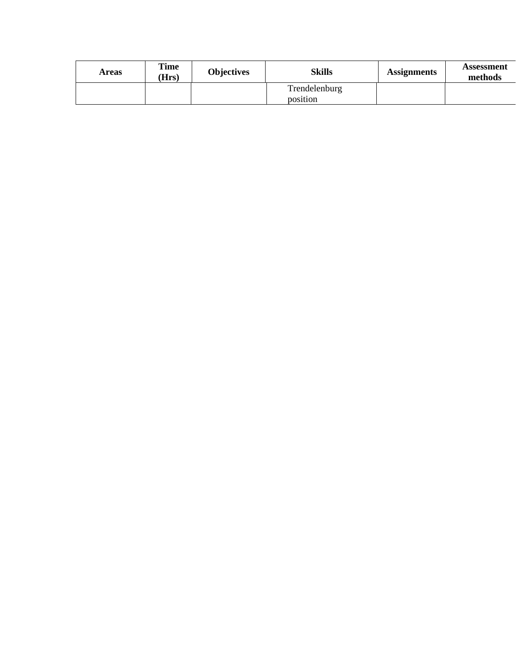| Areas | Time<br>Hrs) | <b>Objectives</b> | Skills        | <b>Assignments</b> | Assessment<br>methods |
|-------|--------------|-------------------|---------------|--------------------|-----------------------|
|       |              |                   | Trendelenburg |                    |                       |
|       |              |                   | position      |                    |                       |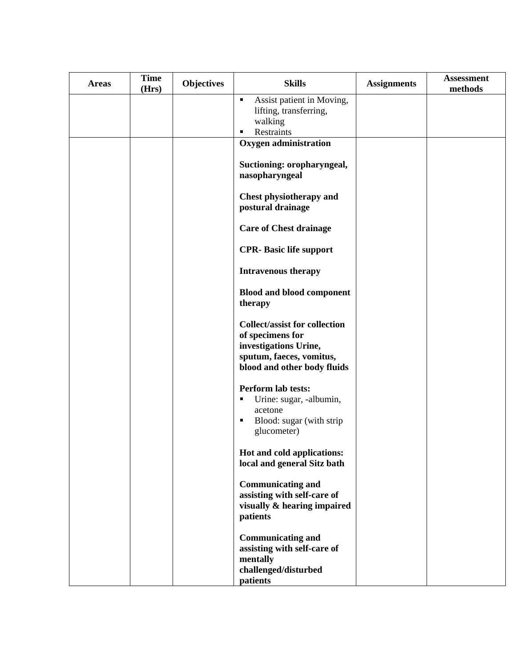| <b>Areas</b> | <b>Time</b><br>(Hrs) | <b>Objectives</b> | <b>Skills</b>                                                                                                 | <b>Assignments</b> | <b>Assessment</b><br>methods |
|--------------|----------------------|-------------------|---------------------------------------------------------------------------------------------------------------|--------------------|------------------------------|
|              |                      |                   | Assist patient in Moving,<br>٠<br>lifting, transferring,<br>walking<br>Restraints                             |                    |                              |
|              |                      |                   | <b>Oxygen administration</b>                                                                                  |                    |                              |
|              |                      |                   | Suctioning: oropharyngeal,<br>nasopharyngeal                                                                  |                    |                              |
|              |                      |                   | Chest physiotherapy and<br>postural drainage                                                                  |                    |                              |
|              |                      |                   | <b>Care of Chest drainage</b>                                                                                 |                    |                              |
|              |                      |                   | <b>CPR- Basic life support</b>                                                                                |                    |                              |
|              |                      |                   | <b>Intravenous therapy</b>                                                                                    |                    |                              |
|              |                      |                   | <b>Blood and blood component</b><br>therapy                                                                   |                    |                              |
|              |                      |                   | <b>Collect/assist for collection</b><br>of specimens for                                                      |                    |                              |
|              |                      |                   | investigations Urine,<br>sputum, faeces, vomitus,<br>blood and other body fluids                              |                    |                              |
|              |                      |                   | Perform lab tests:<br>Urine: sugar, -albumin,<br>٠<br>acetone<br>Blood: sugar (with strip<br>٠<br>glucometer) |                    |                              |
|              |                      |                   | Hot and cold applications:                                                                                    |                    |                              |
|              |                      |                   | local and general Sitz bath                                                                                   |                    |                              |
|              |                      |                   | <b>Communicating and</b><br>assisting with self-care of<br>visually & hearing impaired<br>patients            |                    |                              |
|              |                      |                   | <b>Communicating and</b><br>assisting with self-care of<br>mentally<br>challenged/disturbed<br>patients       |                    |                              |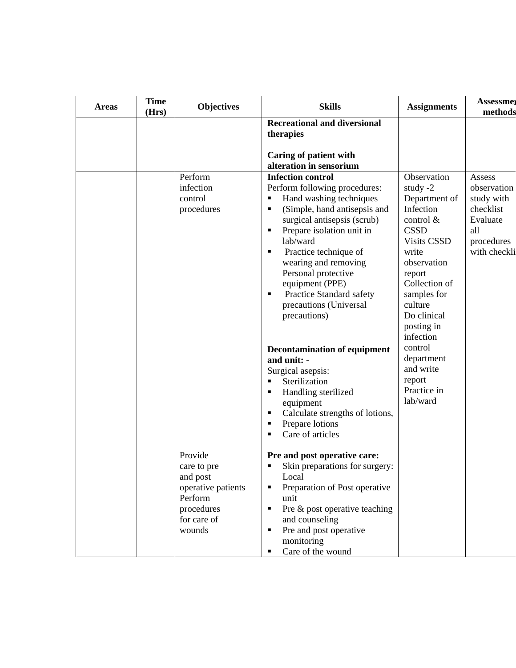| <b>Areas</b> | <b>Time</b><br>(Hrs) | <b>Objectives</b>                                                                                          | <b>Skills</b>                                                                                                                                                                                                                                                                                                                                                                                                                                                                                                                                                                                                                | <b>Assignments</b>                                                                                                                                                                                                                                                                                          | <b>Assessmer</b><br>methods                                                                       |
|--------------|----------------------|------------------------------------------------------------------------------------------------------------|------------------------------------------------------------------------------------------------------------------------------------------------------------------------------------------------------------------------------------------------------------------------------------------------------------------------------------------------------------------------------------------------------------------------------------------------------------------------------------------------------------------------------------------------------------------------------------------------------------------------------|-------------------------------------------------------------------------------------------------------------------------------------------------------------------------------------------------------------------------------------------------------------------------------------------------------------|---------------------------------------------------------------------------------------------------|
|              |                      |                                                                                                            | <b>Recreational and diversional</b><br>therapies                                                                                                                                                                                                                                                                                                                                                                                                                                                                                                                                                                             |                                                                                                                                                                                                                                                                                                             |                                                                                                   |
|              |                      |                                                                                                            | <b>Caring of patient with</b><br>alteration in sensorium                                                                                                                                                                                                                                                                                                                                                                                                                                                                                                                                                                     |                                                                                                                                                                                                                                                                                                             |                                                                                                   |
|              |                      | Perform<br>infection<br>control<br>procedures                                                              | <b>Infection control</b><br>Perform following procedures:<br>Hand washing techniques<br>п<br>(Simple, hand antisepsis and<br>surgical antisepsis (scrub)<br>Prepare isolation unit in<br>Е<br>lab/ward<br>Practice technique of<br>п<br>wearing and removing<br>Personal protective<br>equipment (PPE)<br>Practice Standard safety<br>٠<br>precautions (Universal<br>precautions)<br><b>Decontamination of equipment</b><br>and unit: -<br>Surgical asepsis:<br>Sterilization<br>Handling sterilized<br>Е<br>equipment<br>Calculate strengths of lotions,<br>п<br>Prepare lotions<br>п<br>Care of articles<br>$\blacksquare$ | Observation<br>study $-2$<br>Department of<br>Infection<br>control &<br><b>CSSD</b><br><b>Visits CSSD</b><br>write<br>observation<br>report<br>Collection of<br>samples for<br>culture<br>Do clinical<br>posting in<br>infection<br>control<br>department<br>and write<br>report<br>Practice in<br>lab/ward | Assess<br>observation<br>study with<br>checklist<br>Evaluate<br>all<br>procedures<br>with checkli |
|              |                      | Provide<br>care to pre<br>and post<br>operative patients<br>Perform<br>procedures<br>for care of<br>wounds | Pre and post operative care:<br>Skin preparations for surgery:<br>Local<br>Preparation of Post operative<br>unit<br>Pre & post operative teaching<br>п<br>and counseling<br>Pre and post operative<br>$\blacksquare$<br>monitoring<br>Care of the wound<br>٠                                                                                                                                                                                                                                                                                                                                                                 |                                                                                                                                                                                                                                                                                                             |                                                                                                   |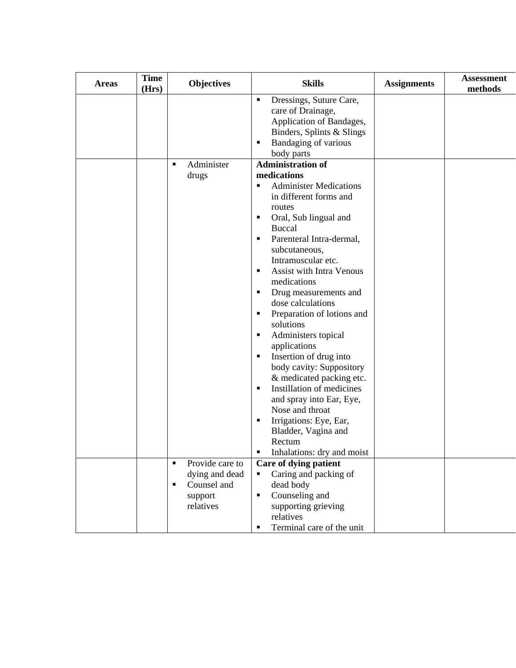| <b>Areas</b> | <b>Time</b><br>(Hrs) | <b>Objectives</b>                                                                                            | <b>Skills</b>                                                                                                                                                                                                                                                                                                                                                                                                                                                                                                                                                                                                                                                                                 | <b>Assignments</b> | <b>Assessment</b><br>methods |  |
|--------------|----------------------|--------------------------------------------------------------------------------------------------------------|-----------------------------------------------------------------------------------------------------------------------------------------------------------------------------------------------------------------------------------------------------------------------------------------------------------------------------------------------------------------------------------------------------------------------------------------------------------------------------------------------------------------------------------------------------------------------------------------------------------------------------------------------------------------------------------------------|--------------------|------------------------------|--|
|              |                      | Administer<br>٠                                                                                              | Dressings, Suture Care,<br>٠<br>care of Drainage,<br>Application of Bandages,<br>Binders, Splints & Slings<br>Bandaging of various<br>٠<br>body parts<br><b>Administration of</b>                                                                                                                                                                                                                                                                                                                                                                                                                                                                                                             |                    |                              |  |
|              |                      |                                                                                                              |                                                                                                                                                                                                                                                                                                                                                                                                                                                                                                                                                                                                                                                                                               |                    |                              |  |
|              |                      | drugs                                                                                                        | medications<br><b>Administer Medications</b><br>٠<br>in different forms and<br>routes<br>Oral, Sub lingual and<br>п<br><b>Buccal</b><br>Parenteral Intra-dermal,<br>٠<br>subcutaneous,<br>Intramuscular etc.<br><b>Assist with Intra Venous</b><br>٠<br>medications<br>Drug measurements and<br>٠<br>dose calculations<br>Preparation of lotions and<br>٠<br>solutions<br>Administers topical<br>٠<br>applications<br>Insertion of drug into<br>٠<br>body cavity: Suppository<br>& medicated packing etc.<br>Instillation of medicines<br>٠<br>and spray into Ear, Eye,<br>Nose and throat<br>Irrigations: Eye, Ear,<br>Е<br>Bladder, Vagina and<br>Rectum<br>Inhalations: dry and moist<br>п |                    |                              |  |
|              |                      | Provide care to<br>$\blacksquare$<br>dying and dead<br>Counsel and<br>$\blacksquare$<br>support<br>relatives | Care of dying patient<br>Caring and packing of<br>$\blacksquare$<br>dead body<br>Counseling and<br>٠<br>supporting grieving<br>relatives<br>Terminal care of the unit<br>٠                                                                                                                                                                                                                                                                                                                                                                                                                                                                                                                    |                    |                              |  |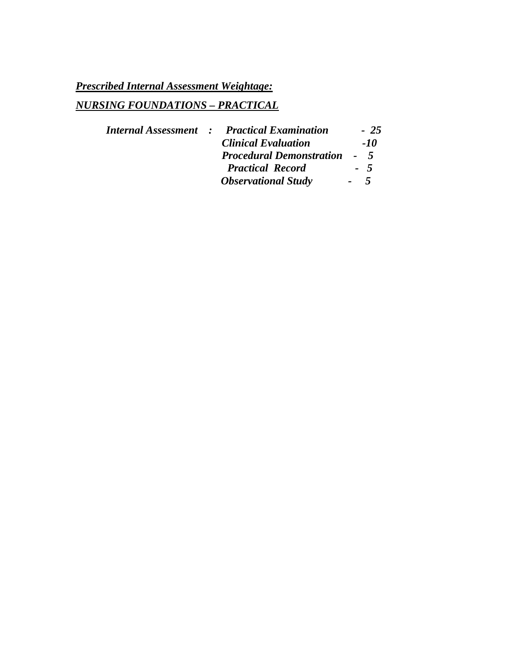# *NURSING FOUNDATIONS – PRACTICAL*

|  | <b>Internal Assessment : Practical Examination</b> |      | $-25$ |
|--|----------------------------------------------------|------|-------|
|  | <b>Clinical Evaluation</b>                         |      | -10   |
|  | <b>Procedural Demonstration</b>                    |      | $-5$  |
|  | <b>Practical Record</b>                            |      | $-5$  |
|  | <b>Observational Study</b>                         | $-5$ |       |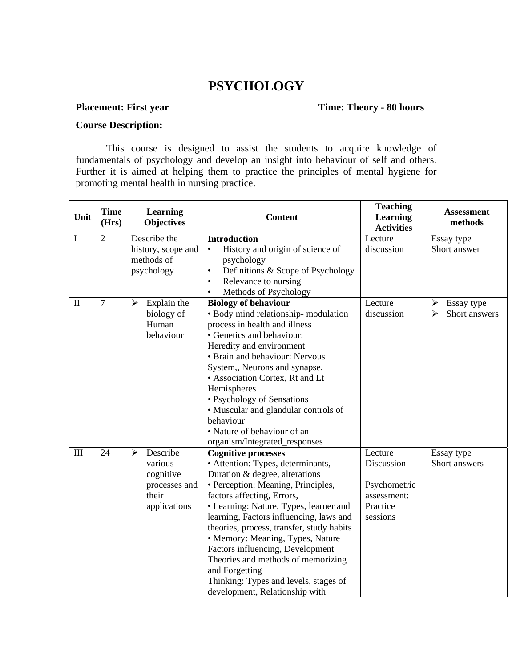## **PSYCHOLOGY**

### **Placement: First year Time: Theory - 80 hours**

#### **Course Description:**

This course is designed to assist the students to acquire knowledge of fundamentals of psychology and develop an insight into behaviour of self and others. Further it is aimed at helping them to practice the principles of mental hygiene for promoting mental health in nursing practice.

| Unit         | <b>Time</b><br>(Hrs) | Learning<br><b>Objectives</b>        | <b>Content</b>                                                      | <b>Teaching</b><br>Learning<br><b>Activities</b> | <b>Assessment</b><br>methods |
|--------------|----------------------|--------------------------------------|---------------------------------------------------------------------|--------------------------------------------------|------------------------------|
| I            | $\overline{2}$       | Describe the                         | <b>Introduction</b>                                                 | Lecture                                          | Essay type                   |
|              |                      | history, scope and                   | History and origin of science of<br>$\bullet$                       | discussion                                       | Short answer                 |
|              |                      | methods of                           | psychology                                                          |                                                  |                              |
|              |                      | psychology                           | Definitions & Scope of Psychology<br>$\bullet$                      |                                                  |                              |
|              |                      |                                      | Relevance to nursing<br>$\bullet$                                   |                                                  |                              |
|              |                      |                                      | Methods of Psychology<br>$\bullet$                                  |                                                  |                              |
| $\mathbf{I}$ | $\overline{7}$       | Explain the<br>$\blacktriangleright$ | <b>Biology of behaviour</b>                                         | Lecture                                          | Essay type<br>➤              |
|              |                      | biology of                           | · Body mind relationship-modulation                                 | discussion                                       | Short answers<br>➤           |
|              |                      | Human                                | process in health and illness                                       |                                                  |                              |
|              |                      | behaviour                            | • Genetics and behaviour:                                           |                                                  |                              |
|              |                      |                                      | Heredity and environment                                            |                                                  |                              |
|              |                      |                                      | • Brain and behaviour: Nervous                                      |                                                  |                              |
|              |                      |                                      | System,, Neurons and synapse,                                       |                                                  |                              |
|              |                      |                                      | • Association Cortex, Rt and Lt                                     |                                                  |                              |
|              |                      |                                      | Hemispheres                                                         |                                                  |                              |
|              |                      |                                      | • Psychology of Sensations                                          |                                                  |                              |
|              |                      |                                      | • Muscular and glandular controls of                                |                                                  |                              |
|              |                      |                                      | behaviour                                                           |                                                  |                              |
|              |                      |                                      | • Nature of behaviour of an                                         |                                                  |                              |
| III          | 24                   | Describe<br>$\blacktriangleright$    | organism/Integrated_responses                                       |                                                  |                              |
|              |                      | various                              | <b>Cognitive processes</b>                                          | Lecture<br>Discussion                            | Essay type                   |
|              |                      | cognitive                            | • Attention: Types, determinants,<br>Duration & degree, alterations |                                                  | Short answers                |
|              |                      | processes and                        | · Perception: Meaning, Principles,                                  | Psychometric                                     |                              |
|              |                      | their                                | factors affecting, Errors,                                          | assessment:                                      |                              |
|              |                      | applications                         | • Learning: Nature, Types, learner and                              | Practice                                         |                              |
|              |                      |                                      | learning, Factors influencing, laws and                             | sessions                                         |                              |
|              |                      |                                      | theories, process, transfer, study habits                           |                                                  |                              |
|              |                      |                                      | • Memory: Meaning, Types, Nature                                    |                                                  |                              |
|              |                      |                                      | Factors influencing, Development                                    |                                                  |                              |
|              |                      |                                      | Theories and methods of memorizing                                  |                                                  |                              |
|              |                      |                                      | and Forgetting                                                      |                                                  |                              |
|              |                      |                                      | Thinking: Types and levels, stages of                               |                                                  |                              |
|              |                      |                                      | development, Relationship with                                      |                                                  |                              |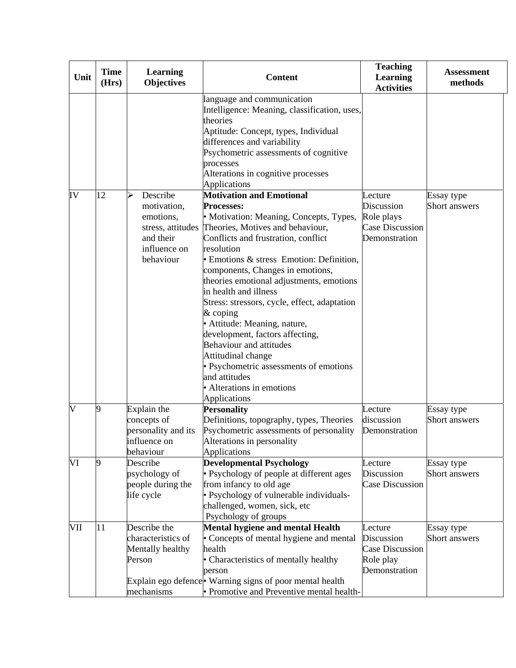| Unit     | <b>Time</b><br>(Hrs) | <b>Learning</b><br><b>Objectives</b>                                                                    | <b>Content</b>                                                                                                                                                                                                                                                                                                                                                                                                                                                                                                                                                                                                                                                          | <b>Teaching</b><br><b>Learning</b><br><b>Activities</b>                        | <b>Assessment</b><br>methods |
|----------|----------------------|---------------------------------------------------------------------------------------------------------|-------------------------------------------------------------------------------------------------------------------------------------------------------------------------------------------------------------------------------------------------------------------------------------------------------------------------------------------------------------------------------------------------------------------------------------------------------------------------------------------------------------------------------------------------------------------------------------------------------------------------------------------------------------------------|--------------------------------------------------------------------------------|------------------------------|
|          |                      |                                                                                                         | language and communication<br>Intelligence: Meaning, classification, uses,<br>theories<br>Aptitude: Concept, types, Individual<br>differences and variability<br>Psychometric assessments of cognitive<br>processes<br>Alterations in cognitive processes<br>Applications                                                                                                                                                                                                                                                                                                                                                                                               |                                                                                |                              |
| IV       | 12                   | $\blacktriangleright$<br>Describe<br>motivation,<br>emotions,<br>and their<br>influence on<br>behaviour | <b>Motivation and Emotional</b><br><b>Processes:</b><br>• Motivation: Meaning, Concepts, Types,<br>stress, attitudes Theories, Motives and behaviour,<br>Conflicts and frustration, conflict<br>resolution<br>• Emotions & stress Emotion: Definition,<br>components, Changes in emotions,<br>theories emotional adjustments, emotions<br>in health and illness<br>Stress: stressors, cycle, effect, adaptation<br>$&$ coping<br>· Attitude: Meaning, nature,<br>development, factors affecting,<br><b>Behaviour and attitudes</b><br>Attitudinal change<br>• Psychometric assessments of emotions<br>and attitudes<br>• Alterations in emotions<br><b>Applications</b> | Lecture<br>Discussion<br>Role plays<br><b>Case Discussion</b><br>Demonstration | Essay type<br>Short answers  |
| <b>V</b> | 9                    | Explain the<br>concepts of<br>personality and its<br>influence on<br>behaviour                          | <b>Personality</b><br>Definitions, topography, types, Theories<br>Psychometric assessments of personality<br>Alterations in personality<br><b>Applications</b>                                                                                                                                                                                                                                                                                                                                                                                                                                                                                                          | Lecture<br>discussion<br>Demonstration                                         | Essay type<br>Short answers  |
| VI       | 19                   | Describe<br>psychology of<br>people during the<br>life cycle                                            | <b>Developmental Psychology</b><br>• Psychology of people at different ages<br>from infancy to old age<br>• Psychology of vulnerable individuals-<br>challenged, women, sick, etc<br>Psychology of groups                                                                                                                                                                                                                                                                                                                                                                                                                                                               | Lecture<br>Discussion<br><b>Case Discussion</b>                                | Essay type<br>Short answers  |
| VII      | 11                   | Describe the<br>characteristics of<br>Mentally healthy<br>Person<br>mechanisms                          | Mental hygiene and mental Health<br>• Concepts of mental hygiene and mental<br>health<br>• Characteristics of mentally healthy<br>person<br>Explain ego defence • Warning signs of poor mental health<br>• Promotive and Preventive mental health-                                                                                                                                                                                                                                                                                                                                                                                                                      | Lecture<br>Discussion<br><b>Case Discussion</b><br>Role play<br>Demonstration  | Essay type<br>Short answers  |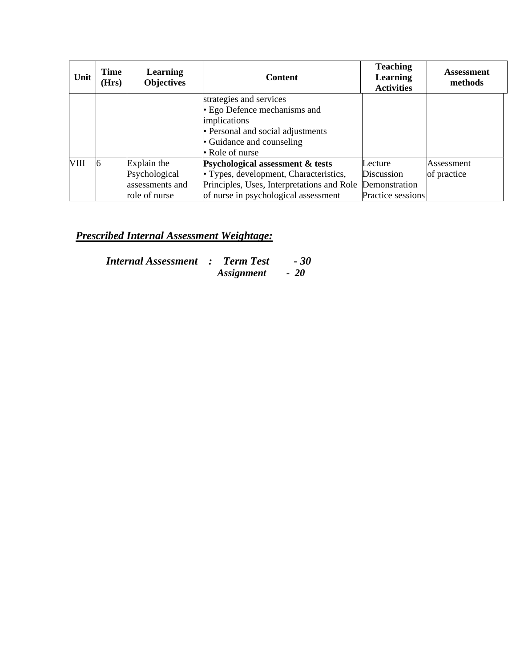| Unit        | Time<br>(Hrs) | <b>Learning</b><br><b>Objectives</b> | <b>Content</b>                             | <b>Teaching</b><br>Learning<br><b>Activities</b> | <b>Assessment</b><br>methods |
|-------------|---------------|--------------------------------------|--------------------------------------------|--------------------------------------------------|------------------------------|
|             |               |                                      | strategies and services                    |                                                  |                              |
|             |               |                                      | • Ego Defence mechanisms and               |                                                  |                              |
|             |               |                                      | implications                               |                                                  |                              |
|             |               |                                      | • Personal and social adjustments          |                                                  |                              |
|             |               |                                      | • Guidance and counseling                  |                                                  |                              |
|             |               |                                      | • Role of nurse                            |                                                  |                              |
| <b>VIII</b> |               | Explain the                          | Psychological assessment & tests           | Lecture                                          | Assessment                   |
|             |               | Psychological                        | • Types, development, Characteristics,     | Discussion                                       | of practice                  |
|             |               | assessments and                      | Principles, Uses, Interpretations and Role | Demonstration                                    |                              |
|             |               | role of nurse                        | of nurse in psychological assessment       | Practice sessions                                |                              |

| <b>Internal Assessment : Term Test</b> |                          | - 30  |
|----------------------------------------|--------------------------|-------|
|                                        | <i><b>Assignment</b></i> | $-20$ |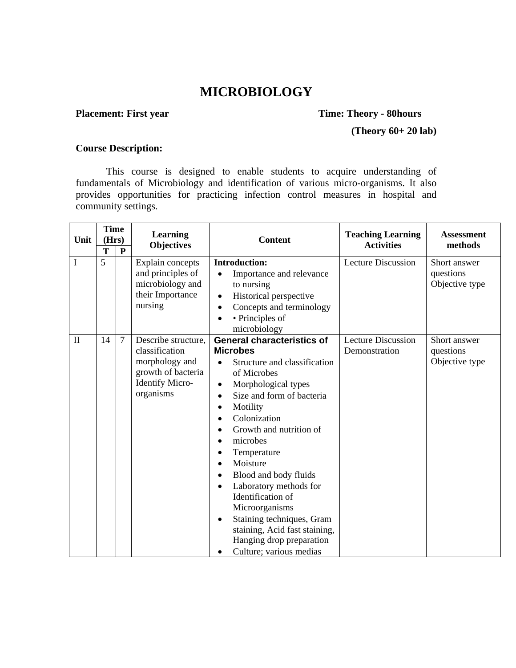## **MICROBIOLOGY**

## **Placement: First year Time: Theory - 80hours**

### **(Theory 60+ 20 lab)**

#### **Course Description:**

This course is designed to enable students to acquire understanding of fundamentals of Microbiology and identification of various micro-organisms. It also provides opportunities for practicing infection control measures in hospital and community settings.

| Unit         | <b>Time</b><br>(Hrs)<br>T | ${\bf P}$      | <b>Learning</b><br><b>Objectives</b>                                                                          | <b>Content</b>                                                                                                                                                                                                                                                                                                                                                                                                                                                                                                                                               | <b>Teaching Learning</b><br><b>Activities</b> | <b>Assessment</b><br>methods                |
|--------------|---------------------------|----------------|---------------------------------------------------------------------------------------------------------------|--------------------------------------------------------------------------------------------------------------------------------------------------------------------------------------------------------------------------------------------------------------------------------------------------------------------------------------------------------------------------------------------------------------------------------------------------------------------------------------------------------------------------------------------------------------|-----------------------------------------------|---------------------------------------------|
| I            | 5                         |                | Explain concepts<br>and principles of<br>microbiology and<br>their Importance<br>nursing                      | <b>Introduction:</b><br>Importance and relevance<br>to nursing<br>Historical perspective<br>$\bullet$<br>Concepts and terminology<br>$\bullet$<br>• Principles of<br>microbiology                                                                                                                                                                                                                                                                                                                                                                            | <b>Lecture Discussion</b>                     | Short answer<br>questions<br>Objective type |
| $\mathbf{I}$ | 14                        | $\overline{7}$ | Describe structure,<br>classification<br>morphology and<br>growth of bacteria<br>Identify Micro-<br>organisms | <b>General characteristics of</b><br><b>Microbes</b><br>Structure and classification<br>of Microbes<br>Morphological types<br>٠<br>Size and form of bacteria<br>$\bullet$<br>Motility<br>$\bullet$<br>Colonization<br>$\bullet$<br>Growth and nutrition of<br>microbes<br>٠<br>Temperature<br>Moisture<br>$\bullet$<br>Blood and body fluids<br>$\bullet$<br>Laboratory methods for<br>$\bullet$<br>Identification of<br>Microorganisms<br>Staining techniques, Gram<br>staining, Acid fast staining,<br>Hanging drop preparation<br>Culture; various medias | <b>Lecture Discussion</b><br>Demonstration    | Short answer<br>questions<br>Objective type |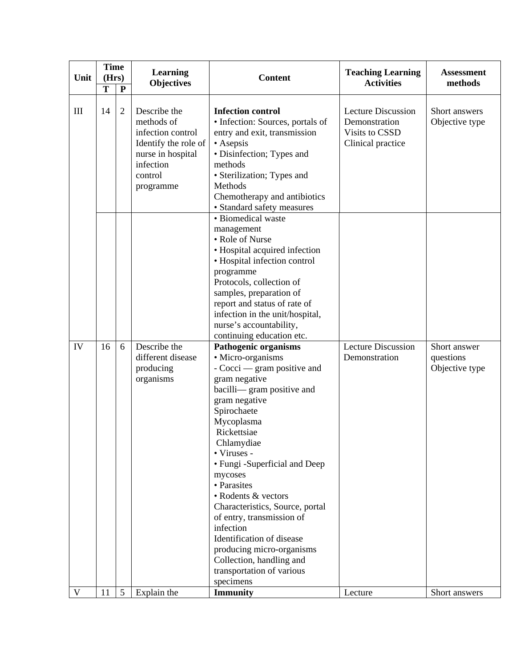| Unit      | <b>Time</b><br>(Hrs)<br>T | ${\bf P}$            | Learning<br><b>Objectives</b>                                                                                                     | <b>Content</b>                                                                                                                                                                                                                                                                                                                                                                                                                                                                                                                      | <b>Teaching Learning</b><br><b>Activities</b>                                     | <b>Assessment</b><br>methods                |
|-----------|---------------------------|----------------------|-----------------------------------------------------------------------------------------------------------------------------------|-------------------------------------------------------------------------------------------------------------------------------------------------------------------------------------------------------------------------------------------------------------------------------------------------------------------------------------------------------------------------------------------------------------------------------------------------------------------------------------------------------------------------------------|-----------------------------------------------------------------------------------|---------------------------------------------|
| $\rm III$ | 14                        | $\mathfrak{2}$       | Describe the<br>methods of<br>infection control<br>Identify the role of<br>nurse in hospital<br>infection<br>control<br>programme | <b>Infection control</b><br>• Infection: Sources, portals of<br>entry and exit, transmission<br>• Asepsis<br>• Disinfection; Types and<br>methods<br>• Sterilization; Types and<br>Methods<br>Chemotherapy and antibiotics<br>• Standard safety measures                                                                                                                                                                                                                                                                            | <b>Lecture Discussion</b><br>Demonstration<br>Visits to CSSD<br>Clinical practice | Short answers<br>Objective type             |
|           |                           |                      |                                                                                                                                   | · Biomedical waste<br>management<br>• Role of Nurse<br>• Hospital acquired infection<br>• Hospital infection control<br>programme<br>Protocols, collection of<br>samples, preparation of<br>report and status of rate of<br>infection in the unit/hospital,<br>nurse's accountability,<br>continuing education etc.                                                                                                                                                                                                                 |                                                                                   |                                             |
| IV        | 16<br>11                  | 6<br>$5\overline{)}$ | Describe the<br>different disease<br>producing<br>organisms<br>Explain the                                                        | <b>Pathogenic organisms</b><br>• Micro-organisms<br>- Cocci — gram positive and<br>gram negative<br>bacilli-gram positive and<br>gram negative<br>Spirochaete<br>Mycoplasma<br>Rickettsiae<br>Chlamydiae<br>• Viruses -<br>• Fungi - Superficial and Deep<br>mycoses<br>• Parasites<br>• Rodents & vectors<br>Characteristics, Source, portal<br>of entry, transmission of<br>infection<br>Identification of disease<br>producing micro-organisms<br>Collection, handling and<br>transportation of various<br>specimens<br>Immunity | <b>Lecture Discussion</b><br>Demonstration                                        | Short answer<br>questions<br>Objective type |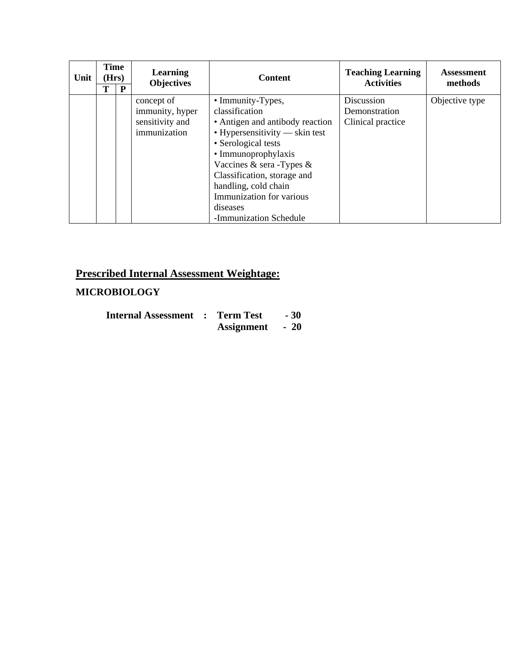| Unit | <b>Time</b><br>(Hrs)<br>T<br>P |  | Learning<br><b>Objectives</b>                                    | <b>Content</b>                                                                                                                                                                                                                                                                                                      | <b>Teaching Learning</b><br><b>Activities</b>    | <b>Assessment</b><br>methods |
|------|--------------------------------|--|------------------------------------------------------------------|---------------------------------------------------------------------------------------------------------------------------------------------------------------------------------------------------------------------------------------------------------------------------------------------------------------------|--------------------------------------------------|------------------------------|
|      |                                |  | concept of<br>immunity, hyper<br>sensitivity and<br>immunization | • Immunity-Types,<br>classification<br>• Antigen and antibody reaction<br>$\bullet$ Hypersensitivity — skin test<br>• Serological tests<br>• Immunoprophylaxis<br>Vaccines & sera -Types &<br>Classification, storage and<br>handling, cold chain<br>Immunization for various<br>diseases<br>-Immunization Schedule | Discussion<br>Demonstration<br>Clinical practice | Objective type               |

## **MICROBIOLOGY**

| <b>Internal Assessment : Term Test</b> |  |                 | $-30$ |
|----------------------------------------|--|-----------------|-------|
|                                        |  | Assignment - 20 |       |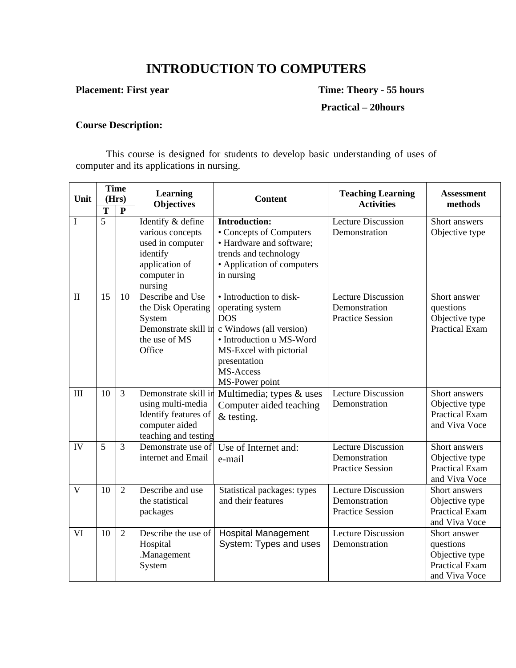# **INTRODUCTION TO COMPUTERS**

**Placement: First year** Time: Theory - 55 hours

 **Practical – 20hours** 

## **Course Description:**

This course is designed for students to develop basic understanding of uses of computer and its applications in nursing.

| Unit         | <b>Time</b><br>(Hrs) |                | Learning                                                                                                          | <b>Content</b>                                                                                                                                                                             | <b>Teaching Learning</b>                                              | <b>Assessment</b>                                                                     |
|--------------|----------------------|----------------|-------------------------------------------------------------------------------------------------------------------|--------------------------------------------------------------------------------------------------------------------------------------------------------------------------------------------|-----------------------------------------------------------------------|---------------------------------------------------------------------------------------|
|              | T                    | ${\bf P}$      | <b>Objectives</b>                                                                                                 |                                                                                                                                                                                            | <b>Activities</b>                                                     | methods                                                                               |
| I            | 5                    |                | Identify & define<br>various concepts<br>used in computer<br>identify<br>application of<br>computer in<br>nursing | <b>Introduction:</b><br>• Concepts of Computers<br>• Hardware and software;<br>trends and technology<br>• Application of computers<br>in nursing                                           | <b>Lecture Discussion</b><br>Demonstration                            | Short answers<br>Objective type                                                       |
| $\mathbf{I}$ | 15                   | 10             | Describe and Use<br>the Disk Operating<br>System<br>Demonstrate skill in<br>the use of MS<br>Office               | • Introduction to disk-<br>operating system<br><b>DOS</b><br>c Windows (all version)<br>• Introduction u MS-Word<br>MS-Excel with pictorial<br>presentation<br>MS-Access<br>MS-Power point | <b>Lecture Discussion</b><br>Demonstration<br><b>Practice Session</b> | Short answer<br>questions<br>Objective type<br><b>Practical Exam</b>                  |
| III          | 10                   | $\overline{3}$ | Demonstrate skill in<br>using multi-media<br>Identify features of<br>computer aided<br>teaching and testing       | Multimedia; types & uses<br>Computer aided teaching<br>$&$ testing.                                                                                                                        | <b>Lecture Discussion</b><br>Demonstration                            | Short answers<br>Objective type<br><b>Practical Exam</b><br>and Viva Voce             |
| IV           | 5                    | 3              | Demonstrate use of<br>internet and Email                                                                          | Use of Internet and:<br>e-mail                                                                                                                                                             | <b>Lecture Discussion</b><br>Demonstration<br><b>Practice Session</b> | Short answers<br>Objective type<br><b>Practical Exam</b><br>and Viva Voce             |
| V            | 10                   | $\overline{2}$ | Describe and use<br>the statistical<br>packages                                                                   | Statistical packages: types<br>and their features                                                                                                                                          | <b>Lecture Discussion</b><br>Demonstration<br><b>Practice Session</b> | Short answers<br>Objective type<br><b>Practical Exam</b><br>and Viva Voce             |
| VI           | 10                   | $\overline{2}$ | Describe the use of<br>Hospital<br>.Management<br>System                                                          | <b>Hospital Management</b><br>System: Types and uses                                                                                                                                       | <b>Lecture Discussion</b><br>Demonstration                            | Short answer<br>questions<br>Objective type<br><b>Practical Exam</b><br>and Viva Voce |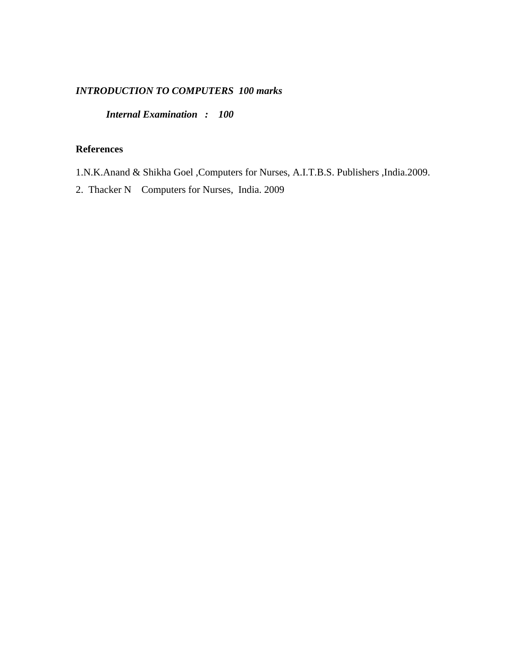#### *INTRODUCTION TO COMPUTERS 100 marks*

 *Internal Examination : 100* 

### **References**

1.N.K.Anand & Shikha Goel ,Computers for Nurses, A.I.T.B.S. Publishers ,India.2009.

2. Thacker N Computers for Nurses, India. 2009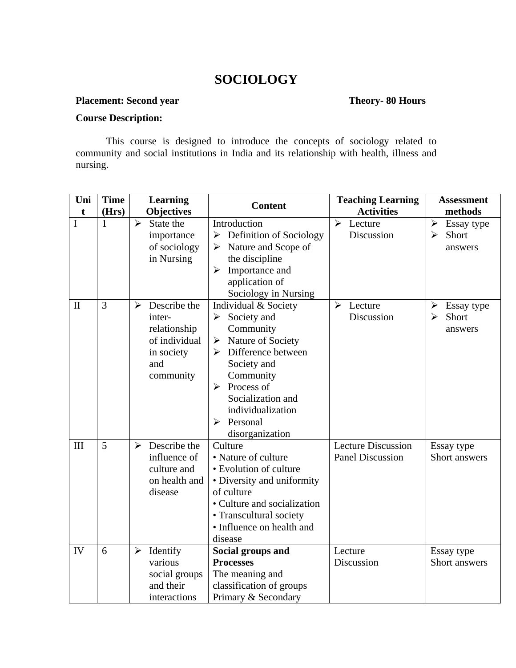# **SOCIOLOGY**

#### **Placement: Second year Theory- 80 Hours**

#### **Course Description:**

This course is designed to introduce the concepts of sociology related to community and social institutions in India and its relationship with health, illness and nursing.

| Uni          | <b>Time</b> | <b>Learning</b>                                                                                  | <b>Content</b>                                                                                                                                                                                                                                                                                                  | <b>Teaching Learning</b>                             | <b>Assessment</b>                                            |
|--------------|-------------|--------------------------------------------------------------------------------------------------|-----------------------------------------------------------------------------------------------------------------------------------------------------------------------------------------------------------------------------------------------------------------------------------------------------------------|------------------------------------------------------|--------------------------------------------------------------|
| t            | (Hrs)       | <b>Objectives</b>                                                                                |                                                                                                                                                                                                                                                                                                                 | <b>Activities</b>                                    | methods                                                      |
| I            | 1           | $\blacktriangleright$<br>State the<br>importance<br>of sociology<br>in Nursing                   | Introduction<br>Definition of Sociology<br>$\blacktriangleright$<br>Nature and Scope of<br>➤<br>the discipline<br>Importance and<br>$\blacktriangleright$<br>application of<br>Sociology in Nursing                                                                                                             | $\blacktriangleright$<br>Lecture<br>Discussion       | $\blacktriangleright$<br>Essay type<br>Short<br>≻<br>answers |
| $\mathbf{I}$ | 3           | Describe the<br>➤<br>inter-<br>relationship<br>of individual<br>in society<br>and<br>community   | Individual & Society<br>Society and<br>$\blacktriangleright$<br>Community<br>Nature of Society<br>$\blacktriangleright$<br>$\triangleright$ Difference between<br>Society and<br>Community<br>Process of<br>$\blacktriangleright$<br>Socialization and<br>individualization<br>Personal<br>➤<br>disorganization | ➤<br>Lecture<br>Discussion                           | ➤<br>Essay type<br>Short<br>$\blacktriangleright$<br>answers |
| III          | 5           | Describe the<br>$\blacktriangleright$<br>influence of<br>culture and<br>on health and<br>disease | Culture<br>• Nature of culture<br>· Evolution of culture<br>• Diversity and uniformity<br>of culture<br>• Culture and socialization<br>• Transcultural society<br>• Influence on health and<br>disease                                                                                                          | <b>Lecture Discussion</b><br><b>Panel Discussion</b> | Essay type<br>Short answers                                  |
| IV           | 6           | Identify<br>$\blacktriangleright$<br>various<br>social groups<br>and their<br>interactions       | Social groups and<br><b>Processes</b><br>The meaning and<br>classification of groups<br>Primary & Secondary                                                                                                                                                                                                     | Lecture<br>Discussion                                | Essay type<br>Short answers                                  |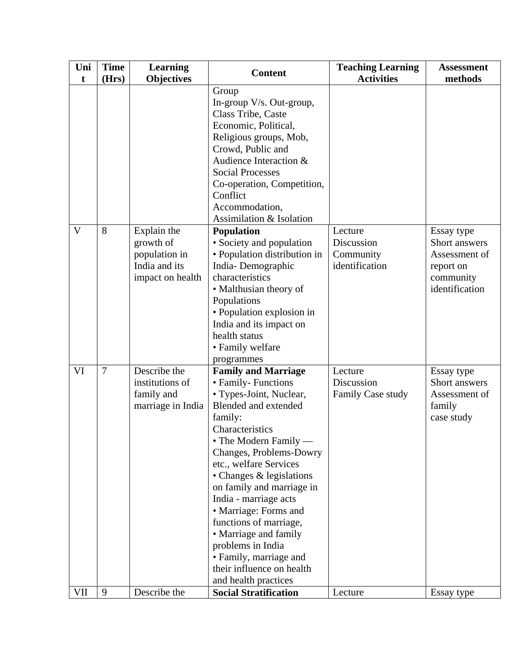| Group<br>In-group V/s. Out-group,<br>Class Tribe, Caste<br>Economic, Political,<br>Religious groups, Mob,<br>Crowd, Public and<br>Audience Interaction &<br><b>Social Processes</b><br>Co-operation, Competition,<br>Conflict<br>Accommodation,<br>Assimilation & Isolation<br>$\mathbf{V}$<br>8<br>Explain the<br><b>Population</b><br>Lecture<br>growth of<br>• Society and population<br>Discussion<br>• Population distribution in<br>population in<br>Community<br>India and its<br>identification<br>India-Demographic<br>report on<br>characteristics<br>impact on health<br>• Malthusian theory of<br>Populations<br>• Population explosion in<br>India and its impact on<br>health status<br>• Family welfare<br>programmes<br>Describe the<br>$\overline{7}$<br>VI<br><b>Family and Marriage</b><br>Lecture<br>institutions of<br>• Family- Functions<br>Discussion<br>• Types-Joint, Nuclear,<br>family and<br>Family Case study<br>Blended and extended<br>marriage in India<br>family<br>family:<br>Characteristics<br>• The Modern Family —<br>Changes, Problems-Dowry<br>etc., welfare Services<br>• Changes & legislations<br>on family and marriage in<br>India - marriage acts<br>• Marriage: Forms and<br>functions of marriage,<br>• Marriage and family | Uni<br>$\mathbf t$ | <b>Time</b><br>(Hrs) | <b>Learning</b><br><b>Objectives</b> | <b>Content</b> | <b>Teaching Learning</b><br><b>Activities</b> | <b>Assessment</b><br>methods                                                |
|------------------------------------------------------------------------------------------------------------------------------------------------------------------------------------------------------------------------------------------------------------------------------------------------------------------------------------------------------------------------------------------------------------------------------------------------------------------------------------------------------------------------------------------------------------------------------------------------------------------------------------------------------------------------------------------------------------------------------------------------------------------------------------------------------------------------------------------------------------------------------------------------------------------------------------------------------------------------------------------------------------------------------------------------------------------------------------------------------------------------------------------------------------------------------------------------------------------------------------------------------------------------------|--------------------|----------------------|--------------------------------------|----------------|-----------------------------------------------|-----------------------------------------------------------------------------|
|                                                                                                                                                                                                                                                                                                                                                                                                                                                                                                                                                                                                                                                                                                                                                                                                                                                                                                                                                                                                                                                                                                                                                                                                                                                                              |                    |                      |                                      |                |                                               |                                                                             |
|                                                                                                                                                                                                                                                                                                                                                                                                                                                                                                                                                                                                                                                                                                                                                                                                                                                                                                                                                                                                                                                                                                                                                                                                                                                                              |                    |                      |                                      |                |                                               | Essay type<br>Short answers<br>Assessment of<br>community<br>identification |
| problems in India<br>· Family, marriage and<br>their influence on health<br>and health practices<br>VII<br>9<br>Describe the<br><b>Social Stratification</b><br>Lecture                                                                                                                                                                                                                                                                                                                                                                                                                                                                                                                                                                                                                                                                                                                                                                                                                                                                                                                                                                                                                                                                                                      |                    |                      |                                      |                |                                               | Essay type<br>Short answers<br>Assessment of<br>case study<br>Essay type    |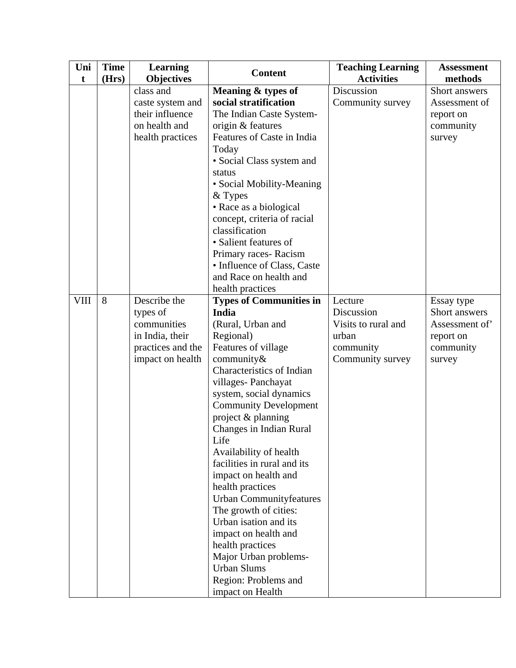| Uni         | <b>Time</b> | <b>Learning</b>                                                                                     | <b>Content</b>                                                                                                                                                                                                                                                                                                                                                                                                                                                                                                                                                                                                     | <b>Teaching Learning</b>                                                               | <b>Assessment</b>                                                                |
|-------------|-------------|-----------------------------------------------------------------------------------------------------|--------------------------------------------------------------------------------------------------------------------------------------------------------------------------------------------------------------------------------------------------------------------------------------------------------------------------------------------------------------------------------------------------------------------------------------------------------------------------------------------------------------------------------------------------------------------------------------------------------------------|----------------------------------------------------------------------------------------|----------------------------------------------------------------------------------|
| t           | (Hrs)       | <b>Objectives</b>                                                                                   |                                                                                                                                                                                                                                                                                                                                                                                                                                                                                                                                                                                                                    | <b>Activities</b>                                                                      | methods                                                                          |
|             |             | class and<br>caste system and<br>their influence<br>on health and<br>health practices               | Meaning & types of<br>social stratification<br>The Indian Caste System-<br>origin & features<br>Features of Caste in India<br>Today<br>• Social Class system and<br>status<br>• Social Mobility-Meaning<br>& Types<br>• Race as a biological<br>concept, criteria of racial<br>classification<br>• Salient features of<br>Primary races-Racism<br>• Influence of Class, Caste<br>and Race on health and<br>health practices                                                                                                                                                                                        | Discussion<br>Community survey                                                         | Short answers<br>Assessment of<br>report on<br>community<br>survey               |
| <b>VIII</b> | 8           | Describe the<br>types of<br>communities<br>in India, their<br>practices and the<br>impact on health | <b>Types of Communities in</b><br>India<br>(Rural, Urban and<br>Regional)<br>Features of village<br>community $\&$<br>Characteristics of Indian<br>villages-Panchayat<br>system, social dynamics<br><b>Community Development</b><br>project & planning<br>Changes in Indian Rural<br>Life<br>Availability of health<br>facilities in rural and its<br>impact on health and<br>health practices<br>Urban Communityfeatures<br>The growth of cities:<br>Urban isation and its<br>impact on health and<br>health practices<br>Major Urban problems-<br><b>Urban Slums</b><br>Region: Problems and<br>impact on Health | Lecture<br>Discussion<br>Visits to rural and<br>urban<br>community<br>Community survey | Essay type<br>Short answers<br>Assessment of<br>report on<br>community<br>survey |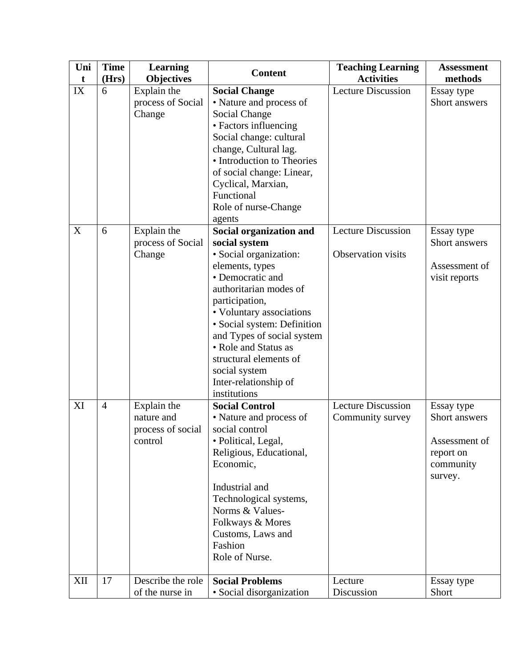| Uni | <b>Time</b>    | <b>Learning</b>                                           | <b>Content</b>                                                                                                                                                                                                                                                                                                                                             | <b>Teaching Learning</b>                               | <b>Assessment</b>                                                                 |
|-----|----------------|-----------------------------------------------------------|------------------------------------------------------------------------------------------------------------------------------------------------------------------------------------------------------------------------------------------------------------------------------------------------------------------------------------------------------------|--------------------------------------------------------|-----------------------------------------------------------------------------------|
| t   | (Hrs)          | <b>Objectives</b>                                         |                                                                                                                                                                                                                                                                                                                                                            | <b>Activities</b>                                      | methods                                                                           |
| IX  | 6              | Explain the<br>process of Social<br>Change                | <b>Social Change</b><br>• Nature and process of<br>Social Change<br>• Factors influencing<br>Social change: cultural<br>change, Cultural lag.<br>• Introduction to Theories<br>of social change: Linear,<br>Cyclical, Marxian,<br>Functional<br>Role of nurse-Change<br>agents                                                                             | <b>Lecture Discussion</b>                              | Essay type<br>Short answers                                                       |
| X   | 6              | Explain the<br>process of Social<br>Change                | Social organization and<br>social system<br>• Social organization:<br>elements, types<br>• Democratic and<br>authoritarian modes of<br>participation,<br>• Voluntary associations<br>· Social system: Definition<br>and Types of social system<br>• Role and Status as<br>structural elements of<br>social system<br>Inter-relationship of<br>institutions | <b>Lecture Discussion</b><br><b>Observation visits</b> | Essay type<br>Short answers<br>Assessment of<br>visit reports                     |
| XI  | $\overline{4}$ | Explain the<br>nature and<br>process of social<br>control | <b>Social Control</b><br>• Nature and process of<br>social control<br>· Political, Legal,<br>Religious, Educational,<br>Economic,<br>Industrial and<br>Technological systems,<br>Norms & Values-<br>Folkways & Mores<br>Customs, Laws and<br>Fashion<br>Role of Nurse.                                                                                     | <b>Lecture Discussion</b><br>Community survey          | Essay type<br>Short answers<br>Assessment of<br>report on<br>community<br>survey. |
| XII | 17             | Describe the role<br>of the nurse in                      | <b>Social Problems</b><br>• Social disorganization                                                                                                                                                                                                                                                                                                         | Lecture<br>Discussion                                  | Essay type<br>Short                                                               |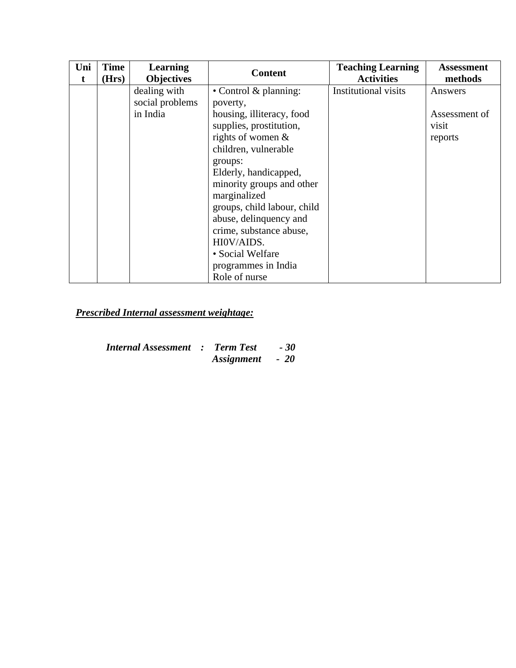| Uni<br>t | <b>Time</b><br>(Hrs) | <b>Learning</b><br><b>Objectives</b> | <b>Content</b>              | <b>Teaching Learning</b><br><b>Activities</b> | <b>Assessment</b><br>methods |
|----------|----------------------|--------------------------------------|-----------------------------|-----------------------------------------------|------------------------------|
|          |                      | dealing with                         | • Control $&$ planning:     | Institutional visits                          | Answers                      |
|          |                      | social problems                      | poverty,                    |                                               |                              |
|          |                      | in India                             | housing, illiteracy, food   |                                               | Assessment of                |
|          |                      |                                      | supplies, prostitution,     |                                               | visit                        |
|          |                      |                                      | rights of women $\&$        |                                               | reports                      |
|          |                      |                                      | children, vulnerable        |                                               |                              |
|          |                      |                                      | groups:                     |                                               |                              |
|          |                      |                                      | Elderly, handicapped,       |                                               |                              |
|          |                      |                                      | minority groups and other   |                                               |                              |
|          |                      |                                      | marginalized                |                                               |                              |
|          |                      |                                      | groups, child labour, child |                                               |                              |
|          |                      |                                      | abuse, delinquency and      |                                               |                              |
|          |                      |                                      | crime, substance abuse,     |                                               |                              |
|          |                      |                                      | HI0V/AIDS.                  |                                               |                              |
|          |                      |                                      | • Social Welfare            |                                               |                              |
|          |                      |                                      | programmes in India         |                                               |                              |
|          |                      |                                      | Role of nurse               |                                               |                              |

*Prescribed Internal assessment weightage:*

| <b>Internal Assessment : Term Test</b> |                 | - 30 |
|----------------------------------------|-----------------|------|
|                                        | Assignment - 20 |      |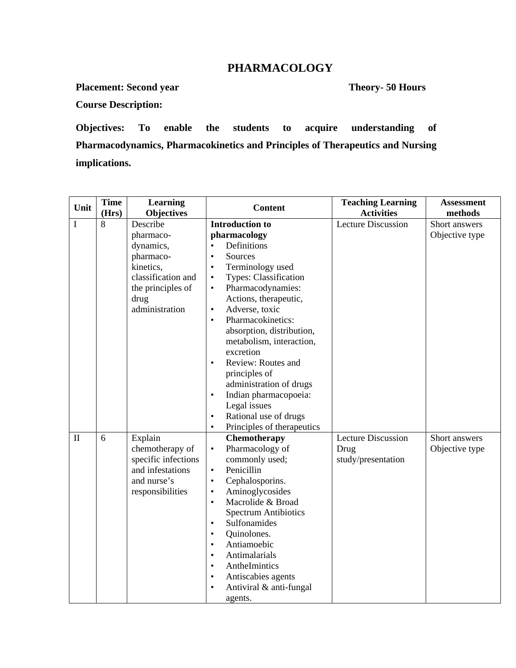### **PHARMACOLOGY**

**Placement: Second year Theory- 50 Hours** 

**Course Description:**

**Objectives: To enable the students to acquire understanding of Pharmacodynamics, Pharmacokinetics and Principles of Therapeutics and Nursing implications.** 

| Unit         | <b>Time</b><br>(Hrs) | <b>Learning</b><br>Objectives | <b>Content</b>                                        | <b>Teaching Learning</b><br><b>Activities</b> | <b>Assessment</b><br>methods |
|--------------|----------------------|-------------------------------|-------------------------------------------------------|-----------------------------------------------|------------------------------|
| I            | 8                    | Describe                      | <b>Introduction to</b>                                | <b>Lecture Discussion</b>                     | Short answers                |
|              |                      | pharmaco-                     | pharmacology                                          |                                               | Objective type               |
|              |                      | dynamics,                     | Definitions<br>$\bullet$                              |                                               |                              |
|              |                      | pharmaco-                     | Sources<br>$\bullet$                                  |                                               |                              |
|              |                      | kinetics,                     | Terminology used<br>$\bullet$                         |                                               |                              |
|              |                      | classification and            | Types: Classification<br>$\bullet$                    |                                               |                              |
|              |                      | the principles of             | Pharmacodynamies:<br>$\bullet$                        |                                               |                              |
|              |                      | drug                          | Actions, therapeutic,                                 |                                               |                              |
|              |                      | administration                | Adverse, toxic<br>$\bullet$                           |                                               |                              |
|              |                      |                               | Pharmacokinetics:<br>$\bullet$                        |                                               |                              |
|              |                      |                               | absorption, distribution,<br>metabolism, interaction, |                                               |                              |
|              |                      |                               | excretion                                             |                                               |                              |
|              |                      |                               | Review: Routes and<br>$\bullet$                       |                                               |                              |
|              |                      |                               | principles of                                         |                                               |                              |
|              |                      |                               | administration of drugs                               |                                               |                              |
|              |                      |                               | Indian pharmacopoeia:<br>$\bullet$                    |                                               |                              |
|              |                      |                               | Legal issues                                          |                                               |                              |
|              |                      |                               | Rational use of drugs<br>$\bullet$                    |                                               |                              |
|              |                      |                               | Principles of therapeutics<br>$\bullet$               |                                               |                              |
| $\mathbf{I}$ | 6                    | Explain                       | Chemotherapy                                          | <b>Lecture Discussion</b>                     | Short answers                |
|              |                      | chemotherapy of               | Pharmacology of<br>$\bullet$                          | Drug                                          | Objective type               |
|              |                      | specific infections           | commonly used;                                        | study/presentation                            |                              |
|              |                      | and infestations              | Penicillin<br>$\bullet$                               |                                               |                              |
|              |                      | and nurse's                   | Cephalosporins.<br>$\bullet$                          |                                               |                              |
|              |                      | responsibilities              | Aminoglycosides<br>$\bullet$                          |                                               |                              |
|              |                      |                               | Macrolide & Broad<br>$\bullet$                        |                                               |                              |
|              |                      |                               | <b>Spectrum Antibiotics</b>                           |                                               |                              |
|              |                      |                               | Sulfonamides<br>$\bullet$                             |                                               |                              |
|              |                      |                               | Quinolones.<br>$\bullet$                              |                                               |                              |
|              |                      |                               | Antiamoebic<br>$\bullet$                              |                                               |                              |
|              |                      |                               | Antimalarials<br>$\bullet$                            |                                               |                              |
|              |                      |                               | AntheImintics<br>$\bullet$                            |                                               |                              |
|              |                      |                               | Antiscabies agents<br>$\bullet$                       |                                               |                              |
|              |                      |                               | Antiviral & anti-fungal<br>$\bullet$                  |                                               |                              |
|              |                      |                               | agents.                                               |                                               |                              |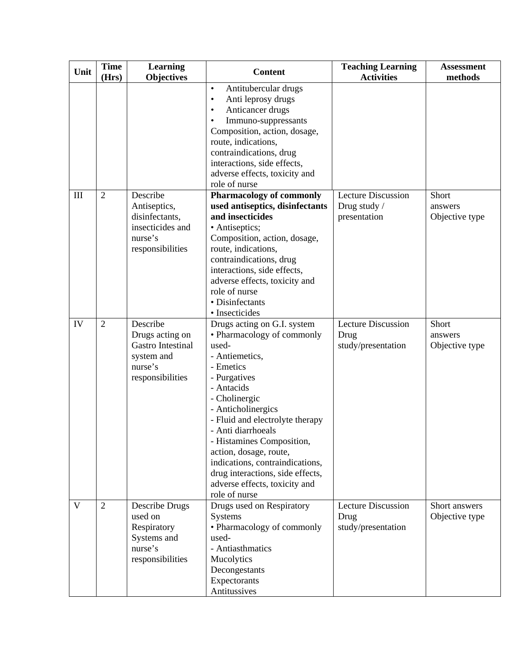| Unit | <b>Time</b><br>(Hrs) | <b>Learning</b><br><b>Objectives</b>                                                          | <b>Content</b>                                                                                                                                                                                                                                                                                                                                                                                                  | <b>Teaching Learning</b><br><b>Activities</b>             | <b>Assessment</b><br>methods       |
|------|----------------------|-----------------------------------------------------------------------------------------------|-----------------------------------------------------------------------------------------------------------------------------------------------------------------------------------------------------------------------------------------------------------------------------------------------------------------------------------------------------------------------------------------------------------------|-----------------------------------------------------------|------------------------------------|
|      |                      |                                                                                               | Antitubercular drugs<br>$\bullet$<br>Anti leprosy drugs<br>$\bullet$<br>Anticancer drugs<br>Immuno-suppressants<br>Composition, action, dosage,<br>route, indications,                                                                                                                                                                                                                                          |                                                           |                                    |
|      |                      |                                                                                               | contraindications, drug<br>interactions, side effects,<br>adverse effects, toxicity and<br>role of nurse                                                                                                                                                                                                                                                                                                        |                                                           |                                    |
| III  | $\overline{2}$       | Describe<br>Antiseptics,<br>disinfectants,<br>insecticides and<br>nurse's<br>responsibilities | <b>Pharmacology of commonly</b><br>used antiseptics, disinfectants<br>and insecticides<br>• Antiseptics;<br>Composition, action, dosage,<br>route, indications,<br>contraindications, drug<br>interactions, side effects,<br>adverse effects, toxicity and<br>role of nurse<br>· Disinfectants<br>· Insecticides                                                                                                | <b>Lecture Discussion</b><br>Drug study /<br>presentation | Short<br>answers<br>Objective type |
| IV   | $\overline{2}$       | Describe<br>Drugs acting on<br>Gastro Intestinal<br>system and<br>nurse's<br>responsibilities | Drugs acting on G.I. system<br>• Pharmacology of commonly<br>used-<br>- Antiemetics,<br>- Emetics<br>- Purgatives<br>- Antacids<br>- Cholinergic<br>- Anticholinergics<br>- Fluid and electrolyte therapy<br>- Anti diarrhoeals<br>- Histamines Composition,<br>action, dosage, route,<br>indications, contraindications,<br>drug interactions, side effects,<br>adverse effects, toxicity and<br>role of nurse | <b>Lecture Discussion</b><br>Drug<br>study/presentation   | Short<br>answers<br>Objective type |
| V    | $\overline{2}$       | Describe Drugs<br>used on<br>Respiratory<br>Systems and<br>nurse's<br>responsibilities        | Drugs used on Respiratory<br><b>Systems</b><br>• Pharmacology of commonly<br>used-<br>- Antiasthmatics<br>Mucolytics<br>Decongestants<br>Expectorants<br>Antitussives                                                                                                                                                                                                                                           | <b>Lecture Discussion</b><br>Drug<br>study/presentation   | Short answers<br>Objective type    |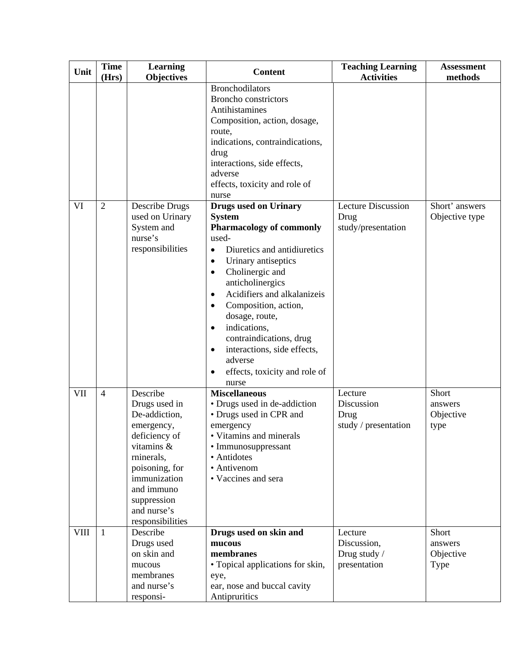| Unit | <b>Time</b><br>(Hrs) | <b>Learning</b><br><b>Objectives</b>                                                                                                                                                                    | <b>Content</b>                                                                                                                                                                                                                                                                                                                                                                                                                                     | <b>Teaching Learning</b><br><b>Activities</b>           | <b>Assessment</b><br>methods          |
|------|----------------------|---------------------------------------------------------------------------------------------------------------------------------------------------------------------------------------------------------|----------------------------------------------------------------------------------------------------------------------------------------------------------------------------------------------------------------------------------------------------------------------------------------------------------------------------------------------------------------------------------------------------------------------------------------------------|---------------------------------------------------------|---------------------------------------|
|      |                      |                                                                                                                                                                                                         | <b>Bronchodilators</b><br><b>Broncho</b> constrictors<br>Antihistamines<br>Composition, action, dosage,<br>route,<br>indications, contraindications,<br>drug<br>interactions, side effects,<br>adverse<br>effects, toxicity and role of<br>nurse                                                                                                                                                                                                   |                                                         |                                       |
| VI   | $\overline{2}$       | Describe Drugs<br>used on Urinary<br>System and<br>nurse's<br>responsibilities                                                                                                                          | <b>Drugs used on Urinary</b><br><b>System</b><br><b>Pharmacology of commonly</b><br>used-<br>Diuretics and antidiuretics<br>$\bullet$<br>Urinary antiseptics<br>$\bullet$<br>Cholinergic and<br>$\bullet$<br>anticholinergics<br>Acidifiers and alkalanizeis<br>$\bullet$<br>Composition, action,<br>dosage, route,<br>indications,<br>contraindications, drug<br>interactions, side effects,<br>adverse<br>effects, toxicity and role of<br>nurse | <b>Lecture Discussion</b><br>Drug<br>study/presentation | Short' answers<br>Objective type      |
| VII  | $\overline{4}$       | Describe<br>Drugs used in<br>De-addiction,<br>emergency,<br>deficiency of<br>vitamins &<br>rninerals,<br>poisoning, for<br>immunization<br>and immuno<br>suppression<br>and nurse's<br>responsibilities | <b>Miscellaneous</b><br>• Drugs used in de-addiction<br>• Drugs used in CPR and<br>emergency<br>• Vitamins and minerals<br>• Immunosuppressant<br>• Antidotes<br>• Antivenom<br>• Vaccines and sera                                                                                                                                                                                                                                                | Lecture<br>Discussion<br>Drug<br>study / presentation   | Short<br>answers<br>Objective<br>type |
| VIII | $\mathbf{1}$         | Describe<br>Drugs used<br>on skin and<br>mucous<br>membranes<br>and nurse's<br>responsi-                                                                                                                | Drugs used on skin and<br>mucous<br>membranes<br>• Topical applications for skin,<br>eye,<br>ear, nose and buccal cavity<br>Antipruritics                                                                                                                                                                                                                                                                                                          | Lecture<br>Discussion,<br>Drug study /<br>presentation  | Short<br>answers<br>Objective<br>Type |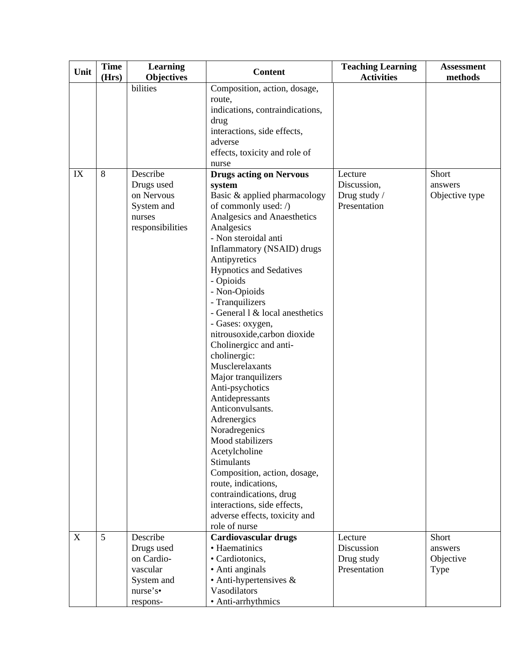| Unit | <b>Time</b> | <b>Learning</b>                                                                  | <b>Content</b>                                                                                                                                                                                                                                                                                                                                                                                                                                                                                                                                                                                                                                                                                                                                                                                      | <b>Teaching Learning</b>                               | <b>Assessment</b>                  |
|------|-------------|----------------------------------------------------------------------------------|-----------------------------------------------------------------------------------------------------------------------------------------------------------------------------------------------------------------------------------------------------------------------------------------------------------------------------------------------------------------------------------------------------------------------------------------------------------------------------------------------------------------------------------------------------------------------------------------------------------------------------------------------------------------------------------------------------------------------------------------------------------------------------------------------------|--------------------------------------------------------|------------------------------------|
|      | (Hrs)       | <b>Objectives</b>                                                                |                                                                                                                                                                                                                                                                                                                                                                                                                                                                                                                                                                                                                                                                                                                                                                                                     | <b>Activities</b>                                      | methods                            |
|      |             | bilities                                                                         | Composition, action, dosage,<br>route,<br>indications, contraindications,<br>drug<br>interactions, side effects,<br>adverse<br>effects, toxicity and role of<br>nurse                                                                                                                                                                                                                                                                                                                                                                                                                                                                                                                                                                                                                               |                                                        |                                    |
| IX   | 8           | Describe<br>Drugs used<br>on Nervous<br>System and<br>nurses<br>responsibilities | <b>Drugs acting on Nervous</b><br>system<br>Basic & applied pharmacology<br>of commonly used: /)<br>Analgesics and Anaesthetics<br>Analgesics<br>- Non steroidal anti<br>Inflammatory (NSAID) drugs<br>Antipyretics<br><b>Hypnotics and Sedatives</b><br>- Opioids<br>- Non-Opioids<br>- Tranquilizers<br>- General $1 \&$ local anesthetics<br>- Gases: oxygen,<br>nitrousoxide,carbon dioxide<br>Cholinergicc and anti-<br>cholinergic:<br>Musclerelaxants<br>Major tranquilizers<br>Anti-psychotics<br>Antidepressants<br>Anticonvulsants.<br>Adrenergics<br>Noradregenics<br>Mood stabilizers<br>Acetylcholine<br>Stimulants<br>Composition, action, dosage,<br>route, indications,<br>contraindications, drug<br>interactions, side effects,<br>adverse effects, toxicity and<br>role of nurse | Lecture<br>Discussion,<br>Drug study /<br>Presentation | Short<br>answers<br>Objective type |
| X    | 5           | Describe                                                                         | <b>Cardiovascular drugs</b>                                                                                                                                                                                                                                                                                                                                                                                                                                                                                                                                                                                                                                                                                                                                                                         | Lecture                                                | Short                              |
|      |             | Drugs used                                                                       | • Haematinics                                                                                                                                                                                                                                                                                                                                                                                                                                                                                                                                                                                                                                                                                                                                                                                       | Discussion                                             | answers                            |
|      |             | on Cardio-                                                                       | • Cardiotonics,                                                                                                                                                                                                                                                                                                                                                                                                                                                                                                                                                                                                                                                                                                                                                                                     | Drug study                                             | Objective                          |
|      |             | vascular                                                                         | • Anti anginals                                                                                                                                                                                                                                                                                                                                                                                                                                                                                                                                                                                                                                                                                                                                                                                     | Presentation                                           | <b>Type</b>                        |
|      |             | System and                                                                       | $\bullet$ Anti-hypertensives &                                                                                                                                                                                                                                                                                                                                                                                                                                                                                                                                                                                                                                                                                                                                                                      |                                                        |                                    |
|      |             | nurse's                                                                          | Vasodilators                                                                                                                                                                                                                                                                                                                                                                                                                                                                                                                                                                                                                                                                                                                                                                                        |                                                        |                                    |
|      |             | respons-                                                                         | • Anti-arrhythmics                                                                                                                                                                                                                                                                                                                                                                                                                                                                                                                                                                                                                                                                                                                                                                                  |                                                        |                                    |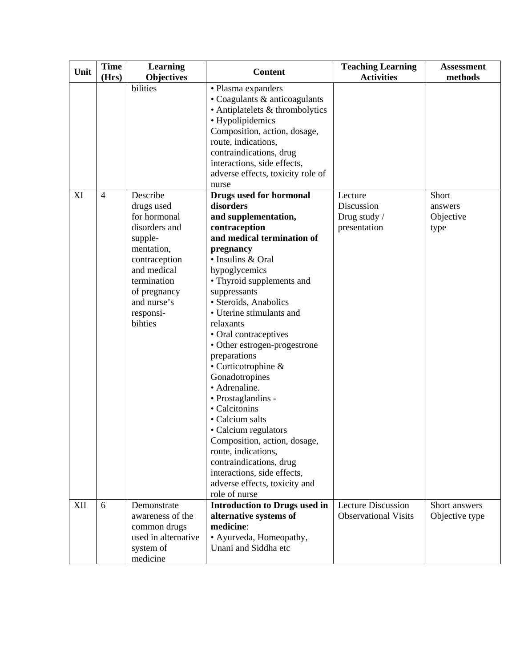| Unit | <b>Time</b><br>(Hrs) | <b>Learning</b><br><b>Objectives</b>                                                                                                                                                   | <b>Content</b>                                                                                                                                                                                                                                                                                                                                                                                                                                                                                                                                                                                                                                                               | <b>Teaching Learning</b><br><b>Activities</b>            | <b>Assessment</b><br>methods          |
|------|----------------------|----------------------------------------------------------------------------------------------------------------------------------------------------------------------------------------|------------------------------------------------------------------------------------------------------------------------------------------------------------------------------------------------------------------------------------------------------------------------------------------------------------------------------------------------------------------------------------------------------------------------------------------------------------------------------------------------------------------------------------------------------------------------------------------------------------------------------------------------------------------------------|----------------------------------------------------------|---------------------------------------|
|      |                      | bilities                                                                                                                                                                               | • Plasma expanders<br>• Coagulants & anticoagulants<br>• Antiplatelets & thrombolytics<br>• Hypolipidemics<br>Composition, action, dosage,<br>route, indications,<br>contraindications, drug<br>interactions, side effects,<br>adverse effects, toxicity role of<br>nurse                                                                                                                                                                                                                                                                                                                                                                                                    |                                                          |                                       |
| XI   | $\overline{4}$       | Describe<br>drugs used<br>for hormonal<br>disorders and<br>supple-<br>mentation,<br>contraception<br>and medical<br>termination<br>of pregnancy<br>and nurse's<br>responsi-<br>bihties | <b>Drugs used for hormonal</b><br>disorders<br>and supplementation,<br>contraception<br>and medical termination of<br>pregnancy<br>· Insulins & Oral<br>hypoglycemics<br>• Thyroid supplements and<br>suppressants<br>· Steroids, Anabolics<br>• Uterine stimulants and<br>relaxants<br>• Oral contraceptives<br>• Other estrogen-progestrone<br>preparations<br>• Corticotrophine &<br>Gonadotropines<br>• Adrenaline.<br>• Prostaglandins -<br>• Calcitonins<br>• Calcium salts<br>• Calcium regulators<br>Composition, action, dosage,<br>route, indications,<br>contraindications, drug<br>interactions, side effects,<br>adverse effects, toxicity and<br>role of nurse | Lecture<br>Discussion<br>Drug study /<br>presentation    | Short<br>answers<br>Objective<br>type |
| XII  | 6                    | Demonstrate<br>awareness of the<br>common drugs<br>used in alternative<br>system of<br>medicine                                                                                        | <b>Introduction to Drugs used in</b><br>alternative systems of<br>medicine:<br>· Ayurveda, Homeopathy,<br>Unani and Siddha etc                                                                                                                                                                                                                                                                                                                                                                                                                                                                                                                                               | <b>Lecture Discussion</b><br><b>Observational Visits</b> | Short answers<br>Objective type       |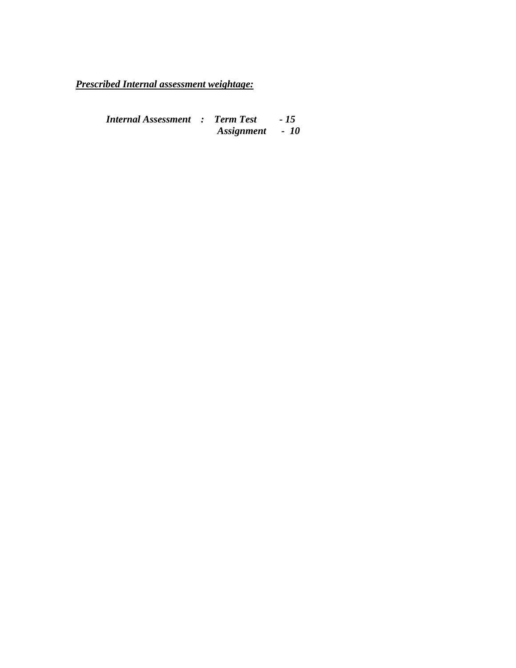*Prescribed Internal assessment weightage:*

*Internal Assessment : Term Test - 15 Assignment - 10*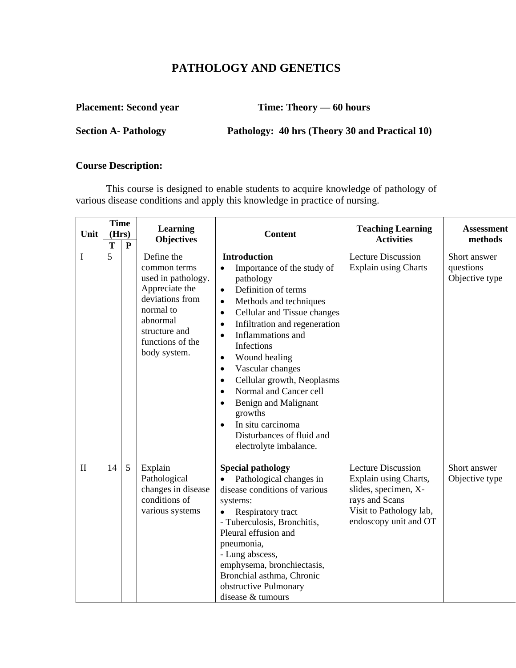# **PATHOLOGY AND GENETICS**

**Placement: Second year Time: Theory — 60 hours** 

**Section A- Pathology Pathology: 40 hrs (Theory 30 and Practical 10)** 

#### **Course Description:**

This course is designed to enable students to acquire knowledge of pathology of various disease conditions and apply this knowledge in practice of nursing.

| Unit         | <b>Time</b><br>(Hrs) |           | Learning<br><b>Objectives</b>                                                                                                                                       | <b>Content</b>                                                                                                                                                                                                                                                                                                                                                                                                                                                                                                                                                                             | <b>Teaching Learning</b><br><b>Activities</b>                                                                                                    | <b>Assessment</b><br>methods                |
|--------------|----------------------|-----------|---------------------------------------------------------------------------------------------------------------------------------------------------------------------|--------------------------------------------------------------------------------------------------------------------------------------------------------------------------------------------------------------------------------------------------------------------------------------------------------------------------------------------------------------------------------------------------------------------------------------------------------------------------------------------------------------------------------------------------------------------------------------------|--------------------------------------------------------------------------------------------------------------------------------------------------|---------------------------------------------|
|              | T                    | ${\bf P}$ |                                                                                                                                                                     |                                                                                                                                                                                                                                                                                                                                                                                                                                                                                                                                                                                            |                                                                                                                                                  |                                             |
| $\bf{I}$     | 5                    |           | Define the<br>common terms<br>used in pathology.<br>Appreciate the<br>deviations from<br>normal to<br>abnormal<br>structure and<br>functions of the<br>body system. | <b>Introduction</b><br>Importance of the study of<br>$\bullet$<br>pathology<br>Definition of terms<br>$\bullet$<br>Methods and techniques<br>$\bullet$<br>Cellular and Tissue changes<br>$\bullet$<br>Infiltration and regeneration<br>$\bullet$<br>Inflammations and<br>$\bullet$<br>Infections<br>Wound healing<br>$\bullet$<br>Vascular changes<br>$\bullet$<br>Cellular growth, Neoplasms<br>$\bullet$<br>Normal and Cancer cell<br>$\bullet$<br>Benign and Malignant<br>$\bullet$<br>growths<br>In situ carcinoma<br>$\bullet$<br>Disturbances of fluid and<br>electrolyte imbalance. | <b>Lecture Discussion</b><br><b>Explain using Charts</b>                                                                                         | Short answer<br>questions<br>Objective type |
| $\mathbf{I}$ | 14                   | 5         | Explain<br>Pathological<br>changes in disease<br>conditions of<br>various systems                                                                                   | <b>Special pathology</b><br>Pathological changes in<br>disease conditions of various<br>systems:<br>Respiratory tract<br>- Tuberculosis, Bronchitis,<br>Pleural effusion and<br>pneumonia,<br>- Lung abscess,<br>emphysema, bronchiectasis,<br>Bronchial asthma, Chronic<br>obstructive Pulmonary<br>disease & tumours                                                                                                                                                                                                                                                                     | <b>Lecture Discussion</b><br>Explain using Charts,<br>slides, specimen, X-<br>rays and Scans<br>Visit to Pathology lab,<br>endoscopy unit and OT | Short answer<br>Objective type              |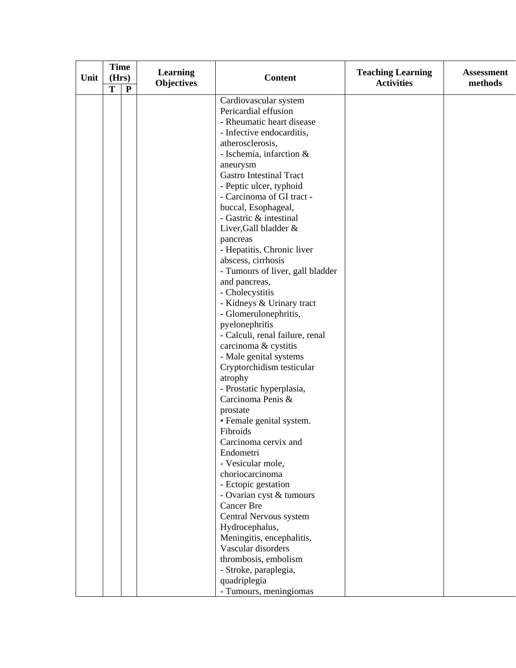| Unit | <b>Time</b><br>(Hrs)<br>T | $\mathbf{P}$ | <b>Learning</b><br><b>Objectives</b> | <b>Content</b>                                                                                                                                                                                                                                                                                                                                                                                                                                                                                                                                                                                                                                                                                                                                                                                                                                                                                                                                                                                                          | <b>Teaching Learning</b><br><b>Activities</b> | <b>Assessment</b><br>methods |
|------|---------------------------|--------------|--------------------------------------|-------------------------------------------------------------------------------------------------------------------------------------------------------------------------------------------------------------------------------------------------------------------------------------------------------------------------------------------------------------------------------------------------------------------------------------------------------------------------------------------------------------------------------------------------------------------------------------------------------------------------------------------------------------------------------------------------------------------------------------------------------------------------------------------------------------------------------------------------------------------------------------------------------------------------------------------------------------------------------------------------------------------------|-----------------------------------------------|------------------------------|
|      |                           |              |                                      | Cardiovascular system<br>Pericardial effusion<br>- Rheumatic heart disease<br>- Infective endocarditis,<br>atherosclerosis,<br>- Ischemia, infarction &<br>aneurysm<br><b>Gastro Intestinal Tract</b><br>- Peptic ulcer, typhoid<br>- Carcinoma of GI tract -<br>buccal, Esophageal,<br>- Gastric & intestinal<br>Liver, Gall bladder &<br>pancreas<br>- Hepatitis, Chronic liver<br>abscess, cirrhosis<br>- Tumours of liver, gall bladder<br>and pancreas,<br>- Cholecystitis<br>- Kidneys & Urinary tract<br>- Glomerulonephritis,<br>pyelonephritis<br>- Calculi, renal failure, renal<br>carcinoma & cystitis<br>- Male genital systems<br>Cryptorchidism testicular<br>atrophy<br>- Prostatic hyperplasia,<br>Carcinoma Penis &<br>prostate<br>• Female genital system.<br>Fibroids<br>Carcinoma cervix and<br>Endometri<br>- Vesicular mole,<br>choriocarcinoma<br>- Ectopic gestation<br>- Ovarian cyst & tumours<br><b>Cancer Bre</b><br>Central Nervous system<br>Hydrocephalus,<br>Meningitis, encephalitis, |                                               |                              |
|      |                           |              |                                      | Vascular disorders<br>thrombosis, embolism<br>- Stroke, paraplegia,<br>quadriplegia<br>- Tumours, meningiomas                                                                                                                                                                                                                                                                                                                                                                                                                                                                                                                                                                                                                                                                                                                                                                                                                                                                                                           |                                               |                              |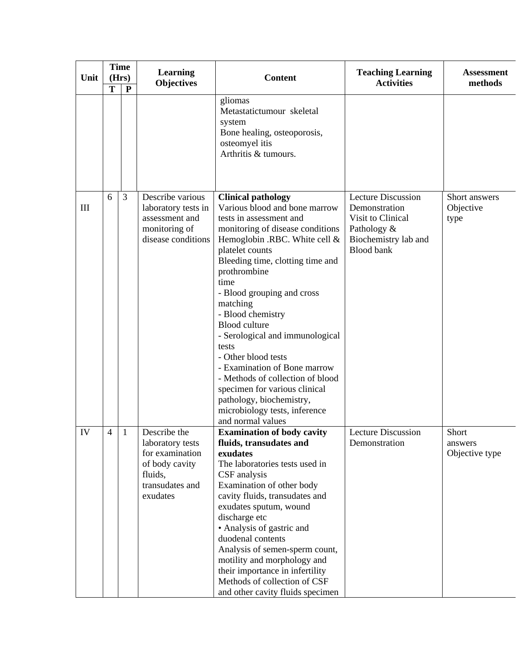| Unit | T | <b>Time</b><br>(Hrs)<br>$\mathbf{P}$ | <b>Learning</b><br><b>Objectives</b>                                                                            | <b>Content</b>                                                                                                                                                                                                                                                                                                                                                                                                                                                                                                                                                                             | <b>Teaching Learning</b><br><b>Activities</b>                                                                        | <b>Assessment</b><br>methods       |
|------|---|--------------------------------------|-----------------------------------------------------------------------------------------------------------------|--------------------------------------------------------------------------------------------------------------------------------------------------------------------------------------------------------------------------------------------------------------------------------------------------------------------------------------------------------------------------------------------------------------------------------------------------------------------------------------------------------------------------------------------------------------------------------------------|----------------------------------------------------------------------------------------------------------------------|------------------------------------|
|      |   |                                      |                                                                                                                 | gliomas<br>Metastatictumour skeletal<br>system<br>Bone healing, osteoporosis,<br>osteomyel itis<br>Arthritis & tumours.                                                                                                                                                                                                                                                                                                                                                                                                                                                                    |                                                                                                                      |                                    |
| III  | 6 | 3                                    | Describe various<br>laboratory tests in<br>assessment and<br>monitoring of<br>disease conditions                | <b>Clinical pathology</b><br>Various blood and bone marrow<br>tests in assessment and<br>monitoring of disease conditions<br>Hemoglobin .RBC. White cell &<br>platelet counts<br>Bleeding time, clotting time and<br>prothrombine<br>time<br>- Blood grouping and cross<br>matching<br>- Blood chemistry<br><b>Blood</b> culture<br>- Serological and immunological<br>tests<br>- Other blood tests<br>- Examination of Bone marrow<br>- Methods of collection of blood<br>specimen for various clinical<br>pathology, biochemistry,<br>microbiology tests, inference<br>and normal values | Lecture Discussion<br>Demonstration<br>Visit to Clinical<br>Pathology &<br>Biochemistry lab and<br><b>Blood bank</b> | Short answers<br>Objective<br>type |
| IV   | 4 | $\mathbf{1}$                         | Describe the<br>laboratory tests<br>for examination<br>of body cavity<br>fluids,<br>transudates and<br>exudates | <b>Examination of body cavity</b><br>fluids, transudates and<br>exudates<br>The laboratories tests used in<br>CSF analysis<br>Examination of other body<br>cavity fluids, transudates and<br>exudates sputum, wound<br>discharge etc<br>• Analysis of gastric and<br>duodenal contents<br>Analysis of semen-sperm count,<br>motility and morphology and<br>their importance in infertility<br>Methods of collection of CSF<br>and other cavity fluids specimen                                                                                                                             | <b>Lecture Discussion</b><br>Demonstration                                                                           | Short<br>answers<br>Objective type |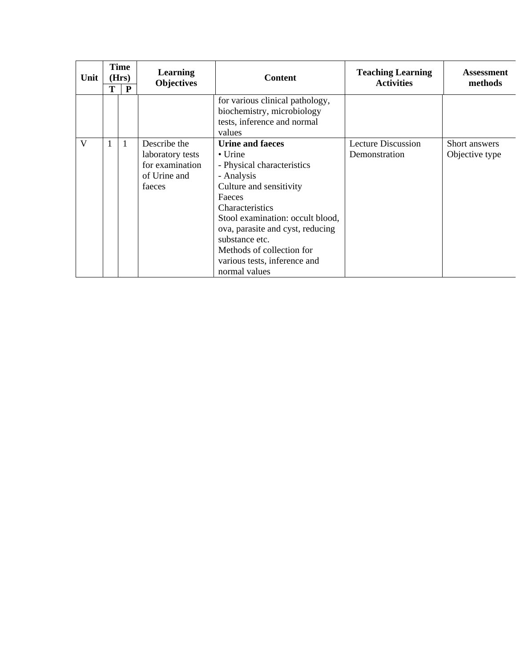| Unit | Т | <b>Time</b><br>(Hrs)<br>P | <b>Learning</b><br><b>Objectives</b>                                          | <b>Content</b>                                                                                                                                                                                                                                                                                                                | <b>Teaching Learning</b><br><b>Activities</b> | <b>Assessment</b><br>methods    |
|------|---|---------------------------|-------------------------------------------------------------------------------|-------------------------------------------------------------------------------------------------------------------------------------------------------------------------------------------------------------------------------------------------------------------------------------------------------------------------------|-----------------------------------------------|---------------------------------|
|      |   |                           |                                                                               | for various clinical pathology,<br>biochemistry, microbiology<br>tests, inference and normal<br>values                                                                                                                                                                                                                        |                                               |                                 |
| V    | 1 | $\mathbf{1}$              | Describe the<br>laboratory tests<br>for examination<br>of Urine and<br>faeces | <b>Urine and faeces</b><br>$\bullet$ Urine<br>- Physical characteristics<br>- Analysis<br>Culture and sensitivity<br>Faeces<br><b>Characteristics</b><br>Stool examination: occult blood,<br>ova, parasite and cyst, reducing<br>substance etc.<br>Methods of collection for<br>various tests, inference and<br>normal values | Lecture Discussion<br>Demonstration           | Short answers<br>Objective type |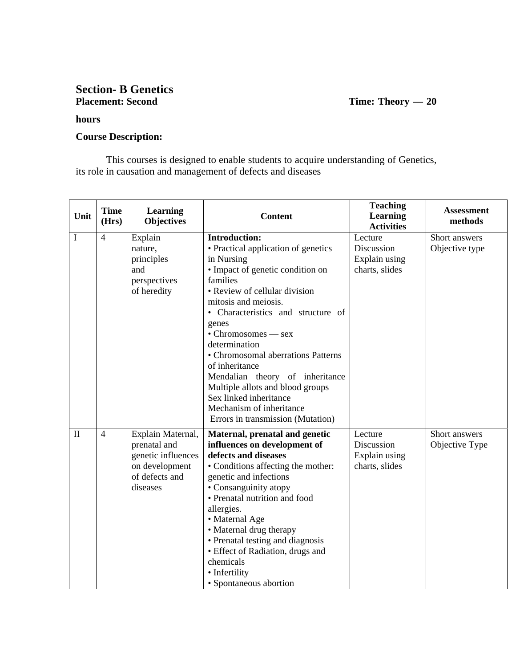#### **Section- B Genetics Placement: Second Time: Theory — 20**

#### **hours**

#### **Course Description:**

This courses is designed to enable students to acquire understanding of Genetics, its role in causation and management of defects and diseases

| Unit         | <b>Time</b><br>(Hrs) | <b>Learning</b><br><b>Objectives</b> | <b>Content</b>                                             | <b>Teaching</b><br><b>Learning</b><br><b>Activities</b> | <b>Assessment</b><br>methods |
|--------------|----------------------|--------------------------------------|------------------------------------------------------------|---------------------------------------------------------|------------------------------|
| I            | $\overline{4}$       | Explain                              | <b>Introduction:</b>                                       | Lecture                                                 | Short answers                |
|              |                      | nature,                              | • Practical application of genetics                        | Discussion                                              | Objective type               |
|              |                      | principles                           | in Nursing                                                 | Explain using                                           |                              |
|              |                      | and                                  | • Impact of genetic condition on                           | charts, slides                                          |                              |
|              |                      | perspectives                         | families                                                   |                                                         |                              |
|              |                      | of heredity                          | • Review of cellular division                              |                                                         |                              |
|              |                      |                                      | mitosis and meiosis.                                       |                                                         |                              |
|              |                      |                                      | • Characteristics and structure of                         |                                                         |                              |
|              |                      |                                      | genes                                                      |                                                         |                              |
|              |                      |                                      | • Chromosomes — sex                                        |                                                         |                              |
|              |                      |                                      | determination                                              |                                                         |                              |
|              |                      |                                      | • Chromosomal aberrations Patterns                         |                                                         |                              |
|              |                      |                                      | of inheritance                                             |                                                         |                              |
|              |                      |                                      | Mendalian theory of inheritance                            |                                                         |                              |
|              |                      |                                      | Multiple allots and blood groups<br>Sex linked inheritance |                                                         |                              |
|              |                      |                                      | Mechanism of inheritance                                   |                                                         |                              |
|              |                      |                                      | Errors in transmission (Mutation)                          |                                                         |                              |
|              |                      |                                      |                                                            |                                                         |                              |
| $\mathbf{I}$ | $\overline{4}$       | Explain Maternal,                    | Maternal, prenatal and genetic                             | Lecture                                                 | Short answers                |
|              |                      | prenatal and                         | influences on development of                               | Discussion                                              | Objective Type               |
|              |                      | genetic influences                   | defects and diseases                                       | Explain using                                           |                              |
|              |                      | on development<br>of defects and     | • Conditions affecting the mother:                         | charts, slides                                          |                              |
|              |                      | diseases                             | genetic and infections<br>• Consanguinity atopy            |                                                         |                              |
|              |                      |                                      | • Prenatal nutrition and food                              |                                                         |                              |
|              |                      |                                      | allergies.                                                 |                                                         |                              |
|              |                      |                                      | • Maternal Age                                             |                                                         |                              |
|              |                      |                                      | • Maternal drug therapy                                    |                                                         |                              |
|              |                      |                                      | • Prenatal testing and diagnosis                           |                                                         |                              |
|              |                      |                                      | • Effect of Radiation, drugs and                           |                                                         |                              |
|              |                      |                                      | chemicals                                                  |                                                         |                              |
|              |                      |                                      | • Infertility                                              |                                                         |                              |
|              |                      |                                      | • Spontaneous abortion                                     |                                                         |                              |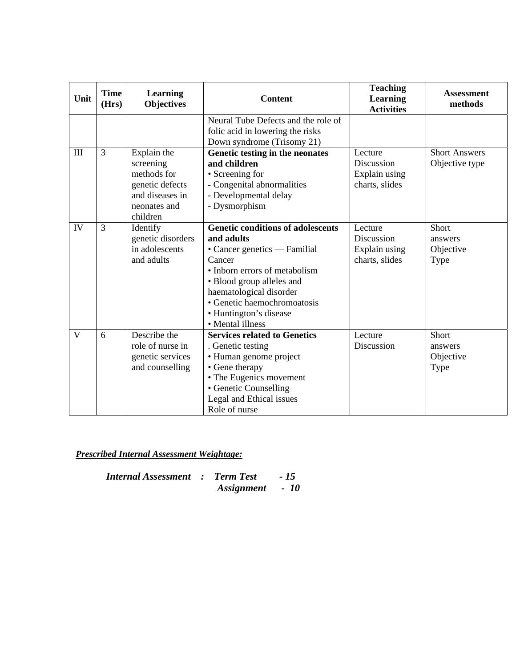| Unit         | <b>Time</b><br>(Hrs) | Learning<br><b>Objectives</b>                                                                             | <b>Content</b>                                                                                                                                                                                                                                                         | <b>Teaching</b><br>Learning<br><b>Activities</b>         | <b>Assessment</b><br>methods           |
|--------------|----------------------|-----------------------------------------------------------------------------------------------------------|------------------------------------------------------------------------------------------------------------------------------------------------------------------------------------------------------------------------------------------------------------------------|----------------------------------------------------------|----------------------------------------|
|              |                      |                                                                                                           | Neural Tube Defects and the role of<br>folic acid in lowering the risks<br>Down syndrome (Trisomy 21)                                                                                                                                                                  |                                                          |                                        |
| III          | $\overline{3}$       | Explain the<br>screening<br>methods for<br>genetic defects<br>and diseases in<br>neonates and<br>children | Genetic testing in the neonates<br>and children<br>• Screening for<br>- Congenital abnormalities<br>- Developmental delay<br>- Dysmorphism                                                                                                                             | Lecture<br>Discussion<br>Explain using<br>charts, slides | <b>Short Answers</b><br>Objective type |
| IV           | 3                    | Identify<br>genetic disorders<br>in adolescents<br>and adults                                             | <b>Genetic conditions of adolescents</b><br>and adults<br>• Cancer genetics — Familial<br>Cancer<br>• Inborn errors of metabolism<br>• Blood group alleles and<br>haematological disorder<br>• Genetic haemochromoatosis<br>• Huntington's disease<br>• Mental illness | Lecture<br>Discussion<br>Explain using<br>charts, slides | Short<br>answers<br>Objective<br>Type  |
| $\mathbf{V}$ | 6                    | Describe the<br>role of nurse in<br>genetic services<br>and counselling                                   | <b>Services related to Genetics</b><br>. Genetic testing<br>• Human genome project<br>• Gene therapy<br>• The Eugenics movement<br>• Genetic Counselling<br>Legal and Ethical issues<br>Role of nurse                                                                  | Lecture<br>Discussion                                    | Short<br>answers<br>Objective<br>Type  |

*Prescribed Internal Assessment Weightage:*

*Internal Assessment : Term Test - 15 Assignment - 10*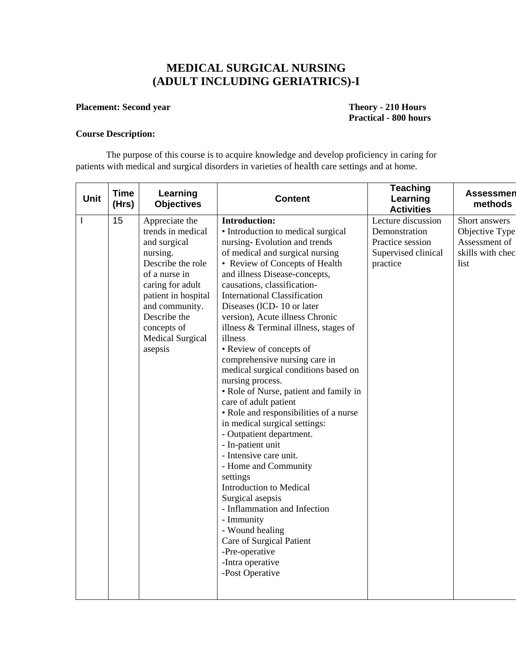# **MEDICAL SURGICAL NURSING (ADULT INCLUDING GERIATRICS)-I**

#### **Placement: Second year Theory - 210 Hours**

# **Practical - 800 hours**

#### **Course Description:**

The purpose of this course is to acquire knowledge and develop proficiency in caring for patients with medical and surgical disorders in varieties of health care settings and at home.

| <b>Unit</b> | <b>Time</b><br>(Hrs) | Learning<br><b>Objectives</b>                                                                                                                                                                                                    | <b>Content</b>                                                                                                                                                                                                                                                                                                                                                                                                                                                                                                                                                                                                                                                                                                                                                                                                                                                                                                                                                                       | <b>Teaching</b><br>Learning<br><b>Activities</b>                                           | <b>Assessmen</b><br>methods                                                  |
|-------------|----------------------|----------------------------------------------------------------------------------------------------------------------------------------------------------------------------------------------------------------------------------|--------------------------------------------------------------------------------------------------------------------------------------------------------------------------------------------------------------------------------------------------------------------------------------------------------------------------------------------------------------------------------------------------------------------------------------------------------------------------------------------------------------------------------------------------------------------------------------------------------------------------------------------------------------------------------------------------------------------------------------------------------------------------------------------------------------------------------------------------------------------------------------------------------------------------------------------------------------------------------------|--------------------------------------------------------------------------------------------|------------------------------------------------------------------------------|
|             | 15                   | Appreciate the<br>trends in medical<br>and surgical<br>nursing.<br>Describe the role<br>of a nurse in<br>caring for adult<br>patient in hospital<br>and community.<br>Describe the<br>concepts of<br>Medical Surgical<br>asepsis | <b>Introduction:</b><br>• Introduction to medical surgical<br>nursing-Evolution and trends<br>of medical and surgical nursing<br>• Review of Concepts of Health<br>and illness Disease-concepts,<br>causations, classification-<br><b>International Classification</b><br>Diseases (ICD-10 or later<br>version), Acute illness Chronic<br>illness & Terminal illness, stages of<br>illness<br>• Review of concepts of<br>comprehensive nursing care in<br>medical surgical conditions based on<br>nursing process.<br>• Role of Nurse, patient and family in<br>care of adult patient<br>• Role and responsibilities of a nurse<br>in medical surgical settings:<br>- Outpatient department.<br>- In-patient unit<br>- Intensive care unit.<br>- Home and Community<br>settings<br>Introduction to Medical<br>Surgical asepsis<br>- Inflammation and Infection<br>- Immunity<br>- Wound healing<br>Care of Surgical Patient<br>-Pre-operative<br>-Intra operative<br>-Post Operative | Lecture discussion<br>Demonstration<br>Practice session<br>Supervised clinical<br>practice | Short answers<br>Objective Type<br>Assessment of<br>skills with chec<br>list |
|             |                      |                                                                                                                                                                                                                                  |                                                                                                                                                                                                                                                                                                                                                                                                                                                                                                                                                                                                                                                                                                                                                                                                                                                                                                                                                                                      |                                                                                            |                                                                              |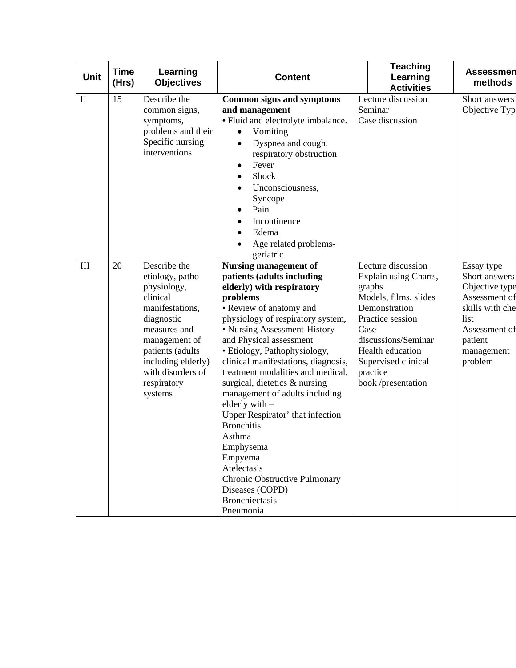| <b>Unit</b>  | <b>Time</b><br>(Hrs) | Learning<br><b>Objectives</b>                                                                                                                                                                                          | <b>Content</b>                                                                                                                                                                                                                                                                                                                                                                                                                                                                                                                                                                                                                      | <b>Teaching</b><br>Learning<br><b>Activities</b>                                                                                                                                                                                | <b>Assessmen</b><br>methods                                                                                                                    |
|--------------|----------------------|------------------------------------------------------------------------------------------------------------------------------------------------------------------------------------------------------------------------|-------------------------------------------------------------------------------------------------------------------------------------------------------------------------------------------------------------------------------------------------------------------------------------------------------------------------------------------------------------------------------------------------------------------------------------------------------------------------------------------------------------------------------------------------------------------------------------------------------------------------------------|---------------------------------------------------------------------------------------------------------------------------------------------------------------------------------------------------------------------------------|------------------------------------------------------------------------------------------------------------------------------------------------|
| $\mathbf{I}$ | 15                   | Describe the<br>common signs,<br>symptoms,<br>problems and their<br>Specific nursing<br>interventions                                                                                                                  | <b>Common signs and symptoms</b><br>and management<br>· Fluid and electrolyte imbalance.<br>Vomiting<br>Dyspnea and cough,<br>$\bullet$<br>respiratory obstruction<br>Fever<br>٠<br>Shock<br>Unconsciousness,<br>Syncope<br>Pain<br>Incontinence<br>Edema<br>Age related problems-<br>geriatric                                                                                                                                                                                                                                                                                                                                     | Lecture discussion<br>Seminar<br>Case discussion                                                                                                                                                                                | Short answers<br>Objective Typ                                                                                                                 |
| $\rm III$    | 20                   | Describe the<br>etiology, patho-<br>physiology,<br>clinical<br>manifestations,<br>diagnostic<br>measures and<br>management of<br>patients (adults<br>including elderly)<br>with disorders of<br>respiratory<br>systems | <b>Nursing management of</b><br>patients (adults including<br>elderly) with respiratory<br>problems<br>• Review of anatomy and<br>physiology of respiratory system,<br>• Nursing Assessment-History<br>and Physical assessment<br>· Etiology, Pathophysiology,<br>clinical manifestations, diagnosis,<br>treatment modalities and medical,<br>surgical, dietetics & nursing<br>management of adults including<br>elderly with -<br>Upper Respirator' that infection<br><b>Bronchitis</b><br>Asthma<br>Emphysema<br>Empyema<br>Atelectasis<br>Chronic Obstructive Pulmonary<br>Diseases (COPD)<br><b>Bronchiectasis</b><br>Pneumonia | Lecture discussion<br>Explain using Charts,<br>graphs<br>Models, films, slides<br>Demonstration<br>Practice session<br>Case<br>discussions/Seminar<br>Health education<br>Supervised clinical<br>practice<br>book /presentation | Essay type<br>Short answers<br>Objective type<br>Assessment of<br>skills with che<br>list<br>Assessment of<br>patient<br>management<br>problem |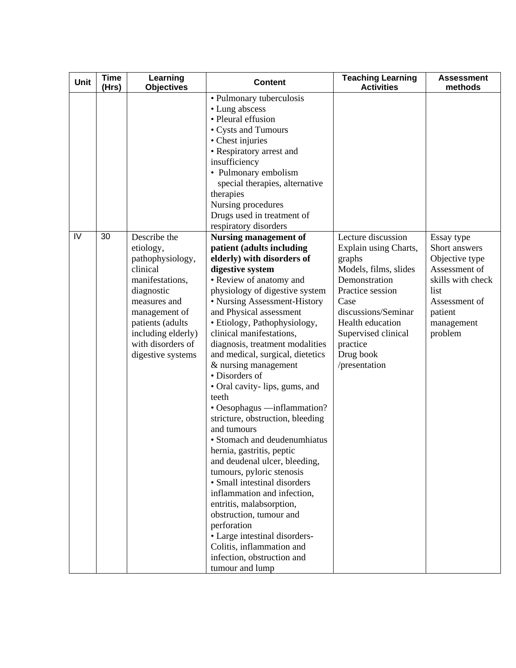| <b>Unit</b> | <b>Time</b><br>(Hrs) | Learning<br><b>Objectives</b>                                                                                                                                                                                   | <b>Content</b>                                                                                                                                                                                                                                                                                                                                                                                                                                                                                                                                                                                                                                                                                                                                                                                                                                                                                                              | <b>Teaching Learning</b><br><b>Activities</b>                                                                                                                                                                                           | <b>Assessment</b><br>methods                                                                                                                     |
|-------------|----------------------|-----------------------------------------------------------------------------------------------------------------------------------------------------------------------------------------------------------------|-----------------------------------------------------------------------------------------------------------------------------------------------------------------------------------------------------------------------------------------------------------------------------------------------------------------------------------------------------------------------------------------------------------------------------------------------------------------------------------------------------------------------------------------------------------------------------------------------------------------------------------------------------------------------------------------------------------------------------------------------------------------------------------------------------------------------------------------------------------------------------------------------------------------------------|-----------------------------------------------------------------------------------------------------------------------------------------------------------------------------------------------------------------------------------------|--------------------------------------------------------------------------------------------------------------------------------------------------|
|             |                      |                                                                                                                                                                                                                 | • Pulmonary tuberculosis<br>• Lung abscess<br>• Pleural effusion<br>• Cysts and Tumours<br>• Chest injuries<br>• Respiratory arrest and<br>insufficiency<br>• Pulmonary embolism<br>special therapies, alternative<br>therapies<br>Nursing procedures<br>Drugs used in treatment of<br>respiratory disorders                                                                                                                                                                                                                                                                                                                                                                                                                                                                                                                                                                                                                |                                                                                                                                                                                                                                         |                                                                                                                                                  |
| IV          | 30                   | Describe the<br>etiology,<br>pathophysiology,<br>clinical<br>manifestations,<br>diagnostic<br>measures and<br>management of<br>patients (adults<br>including elderly)<br>with disorders of<br>digestive systems | <b>Nursing management of</b><br>patient (adults including<br>elderly) with disorders of<br>digestive system<br>• Review of anatomy and<br>physiology of digestive system<br>• Nursing Assessment-History<br>and Physical assessment<br>· Etiology, Pathophysiology,<br>clinical manifestations,<br>diagnosis, treatment modalities<br>and medical, surgical, dietetics<br>& nursing management<br>• Disorders of<br>• Oral cavity-lips, gums, and<br>teeth<br>• Oesophagus —inflammation?<br>stricture, obstruction, bleeding<br>and tumours<br>• Stomach and deudenumhiatus<br>hernia, gastritis, peptic<br>and deudenal ulcer, bleeding,<br>tumours, pyloric stenosis<br>• Small intestinal disorders<br>inflammation and infection,<br>entritis, malabsorption,<br>obstruction, tumour and<br>perforation<br>• Large intestinal disorders-<br>Colitis, inflammation and<br>infection, obstruction and<br>tumour and lump | Lecture discussion<br>Explain using Charts,<br>graphs<br>Models, films, slides<br>Demonstration<br>Practice session<br>Case<br>discussions/Seminar<br>Health education<br>Supervised clinical<br>practice<br>Drug book<br>/presentation | Essay type<br>Short answers<br>Objective type<br>Assessment of<br>skills with check<br>list<br>Assessment of<br>patient<br>management<br>problem |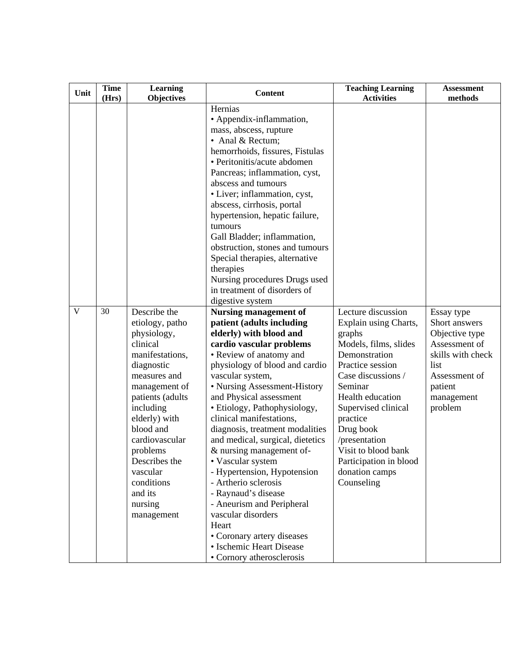| Unit | <b>Time</b><br>(Hrs) | <b>Learning</b><br><b>Objectives</b>                                                                                                                                                                                                                                                                     | <b>Content</b>                                                                                                                                                                                                                                                                                                                                                                                                                                                                                                                                                                                                                                                                    | <b>Teaching Learning</b><br><b>Activities</b>                                                                                                                                                                                                                                                                              | <b>Assessment</b><br>methods                                                                                                                     |
|------|----------------------|----------------------------------------------------------------------------------------------------------------------------------------------------------------------------------------------------------------------------------------------------------------------------------------------------------|-----------------------------------------------------------------------------------------------------------------------------------------------------------------------------------------------------------------------------------------------------------------------------------------------------------------------------------------------------------------------------------------------------------------------------------------------------------------------------------------------------------------------------------------------------------------------------------------------------------------------------------------------------------------------------------|----------------------------------------------------------------------------------------------------------------------------------------------------------------------------------------------------------------------------------------------------------------------------------------------------------------------------|--------------------------------------------------------------------------------------------------------------------------------------------------|
|      |                      |                                                                                                                                                                                                                                                                                                          | Hernias<br>• Appendix-inflammation,<br>mass, abscess, rupture<br>• Anal & Rectum;<br>hemorrhoids, fissures, Fistulas<br>• Peritonitis/acute abdomen<br>Pancreas; inflammation, cyst,<br>abscess and tumours<br>· Liver; inflammation, cyst,<br>abscess, cirrhosis, portal<br>hypertension, hepatic failure,<br>tumours<br>Gall Bladder; inflammation,<br>obstruction, stones and tumours<br>Special therapies, alternative<br>therapies<br>Nursing procedures Drugs used<br>in treatment of disorders of<br>digestive system                                                                                                                                                      |                                                                                                                                                                                                                                                                                                                            |                                                                                                                                                  |
| V    | 30                   | Describe the<br>etiology, patho<br>physiology,<br>clinical<br>manifestations,<br>diagnostic<br>measures and<br>management of<br>patients (adults<br>including<br>elderly) with<br>blood and<br>cardiovascular<br>problems<br>Describes the<br>vascular<br>conditions<br>and its<br>nursing<br>management | <b>Nursing management of</b><br>patient (adults including<br>elderly) with blood and<br>cardio vascular problems<br>• Review of anatomy and<br>physiology of blood and cardio<br>vascular system,<br>• Nursing Assessment-History<br>and Physical assessment<br>· Etiology, Pathophysiology,<br>clinical manifestations,<br>diagnosis, treatment modalities<br>and medical, surgical, dietetics<br>& nursing management of-<br>• Vascular system<br>- Hypertension, Hypotension<br>- Artherio sclerosis<br>- Raynaud's disease<br>- Aneurism and Peripheral<br>vascular disorders<br>Heart<br>• Coronary artery diseases<br>• Ischemic Heart Disease<br>• Cornory atherosclerosis | Lecture discussion<br>Explain using Charts,<br>graphs<br>Models, films, slides<br>Demonstration<br>Practice session<br>Case discussions /<br>Seminar<br>Health education<br>Supervised clinical<br>practice<br>Drug book<br>/presentation<br>Visit to blood bank<br>Participation in blood<br>donation camps<br>Counseling | Essay type<br>Short answers<br>Objective type<br>Assessment of<br>skills with check<br>list<br>Assessment of<br>patient<br>management<br>problem |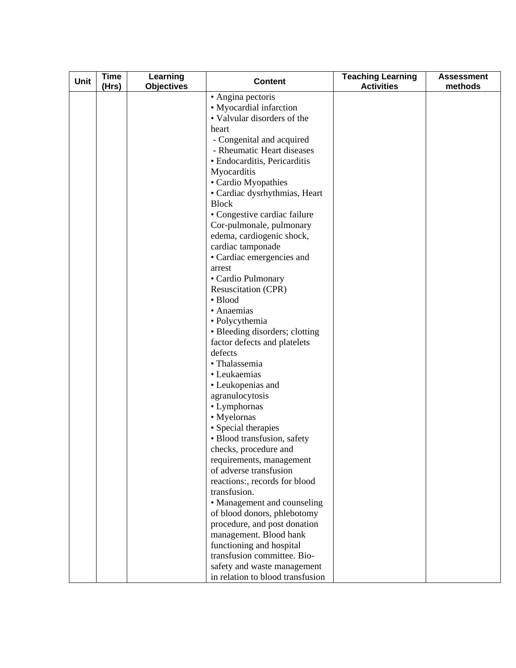| Unit | <b>Time</b><br>(Hrs) | Learning<br><b>Objectives</b> | <b>Content</b>                                             | <b>Teaching Learning</b><br><b>Activities</b> | <b>Assessment</b><br>methods |
|------|----------------------|-------------------------------|------------------------------------------------------------|-----------------------------------------------|------------------------------|
|      |                      |                               | • Angina pectoris                                          |                                               |                              |
|      |                      |                               | • Myocardial infarction                                    |                                               |                              |
|      |                      |                               | • Valvular disorders of the                                |                                               |                              |
|      |                      |                               | heart                                                      |                                               |                              |
|      |                      |                               | - Congenital and acquired                                  |                                               |                              |
|      |                      |                               | - Rheumatic Heart diseases                                 |                                               |                              |
|      |                      |                               | • Endocarditis, Pericarditis                               |                                               |                              |
|      |                      |                               | Myocarditis                                                |                                               |                              |
|      |                      |                               | • Cardio Myopathies                                        |                                               |                              |
|      |                      |                               | • Cardiac dysrhythmias, Heart                              |                                               |                              |
|      |                      |                               | <b>Block</b>                                               |                                               |                              |
|      |                      |                               | • Congestive cardiac failure                               |                                               |                              |
|      |                      |                               | Cor-pulmonale, pulmonary<br>edema, cardiogenic shock,      |                                               |                              |
|      |                      |                               | cardiac tamponade                                          |                                               |                              |
|      |                      |                               | • Cardiac emergencies and                                  |                                               |                              |
|      |                      |                               | arrest                                                     |                                               |                              |
|      |                      |                               | • Cardio Pulmonary                                         |                                               |                              |
|      |                      |                               | Resuscitation (CPR)                                        |                                               |                              |
|      |                      |                               | · Blood                                                    |                                               |                              |
|      |                      |                               | • Anaemias                                                 |                                               |                              |
|      |                      |                               | · Polycythemia                                             |                                               |                              |
|      |                      |                               | • Bleeding disorders; clotting                             |                                               |                              |
|      |                      |                               | factor defects and platelets                               |                                               |                              |
|      |                      |                               | defects                                                    |                                               |                              |
|      |                      |                               | · Thalassemia                                              |                                               |                              |
|      |                      |                               | • Leukaemias                                               |                                               |                              |
|      |                      |                               | • Leukopenias and                                          |                                               |                              |
|      |                      |                               | agranulocytosis                                            |                                               |                              |
|      |                      |                               | • Lymphornas                                               |                                               |                              |
|      |                      |                               | • Myelornas                                                |                                               |                              |
|      |                      |                               | • Special therapies                                        |                                               |                              |
|      |                      |                               | · Blood transfusion, safety                                |                                               |                              |
|      |                      |                               | checks, procedure and                                      |                                               |                              |
|      |                      |                               | requirements, management                                   |                                               |                              |
|      |                      |                               | of adverse transfusion                                     |                                               |                              |
|      |                      |                               | reactions:, records for blood                              |                                               |                              |
|      |                      |                               | transfusion.                                               |                                               |                              |
|      |                      |                               | • Management and counseling<br>of blood donors, phlebotomy |                                               |                              |
|      |                      |                               | procedure, and post donation                               |                                               |                              |
|      |                      |                               | management. Blood hank                                     |                                               |                              |
|      |                      |                               | functioning and hospital                                   |                                               |                              |
|      |                      |                               | transfusion committee. Bio-                                |                                               |                              |
|      |                      |                               | safety and waste management                                |                                               |                              |
|      |                      |                               | in relation to blood transfusion                           |                                               |                              |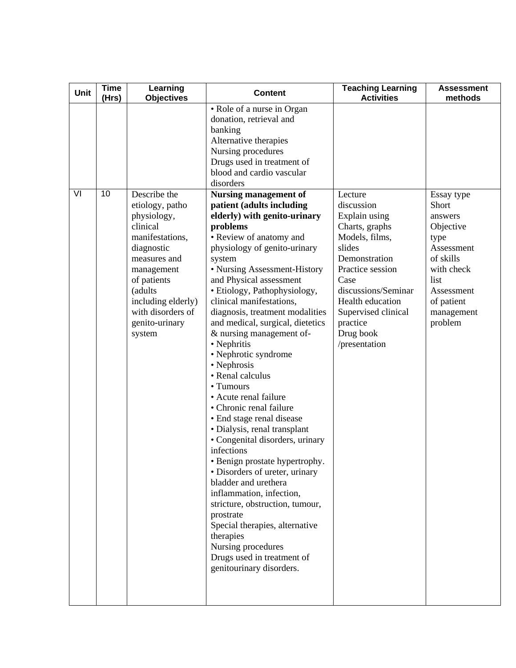| Unit | <b>Time</b><br>(Hrs) | Learning<br><b>Objectives</b>                                                                                                                                                                              | <b>Content</b>                                                                                                                                                                                                                                                                                                                                                                                                                                                                                                                                                                                                                                                                                                                                                                                                                                                                                                                       | <b>Teaching Learning</b><br><b>Activities</b>                                                                                                                                                                                      | <b>Assessment</b><br>methods                                                                                                                |
|------|----------------------|------------------------------------------------------------------------------------------------------------------------------------------------------------------------------------------------------------|--------------------------------------------------------------------------------------------------------------------------------------------------------------------------------------------------------------------------------------------------------------------------------------------------------------------------------------------------------------------------------------------------------------------------------------------------------------------------------------------------------------------------------------------------------------------------------------------------------------------------------------------------------------------------------------------------------------------------------------------------------------------------------------------------------------------------------------------------------------------------------------------------------------------------------------|------------------------------------------------------------------------------------------------------------------------------------------------------------------------------------------------------------------------------------|---------------------------------------------------------------------------------------------------------------------------------------------|
| VI   | 10                   | Describe the                                                                                                                                                                                               | • Role of a nurse in Organ<br>donation, retrieval and<br>banking<br>Alternative therapies<br>Nursing procedures<br>Drugs used in treatment of<br>blood and cardio vascular<br>disorders<br><b>Nursing management of</b>                                                                                                                                                                                                                                                                                                                                                                                                                                                                                                                                                                                                                                                                                                              | Lecture                                                                                                                                                                                                                            | Essay type                                                                                                                                  |
|      |                      | etiology, patho<br>physiology,<br>clinical<br>manifestations,<br>diagnostic<br>measures and<br>management<br>of patients<br>(adults<br>including elderly)<br>with disorders of<br>genito-urinary<br>system | patient (adults including<br>elderly) with genito-urinary<br>problems<br>• Review of anatomy and<br>physiology of genito-urinary<br>system<br>• Nursing Assessment-History<br>and Physical assessment<br>· Etiology, Pathophysiology,<br>clinical manifestations,<br>diagnosis, treatment modalities<br>and medical, surgical, dietetics<br>& nursing management of-<br>• Nephritis<br>· Nephrotic syndrome<br>• Nephrosis<br>• Renal calculus<br>• Tumours<br>• Acute renal failure<br>• Chronic renal failure<br>• End stage renal disease<br>• Dialysis, renal transplant<br>• Congenital disorders, urinary<br>infections<br>· Benign prostate hypertrophy.<br>• Disorders of ureter, urinary<br>bladder and urethera<br>inflammation, infection,<br>stricture, obstruction, tumour,<br>prostrate<br>Special therapies, alternative<br>therapies<br>Nursing procedures<br>Drugs used in treatment of<br>genitourinary disorders. | discussion<br>Explain using<br>Charts, graphs<br>Models, films,<br>slides<br>Demonstration<br>Practice session<br>Case<br>discussions/Seminar<br>Health education<br>Supervised clinical<br>practice<br>Drug book<br>/presentation | Short<br>answers<br>Objective<br>type<br>Assessment<br>of skills<br>with check<br>list<br>Assessment<br>of patient<br>management<br>problem |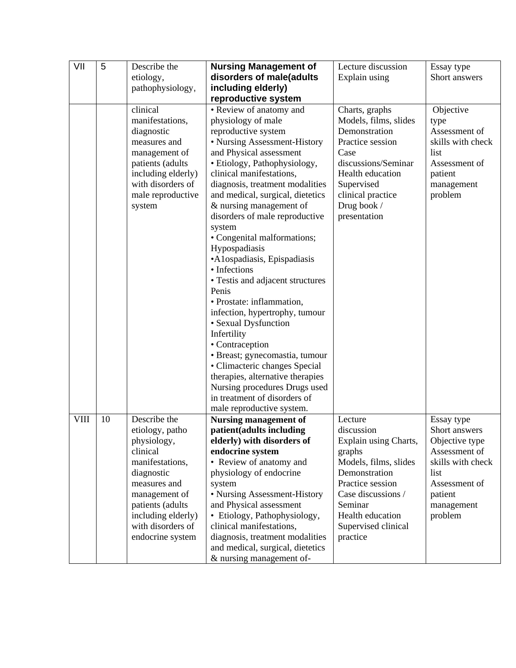| VII         | 5  | Describe the<br>etiology,<br>pathophysiology,                                                                                                                                                                   | <b>Nursing Management of</b><br>disorders of male(adults<br>including elderly)                                                                                                                                                                                                                                                                                                                                                                                                                                                                                                                                                                                                                                                                                                                                | Lecture discussion<br>Explain using                                                                                                                                                                            | Essay type<br>Short answers                                                                                                                      |
|-------------|----|-----------------------------------------------------------------------------------------------------------------------------------------------------------------------------------------------------------------|---------------------------------------------------------------------------------------------------------------------------------------------------------------------------------------------------------------------------------------------------------------------------------------------------------------------------------------------------------------------------------------------------------------------------------------------------------------------------------------------------------------------------------------------------------------------------------------------------------------------------------------------------------------------------------------------------------------------------------------------------------------------------------------------------------------|----------------------------------------------------------------------------------------------------------------------------------------------------------------------------------------------------------------|--------------------------------------------------------------------------------------------------------------------------------------------------|
|             |    | clinical<br>manifestations,<br>diagnostic<br>measures and<br>management of<br>patients (adults<br>including elderly)<br>with disorders of<br>male reproductive<br>system                                        | reproductive system<br>• Review of anatomy and<br>physiology of male<br>reproductive system<br>• Nursing Assessment-History<br>and Physical assessment<br>· Etiology, Pathophysiology,<br>clinical manifestations,<br>diagnosis, treatment modalities<br>and medical, surgical, dietetics<br>& nursing management of<br>disorders of male reproductive<br>system<br>• Congenital malformations;<br>Hypospadiasis<br>•A1ospadiasis, Epispadiasis<br>• Infections<br>• Testis and adjacent structures<br>Penis<br>• Prostate: inflammation,<br>infection, hypertrophy, tumour<br>• Sexual Dysfunction<br>Infertility<br>• Contraception<br>· Breast; gynecomastia, tumour<br>• Climacteric changes Special<br>therapies, alternative therapies<br>Nursing procedures Drugs used<br>in treatment of disorders of | Charts, graphs<br>Models, films, slides<br>Demonstration<br>Practice session<br>Case<br>discussions/Seminar<br>Health education<br>Supervised<br>clinical practice<br>Drug book /<br>presentation              | Objective<br>type<br>Assessment of<br>skills with check<br>list<br>Assessment of<br>patient<br>management<br>problem                             |
| <b>VIII</b> | 10 | Describe the<br>etiology, patho<br>physiology,<br>clinical<br>manifestations,<br>diagnostic<br>measures and<br>management of<br>patients (adults<br>including elderly)<br>with disorders of<br>endocrine system | male reproductive system.<br><b>Nursing management of</b><br>patient(adults including<br>elderly) with disorders of<br>endocrine system<br>• Review of anatomy and<br>physiology of endocrine<br>system<br>• Nursing Assessment-History<br>and Physical assessment<br>• Etiology, Pathophysiology,<br>clinical manifestations,<br>diagnosis, treatment modalities<br>and medical, surgical, dietetics<br>& nursing management of-                                                                                                                                                                                                                                                                                                                                                                             | Lecture<br>discussion<br>Explain using Charts,<br>graphs<br>Models, films, slides<br>Demonstration<br>Practice session<br>Case discussions /<br>Seminar<br>Health education<br>Supervised clinical<br>practice | Essay type<br>Short answers<br>Objective type<br>Assessment of<br>skills with check<br>list<br>Assessment of<br>patient<br>management<br>problem |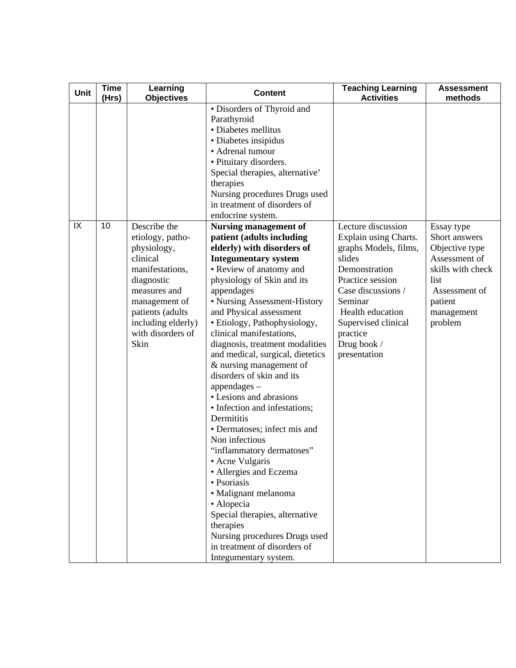| Unit | <b>Time</b><br>(Hrs) | Learning<br><b>Objectives</b>                                                                                                                                                                        | <b>Content</b>                                                                                                                                                                                                                                                                                                                                                                                                                                                                                                                                                                                                                                                                                                                                                                                                                                                        | <b>Teaching Learning</b><br><b>Activities</b>                                                                                                                                                                                              | <b>Assessment</b><br>methods                                                                                                                     |
|------|----------------------|------------------------------------------------------------------------------------------------------------------------------------------------------------------------------------------------------|-----------------------------------------------------------------------------------------------------------------------------------------------------------------------------------------------------------------------------------------------------------------------------------------------------------------------------------------------------------------------------------------------------------------------------------------------------------------------------------------------------------------------------------------------------------------------------------------------------------------------------------------------------------------------------------------------------------------------------------------------------------------------------------------------------------------------------------------------------------------------|--------------------------------------------------------------------------------------------------------------------------------------------------------------------------------------------------------------------------------------------|--------------------------------------------------------------------------------------------------------------------------------------------------|
|      |                      |                                                                                                                                                                                                      | · Disorders of Thyroid and<br>Parathyroid<br>• Diabetes mellitus<br>· Diabetes insipidus<br>• Adrenal tumour<br>· Pituitary disorders.<br>Special therapies, alternative'<br>therapies<br>Nursing procedures Drugs used<br>in treatment of disorders of<br>endocrine system.                                                                                                                                                                                                                                                                                                                                                                                                                                                                                                                                                                                          |                                                                                                                                                                                                                                            |                                                                                                                                                  |
| IX   | 10                   | Describe the<br>etiology, patho-<br>physiology,<br>clinical<br>manifestations,<br>diagnostic<br>measures and<br>management of<br>patients (adults<br>including elderly)<br>with disorders of<br>Skin | <b>Nursing management of</b><br>patient (adults including<br>elderly) with disorders of<br><b>Integumentary system</b><br>• Review of anatomy and<br>physiology of Skin and its<br>appendages<br>• Nursing Assessment-History<br>and Physical assessment<br>• Etiology, Pathophysiology,<br>clinical manifestations,<br>diagnosis, treatment modalities<br>and medical, surgical, dietetics<br>& nursing management of<br>disorders of skin and its<br>$appro{a}$<br>• Lesions and abrasions<br>• Infection and infestations;<br>Dermititis<br>· Dermatoses; infect mis and<br>Non infectious<br>"inflammatory dermatoses"<br>• Acne Vulgaris<br>· Allergies and Eczema<br>• Psoriasis<br>• Malignant melanoma<br>· Alopecia<br>Special therapies, alternative<br>therapies<br>Nursing procedures Drugs used<br>in treatment of disorders of<br>Integumentary system. | Lecture discussion<br>Explain using Charts.<br>graphs Models, films,<br>slides<br>Demonstration<br>Practice session<br>Case discussions /<br>Seminar<br>Health education<br>Supervised clinical<br>practice<br>Drug book /<br>presentation | Essay type<br>Short answers<br>Objective type<br>Assessment of<br>skills with check<br>list<br>Assessment of<br>patient<br>management<br>problem |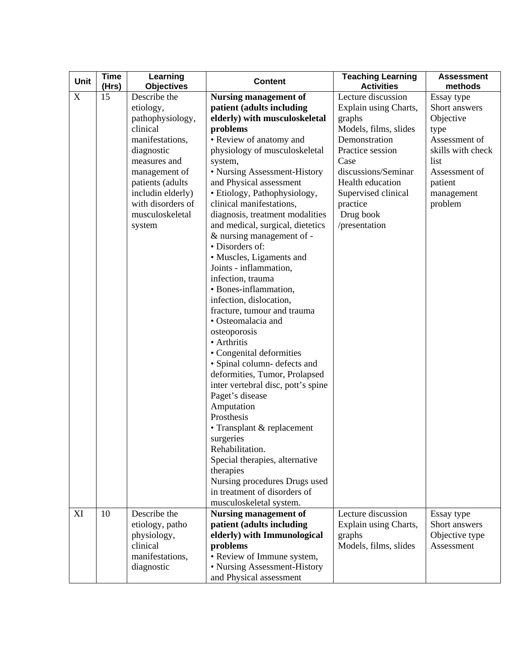| <b>Unit</b> | <b>Time</b><br>(Hrs) | Learning<br><b>Objectives</b>                                                                                                                                                                                          | <b>Content</b>                                                                                                                                                                                                                                                                                                                                                                                                                                                                                                                                                                                                                                                                                                                                                                                                                                                                                                                                                                 | <b>Teaching Learning</b><br><b>Activities</b>                                                                                                                                                                                           | <b>Assessment</b><br>methods                                                                                                                        |
|-------------|----------------------|------------------------------------------------------------------------------------------------------------------------------------------------------------------------------------------------------------------------|--------------------------------------------------------------------------------------------------------------------------------------------------------------------------------------------------------------------------------------------------------------------------------------------------------------------------------------------------------------------------------------------------------------------------------------------------------------------------------------------------------------------------------------------------------------------------------------------------------------------------------------------------------------------------------------------------------------------------------------------------------------------------------------------------------------------------------------------------------------------------------------------------------------------------------------------------------------------------------|-----------------------------------------------------------------------------------------------------------------------------------------------------------------------------------------------------------------------------------------|-----------------------------------------------------------------------------------------------------------------------------------------------------|
| $\mathbf X$ | 15                   | Describe the<br>etiology,<br>pathophysiology,<br>clinical<br>manifestations,<br>diagnostic<br>measures and<br>management of<br>patients (adults<br>includin elderly)<br>with disorders of<br>musculoskeletal<br>system | <b>Nursing management of</b><br>patient (adults including<br>elderly) with musculoskeletal<br>problems<br>• Review of anatomy and<br>physiology of musculoskeletal<br>system,<br>• Nursing Assessment-History<br>and Physical assessment<br>• Etiology, Pathophysiology,<br>clinical manifestations,<br>diagnosis, treatment modalities<br>and medical, surgical, dietetics<br>& nursing management of -<br>· Disorders of:<br>• Muscles, Ligaments and<br>Joints - inflammation,<br>infection, trauma<br>• Bones-inflammation,<br>infection, dislocation,<br>fracture, tumour and trauma<br>• Osteomalacia and<br>osteoporosis<br>• Arthritis<br>• Congenital deformities<br>· Spinal column- defects and<br>deformities, Tumor, Prolapsed<br>inter vertebral disc, pott's spine<br>Paget's disease<br>Amputation<br>Prosthesis<br>• Transplant & replacement<br>surgeries<br>Rehabilitation.<br>Special therapies, alternative<br>therapies<br>Nursing procedures Drugs used | Lecture discussion<br>Explain using Charts,<br>graphs<br>Models, films, slides<br>Demonstration<br>Practice session<br>Case<br>discussions/Seminar<br>Health education<br>Supervised clinical<br>practice<br>Drug book<br>/presentation | Essay type<br>Short answers<br>Objective<br>type<br>Assessment of<br>skills with check<br>list<br>Assessment of<br>patient<br>management<br>problem |
|             |                      |                                                                                                                                                                                                                        | in treatment of disorders of<br>musculoskeletal system.                                                                                                                                                                                                                                                                                                                                                                                                                                                                                                                                                                                                                                                                                                                                                                                                                                                                                                                        |                                                                                                                                                                                                                                         |                                                                                                                                                     |
| XI          | 10                   | Describe the<br>etiology, patho<br>physiology,<br>clinical<br>manifestations,<br>diagnostic                                                                                                                            | <b>Nursing management of</b><br>patient (adults including<br>elderly) with Immunological<br>problems<br>· Review of Immune system,<br>• Nursing Assessment-History<br>and Physical assessment                                                                                                                                                                                                                                                                                                                                                                                                                                                                                                                                                                                                                                                                                                                                                                                  | Lecture discussion<br>Explain using Charts,<br>graphs<br>Models, films, slides                                                                                                                                                          | Essay type<br>Short answers<br>Objective type<br>Assessment                                                                                         |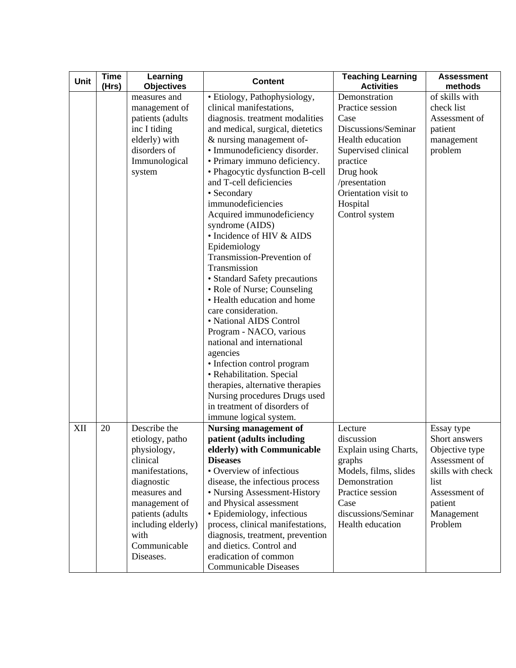| Unit | <b>Time</b><br>(Hrs) | Learning<br><b>Objectives</b>                                                                                                                                                                               | <b>Content</b>                                                                                                                                                                                                                                                                                                                                                                                                                                                                                                                                                                                                                                                                                                                                                                                                                                                                             | <b>Teaching Learning</b><br><b>Activities</b>                                                                                                                                                               | <b>Assessment</b><br>methods                                                                                                                     |
|------|----------------------|-------------------------------------------------------------------------------------------------------------------------------------------------------------------------------------------------------------|--------------------------------------------------------------------------------------------------------------------------------------------------------------------------------------------------------------------------------------------------------------------------------------------------------------------------------------------------------------------------------------------------------------------------------------------------------------------------------------------------------------------------------------------------------------------------------------------------------------------------------------------------------------------------------------------------------------------------------------------------------------------------------------------------------------------------------------------------------------------------------------------|-------------------------------------------------------------------------------------------------------------------------------------------------------------------------------------------------------------|--------------------------------------------------------------------------------------------------------------------------------------------------|
|      |                      | measures and<br>management of<br>patients (adults<br>inc I tiding<br>elderly) with<br>disorders of<br>Immunological<br>system                                                                               | · Etiology, Pathophysiology,<br>clinical manifestations,<br>diagnosis. treatment modalities<br>and medical, surgical, dietetics<br>& nursing management of-<br>· Immunodeficiency disorder.<br>· Primary immuno deficiency.<br>• Phagocytic dysfunction B-cell<br>and T-cell deficiencies<br>• Secondary<br>immunodeficiencies<br>Acquired immunodeficiency<br>syndrome (AIDS)<br>• Incidence of HIV & AIDS<br>Epidemiology<br>Transmission-Prevention of<br>Transmission<br>· Standard Safety precautions<br>• Role of Nurse; Counseling<br>• Health education and home<br>care consideration.<br>• National AIDS Control<br>Program - NACO, various<br>national and international<br>agencies<br>• Infection control program<br>• Rehabilitation. Special<br>therapies, alternative therapies<br>Nursing procedures Drugs used<br>in treatment of disorders of<br>immune logical system. | Demonstration<br>Practice session<br>Case<br>Discussions/Seminar<br>Health education<br>Supervised clinical<br>practice<br>Drug hook<br>/presentation<br>Orientation visit to<br>Hospital<br>Control system | of skills with<br>check list<br>Assessment of<br>patient<br>management<br>problem                                                                |
| XII  | 20                   | Describe the<br>etiology, patho<br>physiology,<br>clinical<br>manifestations,<br>diagnostic<br>measures and<br>management of<br>patients (adults<br>including elderly)<br>with<br>Communicable<br>Diseases. | <b>Nursing management of</b><br>patient (adults including<br>elderly) with Communicable<br><b>Diseases</b><br>• Overview of infectious<br>disease, the infectious process<br>• Nursing Assessment-History<br>and Physical assessment<br>· Epidemiology, infectious<br>process, clinical manifestations,<br>diagnosis, treatment, prevention<br>and dietics. Control and<br>eradication of common<br><b>Communicable Diseases</b>                                                                                                                                                                                                                                                                                                                                                                                                                                                           | Lecture<br>discussion<br>Explain using Charts,<br>graphs<br>Models, films, slides<br>Demonstration<br>Practice session<br>Case<br>discussions/Seminar<br>Health education                                   | Essay type<br>Short answers<br>Objective type<br>Assessment of<br>skills with check<br>list<br>Assessment of<br>patient<br>Management<br>Problem |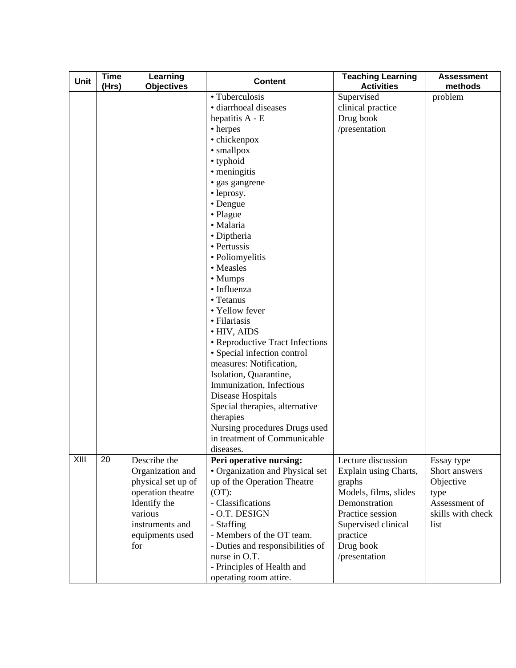| Unit | <b>Time</b><br>(Hrs) | Learning<br><b>Objectives</b>                                                                                                                       | <b>Content</b>                                                                                                                                                                                                                                                                                                                                                                                                                                                                                                                                                                                                       | <b>Teaching Learning</b><br><b>Activities</b>                                                                                                                                        | <b>Assessment</b><br>methods                                                                   |
|------|----------------------|-----------------------------------------------------------------------------------------------------------------------------------------------------|----------------------------------------------------------------------------------------------------------------------------------------------------------------------------------------------------------------------------------------------------------------------------------------------------------------------------------------------------------------------------------------------------------------------------------------------------------------------------------------------------------------------------------------------------------------------------------------------------------------------|--------------------------------------------------------------------------------------------------------------------------------------------------------------------------------------|------------------------------------------------------------------------------------------------|
|      |                      |                                                                                                                                                     | • Tuberculosis<br>· diarrhoeal diseases<br>hepatitis A - E<br>• herpes<br>• chickenpox<br>• smallpox<br>• typhoid<br>• meningitis<br>· gas gangrene<br>• leprosy.<br>• Dengue<br>• Plague<br>· Malaria<br>• Diptheria<br>• Pertussis<br>• Poliomyelitis<br>• Measles<br>• Mumps<br>• Influenza<br>• Tetanus<br>• Yellow fever<br>· Filariasis<br>• HIV, AIDS<br>• Reproductive Tract Infections<br>· Special infection control<br>measures: Notification,<br>Isolation, Quarantine,<br>Immunization, Infectious<br>Disease Hospitals<br>Special therapies, alternative<br>therapies<br>Nursing procedures Drugs used | Supervised<br>clinical practice<br>Drug book<br>/presentation                                                                                                                        | problem                                                                                        |
|      |                      |                                                                                                                                                     | in treatment of Communicable<br>diseases.                                                                                                                                                                                                                                                                                                                                                                                                                                                                                                                                                                            |                                                                                                                                                                                      |                                                                                                |
| XIII | 20                   | Describe the<br>Organization and<br>physical set up of<br>operation theatre<br>Identify the<br>various<br>instruments and<br>equipments used<br>for | Peri operative nursing:<br>• Organization and Physical set<br>up of the Operation Theatre<br>$(OT)$ :<br>- Classifications<br>- O.T. DESIGN<br>- Staffing<br>- Members of the OT team.<br>- Duties and responsibilities of<br>nurse in O.T.<br>- Principles of Health and<br>operating room attire.                                                                                                                                                                                                                                                                                                                  | Lecture discussion<br>Explain using Charts,<br>graphs<br>Models, films, slides<br>Demonstration<br>Practice session<br>Supervised clinical<br>practice<br>Drug book<br>/presentation | Essay type<br>Short answers<br>Objective<br>type<br>Assessment of<br>skills with check<br>list |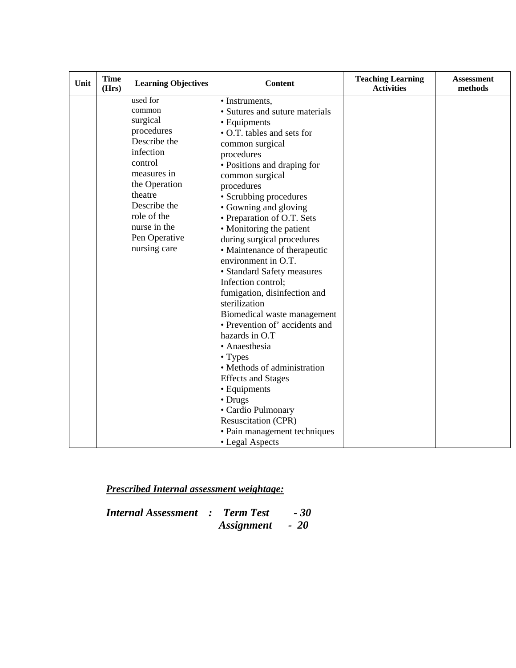| Unit | <b>Time</b><br>(Hrs) | <b>Learning Objectives</b>                                                                                                                                                                                      | <b>Content</b>                                                                                                                                                                                                                                                                                                                                                                                                                                                                                                                                                                                                                                                                                                                                                                            | <b>Teaching Learning</b><br><b>Activities</b> | <b>Assessment</b><br>methods |
|------|----------------------|-----------------------------------------------------------------------------------------------------------------------------------------------------------------------------------------------------------------|-------------------------------------------------------------------------------------------------------------------------------------------------------------------------------------------------------------------------------------------------------------------------------------------------------------------------------------------------------------------------------------------------------------------------------------------------------------------------------------------------------------------------------------------------------------------------------------------------------------------------------------------------------------------------------------------------------------------------------------------------------------------------------------------|-----------------------------------------------|------------------------------|
|      |                      | used for<br>common<br>surgical<br>procedures<br>Describe the<br>infection<br>control<br>measures in<br>the Operation<br>theatre<br>Describe the<br>role of the<br>nurse in the<br>Pen Operative<br>nursing care | • Instruments,<br>• Sutures and suture materials<br>• Equipments<br>• O.T. tables and sets for<br>common surgical<br>procedures<br>• Positions and draping for<br>common surgical<br>procedures<br>• Scrubbing procedures<br>• Gowning and gloving<br>• Preparation of O.T. Sets<br>• Monitoring the patient<br>during surgical procedures<br>• Maintenance of therapeutic<br>environment in O.T.<br>• Standard Safety measures<br>Infection control;<br>fumigation, disinfection and<br>sterilization<br>Biomedical waste management<br>· Prevention of' accidents and<br>hazards in O.T<br>• Anaesthesia<br>• Types<br>• Methods of administration<br><b>Effects and Stages</b><br>• Equipments<br>• Drugs<br>• Cardio Pulmonary<br>Resuscitation (CPR)<br>• Pain management techniques |                                               |                              |
|      |                      |                                                                                                                                                                                                                 | • Legal Aspects                                                                                                                                                                                                                                                                                                                                                                                                                                                                                                                                                                                                                                                                                                                                                                           |                                               |                              |

*Prescribed Internal assessment weightage:*

| <b>Internal Assessment : Term Test</b> |                 | $-30^{\circ}$ |
|----------------------------------------|-----------------|---------------|
|                                        | Assignment - 20 |               |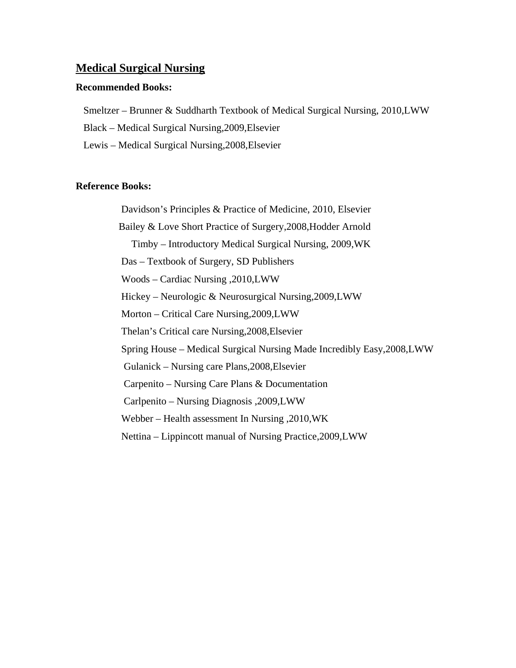#### **Medical Surgical Nursing**

#### **Recommended Books:**

Smeltzer – Brunner & Suddharth Textbook of Medical Surgical Nursing, 2010,LWW

Black – Medical Surgical Nursing,2009,Elsevier

Lewis – Medical Surgical Nursing,2008,Elsevier

#### **Reference Books:**

Davidson's Principles & Practice of Medicine, 2010, Elsevier Bailey & Love Short Practice of Surgery,2008,Hodder Arnold Timby – Introductory Medical Surgical Nursing, 2009,WK Das – Textbook of Surgery, SD Publishers Woods – Cardiac Nursing ,2010,LWW Hickey – Neurologic & Neurosurgical Nursing,2009,LWW Morton – Critical Care Nursing,2009,LWW Thelan's Critical care Nursing,2008,Elsevier Spring House – Medical Surgical Nursing Made Incredibly Easy,2008,LWW Gulanick – Nursing care Plans,2008,Elsevier Carpenito – Nursing Care Plans & Documentation Carlpenito – Nursing Diagnosis ,2009,LWW Webber – Health assessment In Nursing ,2010,WK Nettina – Lippincott manual of Nursing Practice,2009,LWW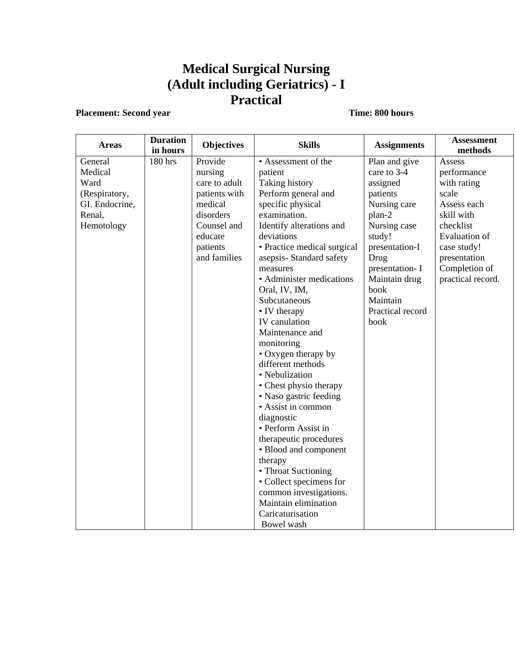# **Medical Surgical Nursing (Adult including Geriatrics) - I Practical**

### **Placement: Second year** Time: 800 hours

| <b>Areas</b>   | <b>Duration</b><br>in hours | <b>Objectives</b> | <b>Skills</b>               | <b>Assignments</b> | <b>Assessment</b><br>methods |
|----------------|-----------------------------|-------------------|-----------------------------|--------------------|------------------------------|
| General        | 180 hrs                     | Provide           | • Assessment of the         | Plan and give      | Assess                       |
| Medical        |                             | nursing           | patient                     | care to 3-4        | performance                  |
| Ward           |                             | care to adult     | <b>Taking history</b>       | assigned           | with rating                  |
| (Respiratory,  |                             | patients with     | Perform general and         | patients           | scale                        |
| GI. Endocrine, |                             | medical           | specific physical           | Nursing care       | Assess each                  |
| Renal,         |                             | disorders         | examination.                | plan-2             | skill with                   |
| Hemotology     |                             | Counsel and       | Identify alterations and    | Nursing case       | checklist                    |
|                |                             | educate           | deviations                  | study!             | <b>Evaluation</b> of         |
|                |                             | patients          | • Practice medical surgical | presentation-I     | case study!                  |
|                |                             | and families      | asepsis-Standard safety     | Drug               | presentation                 |
|                |                             |                   | measures                    | presentation- I    | Completion of                |
|                |                             |                   | • Administer medications    | Maintain drug      | practical record.            |
|                |                             |                   | Oral, IV, IM,               | book               |                              |
|                |                             |                   | Subcutaneous                | Maintain           |                              |
|                |                             |                   | • IV therapy                | Practical record   |                              |
|                |                             |                   | IV canulation               | book               |                              |
|                |                             |                   | Maintenance and             |                    |                              |
|                |                             |                   | monitoring                  |                    |                              |
|                |                             |                   | • Oxygen therapy by         |                    |                              |
|                |                             |                   | different methods           |                    |                              |
|                |                             |                   | • Nebulization              |                    |                              |
|                |                             |                   | • Chest physio therapy      |                    |                              |
|                |                             |                   | • Naso gastric feeding      |                    |                              |
|                |                             |                   | • Assist in common          |                    |                              |
|                |                             |                   | diagnostic                  |                    |                              |
|                |                             |                   | • Perform Assist in         |                    |                              |
|                |                             |                   | therapeutic procedures      |                    |                              |
|                |                             |                   | • Blood and component       |                    |                              |
|                |                             |                   | therapy                     |                    |                              |
|                |                             |                   | • Throat Suctioning         |                    |                              |
|                |                             |                   | • Collect specimens for     |                    |                              |
|                |                             |                   | common investigations.      |                    |                              |
|                |                             |                   | Maintain elimination        |                    |                              |
|                |                             |                   | Caricaturisation            |                    |                              |
|                |                             |                   | Bowel wash                  |                    |                              |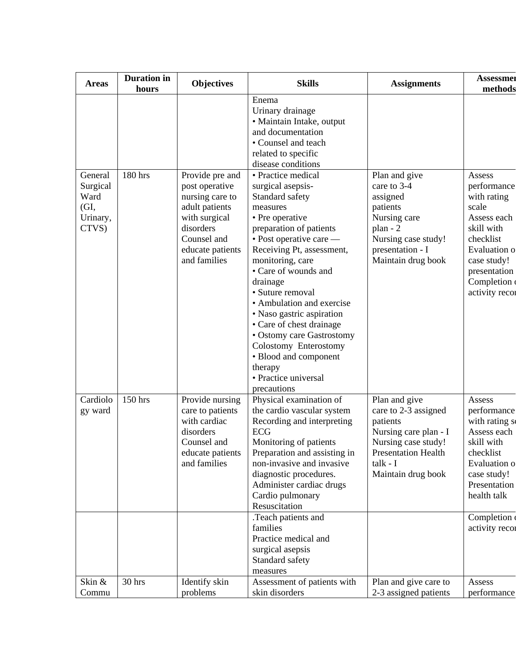| <b>Areas</b>                                  | <b>Duration</b> in<br>hours | <b>Objectives</b>                                                                                                                    | <b>Skills</b>                                                                                                                                                                                                                                                                                                                                                                                                                                             | <b>Assignments</b>                                                                                                                                                | <b>Assessmer</b><br>methods                                                                                                                                   |
|-----------------------------------------------|-----------------------------|--------------------------------------------------------------------------------------------------------------------------------------|-----------------------------------------------------------------------------------------------------------------------------------------------------------------------------------------------------------------------------------------------------------------------------------------------------------------------------------------------------------------------------------------------------------------------------------------------------------|-------------------------------------------------------------------------------------------------------------------------------------------------------------------|---------------------------------------------------------------------------------------------------------------------------------------------------------------|
| General                                       | 180 hrs                     | Provide pre and                                                                                                                      | Enema<br>Urinary drainage<br>· Maintain Intake, output<br>and documentation<br>• Counsel and teach<br>related to specific<br>disease conditions<br>• Practice medical                                                                                                                                                                                                                                                                                     | Plan and give                                                                                                                                                     | Assess                                                                                                                                                        |
| Surgical<br>Ward<br>(GI,<br>Urinary,<br>CTVS) |                             | post operative<br>nursing care to<br>adult patients<br>with surgical<br>disorders<br>Counsel and<br>educate patients<br>and families | surgical asepsis-<br>Standard safety<br>measures<br>• Pre operative<br>preparation of patients<br>• Post operative care —<br>Receiving Pt, assessment,<br>monitoring, care<br>• Care of wounds and<br>drainage<br>• Suture removal<br>• Ambulation and exercise<br>• Naso gastric aspiration<br>• Care of chest drainage<br>• Ostomy care Gastrostomy<br>Colostomy Enterostomy<br>• Blood and component<br>therapy<br>• Practice universal<br>precautions | care to 3-4<br>assigned<br>patients<br>Nursing care<br>$plan - 2$<br>Nursing case study!<br>presentation - I<br>Maintain drug book                                | performance<br>with rating<br>scale<br>Assess each<br>skill with<br>checklist<br>Evaluation o<br>case study!<br>presentation<br>Completion<br>activity recor  |
| Cardiolo<br>gy ward                           | 150 hrs                     | Provide nursing<br>care to patients<br>with cardiac<br>disorders<br>Counsel and<br>educate patients<br>and families                  | Physical examination of<br>the cardio vascular system<br>Recording and interpreting<br><b>ECG</b><br>Monitoring of patients<br>Preparation and assisting in<br>non-invasive and invasive<br>diagnostic procedures.<br>Administer cardiac drugs<br>Cardio pulmonary<br>Resuscitation<br>Teach patients and                                                                                                                                                 | Plan and give<br>care to 2-3 assigned<br>patients<br>Nursing care plan - I<br>Nursing case study!<br><b>Presentation Health</b><br>talk - I<br>Maintain drug book | Assess<br>performance<br>with rating so<br>Assess each<br>skill with<br>checklist<br>Evaluation o<br>case study!<br>Presentation<br>health talk<br>Completion |
| Skin &                                        | 30 hrs                      | Identify skin                                                                                                                        | families<br>Practice medical and<br>surgical asepsis<br>Standard safety<br>measures<br>Assessment of patients with                                                                                                                                                                                                                                                                                                                                        | Plan and give care to                                                                                                                                             | activity recor<br>Assess                                                                                                                                      |
| Commu                                         |                             | problems                                                                                                                             | skin disorders                                                                                                                                                                                                                                                                                                                                                                                                                                            | 2-3 assigned patients                                                                                                                                             | performance                                                                                                                                                   |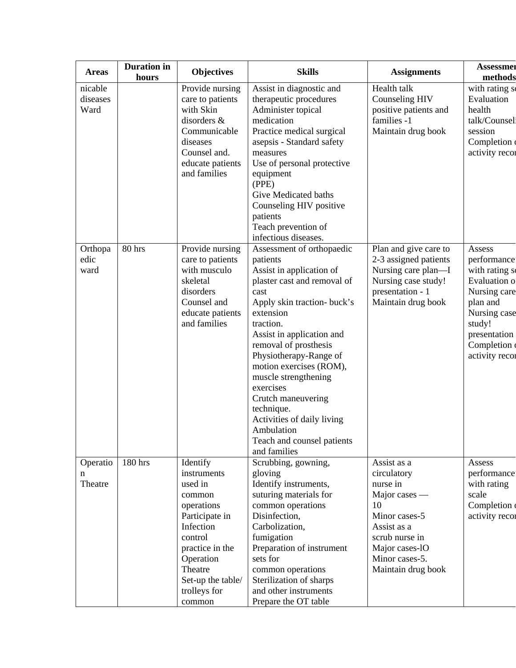| <b>Areas</b>                | <b>Duration</b> in<br>hours | <b>Objectives</b>                                                                                                                                                                              | <b>Skills</b>                                                                                                                                                                                                                                                                                                                                                                                                                                   | <b>Assignments</b>                                                                                                                                                        | <b>Assessmer</b><br>methods                                                                                                                                   |
|-----------------------------|-----------------------------|------------------------------------------------------------------------------------------------------------------------------------------------------------------------------------------------|-------------------------------------------------------------------------------------------------------------------------------------------------------------------------------------------------------------------------------------------------------------------------------------------------------------------------------------------------------------------------------------------------------------------------------------------------|---------------------------------------------------------------------------------------------------------------------------------------------------------------------------|---------------------------------------------------------------------------------------------------------------------------------------------------------------|
| nicable<br>diseases<br>Ward |                             | Provide nursing<br>care to patients<br>with Skin<br>disorders &<br>Communicable<br>diseases<br>Counsel and.<br>educate patients<br>and families                                                | Assist in diagnostic and<br>therapeutic procedures<br>Administer topical<br>medication<br>Practice medical surgical<br>asepsis - Standard safety<br>measures<br>Use of personal protective<br>equipment<br>(PPE)<br>Give Medicated baths<br>Counseling HIV positive<br>patients<br>Teach prevention of<br>infectious diseases.                                                                                                                  | Health talk<br>Counseling HIV<br>positive patients and<br>families -1<br>Maintain drug book                                                                               | with rating so<br>Evaluation<br>health<br>talk/Counsel<br>session<br>Completion<br>activity recor                                                             |
| Orthopa<br>edic<br>ward     | 80 hrs                      | Provide nursing<br>care to patients<br>with musculo<br>skeletal<br>disorders<br>Counsel and<br>educate patients<br>and families                                                                | Assessment of orthopaedic<br>patients<br>Assist in application of<br>plaster cast and removal of<br>cast<br>Apply skin traction- buck's<br>extension<br>traction.<br>Assist in application and<br>removal of prosthesis<br>Physiotherapy-Range of<br>motion exercises (ROM),<br>muscle strengthening<br>exercises<br>Crutch maneuvering<br>technique.<br>Activities of daily living<br>Ambulation<br>Teach and counsel patients<br>and families | Plan and give care to<br>2-3 assigned patients<br>Nursing care plan—I<br>Nursing case study!<br>presentation - 1<br>Maintain drug book                                    | Assess<br>performance<br>with rating so<br>Evaluation o<br>Nursing care<br>plan and<br>Nursing case<br>study!<br>presentation<br>Completion<br>activity recor |
| Operatio<br>n<br>Theatre    | 180 hrs                     | Identify<br>instruments<br>used in<br>common<br>operations<br>Participate in<br>Infection<br>control<br>practice in the<br>Operation<br>Theatre<br>Set-up the table/<br>trolleys for<br>common | Scrubbing, gowning,<br>gloving<br>Identify instruments,<br>suturing materials for<br>common operations<br>Disinfection,<br>Carbolization,<br>fumigation<br>Preparation of instrument<br>sets for<br>common operations<br>Sterilization of sharps<br>and other instruments<br>Prepare the OT table                                                                                                                                               | Assist as a<br>circulatory<br>nurse in<br>Major cases —<br>10<br>Minor cases-5<br>Assist as a<br>scrub nurse in<br>Major cases-1O<br>Minor cases-5.<br>Maintain drug book | Assess<br>performance<br>with rating<br>scale<br>Completion<br>activity recor                                                                                 |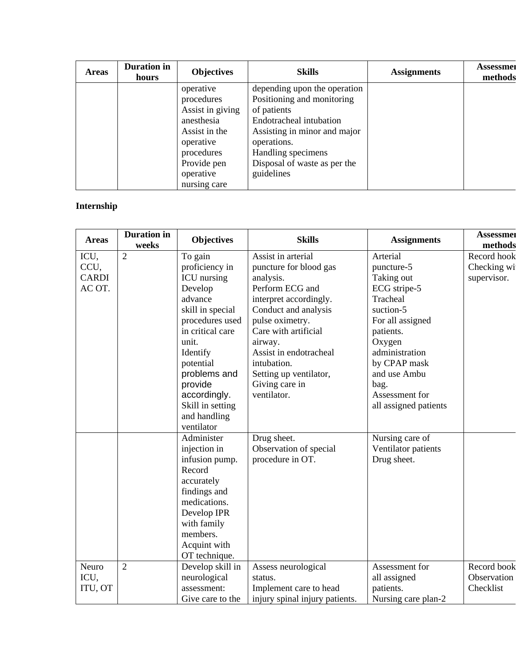| <b>Areas</b> | <b>Duration</b> in<br>hours | <b>Objectives</b> | <b>Skills</b>                | <b>Assignments</b> | <b>Assessmer</b><br>methods |
|--------------|-----------------------------|-------------------|------------------------------|--------------------|-----------------------------|
|              |                             | operative         | depending upon the operation |                    |                             |
|              |                             | procedures        | Positioning and monitoring   |                    |                             |
|              |                             | Assist in giving  | of patients                  |                    |                             |
|              |                             | anesthesia        | Endotracheal intubation      |                    |                             |
|              |                             | Assist in the     | Assisting in minor and major |                    |                             |
|              |                             | operative         | operations.                  |                    |                             |
|              |                             | procedures        | Handling specimens           |                    |                             |
|              |                             | Provide pen       | Disposal of waste as per the |                    |                             |
|              |                             | operative         | guidelines                   |                    |                             |
|              |                             | nursing care      |                              |                    |                             |

### **Internship**

| <b>Areas</b> | <b>Duration</b> in<br>weeks | <b>Objectives</b> | <b>Skills</b>                  | <b>Assignments</b>    | <b>Assessmer</b><br>methods |
|--------------|-----------------------------|-------------------|--------------------------------|-----------------------|-----------------------------|
| ICU,         | $\overline{2}$              | To gain           | Assist in arterial             | Arterial              | Record hook                 |
| CCU,         |                             | proficiency in    | puncture for blood gas         | puncture-5            | Checking wi                 |
| <b>CARDI</b> |                             | ICU nursing       | analysis.                      | Taking out            | supervisor.                 |
| AC OT.       |                             | Develop           | Perform ECG and                | ECG stripe-5          |                             |
|              |                             | advance           | interpret accordingly.         | Tracheal              |                             |
|              |                             | skill in special  | Conduct and analysis           | suction-5             |                             |
|              |                             | procedures used   | pulse oximetry.                | For all assigned      |                             |
|              |                             | in critical care  | Care with artificial           | patients.             |                             |
|              |                             | unit.             | airway.                        | Oxygen                |                             |
|              |                             | Identify          | Assist in endotracheal         | administration        |                             |
|              |                             | potential         | intubation.                    | by CPAP mask          |                             |
|              |                             | problems and      | Setting up ventilator,         | and use Ambu          |                             |
|              |                             | provide           | Giving care in                 | bag.                  |                             |
|              |                             | accordingly.      | ventilator.                    | Assessment for        |                             |
|              |                             | Skill in setting  |                                | all assigned patients |                             |
|              |                             | and handling      |                                |                       |                             |
|              |                             | ventilator        |                                |                       |                             |
|              |                             | Administer        | Drug sheet.                    | Nursing care of       |                             |
|              |                             | injection in      | Observation of special         | Ventilator patients   |                             |
|              |                             | infusion pump.    | procedure in OT.               | Drug sheet.           |                             |
|              |                             | Record            |                                |                       |                             |
|              |                             | accurately        |                                |                       |                             |
|              |                             | findings and      |                                |                       |                             |
|              |                             | medications.      |                                |                       |                             |
|              |                             | Develop IPR       |                                |                       |                             |
|              |                             | with family       |                                |                       |                             |
|              |                             | members.          |                                |                       |                             |
|              |                             | Acquint with      |                                |                       |                             |
|              |                             | OT technique.     |                                |                       |                             |
| Neuro        | $\overline{2}$              | Develop skill in  | Assess neurological            | Assessment for        | Record book                 |
| ICU,         |                             | neurological      | status.                        | all assigned          | Observation                 |
| ITU, OT      |                             | assessment:       | Implement care to head         | patients.             | Checklist                   |
|              |                             | Give care to the  | injury spinal injury patients. | Nursing care plan-2   |                             |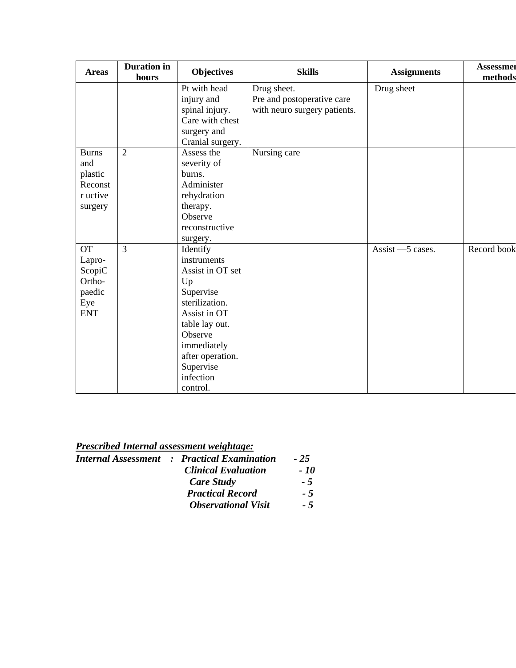| <b>Areas</b> | <b>Duration</b> in<br>hours | <b>Objectives</b> | <b>Skills</b>                | <b>Assignments</b> | <b>Assessmer</b><br>methods |
|--------------|-----------------------------|-------------------|------------------------------|--------------------|-----------------------------|
|              |                             | Pt with head      | Drug sheet.                  | Drug sheet         |                             |
|              |                             | injury and        | Pre and postoperative care   |                    |                             |
|              |                             | spinal injury.    | with neuro surgery patients. |                    |                             |
|              |                             | Care with chest   |                              |                    |                             |
|              |                             | surgery and       |                              |                    |                             |
|              |                             | Cranial surgery.  |                              |                    |                             |
| <b>Burns</b> | $\overline{2}$              | Assess the        | Nursing care                 |                    |                             |
| and          |                             | severity of       |                              |                    |                             |
| plastic      |                             | burns.            |                              |                    |                             |
| Reconst      |                             | Administer        |                              |                    |                             |
| r uctive     |                             | rehydration       |                              |                    |                             |
| surgery      |                             | therapy.          |                              |                    |                             |
|              |                             | Observe           |                              |                    |                             |
|              |                             | reconstructive    |                              |                    |                             |
|              |                             | surgery.          |                              |                    |                             |
| <b>OT</b>    | $\overline{3}$              | Identify          |                              | Assist $-5$ cases. | Record book                 |
| Lapro-       |                             | instruments       |                              |                    |                             |
| ScopiC       |                             | Assist in OT set  |                              |                    |                             |
| Ortho-       |                             | Up                |                              |                    |                             |
| paedic       |                             | Supervise         |                              |                    |                             |
| Eye          |                             | sterilization.    |                              |                    |                             |
| <b>ENT</b>   |                             | Assist in OT      |                              |                    |                             |
|              |                             | table lay out.    |                              |                    |                             |
|              |                             | Observe           |                              |                    |                             |
|              |                             | immediately       |                              |                    |                             |
|              |                             | after operation.  |                              |                    |                             |
|              |                             | Supervise         |                              |                    |                             |
|              |                             | infection         |                              |                    |                             |
|              |                             | control.          |                              |                    |                             |

| <b>Prescribed Internal assessment weightage:</b> |                                                    |       |
|--------------------------------------------------|----------------------------------------------------|-------|
|                                                  | <b>Internal Assessment : Practical Examination</b> | $-25$ |
|                                                  | <b>Clinical Evaluation</b>                         | - 10  |
|                                                  | Care Study                                         | $-5$  |
|                                                  | <b>Practical Record</b>                            | $-5$  |
|                                                  | <b>Observational Visit</b>                         | - 5   |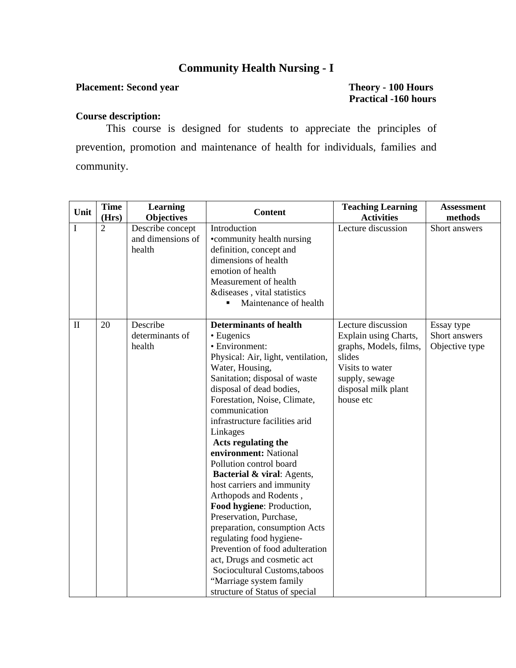### **Community Health Nursing - I**

#### **Placement: Second year Theory - 100 Hours**

# **Practical -160 hours**

#### **Course description:**

This course is designed for students to appreciate the principles of prevention, promotion and maintenance of health for individuals, families and community.

| Unit         | <b>Time</b><br>(Hrs) | <b>Learning</b><br><b>Objectives</b>            | <b>Content</b>                                                                                                                                                                                                                                                                                                                                                                                                                                                                                                                                                                                                                                                                                                                           | <b>Teaching Learning</b><br><b>Activities</b>                                                                                                            | <b>Assessment</b><br>methods                  |
|--------------|----------------------|-------------------------------------------------|------------------------------------------------------------------------------------------------------------------------------------------------------------------------------------------------------------------------------------------------------------------------------------------------------------------------------------------------------------------------------------------------------------------------------------------------------------------------------------------------------------------------------------------------------------------------------------------------------------------------------------------------------------------------------------------------------------------------------------------|----------------------------------------------------------------------------------------------------------------------------------------------------------|-----------------------------------------------|
| I            | 2                    | Describe concept<br>and dimensions of<br>health | Introduction<br>•community health nursing<br>definition, concept and<br>dimensions of health<br>emotion of health<br>Measurement of health<br>&diseases, vital statistics<br>Maintenance of health<br>п                                                                                                                                                                                                                                                                                                                                                                                                                                                                                                                                  | Lecture discussion                                                                                                                                       | Short answers                                 |
| $\mathbf{I}$ | 20                   | Describe<br>determinants of<br>health           | <b>Determinants of health</b><br>• Eugenics<br>• Environment:<br>Physical: Air, light, ventilation,<br>Water, Housing,<br>Sanitation; disposal of waste<br>disposal of dead bodies,<br>Forestation, Noise, Climate,<br>communication<br>infrastructure facilities arid<br>Linkages<br>Acts regulating the<br>environment: National<br>Pollution control board<br>Bacterial & viral: Agents,<br>host carriers and immunity<br>Arthopods and Rodents,<br>Food hygiene: Production,<br>Preservation, Purchase,<br>preparation, consumption Acts<br>regulating food hygiene-<br>Prevention of food adulteration<br>act, Drugs and cosmetic act<br>Sociocultural Customs, taboos<br>"Marriage system family<br>structure of Status of special | Lecture discussion<br>Explain using Charts,<br>graphs, Models, films,<br>slides<br>Visits to water<br>supply, sewage<br>disposal milk plant<br>house etc | Essay type<br>Short answers<br>Objective type |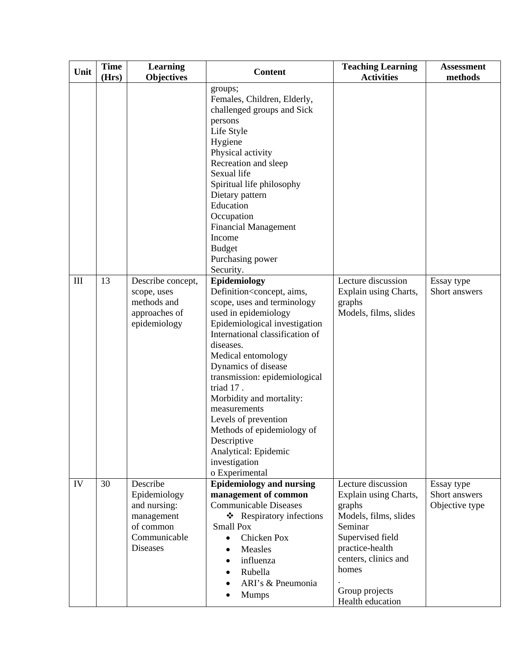| Unit      | <b>Time</b><br>(Hrs) | <b>Learning</b><br><b>Objectives</b>                                                                   | <b>Content</b>                                                                                                                                                                                                                                                                                                                                                                                                                                                                          | <b>Teaching Learning</b><br><b>Activities</b>                                                                                                                                                           | <b>Assessment</b><br>methods                  |
|-----------|----------------------|--------------------------------------------------------------------------------------------------------|-----------------------------------------------------------------------------------------------------------------------------------------------------------------------------------------------------------------------------------------------------------------------------------------------------------------------------------------------------------------------------------------------------------------------------------------------------------------------------------------|---------------------------------------------------------------------------------------------------------------------------------------------------------------------------------------------------------|-----------------------------------------------|
|           |                      |                                                                                                        | groups;<br>Females, Children, Elderly,<br>challenged groups and Sick<br>persons<br>Life Style<br>Hygiene<br>Physical activity<br>Recreation and sleep<br>Sexual life<br>Spiritual life philosophy<br>Dietary pattern<br>Education<br>Occupation<br><b>Financial Management</b><br>Income<br><b>Budget</b><br>Purchasing power<br>Security.                                                                                                                                              |                                                                                                                                                                                                         |                                               |
| $\rm III$ | 13                   | Describe concept,<br>scope, uses<br>methods and<br>approaches of<br>epidemiology                       | Epidemiology<br>Definition <concept, aims,<br="">scope, uses and terminology<br/>used in epidemiology<br/>Epidemiological investigation<br/>International classification of<br/>diseases.<br/>Medical entomology<br/>Dynamics of disease<br/>transmission: epidemiological<br/>triad 17.<br/>Morbidity and mortality:<br/>measurements<br/>Levels of prevention<br/>Methods of epidemiology of<br/>Descriptive<br/>Analytical: Epidemic<br/>investigation<br/>o Experimental</concept,> | Lecture discussion<br>Explain using Charts,<br>graphs<br>Models, films, slides                                                                                                                          | Essay type<br>Short answers                   |
| IV        | 30                   | Describe<br>Epidemiology<br>and nursing:<br>management<br>of common<br>Communicable<br><b>Diseases</b> | <b>Epidemiology and nursing</b><br>management of common<br><b>Communicable Diseases</b><br>❖ Respiratory infections<br><b>Small Pox</b><br><b>Chicken Pox</b><br>$\bullet$<br>Measles<br>$\bullet$<br>influenza<br>$\bullet$<br>Rubella<br>ARI's & Pneumonia<br><b>Mumps</b>                                                                                                                                                                                                            | Lecture discussion<br>Explain using Charts,<br>graphs<br>Models, films, slides<br>Seminar<br>Supervised field<br>practice-health<br>centers, clinics and<br>homes<br>Group projects<br>Health education | Essay type<br>Short answers<br>Objective type |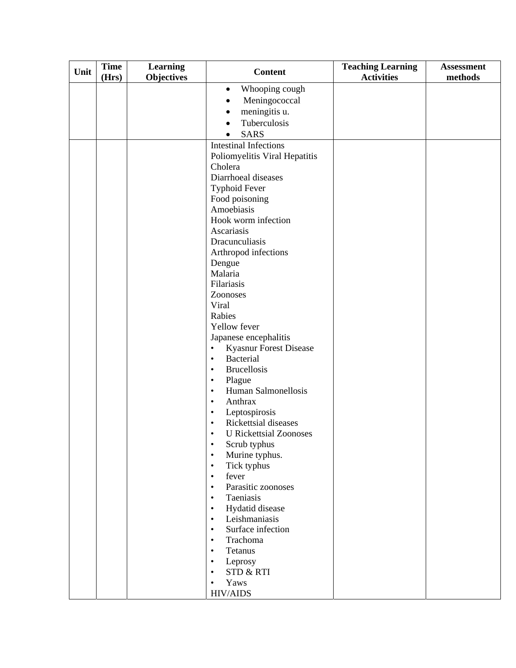| Unit | <b>Time</b> | <b>Learning</b>   | <b>Content</b>                                               | <b>Teaching Learning</b> | <b>Assessment</b> |
|------|-------------|-------------------|--------------------------------------------------------------|--------------------------|-------------------|
|      | (Hrs)       | <b>Objectives</b> |                                                              | <b>Activities</b>        | methods           |
|      |             |                   | Whooping cough<br>$\bullet$                                  |                          |                   |
|      |             |                   | Meningococcal<br>٠                                           |                          |                   |
|      |             |                   | meningitis u.<br>$\bullet$                                   |                          |                   |
|      |             |                   | Tuberculosis                                                 |                          |                   |
|      |             |                   | <b>SARS</b><br>$\bullet$                                     |                          |                   |
|      |             |                   | <b>Intestinal Infections</b>                                 |                          |                   |
|      |             |                   | Poliomyelitis Viral Hepatitis                                |                          |                   |
|      |             |                   | Cholera                                                      |                          |                   |
|      |             |                   | Diarrhoeal diseases                                          |                          |                   |
|      |             |                   | <b>Typhoid Fever</b>                                         |                          |                   |
|      |             |                   | Food poisoning                                               |                          |                   |
|      |             |                   | Amoebiasis                                                   |                          |                   |
|      |             |                   | Hook worm infection                                          |                          |                   |
|      |             |                   | Ascariasis                                                   |                          |                   |
|      |             |                   | Dracunculiasis                                               |                          |                   |
|      |             |                   | Arthropod infections                                         |                          |                   |
|      |             |                   | Dengue                                                       |                          |                   |
|      |             |                   | Malaria                                                      |                          |                   |
|      |             |                   | Filariasis                                                   |                          |                   |
|      |             |                   | Zoonoses                                                     |                          |                   |
|      |             |                   | Viral                                                        |                          |                   |
|      |             |                   | Rabies                                                       |                          |                   |
|      |             |                   | Yellow fever                                                 |                          |                   |
|      |             |                   | Japanese encephalitis                                        |                          |                   |
|      |             |                   | <b>Kyasnur Forest Disease</b><br>$\bullet$                   |                          |                   |
|      |             |                   | <b>Bacterial</b><br>$\bullet$                                |                          |                   |
|      |             |                   | <b>Brucellosis</b><br>$\bullet$                              |                          |                   |
|      |             |                   | Plague<br>$\bullet$                                          |                          |                   |
|      |             |                   | Human Salmonellosis<br>$\bullet$                             |                          |                   |
|      |             |                   | Anthrax<br>$\bullet$                                         |                          |                   |
|      |             |                   | Leptospirosis<br>$\bullet$                                   |                          |                   |
|      |             |                   | Rickettsial diseases<br>$\bullet$                            |                          |                   |
|      |             |                   | <b>U</b> Rickettsial Zoonoses<br>$\bullet$                   |                          |                   |
|      |             |                   | Scrub typhus<br>$\bullet$                                    |                          |                   |
|      |             |                   | Murine typhus.<br>$\bullet$                                  |                          |                   |
|      |             |                   | Tick typhus<br>$\bullet$                                     |                          |                   |
|      |             |                   | fever<br>$\bullet$                                           |                          |                   |
|      |             |                   | Parasitic zoonoses<br>$\bullet$                              |                          |                   |
|      |             |                   | Taeniasis<br>$\bullet$                                       |                          |                   |
|      |             |                   | Hydatid disease<br>$\bullet$                                 |                          |                   |
|      |             |                   | Leishmaniasis<br>$\bullet$<br>Surface infection<br>$\bullet$ |                          |                   |
|      |             |                   | Trachoma<br>$\bullet$                                        |                          |                   |
|      |             |                   | Tetanus<br>$\bullet$                                         |                          |                   |
|      |             |                   | Leprosy<br>$\bullet$                                         |                          |                   |
|      |             |                   | STD & RTI<br>$\bullet$                                       |                          |                   |
|      |             |                   | Yaws<br>$\bullet$                                            |                          |                   |
|      |             |                   | <b>HIV/AIDS</b>                                              |                          |                   |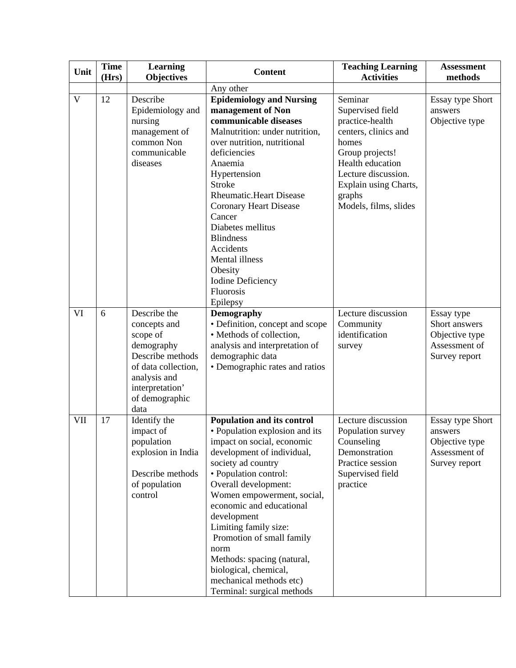| Unit         | <b>Time</b><br>(Hrs) | <b>Learning</b><br><b>Objectives</b>                                                                                                                           | <b>Content</b>                                                                                                                                                                                                                                                                                                                                                                                                                                         | <b>Teaching Learning</b><br><b>Activities</b>                                                                                                                                                             | <b>Assessment</b><br>methods                                                           |
|--------------|----------------------|----------------------------------------------------------------------------------------------------------------------------------------------------------------|--------------------------------------------------------------------------------------------------------------------------------------------------------------------------------------------------------------------------------------------------------------------------------------------------------------------------------------------------------------------------------------------------------------------------------------------------------|-----------------------------------------------------------------------------------------------------------------------------------------------------------------------------------------------------------|----------------------------------------------------------------------------------------|
|              |                      |                                                                                                                                                                | Any other                                                                                                                                                                                                                                                                                                                                                                                                                                              |                                                                                                                                                                                                           |                                                                                        |
| $\mathbf{V}$ | 12                   | Describe<br>Epidemiology and<br>nursing<br>management of<br>common Non<br>communicable<br>diseases                                                             | <b>Epidemiology and Nursing</b><br>management of Non<br>communicable diseases<br>Malnutrition: under nutrition,<br>over nutrition, nutritional<br>deficiencies<br>Anaemia<br>Hypertension<br><b>Stroke</b><br><b>Rheumatic.Heart Disease</b><br><b>Coronary Heart Disease</b><br>Cancer<br>Diabetes mellitus<br><b>Blindness</b><br>Accidents<br>Mental illness<br>Obesity<br><b>Iodine Deficiency</b><br><b>Fluorosis</b><br>Epilepsy                 | Seminar<br>Supervised field<br>practice-health<br>centers, clinics and<br>homes<br>Group projects!<br>Health education<br>Lecture discussion.<br>Explain using Charts,<br>graphs<br>Models, films, slides | <b>Essay type Short</b><br>answers<br>Objective type                                   |
| VI           | 6                    | Describe the<br>concepts and<br>scope of<br>demography<br>Describe methods<br>of data collection,<br>analysis and<br>interpretation'<br>of demographic<br>data | <b>Demography</b><br>• Definition, concept and scope<br>• Methods of collection,<br>analysis and interpretation of<br>demographic data<br>• Demographic rates and ratios                                                                                                                                                                                                                                                                               | Lecture discussion<br>Community<br>identification<br>survey                                                                                                                                               | Essay type<br>Short answers<br>Objective type<br>Assessment of<br>Survey report        |
| VII          | 17                   | Identify the<br>impact of<br>population<br>explosion in India<br>Describe methods<br>of population<br>control                                                  | Population and its control<br>• Population explosion and its<br>impact on social, economic<br>development of individual,<br>society ad country<br>· Population control:<br>Overall development:<br>Women empowerment, social,<br>economic and educational<br>development<br>Limiting family size:<br>Promotion of small family<br>norm<br>Methods: spacing (natural,<br>biological, chemical,<br>mechanical methods etc)<br>Terminal: surgical methods | Lecture discussion<br>Population survey<br>Counseling<br>Demonstration<br>Practice session<br>Supervised field<br>practice                                                                                | <b>Essay type Short</b><br>answers<br>Objective type<br>Assessment of<br>Survey report |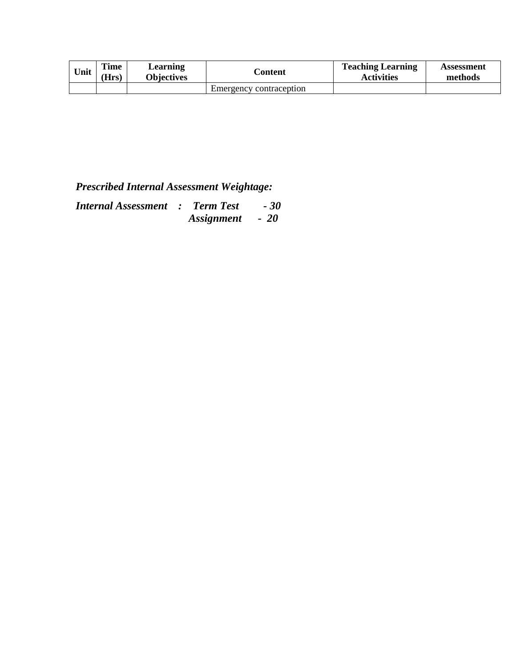| Unit | <b>Time</b><br>(Hrs) | ∟earning<br><b>Objectives</b> | <b>Content</b>          | <b>Teaching Learning</b><br>Activities | Assessment<br>methods |
|------|----------------------|-------------------------------|-------------------------|----------------------------------------|-----------------------|
|      |                      |                               | Emergency contraception |                                        |                       |

| <b>Internal Assessment : Term Test</b> |                 | $-30$ |
|----------------------------------------|-----------------|-------|
|                                        | Assignment - 20 |       |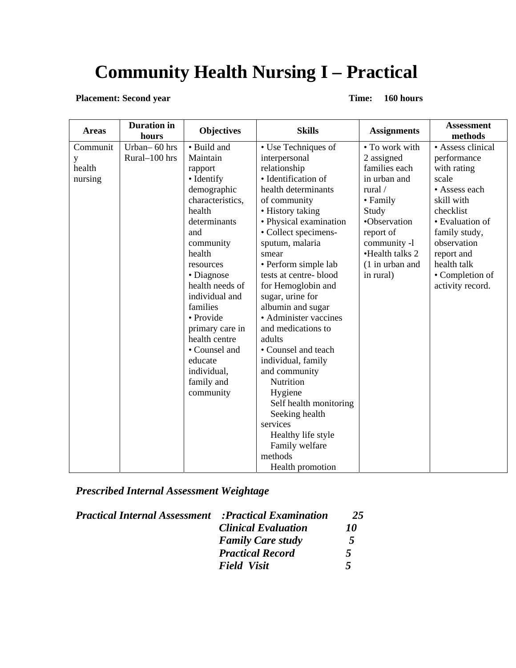# **Community Health Nursing I – Practical**

**Placement: Second year** Time: 160 hours

| <b>Areas</b> | <b>Duration</b> in<br>hours | <b>Objectives</b> | <b>Skills</b>          | <b>Assignments</b> | <b>Assessment</b><br>methods |
|--------------|-----------------------------|-------------------|------------------------|--------------------|------------------------------|
| Communit     | Urban-60 hrs                | • Build and       | • Use Techniques of    | • To work with     | • Assess clinical            |
| y            | Rural-100 hrs               | Maintain          | interpersonal          | 2 assigned         | performance                  |
| health       |                             | rapport           | relationship           | families each      | with rating                  |
| nursing      |                             | • Identify        | · Identification of    | in urban and       | scale                        |
|              |                             | demographic       | health determinants    | rural /            | • Assess each                |
|              |                             | characteristics,  | of community           | • Family           | skill with                   |
|              |                             | health            | • History taking       | Study              | checklist                    |
|              |                             | determinants      | • Physical examination | •Observation       | • Evaluation of              |
|              |                             | and               | • Collect specimens-   | report of          | family study,                |
|              |                             | community         | sputum, malaria        | community -1       | observation                  |
|              |                             | health            | smear                  | •Health talks 2    | report and                   |
|              |                             | resources         | • Perform simple lab   | $(1$ in urban and  | health talk                  |
|              |                             | • Diagnose        | tests at centre-blood  | in rural)          | • Completion of              |
|              |                             | health needs of   | for Hemoglobin and     |                    | activity record.             |
|              |                             | individual and    | sugar, urine for       |                    |                              |
|              |                             | families          | albumin and sugar      |                    |                              |
|              |                             | • Provide         | • Administer vaccines  |                    |                              |
|              |                             | primary care in   | and medications to     |                    |                              |
|              |                             | health centre     | adults                 |                    |                              |
|              |                             | • Counsel and     | • Counsel and teach    |                    |                              |
|              |                             | educate           | individual, family     |                    |                              |
|              |                             | individual,       | and community          |                    |                              |
|              |                             | family and        | Nutrition              |                    |                              |
|              |                             | community         | Hygiene                |                    |                              |
|              |                             |                   | Self health monitoring |                    |                              |
|              |                             |                   | Seeking health         |                    |                              |
|              |                             |                   | services               |                    |                              |
|              |                             |                   | Healthy life style     |                    |                              |
|              |                             |                   | Family welfare         |                    |                              |
|              |                             |                   | methods                |                    |                              |
|              |                             |                   | Health promotion       |                    |                              |

*Prescribed Internal Assessment Weightage*

| <b>Practical Internal Assessment</b> | <b>Practical Examination:</b> | 25 |
|--------------------------------------|-------------------------------|----|
|                                      | <b>Clinical Evaluation</b>    | 10 |
|                                      | <b>Family Care study</b>      | 5  |
|                                      | <b>Practical Record</b>       | 5  |
|                                      | <b>Field Visit</b>            | 5  |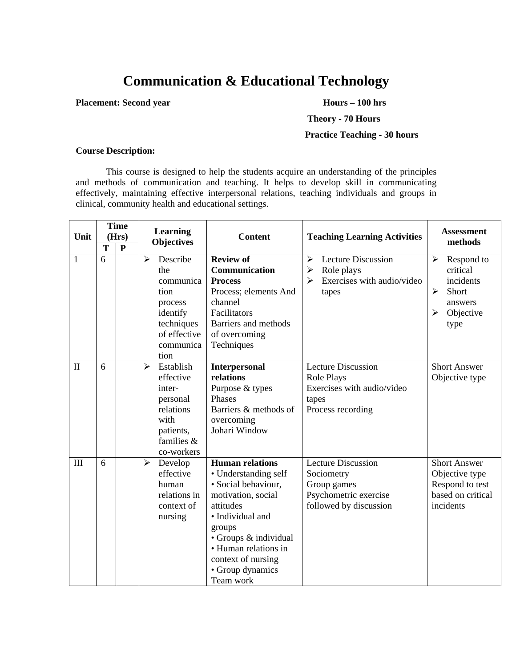# **Communication & Educational Technology**

**Placement: Second year Hours – 100 hrs** 

 **Theory - 70 Hours** 

#### **Practice Teaching - 30 hours**

#### **Course Description:**

This course is designed to help the students acquire an understanding of the principles and methods of communication and teaching. It helps to develop skill in communicating effectively, maintaining effective interpersonal relations, teaching individuals and groups in clinical, community health and educational settings.

| Unit         | $\overline{\text{T}}$ | <b>Time</b><br>(Hrs)<br>$\mathbf{P}$ | Learning<br><b>Objectives</b>                                                                                                           | <b>Content</b>                                                                                                                                                                                                                                 | <b>Teaching Learning Activities</b>                                                                               | <b>Assessment</b><br>methods                                                                                    |
|--------------|-----------------------|--------------------------------------|-----------------------------------------------------------------------------------------------------------------------------------------|------------------------------------------------------------------------------------------------------------------------------------------------------------------------------------------------------------------------------------------------|-------------------------------------------------------------------------------------------------------------------|-----------------------------------------------------------------------------------------------------------------|
| $\mathbf{1}$ | 6                     |                                      | Describe<br>$\blacktriangleright$<br>the<br>communica<br>tion<br>process<br>identify<br>techniques<br>of effective<br>communica<br>tion | <b>Review of</b><br>Communication<br><b>Process</b><br>Process; elements And<br>channel<br>Facilitators<br>Barriers and methods<br>of overcoming<br>Techniques                                                                                 | <b>Lecture Discussion</b><br>➤<br>Role plays<br>➤<br>Exercises with audio/video<br>$\blacktriangleright$<br>tapes | Respond to<br>➤<br>critical<br>incidents<br>$\blacktriangleright$<br>Short<br>answers<br>Objective<br>➤<br>type |
| $\mathbf{I}$ | 6                     |                                      | Establish<br>$\blacktriangleright$<br>effective<br>inter-<br>personal<br>relations<br>with<br>patients,<br>families &<br>co-workers     | <b>Interpersonal</b><br>relations<br>Purpose & types<br>Phases<br>Barriers & methods of<br>overcoming<br>Johari Window                                                                                                                         | <b>Lecture Discussion</b><br>Role Plays<br>Exercises with audio/video<br>tapes<br>Process recording               | <b>Short Answer</b><br>Objective type                                                                           |
| III          | 6                     |                                      | $\blacktriangleright$<br>Develop<br>effective<br>human<br>relations in<br>context of<br>nursing                                         | <b>Human relations</b><br>• Understanding self<br>· Social behaviour,<br>motivation, social<br>attitudes<br>· Individual and<br>groups<br>• Groups & individual<br>• Human relations in<br>context of nursing<br>• Group dynamics<br>Team work | <b>Lecture Discussion</b><br>Sociometry<br>Group games<br>Psychometric exercise<br>followed by discussion         | <b>Short Answer</b><br>Objective type<br>Respond to test<br>based on critical<br>incidents                      |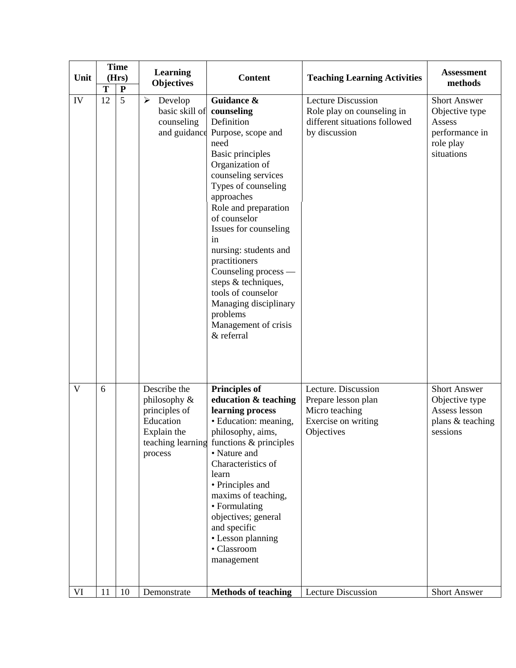| Unit | T  | <b>Time</b><br><b>Learning</b><br>(Hrs)<br><b>Objectives</b><br>${\bf P}$ |                                                                                      | <b>Content</b>                                                                                                                                                                                                                                                                                                                                                                                                                                  | <b>Teaching Learning Activities</b>                                                                       | <b>Assessment</b><br>methods                                                                 |
|------|----|---------------------------------------------------------------------------|--------------------------------------------------------------------------------------|-------------------------------------------------------------------------------------------------------------------------------------------------------------------------------------------------------------------------------------------------------------------------------------------------------------------------------------------------------------------------------------------------------------------------------------------------|-----------------------------------------------------------------------------------------------------------|----------------------------------------------------------------------------------------------|
| IV   | 12 | $\overline{5}$                                                            | Develop<br>$\blacktriangleright$<br>basic skill of<br>counseling<br>and guidance     | Guidance &<br>counseling<br>Definition<br>Purpose, scope and<br>need<br><b>Basic principles</b><br>Organization of<br>counseling services<br>Types of counseling<br>approaches<br>Role and preparation<br>of counselor<br>Issues for counseling<br>in<br>nursing: students and<br>practitioners<br>Counseling process —<br>steps & techniques,<br>tools of counselor<br>Managing disciplinary<br>problems<br>Management of crisis<br>& referral | <b>Lecture Discussion</b><br>Role play on counseling in<br>different situations followed<br>by discussion | <b>Short Answer</b><br>Objective type<br>Assess<br>performance in<br>role play<br>situations |
| V    | 6  |                                                                           | Describe the<br>philosophy &<br>principles of<br>Education<br>Explain the<br>process | <b>Principles of</b><br>education & teaching<br>learning process<br>• Education: meaning,<br>philosophy, aims,<br>teaching learning functions & principles<br>• Nature and<br>Characteristics of<br>learn<br>• Principles and<br>maxims of teaching,<br>• Formulating<br>objectives; general<br>and specific<br>• Lesson planning<br>• Classroom<br>management                                                                                  | Lecture. Discussion<br>Prepare lesson plan<br>Micro teaching<br>Exercise on writing<br>Objectives         | <b>Short Answer</b><br>Objective type<br>Assess lesson<br>plans & teaching<br>sessions       |
| VI   | 11 | 10                                                                        | Demonstrate                                                                          | <b>Methods of teaching</b>                                                                                                                                                                                                                                                                                                                                                                                                                      | <b>Lecture Discussion</b>                                                                                 | <b>Short Answer</b>                                                                          |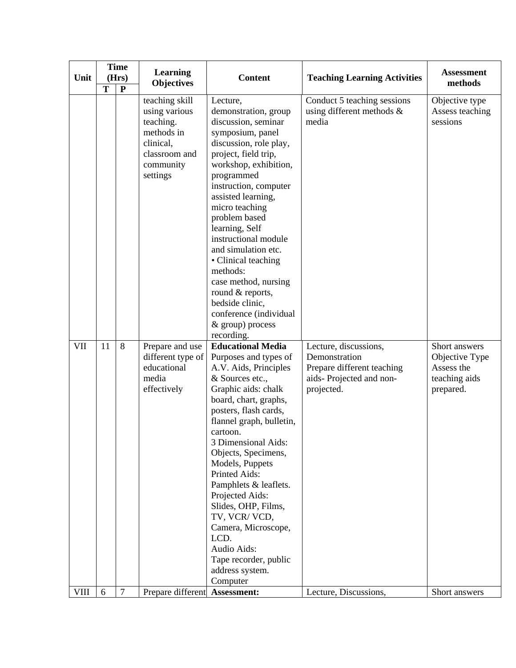| Unit | <b>Time</b><br>(Hrs)<br>$\overline{T}$<br>$\mathbf{P}$ |                | Learning<br><b>Objectives</b>                                                                                     | <b>Content</b>                                                                                                                                                                                                                                                                                                                                                                                                                                                                            | <b>Teaching Learning Activities</b>                                                                           | <b>Assessment</b><br>methods                                                |
|------|--------------------------------------------------------|----------------|-------------------------------------------------------------------------------------------------------------------|-------------------------------------------------------------------------------------------------------------------------------------------------------------------------------------------------------------------------------------------------------------------------------------------------------------------------------------------------------------------------------------------------------------------------------------------------------------------------------------------|---------------------------------------------------------------------------------------------------------------|-----------------------------------------------------------------------------|
|      |                                                        |                | teaching skill<br>using various<br>teaching.<br>methods in<br>clinical,<br>classroom and<br>community<br>settings | Lecture,<br>demonstration, group<br>discussion, seminar<br>symposium, panel<br>discussion, role play,<br>project, field trip,<br>workshop, exhibition,<br>programmed<br>instruction, computer<br>assisted learning,<br>micro teaching<br>problem based<br>learning, Self<br>instructional module<br>and simulation etc.<br>• Clinical teaching<br>methods:<br>case method, nursing<br>round & reports,<br>bedside clinic,<br>conference (individual<br>& group) process<br>recording.     | Conduct 5 teaching sessions<br>using different methods $\&$<br>media                                          | Objective type<br>Assess teaching<br>sessions                               |
| VII  | 11                                                     | 8              | Prepare and use<br>different type of<br>educational<br>media<br>effectively                                       | <b>Educational Media</b><br>Purposes and types of<br>A.V. Aids, Principles<br>& Sources etc.,<br>Graphic aids: chalk<br>board, chart, graphs,<br>posters, flash cards,<br>flannel graph, bulletin,<br>cartoon.<br>3 Dimensional Aids:<br>Objects, Specimens,<br>Models, Puppets<br>Printed Aids:<br>Pamphlets & leaflets.<br>Projected Aids:<br>Slides, OHP, Films,<br>TV, VCR/VCD,<br>Camera, Microscope,<br>LCD.<br>Audio Aids:<br>Tape recorder, public<br>address system.<br>Computer | Lecture, discussions,<br>Demonstration<br>Prepare different teaching<br>aids-Projected and non-<br>projected. | Short answers<br>Objective Type<br>Assess the<br>teaching aids<br>prepared. |
| VIII | 6                                                      | $\overline{7}$ | Prepare different                                                                                                 | Assessment:                                                                                                                                                                                                                                                                                                                                                                                                                                                                               | Lecture, Discussions,                                                                                         | Short answers                                                               |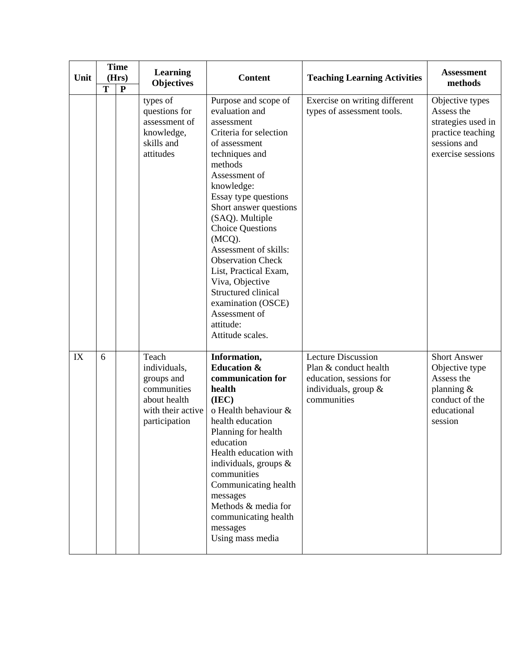| Unit | <b>Time</b><br>(Hrs) |           | <b>Learning</b><br><b>Objectives</b>                                                                     | <b>Content</b>                                                                                                                                                                                                                                                                                                                                                                                                                                                        | <b>Teaching Learning Activities</b>                                                                                  | <b>Assessment</b><br>methods                                                                                  |
|------|----------------------|-----------|----------------------------------------------------------------------------------------------------------|-----------------------------------------------------------------------------------------------------------------------------------------------------------------------------------------------------------------------------------------------------------------------------------------------------------------------------------------------------------------------------------------------------------------------------------------------------------------------|----------------------------------------------------------------------------------------------------------------------|---------------------------------------------------------------------------------------------------------------|
|      | T                    | ${\bf P}$ | types of<br>questions for<br>assessment of<br>knowledge,<br>skills and<br>attitudes                      | Purpose and scope of<br>evaluation and<br>assessment<br>Criteria for selection<br>of assessment<br>techniques and<br>methods<br>Assessment of<br>knowledge:<br>Essay type questions<br>Short answer questions<br>(SAQ). Multiple<br><b>Choice Questions</b><br>(MCQ).<br>Assessment of skills:<br><b>Observation Check</b><br>List, Practical Exam,<br>Viva, Objective<br>Structured clinical<br>examination (OSCE)<br>Assessment of<br>attitude:<br>Attitude scales. | Exercise on writing different<br>types of assessment tools.                                                          | Objective types<br>Assess the<br>strategies used in<br>practice teaching<br>sessions and<br>exercise sessions |
| IX   | 6                    |           | Teach<br>individuals,<br>groups and<br>communities<br>about health<br>with their active<br>participation | Information,<br><b>Education &amp;</b><br>communication for<br>health<br>(IEC)<br>o Health behaviour &<br>health education<br>Planning for health<br>education<br>Health education with<br>individuals, groups $\&$<br>communities<br>Communicating health<br>messages<br>Methods & media for<br>communicating health<br>messages<br>Using mass media                                                                                                                 | <b>Lecture Discussion</b><br>Plan & conduct health<br>education, sessions for<br>individuals, group &<br>communities | <b>Short Answer</b><br>Objective type<br>Assess the<br>planning &<br>conduct of the<br>educational<br>session |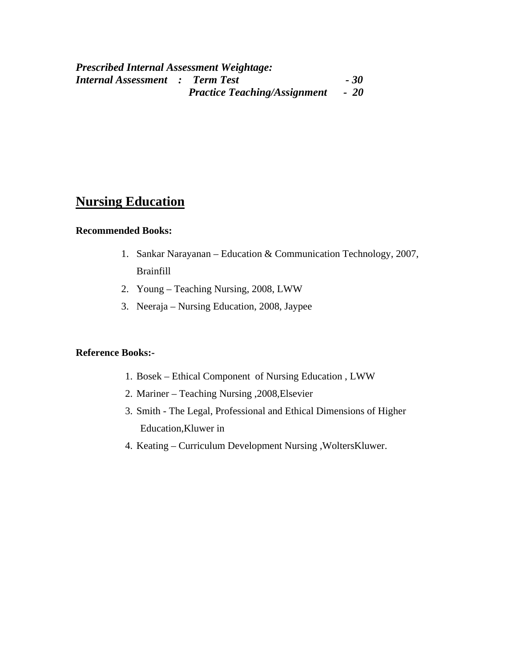### **Nursing Education**

#### **Recommended Books:**

- 1. Sankar Narayanan Education & Communication Technology, 2007, Brainfill
- 2. Young Teaching Nursing, 2008, LWW
- 3. Neeraja Nursing Education, 2008, Jaypee

#### **Reference Books:-**

- 1. Bosek Ethical Component of Nursing Education , LWW
- 2. Mariner Teaching Nursing ,2008,Elsevier
- 3. Smith The Legal, Professional and Ethical Dimensions of Higher Education,Kluwer in
- 4. Keating Curriculum Development Nursing ,WoltersKluwer.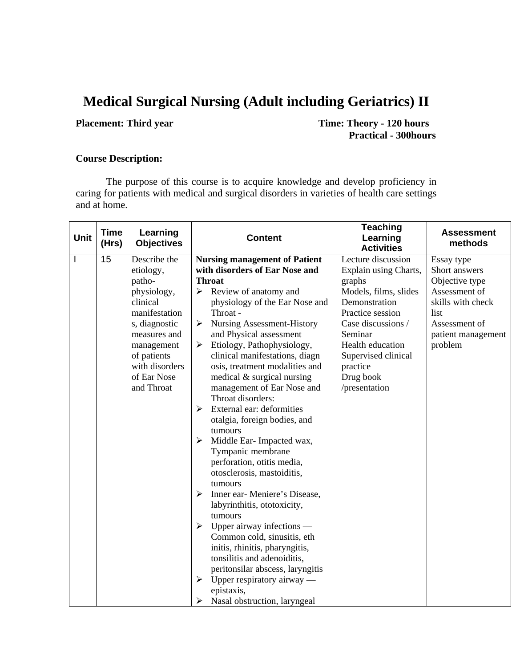# **Medical Surgical Nursing (Adult including Geriatrics) II**

**Placement: Third year** Time: Theory - 120 hours **Practical - 300hours** 

#### **Course Description:**

The purpose of this course is to acquire knowledge and develop proficiency in caring for patients with medical and surgical disorders in varieties of health care settings and at home.

| <b>Unit</b>  | <b>Time</b><br>(Hrs) | Learning<br><b>Objectives</b> | <b>Content</b>                                      | <b>Teaching</b><br>Learning<br><b>Activities</b> | <b>Assessment</b><br>methods |
|--------------|----------------------|-------------------------------|-----------------------------------------------------|--------------------------------------------------|------------------------------|
| $\mathbf{I}$ | 15                   | Describe the                  | <b>Nursing management of Patient</b>                | Lecture discussion                               | Essay type                   |
|              |                      | etiology,                     | with disorders of Ear Nose and                      | Explain using Charts,                            | Short answers                |
|              |                      | patho-                        | <b>Throat</b>                                       | graphs                                           | Objective type               |
|              |                      | physiology,                   | Review of anatomy and<br>➤                          | Models, films, slides                            | Assessment of                |
|              |                      | clinical                      | physiology of the Ear Nose and                      | Demonstration                                    | skills with check            |
|              |                      | manifestation                 | Throat -                                            | Practice session                                 | list                         |
|              |                      | s, diagnostic                 | <b>Nursing Assessment-History</b><br>➤              | Case discussions /                               | Assessment of                |
|              |                      | measures and                  | and Physical assessment                             | Seminar                                          | patient management           |
|              |                      | management                    | Etiology, Pathophysiology,<br>➤                     | Health education                                 | problem                      |
|              |                      | of patients                   | clinical manifestations, diagn                      | Supervised clinical                              |                              |
|              |                      | with disorders                | osis, treatment modalities and                      | practice                                         |                              |
|              |                      | of Ear Nose                   | medical & surgical nursing                          | Drug book                                        |                              |
|              |                      | and Throat                    | management of Ear Nose and                          | /presentation                                    |                              |
|              |                      |                               | Throat disorders:                                   |                                                  |                              |
|              |                      |                               | External ear: deformities<br>$\blacktriangleright$  |                                                  |                              |
|              |                      |                               | otalgia, foreign bodies, and                        |                                                  |                              |
|              |                      |                               | tumours                                             |                                                  |                              |
|              |                      |                               | Middle Ear-Impacted wax,<br>➤                       |                                                  |                              |
|              |                      |                               | Tympanic membrane                                   |                                                  |                              |
|              |                      |                               | perforation, otitis media,                          |                                                  |                              |
|              |                      |                               | otosclerosis, mastoiditis,                          |                                                  |                              |
|              |                      |                               | tumours                                             |                                                  |                              |
|              |                      |                               | Inner ear-Meniere's Disease,<br>➤                   |                                                  |                              |
|              |                      |                               | labyrinthitis, ototoxicity,<br>tumours              |                                                  |                              |
|              |                      |                               | Upper airway infections —<br>$\blacktriangleright$  |                                                  |                              |
|              |                      |                               | Common cold, sinusitis, eth                         |                                                  |                              |
|              |                      |                               | initis, rhinitis, pharyngitis,                      |                                                  |                              |
|              |                      |                               | tonsilitis and adenoiditis,                         |                                                  |                              |
|              |                      |                               | peritonsilar abscess, laryngitis                    |                                                  |                              |
|              |                      |                               | Upper respiratory airway —<br>$\blacktriangleright$ |                                                  |                              |
|              |                      |                               | epistaxis,                                          |                                                  |                              |
|              |                      |                               | Nasal obstruction, laryngeal<br>⋗                   |                                                  |                              |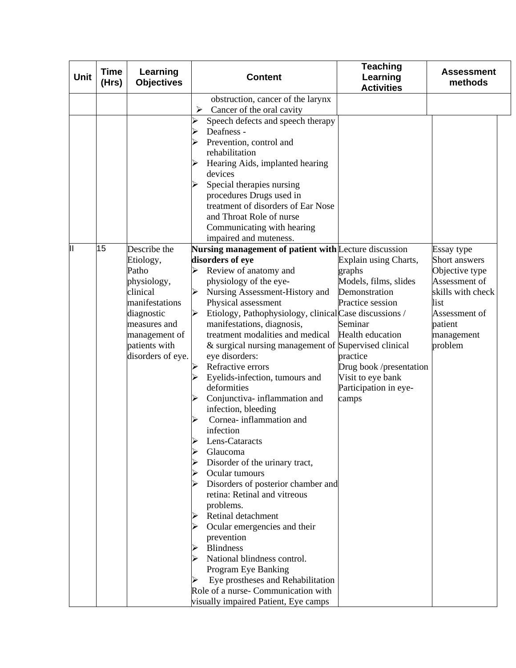| <b>Unit</b> | <b>Time</b><br>(Hrs) | Learning<br><b>Objectives</b> |   | <b>Content</b>                                                         | <b>Teaching</b><br>Learning<br><b>Activities</b> | <b>Assessment</b><br>methods |
|-------------|----------------------|-------------------------------|---|------------------------------------------------------------------------|--------------------------------------------------|------------------------------|
|             |                      |                               |   | obstruction, cancer of the larynx                                      |                                                  |                              |
|             |                      |                               | ➤ | Cancer of the oral cavity                                              |                                                  |                              |
|             |                      |                               | ➤ | Speech defects and speech therapy                                      |                                                  |                              |
|             |                      |                               | ⋗ | Deafness -                                                             |                                                  |                              |
|             |                      |                               |   | Prevention, control and                                                |                                                  |                              |
|             |                      |                               |   | rehabilitation                                                         |                                                  |                              |
|             |                      |                               |   | Hearing Aids, implanted hearing                                        |                                                  |                              |
|             |                      |                               |   | devices<br>Special therapies nursing                                   |                                                  |                              |
|             |                      |                               |   | procedures Drugs used in                                               |                                                  |                              |
|             |                      |                               |   | treatment of disorders of Ear Nose                                     |                                                  |                              |
|             |                      |                               |   | and Throat Role of nurse                                               |                                                  |                              |
|             |                      |                               |   | Communicating with hearing                                             |                                                  |                              |
|             |                      |                               |   | impaired and muteness.                                                 |                                                  |                              |
| Ш           | 15                   | Describe the                  |   | Nursing management of patient with Lecture discussion                  |                                                  | Essay type                   |
|             |                      | Etiology,                     |   | disorders of eye                                                       | Explain using Charts,                            | <b>Short answers</b>         |
|             |                      | Patho                         |   | Review of anatomy and                                                  | graphs                                           | Objective type               |
|             |                      | physiology,                   |   | physiology of the eye-                                                 | Models, films, slides                            | Assessment of                |
|             |                      | clinical                      |   | Nursing Assessment-History and                                         | Demonstration                                    | skills with check            |
|             |                      | manifestations                |   | Physical assessment                                                    | Practice session                                 | list                         |
|             |                      | diagnostic                    |   | Etiology, Pathophysiology, clinical Case discussions /                 |                                                  | Assessment of                |
|             |                      | measures and                  |   | manifestations, diagnosis,                                             | Seminar                                          | patient                      |
|             |                      | management of                 |   | treatment modalities and medical                                       | <b>Health education</b>                          | management                   |
|             |                      | patients with                 |   | & surgical nursing management of Supervised clinical<br>eye disorders: | practice                                         | problem                      |
|             |                      | disorders of eye.             |   | Refractive errors                                                      | Drug book /presentation                          |                              |
|             |                      |                               |   | Eyelids-infection, tumours and                                         | Visit to eye bank                                |                              |
|             |                      |                               |   | deformities                                                            | Participation in eye-                            |                              |
|             |                      |                               |   | Conjunctiva- inflammation and                                          | camps                                            |                              |
|             |                      |                               |   | infection, bleeding                                                    |                                                  |                              |
|             |                      |                               |   | Cornea-inflammation and                                                |                                                  |                              |
|             |                      |                               |   | infection                                                              |                                                  |                              |
|             |                      |                               |   | Lens-Cataracts                                                         |                                                  |                              |
|             |                      |                               |   | Glaucoma                                                               |                                                  |                              |
|             |                      |                               | ➤ | Disorder of the urinary tract,                                         |                                                  |                              |
|             |                      |                               | ⋗ | Ocular tumours                                                         |                                                  |                              |
|             |                      |                               |   | Disorders of posterior chamber and                                     |                                                  |                              |
|             |                      |                               |   | retina: Retinal and vitreous                                           |                                                  |                              |
|             |                      |                               |   | problems.<br>Retinal detachment                                        |                                                  |                              |
|             |                      |                               | ➤ | Ocular emergencies and their                                           |                                                  |                              |
|             |                      |                               |   | prevention                                                             |                                                  |                              |
|             |                      |                               |   | <b>Blindness</b>                                                       |                                                  |                              |
|             |                      |                               |   | National blindness control.                                            |                                                  |                              |
|             |                      |                               |   | Program Eye Banking                                                    |                                                  |                              |
|             |                      |                               |   | Eye prostheses and Rehabilitation                                      |                                                  |                              |
|             |                      |                               |   | Role of a nurse- Communication with                                    |                                                  |                              |
|             |                      |                               |   | visually impaired Patient, Eye camps                                   |                                                  |                              |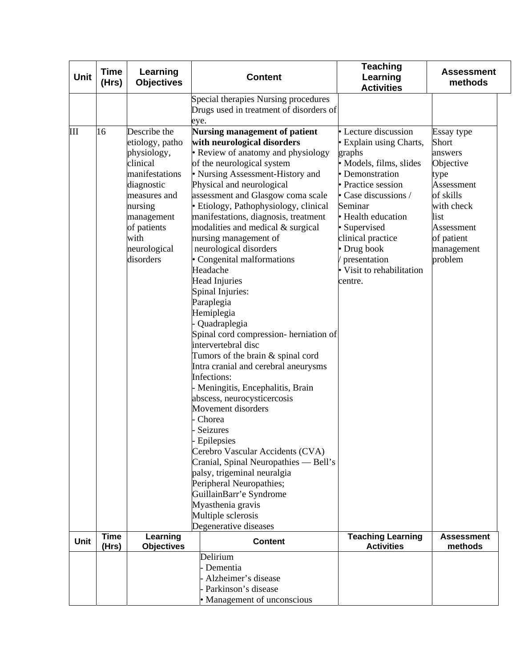| Unit        | <b>Time</b><br>Learning<br>(Hrs)<br><b>Objectives</b> |                                                                                                                                                                                         | <b>Content</b>                                                                                                                                                                                                                                                                                                                                                                                                                                                                                                                                                                                                                                                                                                                                                                                                                                                                                                                                                                                                                                                                           | <b>Teaching</b><br>Learning<br><b>Activities</b>                                                                                                                                                                                                                                                           | <b>Assessment</b><br>methods                                                                                                                              |
|-------------|-------------------------------------------------------|-----------------------------------------------------------------------------------------------------------------------------------------------------------------------------------------|------------------------------------------------------------------------------------------------------------------------------------------------------------------------------------------------------------------------------------------------------------------------------------------------------------------------------------------------------------------------------------------------------------------------------------------------------------------------------------------------------------------------------------------------------------------------------------------------------------------------------------------------------------------------------------------------------------------------------------------------------------------------------------------------------------------------------------------------------------------------------------------------------------------------------------------------------------------------------------------------------------------------------------------------------------------------------------------|------------------------------------------------------------------------------------------------------------------------------------------------------------------------------------------------------------------------------------------------------------------------------------------------------------|-----------------------------------------------------------------------------------------------------------------------------------------------------------|
|             |                                                       |                                                                                                                                                                                         | Special therapies Nursing procedures<br>Drugs used in treatment of disorders of<br>eye.                                                                                                                                                                                                                                                                                                                                                                                                                                                                                                                                                                                                                                                                                                                                                                                                                                                                                                                                                                                                  |                                                                                                                                                                                                                                                                                                            |                                                                                                                                                           |
| Ш           | 16                                                    | Describe the<br>etiology, patho<br>physiology,<br>clinical<br>manifestations<br>diagnostic<br>measures and<br>nursing<br>management<br>of patients<br>with<br>neurological<br>disorders | <b>Nursing management of patient</b><br>with neurological disorders<br>• Review of anatomy and physiology<br>of the neurological system<br>• Nursing Assessment-History and<br>Physical and neurological<br>assessment and Glasgow coma scale<br>· Etiology, Pathophysiology, clinical<br>manifestations, diagnosis, treatment<br>modalities and medical & surgical<br>nursing management of<br>neurological disorders<br>• Congenital malformations<br>Headache<br><b>Head Injuries</b><br>Spinal Injuries:<br>Paraplegia<br>Hemiplegia<br>Quadraplegia<br>Spinal cord compression- herniation of<br>intervertebral disc<br>Tumors of the brain & spinal cord<br>Intra cranial and cerebral aneurysms<br>Infections:<br>Meningitis, Encephalitis, Brain<br>abscess, neurocysticercosis<br>Movement disorders<br>Chorea<br>Seizures<br>Epilepsies<br>Cerebro Vascular Accidents (CVA)<br>Cranial, Spinal Neuropathies — Bell's<br>palsy, trigeminal neuralgia<br>Peripheral Neuropathies;<br>GuillainBarr'e Syndrome<br>Myasthenia gravis<br>Multiple sclerosis<br>Degenerative diseases | • Lecture discussion<br>• Explain using Charts,<br>graphs<br>· Models, films, slides<br>• Demonstration<br>• Practice session<br>$\bullet$ Case discussions /<br>Seminar<br>• Health education<br>• Supervised<br>clinical practice<br>• Drug book<br>presentation<br>• Visit to rehabilitation<br>centre. | Essay type<br>Short<br>answers<br>Objective<br>type<br>Assessment<br>of skills<br>with check<br>list<br>Assessment<br>of patient<br>management<br>problem |
| <b>Unit</b> | <b>Time</b><br>(Hrs)                                  | Learning<br><b>Objectives</b>                                                                                                                                                           | <b>Content</b>                                                                                                                                                                                                                                                                                                                                                                                                                                                                                                                                                                                                                                                                                                                                                                                                                                                                                                                                                                                                                                                                           | <b>Teaching Learning</b><br><b>Activities</b>                                                                                                                                                                                                                                                              | <b>Assessment</b><br>methods                                                                                                                              |
|             |                                                       |                                                                                                                                                                                         | Delirium<br>Dementia<br>Alzheimer's disease<br>Parkinson's disease<br>• Management of unconscious                                                                                                                                                                                                                                                                                                                                                                                                                                                                                                                                                                                                                                                                                                                                                                                                                                                                                                                                                                                        |                                                                                                                                                                                                                                                                                                            |                                                                                                                                                           |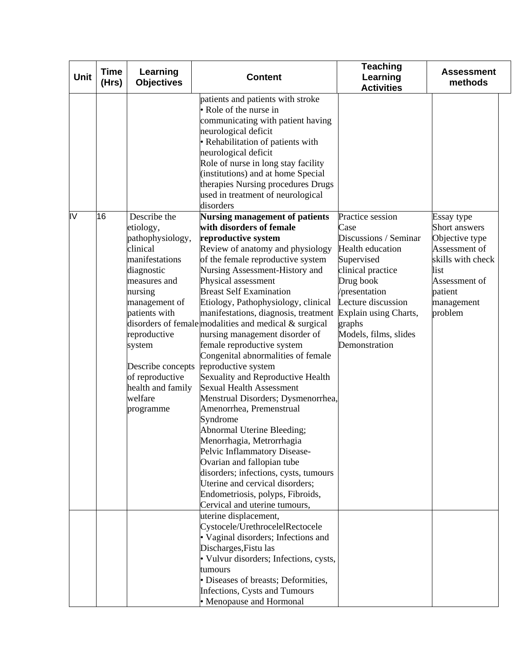| <b>Unit</b> | <b>Time</b><br>(Hrs) | Learning<br><b>Objectives</b>                                                                                                                                                                                                                                         | <b>Content</b>                                                                                                                                                                                                                                                                                                                                                                                                                                                                                                                                                                                                                                                                                                                                                                                                                                                                                                                                                       | <b>Teaching</b><br>Learning<br><b>Activities</b>                                                                                                                                                                                         | <b>Assessment</b><br>methods                                                                                                                     |
|-------------|----------------------|-----------------------------------------------------------------------------------------------------------------------------------------------------------------------------------------------------------------------------------------------------------------------|----------------------------------------------------------------------------------------------------------------------------------------------------------------------------------------------------------------------------------------------------------------------------------------------------------------------------------------------------------------------------------------------------------------------------------------------------------------------------------------------------------------------------------------------------------------------------------------------------------------------------------------------------------------------------------------------------------------------------------------------------------------------------------------------------------------------------------------------------------------------------------------------------------------------------------------------------------------------|------------------------------------------------------------------------------------------------------------------------------------------------------------------------------------------------------------------------------------------|--------------------------------------------------------------------------------------------------------------------------------------------------|
|             |                      |                                                                                                                                                                                                                                                                       | patients and patients with stroke<br>• Role of the nurse in<br>communicating with patient having<br>neurological deficit<br>• Rehabilitation of patients with<br>neurological deficit<br>Role of nurse in long stay facility<br>(institutions) and at home Special<br>therapies Nursing procedures Drugs<br>used in treatment of neurological<br>disorders                                                                                                                                                                                                                                                                                                                                                                                                                                                                                                                                                                                                           |                                                                                                                                                                                                                                          |                                                                                                                                                  |
| IV          | 16                   | Describe the<br>etiology,<br>pathophysiology,<br>clinical<br>manifestations<br>diagnostic<br>measures and<br>nursing<br>management of<br>patients with<br>reproductive<br>system<br>Describe concepts<br>of reproductive<br>health and family<br>welfare<br>programme | <b>Nursing management of patients</b><br>with disorders of female<br>reproductive system<br>Review of anatomy and physiology<br>of the female reproductive system<br>Nursing Assessment-History and<br>Physical assessment<br><b>Breast Self Examination</b><br>Etiology, Pathophysiology, clinical<br>manifestations, diagnosis, treatment<br>disorders of female modalities and medical $\&$ surgical<br>nursing management disorder of<br>female reproductive system<br>Congenital abnormalities of female<br>reproductive system<br>Sexuality and Reproductive Health<br><b>Sexual Health Assessment</b><br>Menstrual Disorders; Dysmenorrhea,<br>Amenorrhea, Premenstrual<br>Syndrome<br>Abnormal Uterine Bleeding;<br>Menorrhagia, Metrorrhagia<br>Pelvic Inflammatory Disease-<br>Ovarian and fallopian tube<br>disorders; infections, cysts, tumours<br>Uterine and cervical disorders;<br>Endometriosis, polyps, Fibroids,<br>Cervical and uterine tumours, | Practice session<br>Case<br>Discussions / Seminar<br>Health education<br>Supervised<br>clinical practice<br>Drug book<br>presentation<br>Lecture discussion<br>Explain using Charts,<br>graphs<br>Models, films, slides<br>Demonstration | Essay type<br>Short answers<br>Objective type<br>Assessment of<br>skills with check<br>list<br>Assessment of<br>patient<br>management<br>problem |
|             |                      |                                                                                                                                                                                                                                                                       | uterine displacement,<br>Cystocele/UrethrocelelRectocele<br>· Vaginal disorders; Infections and<br>Discharges, Fistu las<br>· Vulvur disorders; Infections, cysts,<br>tumours<br>· Diseases of breasts; Deformities,<br>Infections, Cysts and Tumours<br>• Menopause and Hormonal                                                                                                                                                                                                                                                                                                                                                                                                                                                                                                                                                                                                                                                                                    |                                                                                                                                                                                                                                          |                                                                                                                                                  |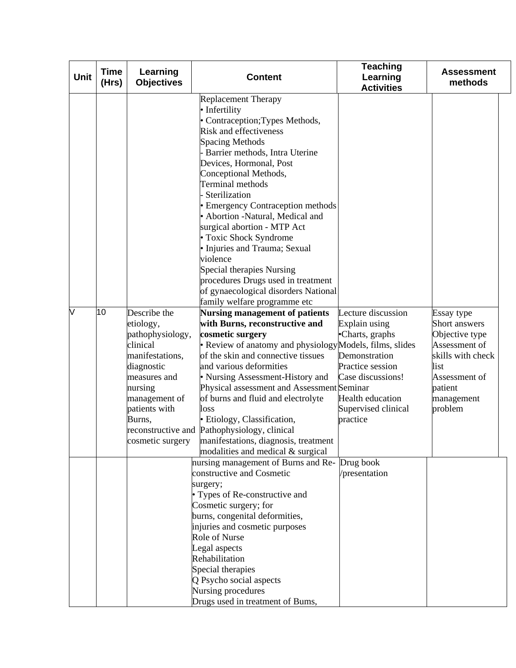| Unit | <b>Time</b><br>(Hrs) | Learning<br><b>Objectives</b>                                                                                                                                                         | <b>Content</b>                                                                                                                                                                                                                                                                                                                                                                                                                                                                                                                                                 | <b>Teaching</b><br>Learning<br><b>Activities</b>                                                                                                                               | <b>Assessment</b><br>methods                                                                                                                     |
|------|----------------------|---------------------------------------------------------------------------------------------------------------------------------------------------------------------------------------|----------------------------------------------------------------------------------------------------------------------------------------------------------------------------------------------------------------------------------------------------------------------------------------------------------------------------------------------------------------------------------------------------------------------------------------------------------------------------------------------------------------------------------------------------------------|--------------------------------------------------------------------------------------------------------------------------------------------------------------------------------|--------------------------------------------------------------------------------------------------------------------------------------------------|
|      |                      |                                                                                                                                                                                       | <b>Replacement Therapy</b><br>• Infertility<br>• Contraception; Types Methods,<br><b>Risk and effectiveness</b><br><b>Spacing Methods</b><br>Barrier methods, Intra Uterine<br>Devices, Hormonal, Post<br>Conceptional Methods,<br>Terminal methods<br>Sterilization<br>• Emergency Contraception methods<br>· Abortion -Natural, Medical and<br>surgical abortion - MTP Act<br>• Toxic Shock Syndrome<br>· Injuries and Trauma; Sexual<br>violence<br>Special therapies Nursing<br>procedures Drugs used in treatment<br>of gynaecological disorders National |                                                                                                                                                                                |                                                                                                                                                  |
| V    | 10                   | Describe the<br>etiology,<br>pathophysiology,<br>clinical<br>manifestations,<br>diagnostic<br>measures and<br>nursing<br>management of<br>patients with<br>Burns,<br>cosmetic surgery | family welfare programme etc<br><b>Nursing management of patients</b><br>with Burns, reconstructive and<br>cosmetic surgery<br>• Review of anatomy and physiology Models, films, slides<br>of the skin and connective tissues<br>and various deformities<br>• Nursing Assessment-History and<br>Physical assessment and Assessment Seminar<br>of burns and fluid and electrolyte<br>loss<br>· Etiology, Classification,<br>reconstructive and Pathophysiology, clinical<br>manifestations, diagnosis, treatment<br>modalities and medical & surgical           | Lecture discussion<br>Explain using<br>•Charts, graphs<br>Demonstration<br>Practice session<br>Case discussions!<br><b>Health education</b><br>Supervised clinical<br>practice | Essay type<br>Short answers<br>Objective type<br>Assessment of<br>skills with check<br>list<br>Assessment of<br>patient<br>management<br>problem |
|      |                      |                                                                                                                                                                                       | nursing management of Burns and Re- Drug book<br>constructive and Cosmetic<br>surgery;<br>• Types of Re-constructive and<br>Cosmetic surgery; for<br>burns, congenital deformities,<br>injuries and cosmetic purposes<br>Role of Nurse<br>Legal aspects<br>Rehabilitation<br>Special therapies<br>Q Psycho social aspects<br>Nursing procedures<br>Drugs used in treatment of Bums,                                                                                                                                                                            | presentation                                                                                                                                                                   |                                                                                                                                                  |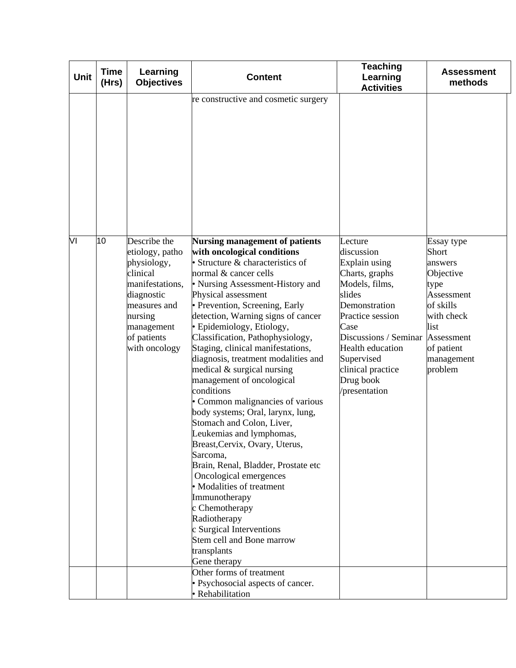| <b>Unit</b> | <b>Time</b><br>(Hrs) | Learning<br><b>Objectives</b>                                                                                                                                        | <b>Content</b>                                                                                                                                                                                                                                                                                                                                                                                                                                                                                                                                                                                                                                                                                                                                                                                                                                                                                                    | <b>Teaching</b><br>Learning<br><b>Activities</b>                                                                                                                                                                                                | <b>Assessment</b><br>methods                                                                                                                              |
|-------------|----------------------|----------------------------------------------------------------------------------------------------------------------------------------------------------------------|-------------------------------------------------------------------------------------------------------------------------------------------------------------------------------------------------------------------------------------------------------------------------------------------------------------------------------------------------------------------------------------------------------------------------------------------------------------------------------------------------------------------------------------------------------------------------------------------------------------------------------------------------------------------------------------------------------------------------------------------------------------------------------------------------------------------------------------------------------------------------------------------------------------------|-------------------------------------------------------------------------------------------------------------------------------------------------------------------------------------------------------------------------------------------------|-----------------------------------------------------------------------------------------------------------------------------------------------------------|
|             |                      |                                                                                                                                                                      | re constructive and cosmetic surgery                                                                                                                                                                                                                                                                                                                                                                                                                                                                                                                                                                                                                                                                                                                                                                                                                                                                              |                                                                                                                                                                                                                                                 |                                                                                                                                                           |
| VI          | 10                   | Describe the<br>etiology, patho<br>physiology,<br>clinical<br>manifestations,<br>diagnostic<br>measures and<br>nursing<br>management<br>of patients<br>with oncology | <b>Nursing management of patients</b><br>with oncological conditions<br>Structure & characteristics of<br>normal & cancer cells<br>• Nursing Assessment-History and<br>Physical assessment<br>• Prevention, Screening, Early<br>detection, Warning signs of cancer<br>· Epidemiology, Etiology,<br>Classification, Pathophysiology,<br>Staging, clinical manifestations,<br>diagnosis, treatment modalities and<br>medical & surgical nursing<br>management of oncological<br>conditions<br>• Common malignancies of various<br>body systems; Oral, larynx, lung,<br>Stomach and Colon, Liver,<br>Leukemias and lymphomas,<br>Breast, Cervix, Ovary, Uterus,<br>Sarcoma,<br>Brain, Renal, Bladder, Prostate etc<br>Oncological emergences<br>· Modalities of treatment<br>Immunotherapy<br>c Chemotherapy<br>Radiotherapy<br>c Surgical Interventions<br>Stem cell and Bone marrow<br>transplants<br>Gene therapy | Lecture<br>discussion<br>Explain using<br>Charts, graphs<br>Models, films,<br>slides<br>Demonstration<br>Practice session<br>Case<br>Discussions / Seminar<br>Health education<br>Supervised<br>clinical practice<br>Drug book<br>/presentation | Essay type<br>Short<br>answers<br>Objective<br>type<br>Assessment<br>of skills<br>with check<br>list<br>Assessment<br>of patient<br>management<br>problem |
|             |                      |                                                                                                                                                                      | Other forms of treatment<br>· Psychosocial aspects of cancer.<br><b>Rehabilitation</b>                                                                                                                                                                                                                                                                                                                                                                                                                                                                                                                                                                                                                                                                                                                                                                                                                            |                                                                                                                                                                                                                                                 |                                                                                                                                                           |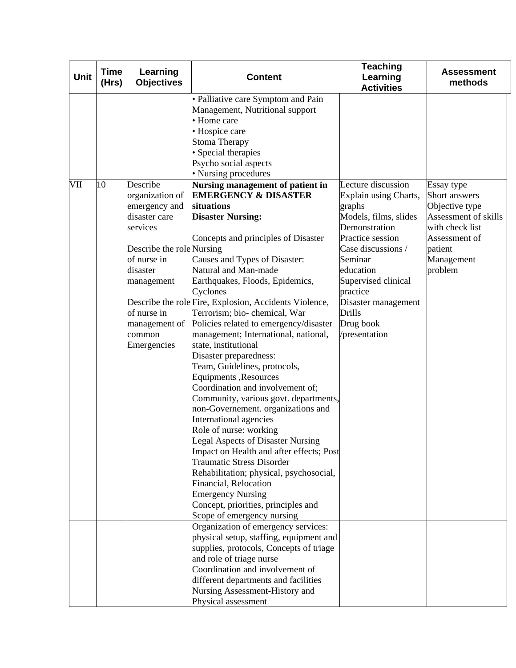| Unit | <b>Time</b><br>(Hrs) | Learning<br><b>Objectives</b>                                                                                                                                                                            | <b>Content</b>                                                                                                                                                                                                                                                                                                                                                                                                                                                                                                                                                                                                                                                                                                                                                                                                                                                                                                                                                                                                                                                                                                          | <b>Teaching</b><br>Learning<br><b>Activities</b>                                                                                                                                                                                                                           | <b>Assessment</b><br>methods                                                                                                                  |
|------|----------------------|----------------------------------------------------------------------------------------------------------------------------------------------------------------------------------------------------------|-------------------------------------------------------------------------------------------------------------------------------------------------------------------------------------------------------------------------------------------------------------------------------------------------------------------------------------------------------------------------------------------------------------------------------------------------------------------------------------------------------------------------------------------------------------------------------------------------------------------------------------------------------------------------------------------------------------------------------------------------------------------------------------------------------------------------------------------------------------------------------------------------------------------------------------------------------------------------------------------------------------------------------------------------------------------------------------------------------------------------|----------------------------------------------------------------------------------------------------------------------------------------------------------------------------------------------------------------------------------------------------------------------------|-----------------------------------------------------------------------------------------------------------------------------------------------|
| VII  | 10                   | Describe<br>organization of<br>emergency and<br>disaster care<br>services<br>Describe the role Nursing<br>of nurse in<br>disaster<br>management<br>of nurse in<br>management of<br>common<br>Emergencies | • Palliative care Symptom and Pain<br>Management, Nutritional support<br>• Home care<br>· Hospice care<br><b>Stoma Therapy</b><br>• Special therapies<br>Psycho social aspects<br>• Nursing procedures<br>Nursing management of patient in<br><b>EMERGENCY &amp; DISASTER</b><br>situations<br><b>Disaster Nursing:</b><br>Concepts and principles of Disaster<br>Causes and Types of Disaster:<br>Natural and Man-made<br>Earthquakes, Floods, Epidemics,<br>Cyclones<br>Describe the role Fire, Explosion, Accidents Violence,<br>Terrorism; bio-chemical, War<br>Policies related to emergency/disaster<br>management; International, national,<br>state, institutional<br>Disaster preparedness:<br>Team, Guidelines, protocols,<br>Equipments , Resources<br>Coordination and involvement of;<br>Community, various govt. departments,<br>non-Governement. organizations and<br>International agencies<br>Role of nurse: working<br>Legal Aspects of Disaster Nursing<br>Impact on Health and after effects; Post<br>Traumatic Stress Disorder<br>Rehabilitation; physical, psychosocial,<br>Financial, Relocation | Lecture discussion<br>Explain using Charts,<br>graphs<br>Models, films, slides<br>Demonstration<br>Practice session<br>Case discussions /<br>Seminar<br>education<br>Supervised clinical<br>practice<br>Disaster management<br><b>Drills</b><br>Drug book<br>/presentation | Essay type<br>Short answers<br>Objective type<br>Assessment of skills<br>with check list<br>Assessment of<br>patient<br>Management<br>problem |
|      |                      |                                                                                                                                                                                                          | <b>Emergency Nursing</b><br>Concept, priorities, principles and<br>Scope of emergency nursing                                                                                                                                                                                                                                                                                                                                                                                                                                                                                                                                                                                                                                                                                                                                                                                                                                                                                                                                                                                                                           |                                                                                                                                                                                                                                                                            |                                                                                                                                               |
|      |                      |                                                                                                                                                                                                          | Organization of emergency services:<br>physical setup, staffing, equipment and<br>supplies, protocols, Concepts of triage<br>and role of triage nurse<br>Coordination and involvement of<br>different departments and facilities<br>Nursing Assessment-History and<br>Physical assessment                                                                                                                                                                                                                                                                                                                                                                                                                                                                                                                                                                                                                                                                                                                                                                                                                               |                                                                                                                                                                                                                                                                            |                                                                                                                                               |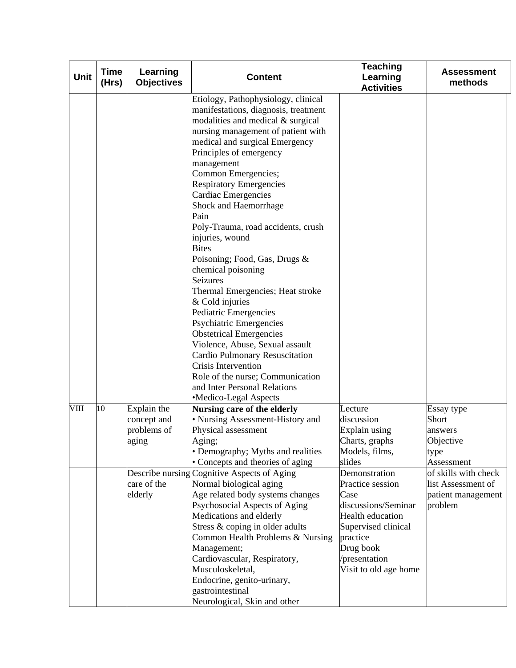| Unit | <b>Time</b><br>(Hrs) | Learning<br><b>Objectives</b>                      | <b>Content</b>                                                                                                                                                                                                                                                                                                                                                                                                                                                                                                                                                                                                                                                                                                                                 | <b>Teaching</b><br>Learning<br><b>Activities</b>                                                                                                                                      | <b>Assessment</b><br>methods                                                |
|------|----------------------|----------------------------------------------------|------------------------------------------------------------------------------------------------------------------------------------------------------------------------------------------------------------------------------------------------------------------------------------------------------------------------------------------------------------------------------------------------------------------------------------------------------------------------------------------------------------------------------------------------------------------------------------------------------------------------------------------------------------------------------------------------------------------------------------------------|---------------------------------------------------------------------------------------------------------------------------------------------------------------------------------------|-----------------------------------------------------------------------------|
|      |                      |                                                    | Etiology, Pathophysiology, clinical<br>manifestations, diagnosis, treatment<br>modalities and medical & surgical<br>nursing management of patient with<br>medical and surgical Emergency<br>Principles of emergency<br>management<br>Common Emergencies;<br><b>Respiratory Emergencies</b><br>Cardiac Emergencies<br>Shock and Haemorrhage<br>Pain<br>Poly-Trauma, road accidents, crush<br>injuries, wound<br><b>Bites</b><br>Poisoning; Food, Gas, Drugs &<br>chemical poisoning<br><b>Seizures</b><br>Thermal Emergencies; Heat stroke<br>& Cold injuries<br>Pediatric Emergencies<br>Psychiatric Emergencies<br><b>Obstetrical Emergencies</b><br>Violence, Abuse, Sexual assault<br>Cardio Pulmonary Resuscitation<br>Crisis Intervention |                                                                                                                                                                                       |                                                                             |
|      |                      |                                                    | Role of the nurse; Communication<br>and Inter Personal Relations                                                                                                                                                                                                                                                                                                                                                                                                                                                                                                                                                                                                                                                                               |                                                                                                                                                                                       |                                                                             |
|      |                      |                                                    | •Medico-Legal Aspects                                                                                                                                                                                                                                                                                                                                                                                                                                                                                                                                                                                                                                                                                                                          |                                                                                                                                                                                       |                                                                             |
| VIII | 10                   | Explain the<br>concept and<br>problems of<br>aging | Nursing care of the elderly<br>• Nursing Assessment-History and<br>Physical assessment<br>Aging;<br>• Demography; Myths and realities<br>• Concepts and theories of aging                                                                                                                                                                                                                                                                                                                                                                                                                                                                                                                                                                      | Lecture<br>discussion<br>Explain using<br>Charts, graphs<br>Models, films,<br>slides                                                                                                  | Essay type<br>Short<br>answers<br>Objective<br>type<br>Assessment           |
|      |                      | care of the<br>elderly                             | Describe nursing Cognitive Aspects of Aging<br>Normal biological aging<br>Age related body systems changes<br>Psychosocial Aspects of Aging<br>Medications and elderly<br>Stress & coping in older adults<br>Common Health Problems & Nursing<br>Management;<br>Cardiovascular, Respiratory,<br>Musculoskeletal,<br>Endocrine, genito-urinary,<br>gastrointestinal<br>Neurological, Skin and other                                                                                                                                                                                                                                                                                                                                             | Demonstration<br>Practice session<br>Case<br>discussions/Seminar<br><b>Health education</b><br>Supervised clinical<br>practice<br>Drug book<br>/presentation<br>Visit to old age home | of skills with check<br>list Assessment of<br>patient management<br>problem |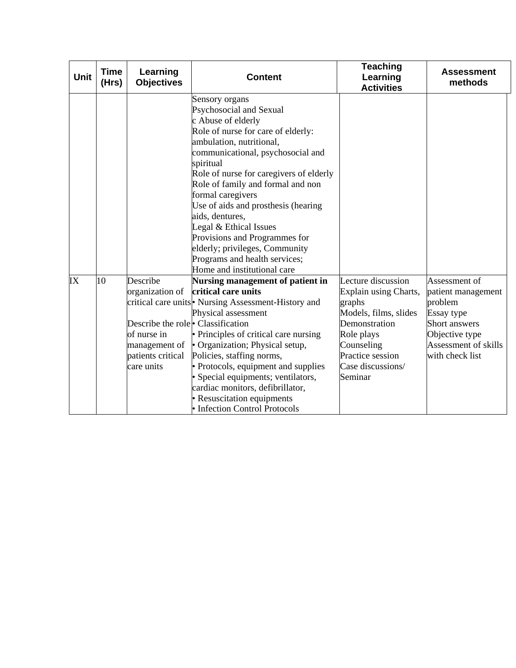| Unit | <b>Time</b><br>(Hrs) | Learning<br><b>Objectives</b>                                                                                                      | <b>Content</b>                                                                                                                                                                                                                                                                                                                                                                                                                                                                                                  | <b>Teaching</b><br>Learning<br><b>Activities</b>                                                                                                                                | <b>Assessment</b><br>methods                                                                                                               |
|------|----------------------|------------------------------------------------------------------------------------------------------------------------------------|-----------------------------------------------------------------------------------------------------------------------------------------------------------------------------------------------------------------------------------------------------------------------------------------------------------------------------------------------------------------------------------------------------------------------------------------------------------------------------------------------------------------|---------------------------------------------------------------------------------------------------------------------------------------------------------------------------------|--------------------------------------------------------------------------------------------------------------------------------------------|
|      |                      |                                                                                                                                    | Sensory organs<br>Psychosocial and Sexual<br>c Abuse of elderly<br>Role of nurse for care of elderly:<br>ambulation, nutritional,<br>communicational, psychosocial and<br>spiritual<br>Role of nurse for caregivers of elderly<br>Role of family and formal and non<br>formal caregivers<br>Use of aids and prosthesis (hearing<br>aids, dentures,<br>Legal & Ethical Issues<br>Provisions and Programmes for<br>elderly; privileges, Community<br>Programs and health services;<br>Home and institutional care |                                                                                                                                                                                 |                                                                                                                                            |
| IX   | 10                   | Describe<br>organization of<br>Describe the role Classification<br>of nurse in<br>management of<br>patients critical<br>care units | Nursing management of patient in<br>critical care units<br>critical care units Nursing Assessment-History and<br>Physical assessment<br>• Principles of critical care nursing<br>• Organization; Physical setup,<br>Policies, staffing norms,<br>• Protocols, equipment and supplies<br>· Special equipments; ventilators,<br>cardiac monitors, defibrillator,<br>• Resuscitation equipments<br>• Infection Control Protocols                                                                                   | Lecture discussion<br>Explain using Charts,<br>graphs<br>Models, films, slides<br>Demonstration<br>Role plays<br>Counseling<br>Practice session<br>Case discussions/<br>Seminar | Assessment of<br>patient management<br>problem<br>Essay type<br>Short answers<br>Objective type<br>Assessment of skills<br>with check list |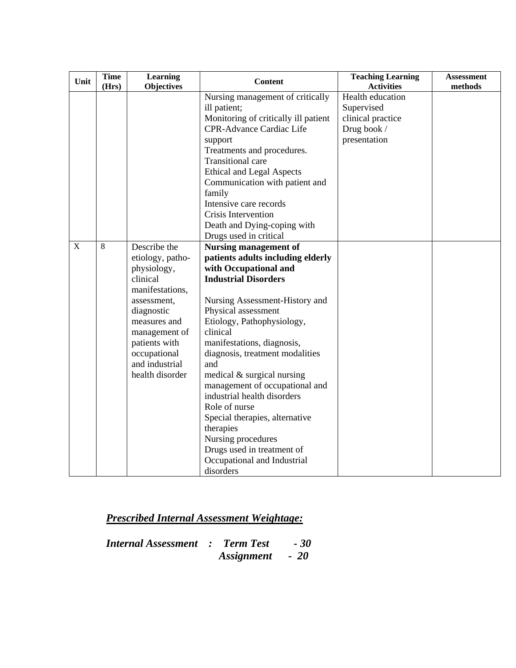| Unit        | <b>Time</b><br>(Hrs) | <b>Learning</b><br><b>Objectives</b>                                                                                                                                                                               | <b>Content</b>                                                                                                                                                                                                                                                                                                                                                                                                                                                                                                                                                                                | <b>Teaching Learning</b><br><b>Activities</b>                                      | <b>Assessment</b><br>methods |
|-------------|----------------------|--------------------------------------------------------------------------------------------------------------------------------------------------------------------------------------------------------------------|-----------------------------------------------------------------------------------------------------------------------------------------------------------------------------------------------------------------------------------------------------------------------------------------------------------------------------------------------------------------------------------------------------------------------------------------------------------------------------------------------------------------------------------------------------------------------------------------------|------------------------------------------------------------------------------------|------------------------------|
|             |                      |                                                                                                                                                                                                                    | Nursing management of critically<br>ill patient;<br>Monitoring of critically ill patient<br><b>CPR-Advance Cardiac Life</b><br>support<br>Treatments and procedures.<br><b>Transitional care</b><br><b>Ethical and Legal Aspects</b><br>Communication with patient and<br>family<br>Intensive care records<br>Crisis Intervention<br>Death and Dying-coping with                                                                                                                                                                                                                              | Health education<br>Supervised<br>clinical practice<br>Drug book /<br>presentation |                              |
| $\mathbf X$ | 8                    | Describe the<br>etiology, patho-<br>physiology,<br>clinical<br>manifestations,<br>assessment,<br>diagnostic<br>measures and<br>management of<br>patients with<br>occupational<br>and industrial<br>health disorder | Drugs used in critical<br><b>Nursing management of</b><br>patients adults including elderly<br>with Occupational and<br><b>Industrial Disorders</b><br>Nursing Assessment-History and<br>Physical assessment<br>Etiology, Pathophysiology,<br>clinical<br>manifestations, diagnosis,<br>diagnosis, treatment modalities<br>and<br>medical & surgical nursing<br>management of occupational and<br>industrial health disorders<br>Role of nurse<br>Special therapies, alternative<br>therapies<br>Nursing procedures<br>Drugs used in treatment of<br>Occupational and Industrial<br>disorders |                                                                                    |                              |

*Internal Assessment : Term Test - 30 Assignment - 20*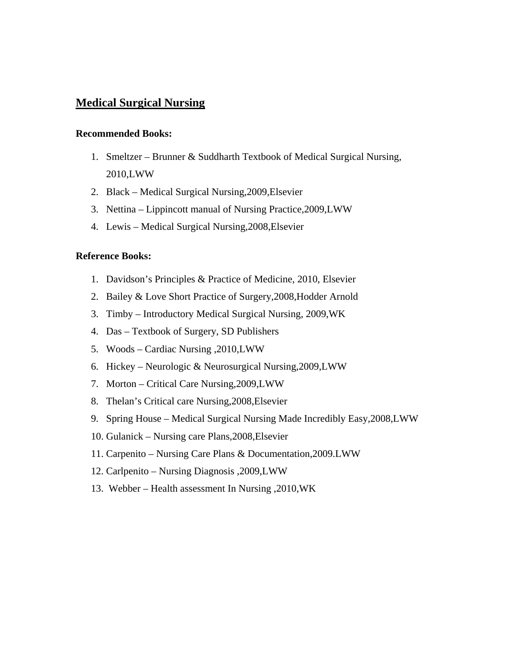#### **Medical Surgical Nursing**

#### **Recommended Books:**

- 1. Smeltzer Brunner & Suddharth Textbook of Medical Surgical Nursing, 2010,LWW
- 2. Black Medical Surgical Nursing,2009,Elsevier
- 3. Nettina Lippincott manual of Nursing Practice,2009,LWW
- 4. Lewis Medical Surgical Nursing,2008,Elsevier

#### **Reference Books:**

- 1. Davidson's Principles & Practice of Medicine, 2010, Elsevier
- 2. Bailey & Love Short Practice of Surgery,2008,Hodder Arnold
- 3. Timby Introductory Medical Surgical Nursing, 2009,WK
- 4. Das Textbook of Surgery, SD Publishers
- 5. Woods Cardiac Nursing ,2010,LWW
- 6. Hickey Neurologic & Neurosurgical Nursing,2009,LWW
- 7. Morton Critical Care Nursing,2009,LWW
- 8. Thelan's Critical care Nursing,2008,Elsevier
- 9. Spring House Medical Surgical Nursing Made Incredibly Easy,2008,LWW
- 10. Gulanick Nursing care Plans,2008,Elsevier
- 11. Carpenito Nursing Care Plans & Documentation,2009.LWW
- 12. Carlpenito Nursing Diagnosis ,2009,LWW
- 13. Webber Health assessment In Nursing ,2010,WK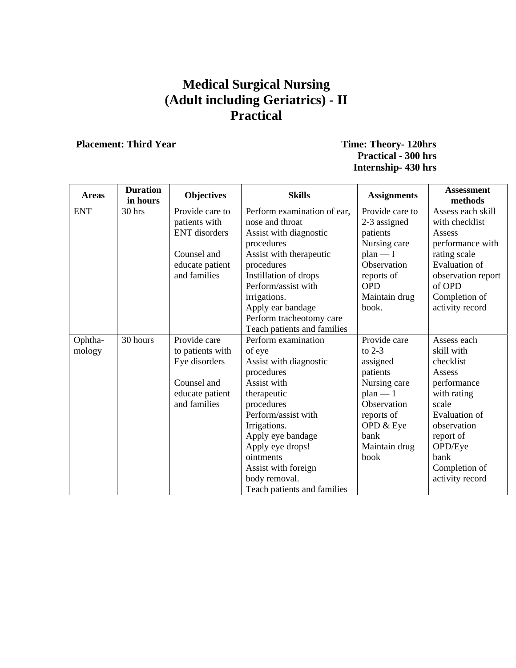## **Medical Surgical Nursing (Adult including Geriatrics) - II Practical**

#### **Placement: Third Year Time: Theory- 120hrs Practical - 300 hrs Internship- 430 hrs**

| <b>Areas</b> | <b>Duration</b><br>in hours | <b>Objectives</b>    | <b>Skills</b>               | <b>Assignments</b> | <b>Assessment</b><br>methods |
|--------------|-----------------------------|----------------------|-----------------------------|--------------------|------------------------------|
| <b>ENT</b>   | 30 hrs                      | Provide care to      | Perform examination of ear, | Provide care to    | Assess each skill            |
|              |                             | patients with        | nose and throat             | 2-3 assigned       | with checklist               |
|              |                             | <b>ENT</b> disorders | Assist with diagnostic      | patients           | Assess                       |
|              |                             |                      | procedures                  | Nursing care       | performance with             |
|              |                             | Counsel and          | Assist with therapeutic     | $plan - I$         | rating scale                 |
|              |                             | educate patient      | procedures                  | Observation        | <b>Evaluation of</b>         |
|              |                             | and families         | Instillation of drops       | reports of         | observation report           |
|              |                             |                      | Perform/assist with         | <b>OPD</b>         | of OPD                       |
|              |                             |                      | irrigations.                | Maintain drug      | Completion of                |
|              |                             |                      | Apply ear bandage           | book.              | activity record              |
|              |                             |                      | Perform tracheotomy care    |                    |                              |
|              |                             |                      | Teach patients and families |                    |                              |
| Ophtha-      | 30 hours                    | Provide care         | Perform examination         | Provide care       | Assess each                  |
| mology       |                             | to patients with     | of eye                      | to $2-3$           | skill with                   |
|              |                             | Eye disorders        | Assist with diagnostic      | assigned           | checklist                    |
|              |                             |                      | procedures                  | patients           | Assess                       |
|              |                             | Counsel and          | Assist with                 | Nursing care       | performance                  |
|              |                             | educate patient      | therapeutic                 | $plan - 1$         | with rating                  |
|              |                             | and families         | procedures                  | Observation        | scale                        |
|              |                             |                      | Perform/assist with         | reports of         | <b>Evaluation</b> of         |
|              |                             |                      | Irrigations.                | OPD & Eye          | observation                  |
|              |                             |                      | Apply eye bandage           | bank               | report of                    |
|              |                             |                      | Apply eye drops!            | Maintain drug      | OPD/Eye                      |
|              |                             |                      | ointments                   | book               | bank                         |
|              |                             |                      | Assist with foreign         |                    | Completion of                |
|              |                             |                      | body removal.               |                    | activity record              |
|              |                             |                      | Teach patients and families |                    |                              |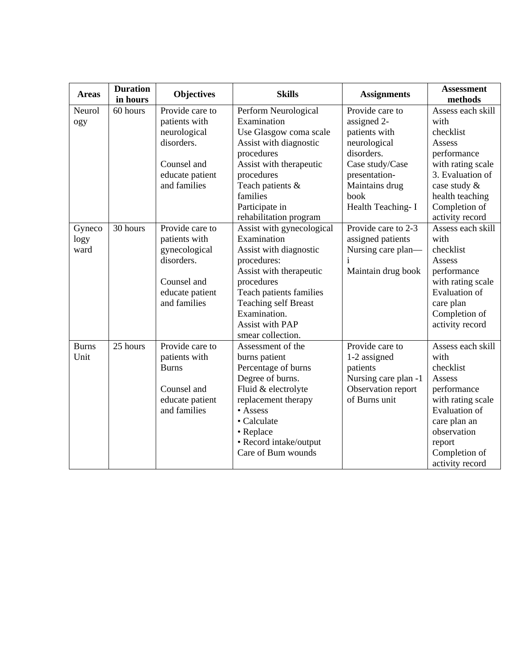| <b>Areas</b> | <b>Duration</b><br>in hours | <b>Objectives</b> | <b>Skills</b>               | <b>Assignments</b>   | <b>Assessment</b><br>methods |
|--------------|-----------------------------|-------------------|-----------------------------|----------------------|------------------------------|
| Neurol       | 60 hours                    | Provide care to   | Perform Neurological        | Provide care to      | Assess each skill            |
| ogy          |                             | patients with     | Examination                 | assigned 2-          | with                         |
|              |                             | neurological      | Use Glasgow coma scale      | patients with        | checklist                    |
|              |                             | disorders.        | Assist with diagnostic      | neurological         | Assess                       |
|              |                             |                   | procedures                  | disorders.           | performance                  |
|              |                             | Counsel and       | Assist with therapeutic     | Case study/Case      | with rating scale            |
|              |                             | educate patient   | procedures                  | presentation-        | 3. Evaluation of             |
|              |                             | and families      | Teach patients &            | Maintains drug       | case study &                 |
|              |                             |                   | families                    | book                 | health teaching              |
|              |                             |                   | Participate in              | Health Teaching-I    | Completion of                |
|              |                             |                   | rehabilitation program      |                      | activity record              |
| Gyneco       | 30 hours                    | Provide care to   | Assist with gynecological   | Provide care to 2-3  | Assess each skill            |
| logy         |                             | patients with     | Examination                 | assigned patients    | with                         |
| ward         |                             | gynecological     | Assist with diagnostic      | Nursing care plan-   | checklist                    |
|              |                             | disorders.        | procedures:                 | i                    | Assess                       |
|              |                             |                   | Assist with therapeutic     | Maintain drug book   | performance                  |
|              |                             | Counsel and       | procedures                  |                      | with rating scale            |
|              |                             | educate patient   | Teach patients families     |                      | <b>Evaluation</b> of         |
|              |                             | and families      | <b>Teaching self Breast</b> |                      | care plan                    |
|              |                             |                   | Examination.                |                      | Completion of                |
|              |                             |                   | <b>Assist with PAP</b>      |                      | activity record              |
|              |                             |                   | smear collection.           |                      |                              |
| <b>Burns</b> | 25 hours                    | Provide care to   | Assessment of the           | Provide care to      | Assess each skill            |
| Unit         |                             | patients with     | burns patient               | 1-2 assigned         | with                         |
|              |                             | <b>Burns</b>      | Percentage of burns         | patients             | checklist                    |
|              |                             |                   | Degree of burns.            | Nursing care plan -1 | Assess                       |
|              |                             | Counsel and       | Fluid & electrolyte         | Observation report   | performance                  |
|              |                             | educate patient   | replacement therapy         | of Burns unit        | with rating scale            |
|              |                             | and families      | $\bullet$ Assess            |                      | <b>Evaluation of</b>         |
|              |                             |                   | • Calculate                 |                      | care plan an                 |
|              |                             |                   | • Replace                   |                      | observation                  |
|              |                             |                   | • Record intake/output      |                      | report                       |
|              |                             |                   | Care of Bum wounds          |                      | Completion of                |
|              |                             |                   |                             |                      | activity record              |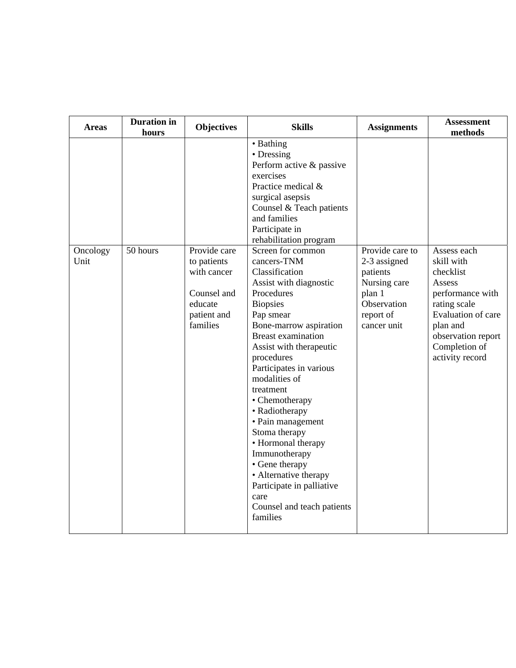| <b>Areas</b>     | <b>Duration</b> in<br>hours | <b>Objectives</b>                                                                               | <b>Skills</b>                                                                                                                                                                                                                                                                                                                                                                                                                                                                                                                                                                                                                                                                                                            | <b>Assignments</b>                                                                                               | <b>Assessment</b><br>methods                                                                                                                                                     |
|------------------|-----------------------------|-------------------------------------------------------------------------------------------------|--------------------------------------------------------------------------------------------------------------------------------------------------------------------------------------------------------------------------------------------------------------------------------------------------------------------------------------------------------------------------------------------------------------------------------------------------------------------------------------------------------------------------------------------------------------------------------------------------------------------------------------------------------------------------------------------------------------------------|------------------------------------------------------------------------------------------------------------------|----------------------------------------------------------------------------------------------------------------------------------------------------------------------------------|
| Oncology<br>Unit | 50 hours                    | Provide care<br>to patients<br>with cancer<br>Counsel and<br>educate<br>patient and<br>families | • Bathing<br>• Dressing<br>Perform active & passive<br>exercises<br>Practice medical &<br>surgical asepsis<br>Counsel & Teach patients<br>and families<br>Participate in<br>rehabilitation program<br>Screen for common<br>cancers-TNM<br>Classification<br>Assist with diagnostic<br>Procedures<br><b>Biopsies</b><br>Pap smear<br>Bone-marrow aspiration<br><b>Breast examination</b><br>Assist with therapeutic<br>procedures<br>Participates in various<br>modalities of<br>treatment<br>• Chemotherapy<br>• Radiotherapy<br>• Pain management<br>Stoma therapy<br>• Hormonal therapy<br>Immunotherapy<br>• Gene therapy<br>• Alternative therapy<br>Participate in palliative<br>care<br>Counsel and teach patients | Provide care to<br>2-3 assigned<br>patients<br>Nursing care<br>plan 1<br>Observation<br>report of<br>cancer unit | Assess each<br>skill with<br>checklist<br>Assess<br>performance with<br>rating scale<br>Evaluation of care<br>plan and<br>observation report<br>Completion of<br>activity record |
|                  |                             |                                                                                                 | families                                                                                                                                                                                                                                                                                                                                                                                                                                                                                                                                                                                                                                                                                                                 |                                                                                                                  |                                                                                                                                                                                  |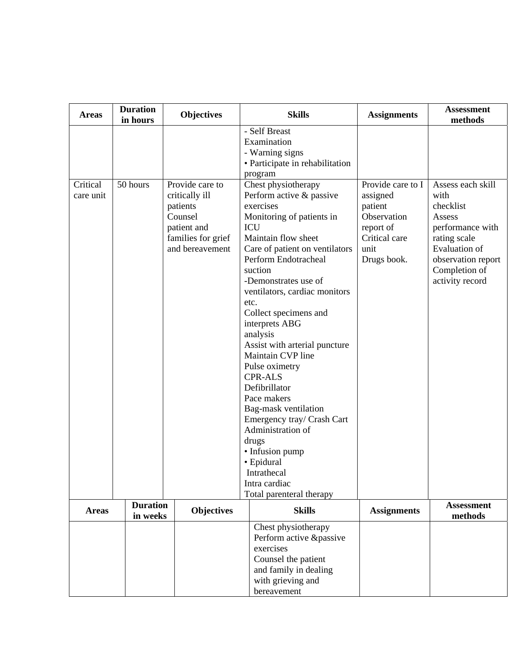| <b>Areas</b> | <b>Duration</b><br>in hours | <b>Objectives</b>                                                                             | <b>Skills</b>                                                                                                                                                                                                                                                                                                                                                                                                                                                                                                                                                                                            | <b>Assignments</b>                                                                      | <b>Assessment</b><br>methods                                                                                                               |
|--------------|-----------------------------|-----------------------------------------------------------------------------------------------|----------------------------------------------------------------------------------------------------------------------------------------------------------------------------------------------------------------------------------------------------------------------------------------------------------------------------------------------------------------------------------------------------------------------------------------------------------------------------------------------------------------------------------------------------------------------------------------------------------|-----------------------------------------------------------------------------------------|--------------------------------------------------------------------------------------------------------------------------------------------|
| Critical     | 50 hours                    | Provide care to                                                                               | - Self Breast<br>Examination<br>- Warning signs<br>• Participate in rehabilitation<br>program<br>Chest physiotherapy                                                                                                                                                                                                                                                                                                                                                                                                                                                                                     | Provide care to I                                                                       | Assess each skill                                                                                                                          |
| care unit    |                             | critically ill<br>patients<br>Counsel<br>patient and<br>families for grief<br>and bereavement | Perform active & passive<br>exercises<br>Monitoring of patients in<br>ICU<br>Maintain flow sheet<br>Care of patient on ventilators<br>Perform Endotracheal<br>suction<br>-Demonstrates use of<br>ventilators, cardiac monitors<br>etc.<br>Collect specimens and<br>interprets ABG<br>analysis<br>Assist with arterial puncture<br>Maintain CVP line<br>Pulse oximetry<br><b>CPR-ALS</b><br>Defibrillator<br>Pace makers<br>Bag-mask ventilation<br>Emergency tray/ Crash Cart<br>Administration of<br>drugs<br>• Infusion pump<br>· Epidural<br>Intrathecal<br>Intra cardiac<br>Total parenteral therapy | assigned<br>patient<br>Observation<br>report of<br>Critical care<br>unit<br>Drugs book. | with<br>checklist<br>Assess<br>performance with<br>rating scale<br>Evaluation of<br>observation report<br>Completion of<br>activity record |
| <b>Areas</b> | <b>Duration</b><br>in weeks | <b>Objectives</b>                                                                             | <b>Skills</b>                                                                                                                                                                                                                                                                                                                                                                                                                                                                                                                                                                                            | <b>Assignments</b>                                                                      | <b>Assessment</b><br>methods                                                                                                               |
|              |                             |                                                                                               | Chest physiotherapy<br>Perform active &passive<br>exercises<br>Counsel the patient<br>and family in dealing<br>with grieving and<br>bereavement                                                                                                                                                                                                                                                                                                                                                                                                                                                          |                                                                                         |                                                                                                                                            |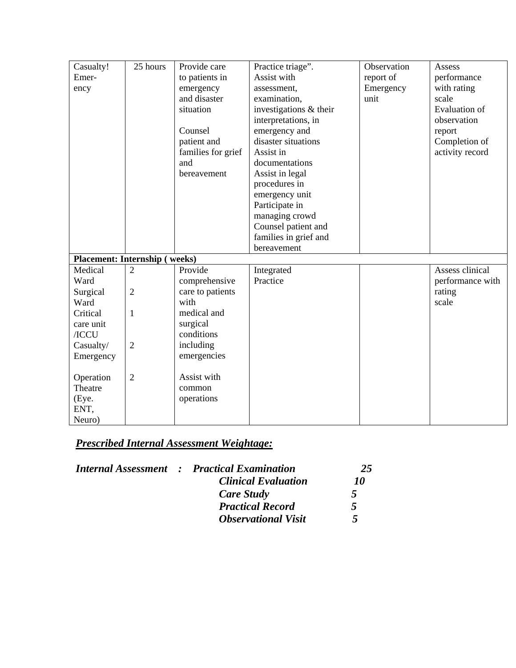| Casualty!                            | 25 hours       | Provide care       | Practice triage".      | Observation | Assess               |
|--------------------------------------|----------------|--------------------|------------------------|-------------|----------------------|
| Emer-                                |                | to patients in     | Assist with            | report of   | performance          |
| ency                                 |                | emergency          | assessment,            | Emergency   | with rating          |
|                                      |                | and disaster       | examination,           | unit        | scale                |
|                                      |                | situation          | investigations & their |             | <b>Evaluation</b> of |
|                                      |                |                    | interpretations, in    |             | observation          |
|                                      |                | Counsel            | emergency and          |             | report               |
|                                      |                | patient and        | disaster situations    |             | Completion of        |
|                                      |                | families for grief | Assist in              |             | activity record      |
|                                      |                | and                | documentations         |             |                      |
|                                      |                | bereavement        | Assist in legal        |             |                      |
|                                      |                |                    | procedures in          |             |                      |
|                                      |                |                    | emergency unit         |             |                      |
|                                      |                |                    | Participate in         |             |                      |
|                                      |                |                    | managing crowd         |             |                      |
|                                      |                |                    | Counsel patient and    |             |                      |
|                                      |                |                    | families in grief and  |             |                      |
|                                      |                |                    | bereavement            |             |                      |
| <b>Placement: Internship (weeks)</b> |                |                    |                        |             |                      |
| Medical                              | $\overline{2}$ | Provide            | Integrated             |             | Assess clinical      |
| Ward                                 |                | comprehensive      | Practice               |             | performance with     |
| Surgical                             | $\overline{2}$ | care to patients   |                        |             | rating               |
| Ward                                 |                | with               |                        |             | scale                |
| Critical                             | $\mathbf{1}$   | medical and        |                        |             |                      |
| care unit                            |                | surgical           |                        |             |                      |
| /ICCU                                |                | conditions         |                        |             |                      |
| Casualty/                            | $\overline{2}$ | including          |                        |             |                      |
| Emergency                            |                | emergencies        |                        |             |                      |
|                                      |                |                    |                        |             |                      |
| Operation                            | $\overline{2}$ | Assist with        |                        |             |                      |
| Theatre                              |                | common             |                        |             |                      |
| (Eye.                                |                | operations         |                        |             |                      |
| ENT,                                 |                |                    |                        |             |                      |
| Neuro)                               |                |                    |                        |             |                      |

|  | <b>Internal Assessment : Practical Examination</b> | 25        |
|--|----------------------------------------------------|-----------|
|  | <b>Clinical Evaluation</b>                         | 10        |
|  | Care Study                                         | 5         |
|  | <b>Practical Record</b>                            | 5         |
|  | <b>Observational Visit</b>                         | $\mathbf$ |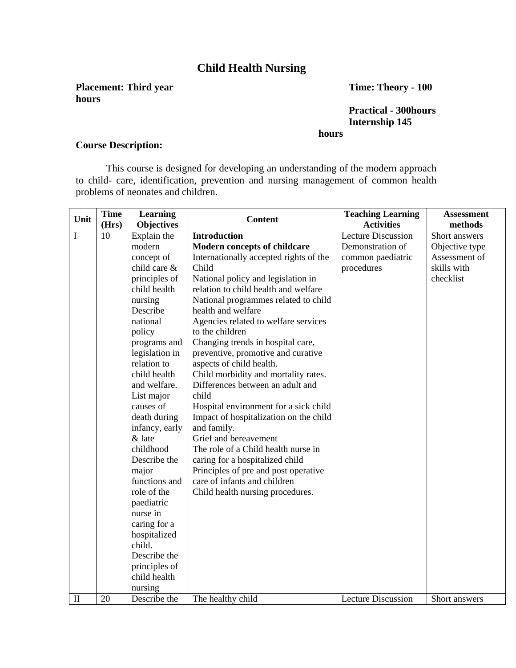### **Child Health Nursing**

**Placement: Third year Time: Theory - 100 hours** 

**Practical - 300hours Internship 145 hours** 

#### **Course Description:**

This course is designed for developing an understanding of the modern approach to child- care, identification, prevention and nursing management of common health problems of neonates and children.

| Unit         | <b>Time</b><br>(Hrs) | Learning<br><b>Objectives</b> | <b>Content</b>                         | <b>Teaching Learning</b><br><b>Activities</b> | <b>Assessment</b><br>methods |
|--------------|----------------------|-------------------------------|----------------------------------------|-----------------------------------------------|------------------------------|
| $\bf I$      | 10                   | Explain the                   | <b>Introduction</b>                    | <b>Lecture Discussion</b>                     | Short answers                |
|              |                      | modern                        | <b>Modern concepts of childcare</b>    | Demonstration of                              | Objective type               |
|              |                      | concept of                    | Internationally accepted rights of the | common paediatric                             | Assessment of                |
|              |                      | child care &                  | Child                                  | procedures                                    | skills with                  |
|              |                      | principles of                 | National policy and legislation in     |                                               | checklist                    |
|              |                      | child health                  | relation to child health and welfare   |                                               |                              |
|              |                      | nursing                       | National programmes related to child   |                                               |                              |
|              |                      | Describe                      | health and welfare                     |                                               |                              |
|              |                      | national                      | Agencies related to welfare services   |                                               |                              |
|              |                      | policy                        | to the children                        |                                               |                              |
|              |                      | programs and                  | Changing trends in hospital care,      |                                               |                              |
|              |                      | legislation in                | preventive, promotive and curative     |                                               |                              |
|              |                      | relation to                   | aspects of child health.               |                                               |                              |
|              |                      | child health                  | Child morbidity and mortality rates.   |                                               |                              |
|              |                      | and welfare.                  | Differences between an adult and       |                                               |                              |
|              |                      | List major                    | child                                  |                                               |                              |
|              |                      | causes of                     | Hospital environment for a sick child  |                                               |                              |
|              |                      | death during                  | Impact of hospitalization on the child |                                               |                              |
|              |                      | infancy, early                | and family.                            |                                               |                              |
|              |                      | & late                        | Grief and bereavement                  |                                               |                              |
|              |                      | childhood                     | The role of a Child health nurse in    |                                               |                              |
|              |                      | Describe the                  | caring for a hospitalized child        |                                               |                              |
|              |                      | major                         | Principles of pre and post operative   |                                               |                              |
|              |                      | functions and                 | care of infants and children           |                                               |                              |
|              |                      | role of the                   | Child health nursing procedures.       |                                               |                              |
|              |                      | paediatric                    |                                        |                                               |                              |
|              |                      | nurse in                      |                                        |                                               |                              |
|              |                      | caring for a                  |                                        |                                               |                              |
|              |                      | hospitalized                  |                                        |                                               |                              |
|              |                      | child.                        |                                        |                                               |                              |
|              |                      | Describe the                  |                                        |                                               |                              |
|              |                      | principles of                 |                                        |                                               |                              |
|              |                      | child health                  |                                        |                                               |                              |
| $\mathbf{I}$ | 20                   | nursing<br>Describe the       | The healthy child                      | <b>Lecture Discussion</b>                     | Short answers                |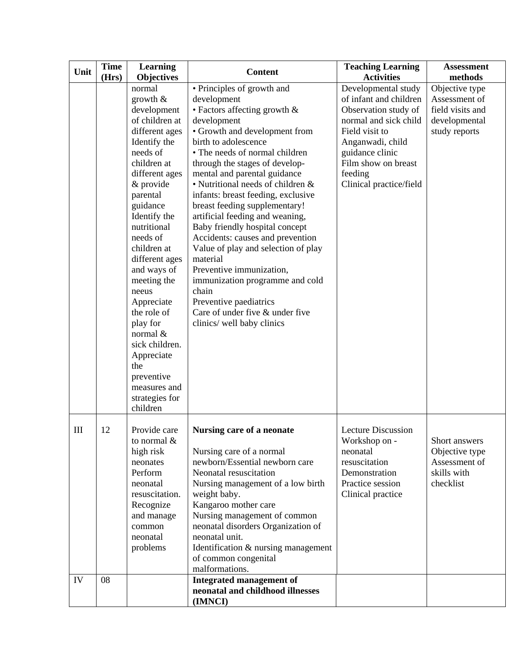| Unit | Time  | <b>Learning</b>           | <b>Content</b>                           | <b>Teaching Learning</b>  | <b>Assessment</b> |
|------|-------|---------------------------|------------------------------------------|---------------------------|-------------------|
|      | (Hrs) | <b>Objectives</b>         |                                          | <b>Activities</b>         | methods           |
|      |       | normal                    | • Principles of growth and               | Developmental study       | Objective type    |
|      |       | growth $\&$               | development                              | of infant and children    | Assessment of     |
|      |       | development               | • Factors affecting growth &             | Observation study of      | field visits and  |
|      |       | of children at            | development                              | normal and sick child     | developmental     |
|      |       | different ages            | • Growth and development from            | Field visit to            | study reports     |
|      |       | Identify the              | birth to adolescence                     | Anganwadi, child          |                   |
|      |       | needs of                  | • The needs of normal children           | guidance clinic           |                   |
|      |       | children at               | through the stages of develop-           | Film show on breast       |                   |
|      |       | different ages            | mental and parental guidance             | feeding                   |                   |
|      |       | & provide                 | • Nutritional needs of children &        | Clinical practice/field   |                   |
|      |       | parental                  | infants: breast feeding, exclusive       |                           |                   |
|      |       | guidance                  | breast feeding supplementary!            |                           |                   |
|      |       | Identify the              | artificial feeding and weaning,          |                           |                   |
|      |       | nutritional               | Baby friendly hospital concept           |                           |                   |
|      |       | needs of                  | Accidents: causes and prevention         |                           |                   |
|      |       | children at               | Value of play and selection of play      |                           |                   |
|      |       | different ages            | material                                 |                           |                   |
|      |       | and ways of               | Preventive immunization,                 |                           |                   |
|      |       | meeting the               | immunization programme and cold<br>chain |                           |                   |
|      |       | neeus                     | Preventive paediatrics                   |                           |                   |
|      |       | Appreciate<br>the role of | Care of under five & under five          |                           |                   |
|      |       | play for                  | clinics/ well baby clinics               |                           |                   |
|      |       | normal &                  |                                          |                           |                   |
|      |       | sick children.            |                                          |                           |                   |
|      |       | Appreciate                |                                          |                           |                   |
|      |       | the                       |                                          |                           |                   |
|      |       | preventive                |                                          |                           |                   |
|      |       | measures and              |                                          |                           |                   |
|      |       | strategies for            |                                          |                           |                   |
|      |       | children                  |                                          |                           |                   |
|      |       |                           |                                          |                           |                   |
| III  | 12    | Provide care              | Nursing care of a neonate                | <b>Lecture Discussion</b> |                   |
|      |       | to normal $\&$            |                                          | Workshop on -             | Short answers     |
|      |       | high risk                 | Nursing care of a normal                 | neonatal                  | Objective type    |
|      |       | neonates                  | newborn/Essential newborn care           | resuscitation             | Assessment of     |
|      |       | Perform                   | Neonatal resuscitation                   | Demonstration             | skills with       |
|      |       | neonatal                  | Nursing management of a low birth        | Practice session          | checklist         |
|      |       | resuscitation.            | weight baby.                             | Clinical practice         |                   |
|      |       | Recognize                 | Kangaroo mother care                     |                           |                   |
|      |       | and manage                | Nursing management of common             |                           |                   |
|      |       | common                    | neonatal disorders Organization of       |                           |                   |
|      |       | neonatal                  | neonatal unit.                           |                           |                   |
|      |       | problems                  | Identification & nursing management      |                           |                   |
|      |       |                           | of common congenital                     |                           |                   |
|      |       |                           | malformations.                           |                           |                   |
| IV   | 08    |                           | <b>Integrated management of</b>          |                           |                   |
|      |       |                           | neonatal and childhood illnesses         |                           |                   |
|      |       |                           | (IMNCI)                                  |                           |                   |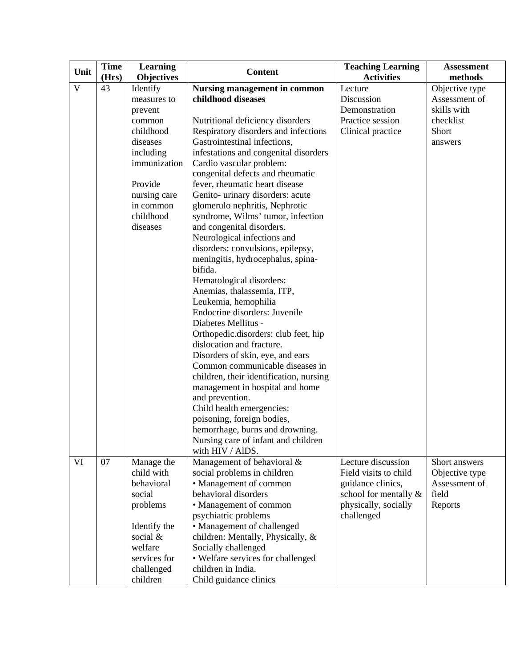| Unit         | Time  | <b>Learning</b>   | <b>Content</b>                          | <b>Teaching Learning</b> | <b>Assessment</b> |
|--------------|-------|-------------------|-----------------------------------------|--------------------------|-------------------|
|              | (Hrs) | <b>Objectives</b> |                                         | <b>Activities</b>        | methods           |
| $\mathbf{V}$ | 43    | Identify          | <b>Nursing management in common</b>     | Lecture                  | Objective type    |
|              |       | measures to       | childhood diseases                      | Discussion               | Assessment of     |
|              |       | prevent           |                                         | Demonstration            | skills with       |
|              |       | common            | Nutritional deficiency disorders        | Practice session         | checklist         |
|              |       | childhood         | Respiratory disorders and infections    | Clinical practice        | Short             |
|              |       | diseases          | Gastrointestinal infections,            |                          | answers           |
|              |       | including         | infestations and congenital disorders   |                          |                   |
|              |       | immunization      | Cardio vascular problem:                |                          |                   |
|              |       |                   | congenital defects and rheumatic        |                          |                   |
|              |       | Provide           | fever, rheumatic heart disease          |                          |                   |
|              |       | nursing care      | Genito- urinary disorders: acute        |                          |                   |
|              |       | in common         | glomerulo nephritis, Nephrotic          |                          |                   |
|              |       | childhood         | syndrome, Wilms' tumor, infection       |                          |                   |
|              |       | diseases          | and congenital disorders.               |                          |                   |
|              |       |                   | Neurological infections and             |                          |                   |
|              |       |                   | disorders: convulsions, epilepsy,       |                          |                   |
|              |       |                   | meningitis, hydrocephalus, spina-       |                          |                   |
|              |       |                   | bifida.                                 |                          |                   |
|              |       |                   | Hematological disorders:                |                          |                   |
|              |       |                   | Anemias, thalassemia, ITP,              |                          |                   |
|              |       |                   | Leukemia, hemophilia                    |                          |                   |
|              |       |                   | Endocrine disorders: Juvenile           |                          |                   |
|              |       |                   | Diabetes Mellitus -                     |                          |                   |
|              |       |                   | Orthopedic.disorders: club feet, hip    |                          |                   |
|              |       |                   | dislocation and fracture.               |                          |                   |
|              |       |                   | Disorders of skin, eye, and ears        |                          |                   |
|              |       |                   | Common communicable diseases in         |                          |                   |
|              |       |                   | children, their identification, nursing |                          |                   |
|              |       |                   | management in hospital and home         |                          |                   |
|              |       |                   | and prevention.                         |                          |                   |
|              |       |                   | Child health emergencies:               |                          |                   |
|              |       |                   | poisoning, foreign bodies,              |                          |                   |
|              |       |                   | hemorrhage, burns and drowning.         |                          |                   |
|              |       |                   | Nursing care of infant and children     |                          |                   |
|              |       |                   | with HIV / AlDS.                        |                          |                   |
| VI           | 07    | Manage the        | Management of behavioral &              | Lecture discussion       | Short answers     |
|              |       | child with        | social problems in children             | Field visits to child    | Objective type    |
|              |       | behavioral        | • Management of common                  | guidance clinics,        | Assessment of     |
|              |       | social            | behavioral disorders                    | school for mentally $\&$ | field             |
|              |       | problems          | • Management of common                  | physically, socially     | Reports           |
|              |       |                   | psychiatric problems                    | challenged               |                   |
|              |       | Identify the      | • Management of challenged              |                          |                   |
|              |       | social $&$        | children: Mentally, Physically, &       |                          |                   |
|              |       | welfare           | Socially challenged                     |                          |                   |
|              |       | services for      | • Welfare services for challenged       |                          |                   |
|              |       | challenged        | children in India.                      |                          |                   |
|              |       | children          | Child guidance clinics                  |                          |                   |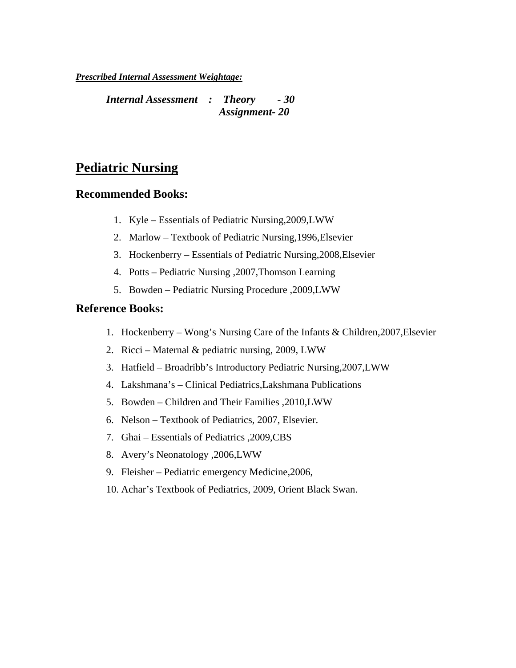*Internal Assessment : Theory - 30 Assignment- 20* 

### **Pediatric Nursing**

#### **Recommended Books:**

- 1. Kyle Essentials of Pediatric Nursing,2009,LWW
- 2. Marlow Textbook of Pediatric Nursing,1996,Elsevier
- 3. Hockenberry Essentials of Pediatric Nursing,2008,Elsevier
- 4. Potts Pediatric Nursing ,2007,Thomson Learning
- 5. Bowden Pediatric Nursing Procedure ,2009,LWW

#### **Reference Books:**

- 1. Hockenberry Wong's Nursing Care of the Infants & Children,2007,Elsevier
- 2. Ricci Maternal & pediatric nursing, 2009, LWW
- 3. Hatfield Broadribb's Introductory Pediatric Nursing,2007,LWW
- 4. Lakshmana's Clinical Pediatrics,Lakshmana Publications
- 5. Bowden Children and Their Families ,2010,LWW
- 6. Nelson Textbook of Pediatrics, 2007, Elsevier.
- 7. Ghai Essentials of Pediatrics ,2009,CBS
- 8. Avery's Neonatology ,2006,LWW
- 9. Fleisher Pediatric emergency Medicine,2006,
- 10. Achar's Textbook of Pediatrics, 2009, Orient Black Swan.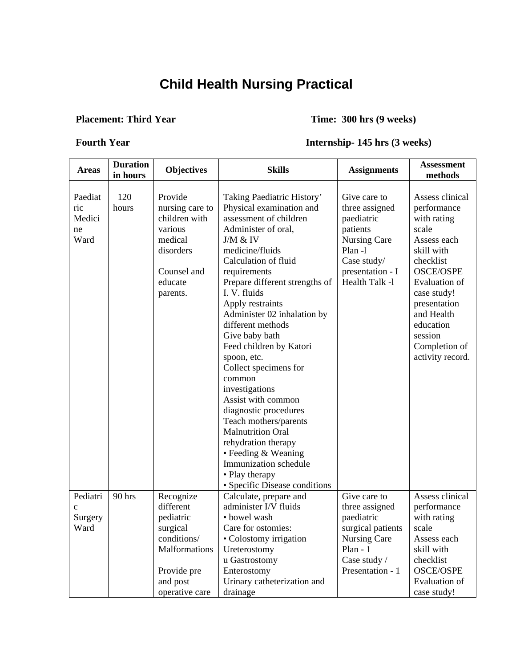# **Child Health Nursing Practical**

#### **Placement: Third Year Time: 300 hrs (9 weeks)**

#### **Fourth Year Internship- 145 hrs (3 weeks)**

| <b>Areas</b>                                | <b>Duration</b><br>in hours | <b>Objectives</b>                                                                                                                   | <b>Skills</b>                                                                                                                                                                                                                                                                                                                                                                                                                                                                                                                                                                                                                                           | <b>Assignments</b>                                                                                                                         | <b>Assessment</b><br>methods                                                                                                                                                                                                                           |
|---------------------------------------------|-----------------------------|-------------------------------------------------------------------------------------------------------------------------------------|---------------------------------------------------------------------------------------------------------------------------------------------------------------------------------------------------------------------------------------------------------------------------------------------------------------------------------------------------------------------------------------------------------------------------------------------------------------------------------------------------------------------------------------------------------------------------------------------------------------------------------------------------------|--------------------------------------------------------------------------------------------------------------------------------------------|--------------------------------------------------------------------------------------------------------------------------------------------------------------------------------------------------------------------------------------------------------|
| Paediat<br>ric<br>Medici<br>ne<br>Ward      | 120<br>hours                | Provide<br>nursing care to<br>children with<br>various<br>medical<br>disorders<br>Counsel and<br>educate<br>parents.                | Taking Paediatric History'<br>Physical examination and<br>assessment of children<br>Administer of oral,<br>J/M & IV<br>medicine/fluids<br>Calculation of fluid<br>requirements<br>Prepare different strengths of<br>I. V. fluids<br>Apply restraints<br>Administer 02 inhalation by<br>different methods<br>Give baby bath<br>Feed children by Katori<br>spoon, etc.<br>Collect specimens for<br>common<br>investigations<br>Assist with common<br>diagnostic procedures<br>Teach mothers/parents<br><b>Malnutrition Oral</b><br>rehydration therapy<br>• Feeding & Weaning<br>Immunization schedule<br>• Play therapy<br>• Specific Disease conditions | Give care to<br>three assigned<br>paediatric<br>patients<br>Nursing Care<br>Plan -1<br>Case study/<br>presentation - I<br>Health Talk -1   | Assess clinical<br>performance<br>with rating<br>scale<br>Assess each<br>skill with<br>checklist<br><b>OSCE/OSPE</b><br><b>Evaluation of</b><br>case study!<br>presentation<br>and Health<br>education<br>session<br>Completion of<br>activity record. |
| Pediatri<br>$\mathbf{c}$<br>Surgery<br>Ward | 90 hrs                      | Recognize<br>different<br>pediatric<br>surgical<br>conditions/<br><b>Malformations</b><br>Provide pre<br>and post<br>operative care | Calculate, prepare and<br>administer I/V fluids<br>· bowel wash<br>Care for ostomies:<br>• Colostomy irrigation<br>Ureterostomy<br>u Gastrostomy<br>Enterostomy<br>Urinary catheterization and<br>drainage                                                                                                                                                                                                                                                                                                                                                                                                                                              | Give care to<br>three assigned<br>paediatric<br>surgical patients<br><b>Nursing Care</b><br>Plan - $1$<br>Case study /<br>Presentation - 1 | Assess clinical<br>performance<br>with rating<br>scale<br>Assess each<br>skill with<br>checklist<br><b>OSCE/OSPE</b><br><b>Evaluation</b> of<br>case study!                                                                                            |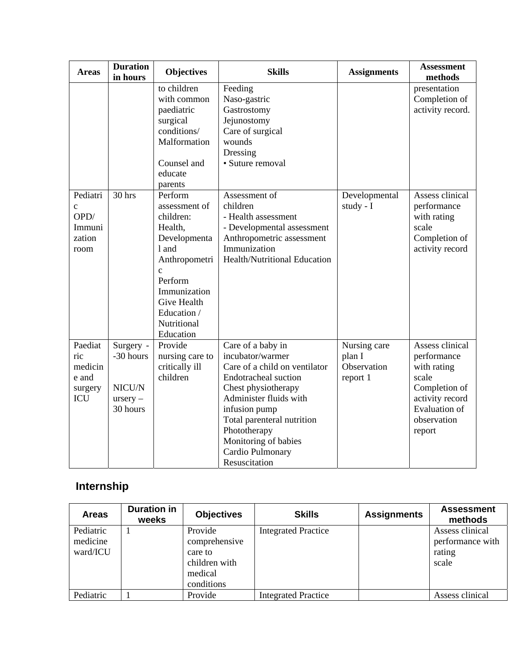| <b>Areas</b>                                                | <b>Duration</b><br>in hours                                | <b>Objectives</b>                                                                                                                                                                    | <b>Skills</b>                                                                                                                                                                                                                                                               | <b>Assignments</b>                                | <b>Assessment</b><br>methods                                                                                                                |
|-------------------------------------------------------------|------------------------------------------------------------|--------------------------------------------------------------------------------------------------------------------------------------------------------------------------------------|-----------------------------------------------------------------------------------------------------------------------------------------------------------------------------------------------------------------------------------------------------------------------------|---------------------------------------------------|---------------------------------------------------------------------------------------------------------------------------------------------|
| Pediatri                                                    | $30$ hrs                                                   | to children<br>with common<br>paediatric<br>surgical<br>conditions/<br>Malformation<br>Counsel and<br>educate<br>parents<br>Perform                                                  | Feeding<br>Naso-gastric<br>Gastrostomy<br>Jejunostomy<br>Care of surgical<br>wounds<br>Dressing<br>• Suture removal<br>Assessment of                                                                                                                                        | Developmental                                     | presentation<br>Completion of<br>activity record.<br>Assess clinical                                                                        |
| $\mathbf{C}$<br>OPD/<br>Immuni<br>zation<br>room            |                                                            | assessment of<br>children:<br>Health,<br>Developmenta<br>1 and<br>Anthropometri<br>$\mathbf{c}$<br>Perform<br>Immunization<br>Give Health<br>Education /<br>Nutritional<br>Education | children<br>- Health assessment<br>- Developmental assessment<br>Anthropometric assessment<br>Immunization<br><b>Health/Nutritional Education</b>                                                                                                                           | study - I                                         | performance<br>with rating<br>scale<br>Completion of<br>activity record                                                                     |
| Paediat<br>ric<br>medicin<br>e and<br>surgery<br><b>ICU</b> | Surgery -<br>-30 hours<br>NICU/N<br>$ursery -$<br>30 hours | Provide<br>nursing care to<br>critically ill<br>children                                                                                                                             | Care of a baby in<br>incubator/warmer<br>Care of a child on ventilator<br>Endotracheal suction<br>Chest physiotherapy<br>Administer fluids with<br>infusion pump<br>Total parenteral nutrition<br>Phototherapy<br>Monitoring of babies<br>Cardio Pulmonary<br>Resuscitation | Nursing care<br>plan I<br>Observation<br>report 1 | Assess clinical<br>performance<br>with rating<br>scale<br>Completion of<br>activity record<br><b>Evaluation of</b><br>observation<br>report |

# **Internship**

| <b>Areas</b>                      | <b>Duration in</b><br>weeks | <b>Objectives</b>                                                             | <b>Skills</b>              | <b>Assignments</b> | <b>Assessment</b><br>methods                           |
|-----------------------------------|-----------------------------|-------------------------------------------------------------------------------|----------------------------|--------------------|--------------------------------------------------------|
| Pediatric<br>medicine<br>ward/ICU |                             | Provide<br>comprehensive<br>care to<br>children with<br>medical<br>conditions | <b>Integrated Practice</b> |                    | Assess clinical<br>performance with<br>rating<br>scale |
| Pediatric                         |                             | Provide                                                                       | <b>Integrated Practice</b> |                    | Assess clinical                                        |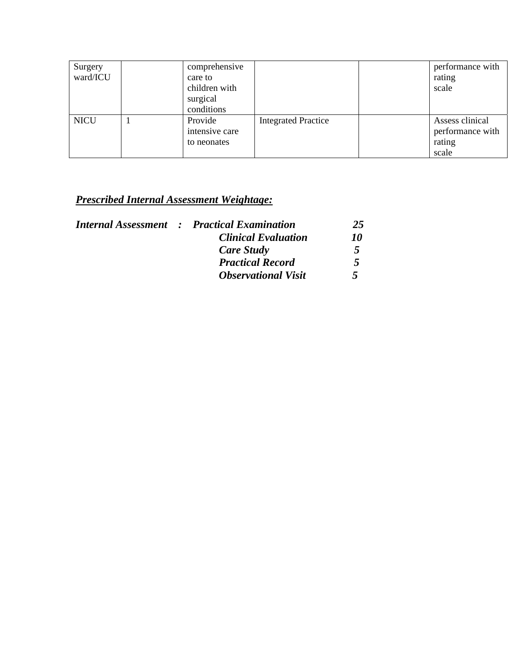| Surgery     | comprehensive  |                            | performance with |
|-------------|----------------|----------------------------|------------------|
| ward/ICU    | care to        |                            | rating           |
|             | children with  |                            | scale            |
|             | surgical       |                            |                  |
|             | conditions     |                            |                  |
| <b>NICU</b> | Provide        | <b>Integrated Practice</b> | Assess clinical  |
|             | intensive care |                            | performance with |
|             | to neonates    |                            | rating           |
|             |                |                            | scale            |

|                            | 25                                                 |
|----------------------------|----------------------------------------------------|
| <b>Clinical Evaluation</b> | 10                                                 |
| Care Study                 | 5                                                  |
| <b>Practical Record</b>    | 5                                                  |
| <b>Observational Visit</b> | $\overline{\mathbf{S}}$                            |
|                            | <b>Internal Assessment : Practical Examination</b> |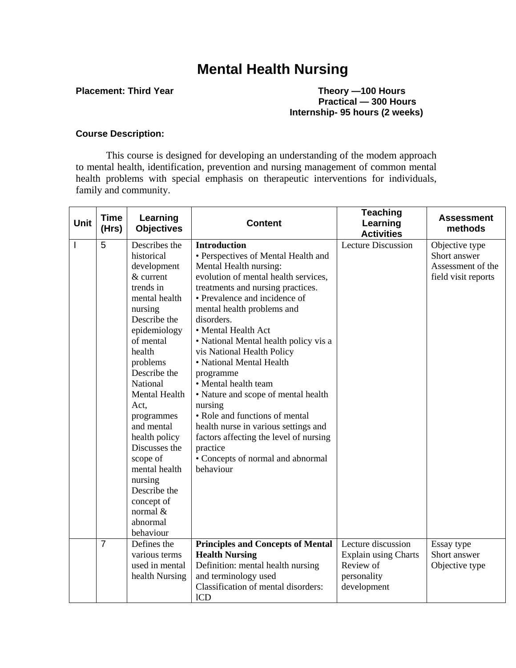# **Mental Health Nursing**

#### **Placement: Third Year Theory —100 Hours Practical — 300 Hours Internship- 95 hours (2 weeks)**

#### **Course Description:**

This course is designed for developing an understanding of the modem approach to mental health, identification, prevention and nursing management of common mental health problems with special emphasis on therapeutic interventions for individuals, family and community.

| <b>Unit</b>    | <b>Time</b><br>(Hrs) | Learning<br><b>Objectives</b>  | <b>Content</b>                                 | <b>Teaching</b><br>Learning<br><b>Activities</b> | <b>Assessment</b><br>methods |
|----------------|----------------------|--------------------------------|------------------------------------------------|--------------------------------------------------|------------------------------|
| $\overline{1}$ | 5                    | Describes the                  | <b>Introduction</b>                            | <b>Lecture Discussion</b>                        | Objective type               |
|                |                      | historical                     | • Perspectives of Mental Health and            |                                                  | Short answer                 |
|                |                      | development                    | Mental Health nursing:                         |                                                  | Assessment of the            |
|                |                      | & current                      | evolution of mental health services,           |                                                  | field visit reports          |
|                |                      | trends in                      | treatments and nursing practices.              |                                                  |                              |
|                |                      | mental health                  | • Prevalence and incidence of                  |                                                  |                              |
|                |                      | nursing                        | mental health problems and                     |                                                  |                              |
|                |                      | Describe the                   | disorders.                                     |                                                  |                              |
|                |                      | epidemiology                   | • Mental Health Act                            |                                                  |                              |
|                |                      | of mental                      | • National Mental health policy vis a          |                                                  |                              |
|                |                      | health                         | vis National Health Policy                     |                                                  |                              |
|                |                      | problems                       | • National Mental Health                       |                                                  |                              |
|                |                      | Describe the                   | programme                                      |                                                  |                              |
|                |                      | National                       | • Mental health team                           |                                                  |                              |
|                |                      | Mental Health                  | • Nature and scope of mental health            |                                                  |                              |
|                |                      | Act,                           | nursing                                        |                                                  |                              |
|                |                      | programmes                     | • Role and functions of mental                 |                                                  |                              |
|                |                      | and mental                     | health nurse in various settings and           |                                                  |                              |
|                |                      | health policy<br>Discusses the | factors affecting the level of nursing         |                                                  |                              |
|                |                      |                                | practice                                       |                                                  |                              |
|                |                      | scope of<br>mental health      | • Concepts of normal and abnormal<br>behaviour |                                                  |                              |
|                |                      | nursing                        |                                                |                                                  |                              |
|                |                      | Describe the                   |                                                |                                                  |                              |
|                |                      | concept of                     |                                                |                                                  |                              |
|                |                      | normal $&$                     |                                                |                                                  |                              |
|                |                      | abnormal                       |                                                |                                                  |                              |
|                |                      | behaviour                      |                                                |                                                  |                              |
|                | $\overline{7}$       | Defines the                    | <b>Principles and Concepts of Mental</b>       | Lecture discussion                               | Essay type                   |
|                |                      | various terms                  | <b>Health Nursing</b>                          | <b>Explain using Charts</b>                      | Short answer                 |
|                |                      | used in mental                 | Definition: mental health nursing              | Review of                                        | Objective type               |
|                |                      | health Nursing                 | and terminology used                           | personality                                      |                              |
|                |                      |                                | Classification of mental disorders:            | development                                      |                              |
|                |                      |                                | ICD                                            |                                                  |                              |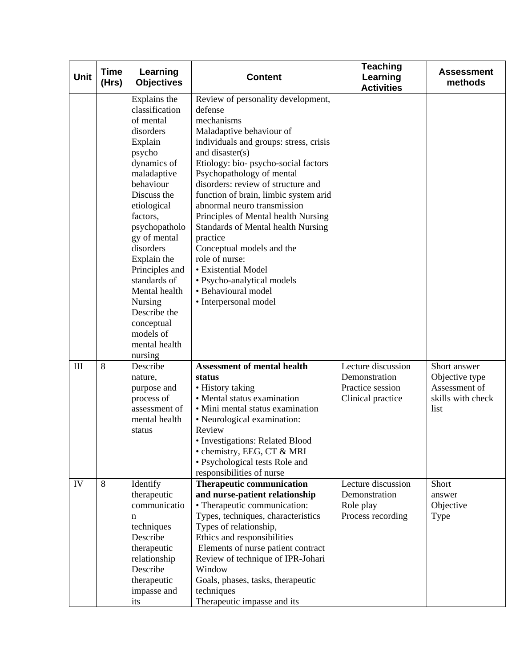| <b>Unit</b> | <b>Time</b><br>(Hrs) | Learning<br><b>Objectives</b>                                                                                                                                                                                                                                                                                                                                        | <b>Content</b>                                                                                                                                                                                                                                                                                                                                                                                                                                                                                                                                                                              | <b>Teaching</b><br>Learning<br><b>Activities</b>                             | <b>Assessment</b><br>methods                                                 |
|-------------|----------------------|----------------------------------------------------------------------------------------------------------------------------------------------------------------------------------------------------------------------------------------------------------------------------------------------------------------------------------------------------------------------|---------------------------------------------------------------------------------------------------------------------------------------------------------------------------------------------------------------------------------------------------------------------------------------------------------------------------------------------------------------------------------------------------------------------------------------------------------------------------------------------------------------------------------------------------------------------------------------------|------------------------------------------------------------------------------|------------------------------------------------------------------------------|
|             |                      | Explains the<br>classification<br>of mental<br>disorders<br>Explain<br>psycho<br>dynamics of<br>maladaptive<br>behaviour<br>Discuss the<br>etiological<br>factors,<br>psychopatholo<br>gy of mental<br>disorders<br>Explain the<br>Principles and<br>standards of<br>Mental health<br>Nursing<br>Describe the<br>conceptual<br>models of<br>mental health<br>nursing | Review of personality development,<br>defense<br>mechanisms<br>Maladaptive behaviour of<br>individuals and groups: stress, crisis<br>and disaster(s)<br>Etiology: bio- psycho-social factors<br>Psychopathology of mental<br>disorders: review of structure and<br>function of brain, limbic system arid<br>abnormal neuro transmission<br>Principles of Mental health Nursing<br><b>Standards of Mental health Nursing</b><br>practice<br>Conceptual models and the<br>role of nurse:<br>• Existential Model<br>• Psycho-analytical models<br>• Behavioural model<br>• Interpersonal model |                                                                              |                                                                              |
| III         | 8                    | Describe<br>nature,<br>purpose and<br>process of<br>assessment of<br>mental health<br>status                                                                                                                                                                                                                                                                         | <b>Assessment of mental health</b><br>status<br>• History taking<br>• Mental status examination<br>· Mini mental status examination<br>• Neurological examination:<br>Review<br>• Investigations: Related Blood<br>· chemistry, EEG, CT & MRI<br>· Psychological tests Role and<br>responsibilities of nurse                                                                                                                                                                                                                                                                                | Lecture discussion<br>Demonstration<br>Practice session<br>Clinical practice | Short answer<br>Objective type<br>Assessment of<br>skills with check<br>list |
| IV          | 8                    | Identify<br>therapeutic<br>communicatio<br>n<br>techniques<br>Describe<br>therapeutic<br>relationship<br>Describe<br>therapeutic<br>impasse and<br>its                                                                                                                                                                                                               | <b>Therapeutic communication</b><br>and nurse-patient relationship<br>• Therapeutic communication:<br>Types, techniques, characteristics<br>Types of relationship,<br>Ethics and responsibilities<br>Elements of nurse patient contract<br>Review of technique of IPR-Johari<br>Window<br>Goals, phases, tasks, therapeutic<br>techniques<br>Therapeutic impasse and its                                                                                                                                                                                                                    | Lecture discussion<br>Demonstration<br>Role play<br>Process recording        | Short<br>answer<br>Objective<br>Type                                         |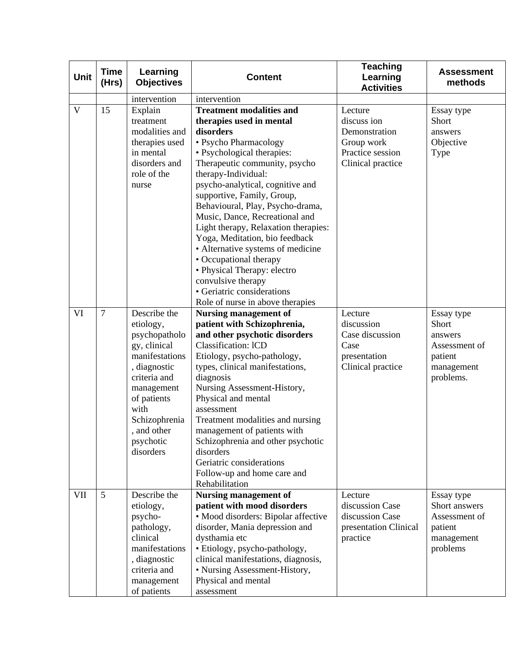| <b>Unit</b>  | <b>Time</b><br>(Hrs) | Learning<br><b>Objectives</b>                                                                                                                                                                               | <b>Content</b>                                                                                                                                                                                                                                                                                                                                                                                                                                                                                                                                                                                  | <b>Teaching</b><br>Learning<br><b>Activities</b>                                               | <b>Assessment</b><br>methods                                                          |
|--------------|----------------------|-------------------------------------------------------------------------------------------------------------------------------------------------------------------------------------------------------------|-------------------------------------------------------------------------------------------------------------------------------------------------------------------------------------------------------------------------------------------------------------------------------------------------------------------------------------------------------------------------------------------------------------------------------------------------------------------------------------------------------------------------------------------------------------------------------------------------|------------------------------------------------------------------------------------------------|---------------------------------------------------------------------------------------|
|              |                      | intervention                                                                                                                                                                                                | intervention                                                                                                                                                                                                                                                                                                                                                                                                                                                                                                                                                                                    |                                                                                                |                                                                                       |
| $\mathbf{V}$ | 15                   | Explain<br>treatment<br>modalities and<br>therapies used<br>in mental<br>disorders and<br>role of the<br>nurse                                                                                              | <b>Treatment modalities and</b><br>therapies used in mental<br>disorders<br>• Psycho Pharmacology<br>• Psychological therapies:<br>Therapeutic community, psycho<br>therapy-Individual:<br>psycho-analytical, cognitive and<br>supportive, Family, Group,<br>Behavioural, Play, Psycho-drama,<br>Music, Dance, Recreational and<br>Light therapy, Relaxation therapies:<br>Yoga, Meditation, bio feedback<br>• Alternative systems of medicine<br>• Occupational therapy<br>• Physical Therapy: electro<br>convulsive therapy<br>• Geriatric considerations<br>Role of nurse in above therapies | Lecture<br>discuss ion<br>Demonstration<br>Group work<br>Practice session<br>Clinical practice | Essay type<br>Short<br>answers<br>Objective<br>Type                                   |
| VI           | $\overline{7}$       | Describe the<br>etiology,<br>psychopatholo<br>gy, clinical<br>manifestations<br>, diagnostic<br>criteria and<br>management<br>of patients<br>with<br>Schizophrenia<br>, and other<br>psychotic<br>disorders | <b>Nursing management of</b><br>patient with Schizophrenia,<br>and other psychotic disorders<br><b>Classification: ICD</b><br>Etiology, psycho-pathology,<br>types, clinical manifestations,<br>diagnosis<br>Nursing Assessment-History,<br>Physical and mental<br>assessment<br>Treatment modalities and nursing<br>management of patients with<br>Schizophrenia and other psychotic<br>disorders<br>Geriatric considerations<br>Follow-up and home care and<br>Rehabilitation                                                                                                                 | Lecture<br>discussion<br>Case discussion<br>Case<br>presentation<br>Clinical practice          | Essay type<br>Short<br>answers<br>Assessment of<br>patient<br>management<br>problems. |
| VII          | 5                    | Describe the<br>etiology,<br>psycho-<br>pathology,<br>clinical<br>manifestations<br>, diagnostic<br>criteria and<br>management<br>of patients                                                               | <b>Nursing management of</b><br>patient with mood disorders<br>• Mood disorders: Bipolar affective<br>disorder, Mania depression and<br>dysthamia etc<br>· Etiology, psycho-pathology,<br>clinical manifestations, diagnosis,<br>• Nursing Assessment-History,<br>Physical and mental<br>assessment                                                                                                                                                                                                                                                                                             | Lecture<br>discussion Case<br>discussion Case<br>presentation Clinical<br>practice             | Essay type<br>Short answers<br>Assessment of<br>patient<br>management<br>problems     |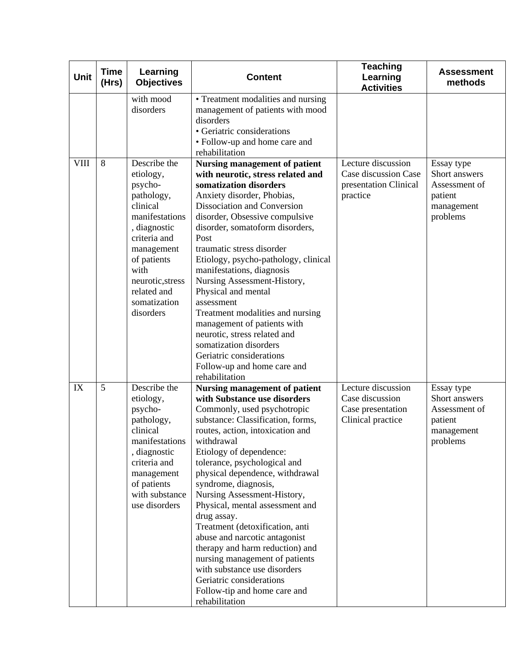| Unit        | <b>Time</b><br>(Hrs) | Learning<br><b>Objectives</b>                                                                                                                                                                                         | <b>Content</b>                                                                                                                                                                                                                                                                                                                                                                                                                                                                                                                                                                                                                                           | <b>Teaching</b><br>Learning<br><b>Activities</b>                                | <b>Assessment</b><br>methods                                                      |
|-------------|----------------------|-----------------------------------------------------------------------------------------------------------------------------------------------------------------------------------------------------------------------|----------------------------------------------------------------------------------------------------------------------------------------------------------------------------------------------------------------------------------------------------------------------------------------------------------------------------------------------------------------------------------------------------------------------------------------------------------------------------------------------------------------------------------------------------------------------------------------------------------------------------------------------------------|---------------------------------------------------------------------------------|-----------------------------------------------------------------------------------|
|             |                      | with mood<br>disorders                                                                                                                                                                                                | • Treatment modalities and nursing<br>management of patients with mood<br>disorders<br>• Geriatric considerations<br>• Follow-up and home care and<br>rehabilitation                                                                                                                                                                                                                                                                                                                                                                                                                                                                                     |                                                                                 |                                                                                   |
| <b>VIII</b> | 8                    | Describe the<br>etiology,<br>psycho-<br>pathology,<br>clinical<br>manifestations<br>, diagnostic<br>criteria and<br>management<br>of patients<br>with<br>neurotic, stress<br>related and<br>somatization<br>disorders | <b>Nursing management of patient</b><br>with neurotic, stress related and<br>somatization disorders<br>Anxiety disorder, Phobias,<br>Dissociation and Conversion<br>disorder, Obsessive compulsive<br>disorder, somatoform disorders,<br>Post<br>traumatic stress disorder<br>Etiology, psycho-pathology, clinical<br>manifestations, diagnosis<br>Nursing Assessment-History,<br>Physical and mental<br>assessment<br>Treatment modalities and nursing<br>management of patients with<br>neurotic, stress related and<br>somatization disorders<br>Geriatric considerations<br>Follow-up and home care and<br>rehabilitation                            | Lecture discussion<br>Case discussion Case<br>presentation Clinical<br>practice | Essay type<br>Short answers<br>Assessment of<br>patient<br>management<br>problems |
| IX          | 5                    | Describe the<br>etiology,<br>psycho-<br>pathology,<br>clinical<br>manifestations<br>, diagnostic<br>criteria and<br>management<br>of patients<br>with substance<br>use disorders                                      | <b>Nursing management of patient</b><br>with Substance use disorders<br>Commonly, used psychotropic<br>substance: Classification, forms,<br>routes, action, intoxication and<br>withdrawal<br>Etiology of dependence:<br>tolerance, psychological and<br>physical dependence, withdrawal<br>syndrome, diagnosis,<br>Nursing Assessment-History,<br>Physical, mental assessment and<br>drug assay.<br>Treatment (detoxification, anti<br>abuse and narcotic antagonist<br>therapy and harm reduction) and<br>nursing management of patients<br>with substance use disorders<br>Geriatric considerations<br>Follow-tip and home care and<br>rehabilitation | Lecture discussion<br>Case discussion<br>Case presentation<br>Clinical practice | Essay type<br>Short answers<br>Assessment of<br>patient<br>management<br>problems |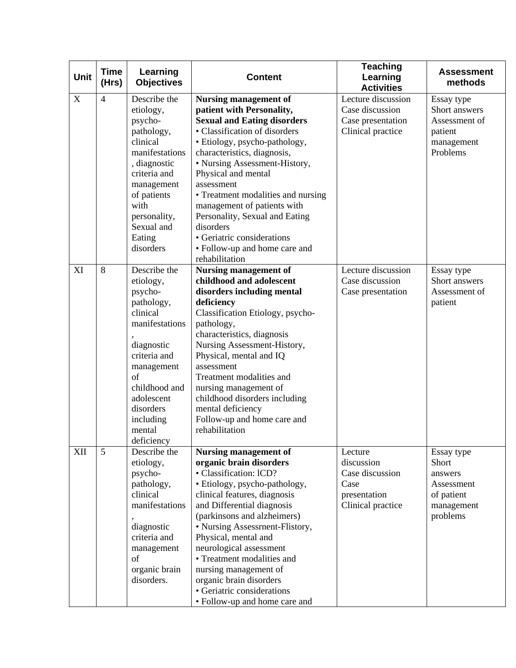| <b>Unit</b> | <b>Time</b><br>(Hrs) | Learning<br><b>Objectives</b>                                                                                                                                                                                       | <b>Content</b>                                                                                                                                                                                                                                                                                                                                                                                                                                                              | <b>Teaching</b><br>Learning<br><b>Activities</b>                                      | <b>Assessment</b><br>methods                                                         |
|-------------|----------------------|---------------------------------------------------------------------------------------------------------------------------------------------------------------------------------------------------------------------|-----------------------------------------------------------------------------------------------------------------------------------------------------------------------------------------------------------------------------------------------------------------------------------------------------------------------------------------------------------------------------------------------------------------------------------------------------------------------------|---------------------------------------------------------------------------------------|--------------------------------------------------------------------------------------|
| X           | $\overline{4}$       | Describe the<br>etiology,<br>psycho-<br>pathology,<br>clinical<br>manifestations<br>, diagnostic<br>criteria and<br>management<br>of patients<br>with<br>personality,<br>Sexual and<br>Eating<br>disorders          | <b>Nursing management of</b><br>patient with Personality,<br><b>Sexual and Eating disorders</b><br>• Classification of disorders<br>· Etiology, psycho-pathology,<br>characteristics, diagnosis,<br>• Nursing Assessment-History,<br>Physical and mental<br>assessment<br>• Treatment modalities and nursing<br>management of patients with<br>Personality, Sexual and Eating<br>disorders<br>• Geriatric considerations<br>• Follow-up and home care and<br>rehabilitation | Lecture discussion<br>Case discussion<br>Case presentation<br>Clinical practice       | Essay type<br>Short answers<br>Assessment of<br>patient<br>management<br>Problems    |
| XI          | 8                    | Describe the<br>etiology,<br>psycho-<br>pathology,<br>clinical<br>manifestations<br>diagnostic<br>criteria and<br>management<br>of<br>childhood and<br>adolescent<br>disorders<br>including<br>mental<br>deficiency | <b>Nursing management of</b><br>childhood and adolescent<br>disorders including mental<br>deficiency<br>Classification Etiology, psycho-<br>pathology,<br>characteristics, diagnosis<br>Nursing Assessment-History,<br>Physical, mental and IQ<br>assessment<br>Treatment modalities and<br>nursing management of<br>childhood disorders including<br>mental deficiency<br>Follow-up and home care and<br>rehabilitation                                                    | Lecture discussion<br>Case discussion<br>Case presentation                            | Essay type<br>Short answers<br>Assessment of<br>patient                              |
| XII         | 5                    | Describe the<br>etiology,<br>psycho-<br>pathology,<br>clinical<br>manifestations<br>diagnostic<br>criteria and<br>management<br>of<br>organic brain<br>disorders.                                                   | <b>Nursing management of</b><br>organic brain disorders<br>• Classification: ICD?<br>· Etiology, psycho-pathology,<br>clinical features, diagnosis<br>and Differential diagnosis<br>(parkinsons and alzheimers)<br>• Nursing Assessment-Flistory,<br>Physical, mental and<br>neurological assessment<br>• Treatment modalities and<br>nursing management of<br>organic brain disorders<br>• Geriatric considerations<br>• Follow-up and home care and                       | Lecture<br>discussion<br>Case discussion<br>Case<br>presentation<br>Clinical practice | Essay type<br>Short<br>answers<br>Assessment<br>of patient<br>management<br>problems |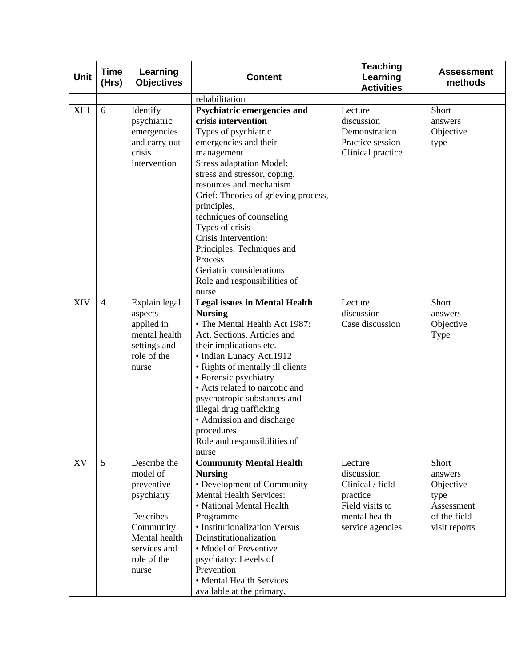| Unit | <b>Time</b><br>(Hrs) | Learning<br><b>Objectives</b>                                                                                                           | <b>Content</b>                                                                                                                                                                                                                                                                                                                                                                                                                                              | <b>Teaching</b><br>Learning<br><b>Activities</b>                                                              | <b>Assessment</b><br>methods                                                         |
|------|----------------------|-----------------------------------------------------------------------------------------------------------------------------------------|-------------------------------------------------------------------------------------------------------------------------------------------------------------------------------------------------------------------------------------------------------------------------------------------------------------------------------------------------------------------------------------------------------------------------------------------------------------|---------------------------------------------------------------------------------------------------------------|--------------------------------------------------------------------------------------|
|      |                      |                                                                                                                                         | rehabilitation                                                                                                                                                                                                                                                                                                                                                                                                                                              |                                                                                                               |                                                                                      |
| XIII | 6                    | Identify<br>psychiatric<br>emergencies<br>and carry out<br>crisis<br>intervention                                                       | Psychiatric emergencies and<br>crisis intervention<br>Types of psychiatric<br>emergencies and their<br>management<br><b>Stress adaptation Model:</b><br>stress and stressor, coping,<br>resources and mechanism<br>Grief: Theories of grieving process,<br>principles,<br>techniques of counseling<br>Types of crisis<br>Crisis Intervention:<br>Principles, Techniques and<br>Process<br>Geriatric considerations<br>Role and responsibilities of<br>nurse | Lecture<br>discussion<br>Demonstration<br>Practice session<br>Clinical practice                               | Short<br>answers<br>Objective<br>type                                                |
| XIV  | $\overline{4}$       | Explain legal<br>aspects<br>applied in<br>mental health<br>settings and<br>role of the<br>nurse                                         | <b>Legal issues in Mental Health</b><br><b>Nursing</b><br>• The Mental Health Act 1987:<br>Act, Sections, Articles and<br>their implications etc.<br>• Indian Lunacy Act.1912<br>• Rights of mentally ill clients<br>• Forensic psychiatry<br>• Acts related to narcotic and<br>psychotropic substances and<br>illegal drug trafficking<br>• Admission and discharge<br>procedures<br>Role and responsibilities of<br>nurse                                 | Lecture<br>discussion<br>Case discussion                                                                      | Short<br>answers<br>Objective<br>Type                                                |
| XV   | 5                    | Describe the<br>model of<br>preventive<br>psychiatry<br>Describes<br>Community<br>Mental health<br>services and<br>role of the<br>nurse | <b>Community Mental Health</b><br><b>Nursing</b><br>• Development of Community<br><b>Mental Health Services:</b><br>• National Mental Health<br>Programme<br>• Institutionalization Versus<br>Deinstitutionalization<br>• Model of Preventive<br>psychiatry: Levels of<br>Prevention<br>• Mental Health Services<br>available at the primary,                                                                                                               | Lecture<br>discussion<br>Clinical / field<br>practice<br>Field visits to<br>mental health<br>service agencies | Short<br>answers<br>Objective<br>type<br>Assessment<br>of the field<br>visit reports |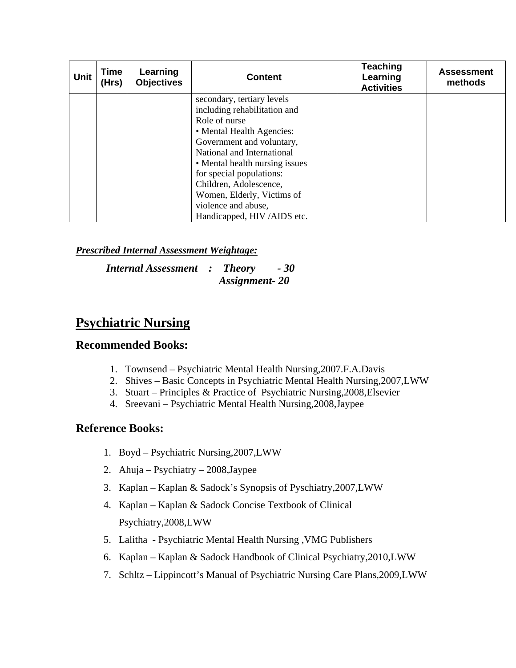| <b>Unit</b> | Time<br>(Hrs) | Learning<br><b>Objectives</b> | <b>Content</b>                 | <b>Teaching</b><br>Learning<br><b>Activities</b> | <b>Assessment</b><br>methods |
|-------------|---------------|-------------------------------|--------------------------------|--------------------------------------------------|------------------------------|
|             |               |                               | secondary, tertiary levels     |                                                  |                              |
|             |               |                               | including rehabilitation and   |                                                  |                              |
|             |               |                               | Role of nurse                  |                                                  |                              |
|             |               |                               | • Mental Health Agencies:      |                                                  |                              |
|             |               |                               | Government and voluntary,      |                                                  |                              |
|             |               |                               | National and International     |                                                  |                              |
|             |               |                               | • Mental health nursing issues |                                                  |                              |
|             |               |                               | for special populations:       |                                                  |                              |
|             |               |                               | Children, Adolescence,         |                                                  |                              |
|             |               |                               | Women, Elderly, Victims of     |                                                  |                              |
|             |               |                               | violence and abuse,            |                                                  |                              |
|             |               |                               | Handicapped, HIV/AIDS etc.     |                                                  |                              |

*Internal Assessment : Theory - 30 Assignment- 20* 

## **Psychiatric Nursing**

#### **Recommended Books:**

- 1. Townsend Psychiatric Mental Health Nursing,2007.F.A.Davis
- 2. Shives Basic Concepts in Psychiatric Mental Health Nursing,2007,LWW
- 3. Stuart Principles & Practice of Psychiatric Nursing,2008,Elsevier
- 4. Sreevani Psychiatric Mental Health Nursing,2008,Jaypee

## **Reference Books:**

- 1. Boyd Psychiatric Nursing,2007,LWW
- 2. Ahuja Psychiatry 2008,Jaypee
- 3. Kaplan Kaplan & Sadock's Synopsis of Pyschiatry,2007,LWW
- 4. Kaplan Kaplan & Sadock Concise Textbook of Clinical Psychiatry,2008,LWW
- 5. Lalitha Psychiatric Mental Health Nursing ,VMG Publishers
- 6. Kaplan Kaplan & Sadock Handbook of Clinical Psychiatry,2010,LWW
- 7. Schltz Lippincott's Manual of Psychiatric Nursing Care Plans,2009,LWW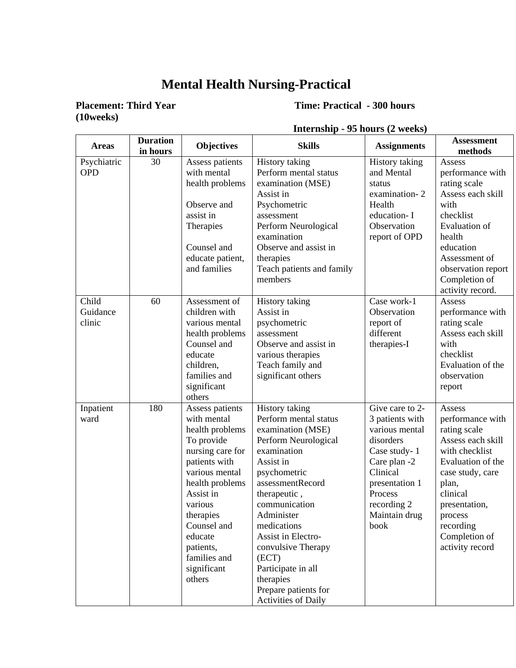## **Mental Health Nursing-Practical**

# **(10weeks)**

## **Placement: Third Year Time: Practical - 300 hours**

| <b>Areas</b>                | <b>Duration</b><br>in hours | <b>Objectives</b>                                                                                                                                                                                                                                              | <b>Skills</b>                                                                                                                                                                                                                                                                                                                                                    | <b>Assignments</b>                                                                                                                                                                 | <b>Assessment</b><br>methods                                                                                                                                                                                                 |
|-----------------------------|-----------------------------|----------------------------------------------------------------------------------------------------------------------------------------------------------------------------------------------------------------------------------------------------------------|------------------------------------------------------------------------------------------------------------------------------------------------------------------------------------------------------------------------------------------------------------------------------------------------------------------------------------------------------------------|------------------------------------------------------------------------------------------------------------------------------------------------------------------------------------|------------------------------------------------------------------------------------------------------------------------------------------------------------------------------------------------------------------------------|
| Psychiatric<br><b>OPD</b>   | 30                          | Assess patients<br>with mental<br>health problems<br>Observe and<br>assist in<br>Therapies<br>Counsel and<br>educate patient,<br>and families                                                                                                                  | <b>History taking</b><br>Perform mental status<br>examination (MSE)<br>Assist in<br>Psychometric<br>assessment<br>Perform Neurological<br>examination<br>Observe and assist in<br>therapies<br>Teach patients and family<br>members                                                                                                                              | <b>History taking</b><br>and Mental<br>status<br>examination-2<br>Health<br>education-I<br>Observation<br>report of OPD                                                            | Assess<br>performance with<br>rating scale<br>Assess each skill<br>with<br>checklist<br><b>Evaluation</b> of<br>health<br>education<br>Assessment of<br>observation report<br>Completion of<br>activity record.              |
| Child<br>Guidance<br>clinic | 60                          | Assessment of<br>children with<br>various mental<br>health problems<br>Counsel and<br>educate<br>children,<br>families and<br>significant<br>others                                                                                                            | History taking<br>Assist in<br>psychometric<br>assessment<br>Observe and assist in<br>various therapies<br>Teach family and<br>significant others                                                                                                                                                                                                                | Case work-1<br>Observation<br>report of<br>different<br>therapies-I                                                                                                                | Assess<br>performance with<br>rating scale<br>Assess each skill<br>with<br>checklist<br>Evaluation of the<br>observation<br>report                                                                                           |
| Inpatient<br>ward           | 180                         | Assess patients<br>with mental<br>health problems<br>To provide<br>nursing care for<br>patients with<br>various mental<br>health problems<br>Assist in<br>various<br>therapies<br>Counsel and<br>educate<br>patients,<br>families and<br>significant<br>others | History taking<br>Perform mental status<br>examination (MSE)<br>Perform Neurological<br>examination<br>Assist in<br>psychometric<br>assessmentRecord<br>therapeutic,<br>communication<br>Administer<br>medications<br>Assist in Electro-<br>convulsive Therapy<br>(ECT)<br>Participate in all<br>therapies<br>Prepare patients for<br><b>Activities of Daily</b> | Give care to 2-<br>3 patients with<br>various mental<br>disorders<br>Case study-1<br>Care plan -2<br>Clinical<br>presentation 1<br>Process<br>recording 2<br>Maintain drug<br>book | Assess<br>performance with<br>rating scale<br>Assess each skill<br>with checklist<br>Evaluation of the<br>case study, care<br>plan,<br>clinical<br>presentation,<br>process<br>recording<br>Completion of<br>activity record |

## **Internship - 95 hours (2 weeks)**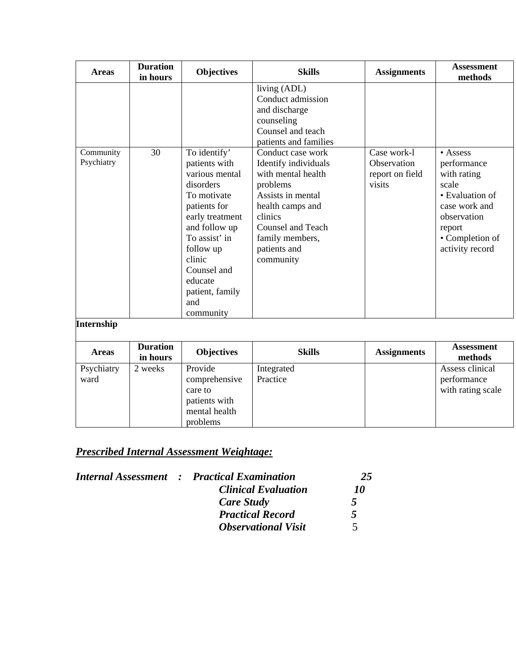| <b>Areas</b>            | <b>Duration</b><br>in hours | <b>Objectives</b>                                                                                                                                                                                       | <b>Skills</b>                                                                                                                                                  | <b>Assignments</b>         | <b>Assessment</b><br>methods                                                                                            |
|-------------------------|-----------------------------|---------------------------------------------------------------------------------------------------------------------------------------------------------------------------------------------------------|----------------------------------------------------------------------------------------------------------------------------------------------------------------|----------------------------|-------------------------------------------------------------------------------------------------------------------------|
| Community<br>Psychiatry | 30                          | To identify'<br>patients with                                                                                                                                                                           | living (ADL)<br>Conduct admission<br>and discharge<br>counseling<br>Counsel and teach<br>patients and families<br>Conduct case work<br>Identify individuals    | Case work-1<br>Observation | $\bullet$ Assess<br>performance                                                                                         |
|                         |                             | various mental<br>disorders<br>To motivate<br>patients for<br>early treatment<br>and follow up<br>To assist' in<br>follow up<br>clinic<br>Counsel and<br>educate<br>patient, family<br>and<br>community | with mental health<br>problems<br>Assists in mental<br>health camps and<br>clinics<br><b>Counsel and Teach</b><br>family members,<br>patients and<br>community | report on field<br>visits  | with rating<br>scale<br>• Evaluation of<br>case work and<br>observation<br>report<br>• Completion of<br>activity record |
| <b>Internship</b>       |                             |                                                                                                                                                                                                         |                                                                                                                                                                |                            |                                                                                                                         |
| <b>Areas</b>            | <b>Duration</b><br>in hours | <b>Objectives</b>                                                                                                                                                                                       | <b>Skills</b>                                                                                                                                                  | <b>Assignments</b>         | <b>Assessment</b><br>methods                                                                                            |
| Psychiatry<br>ward      | 2 weeks                     | Provide<br>comprehensive<br>care to                                                                                                                                                                     | Integrated<br>Practice                                                                                                                                         |                            | Assess clinical<br>performance<br>with rating scale                                                                     |

|  | <b>Internal Assessment : Practical Examination</b> | 25                       |
|--|----------------------------------------------------|--------------------------|
|  | <b>Clinical Evaluation</b>                         | 70                       |
|  | Care Study                                         | 5                        |
|  | <b>Practical Record</b>                            | 5                        |
|  | <b>Observational Visit</b>                         | $\overline{\mathcal{L}}$ |

patients with mental health problems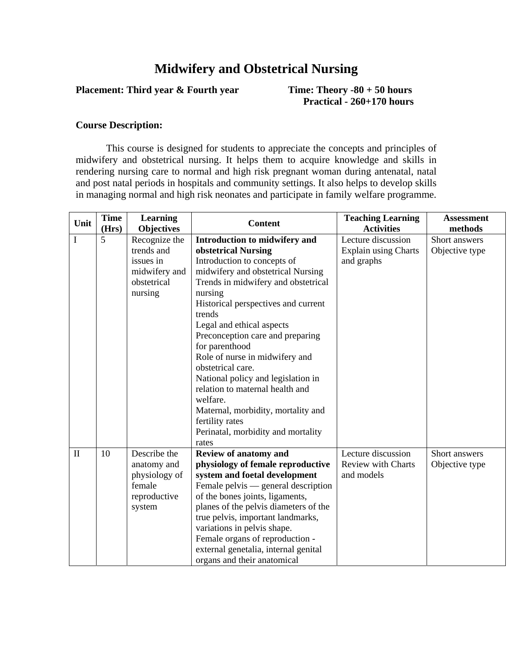## **Midwifery and Obstetrical Nursing**

## **Placement: Third year & Fourth year Time: Theory -80 + 50 hours**

 **Practical - 260+170 hours** 

#### **Course Description:**

This course is designed for students to appreciate the concepts and principles of midwifery and obstetrical nursing. It helps them to acquire knowledge and skills in rendering nursing care to normal and high risk pregnant woman during antenatal, natal and post natal periods in hospitals and community settings. It also helps to develop skills in managing normal and high risk neonates and participate in family welfare programme.

| Unit         | <b>Time</b> | <b>Learning</b>   | <b>Content</b>                        | <b>Teaching Learning</b>  | <b>Assessment</b> |
|--------------|-------------|-------------------|---------------------------------------|---------------------------|-------------------|
|              | (Hrs)       | <b>Objectives</b> |                                       | <b>Activities</b>         | methods           |
| I            | 5           | Recognize the     | Introduction to midwifery and         | Lecture discussion        | Short answers     |
|              |             | trends and        | obstetrical Nursing                   | Explain using Charts      | Objective type    |
|              |             | issues in         | Introduction to concepts of           | and graphs                |                   |
|              |             | midwifery and     | midwifery and obstetrical Nursing     |                           |                   |
|              |             | obstetrical       | Trends in midwifery and obstetrical   |                           |                   |
|              |             | nursing           | nursing                               |                           |                   |
|              |             |                   | Historical perspectives and current   |                           |                   |
|              |             |                   | trends                                |                           |                   |
|              |             |                   | Legal and ethical aspects             |                           |                   |
|              |             |                   | Preconception care and preparing      |                           |                   |
|              |             |                   | for parenthood                        |                           |                   |
|              |             |                   | Role of nurse in midwifery and        |                           |                   |
|              |             |                   | obstetrical care.                     |                           |                   |
|              |             |                   | National policy and legislation in    |                           |                   |
|              |             |                   | relation to maternal health and       |                           |                   |
|              |             |                   | welfare.                              |                           |                   |
|              |             |                   | Maternal, morbidity, mortality and    |                           |                   |
|              |             |                   | fertility rates                       |                           |                   |
|              |             |                   | Perinatal, morbidity and mortality    |                           |                   |
|              |             |                   | rates                                 |                           |                   |
| $\mathbf{I}$ | 10          | Describe the      | Review of anatomy and                 | Lecture discussion        | Short answers     |
|              |             | anatomy and       | physiology of female reproductive     | <b>Review with Charts</b> | Objective type    |
|              |             | physiology of     | system and foetal development         | and models                |                   |
|              |             | female            | Female pelvis — general description   |                           |                   |
|              |             | reproductive      | of the bones joints, ligaments,       |                           |                   |
|              |             | system            | planes of the pelvis diameters of the |                           |                   |
|              |             |                   | true pelvis, important landmarks,     |                           |                   |
|              |             |                   | variations in pelvis shape.           |                           |                   |
|              |             |                   | Female organs of reproduction -       |                           |                   |
|              |             |                   | external genetalia, internal genital  |                           |                   |
|              |             |                   | organs and their anatomical           |                           |                   |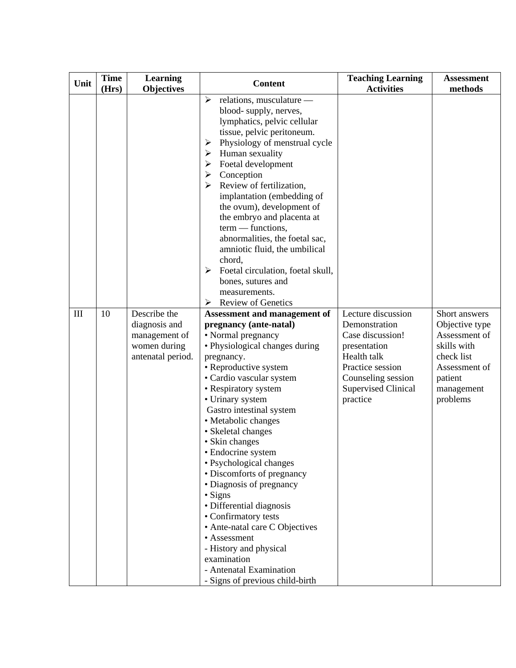| Unit | <b>Time</b><br>(Hrs) | Learning<br><b>Objectives</b>                                                       | <b>Content</b>                                                                                                                                                                                                                                                                                                                                                                                                                                                                                                                                                                                                                                              | <b>Teaching Learning</b><br><b>Activities</b>                                                                                                                              | <b>Assessment</b><br>methods                                                                                                        |
|------|----------------------|-------------------------------------------------------------------------------------|-------------------------------------------------------------------------------------------------------------------------------------------------------------------------------------------------------------------------------------------------------------------------------------------------------------------------------------------------------------------------------------------------------------------------------------------------------------------------------------------------------------------------------------------------------------------------------------------------------------------------------------------------------------|----------------------------------------------------------------------------------------------------------------------------------------------------------------------------|-------------------------------------------------------------------------------------------------------------------------------------|
|      |                      |                                                                                     | relations, musculature -<br>➤<br>blood-supply, nerves,<br>lymphatics, pelvic cellular<br>tissue, pelvic peritoneum.<br>Physiology of menstrual cycle<br>➤<br>Human sexuality<br>➤<br>Foetal development<br>➤<br>Conception<br>➤<br>Review of fertilization,<br>➤<br>implantation (embedding of<br>the ovum), development of<br>the embryo and placenta at<br>$term$ - functions,<br>abnormalities, the foetal sac,<br>amniotic fluid, the umbilical<br>chord,<br>Foetal circulation, foetal skull,<br>➤<br>bones, sutures and<br>measurements.<br><b>Review of Genetics</b><br>➤                                                                            |                                                                                                                                                                            |                                                                                                                                     |
| III  | 10                   | Describe the<br>diagnosis and<br>management of<br>women during<br>antenatal period. | Assessment and management of<br>pregnancy (ante-natal)<br>• Normal pregnancy<br>• Physiological changes during<br>pregnancy.<br>• Reproductive system<br>• Cardio vascular system<br>• Respiratory system<br>• Urinary system<br>Gastro intestinal system<br>• Metabolic changes<br>• Skeletal changes<br>• Skin changes<br>• Endocrine system<br>· Psychological changes<br>• Discomforts of pregnancy<br>• Diagnosis of pregnancy<br>· Signs<br>· Differential diagnosis<br>• Confirmatory tests<br>• Ante-natal care C Objectives<br>• Assessment<br>- History and physical<br>examination<br>- Antenatal Examination<br>- Signs of previous child-birth | Lecture discussion<br>Demonstration<br>Case discussion!<br>presentation<br>Health talk<br>Practice session<br>Counseling session<br><b>Supervised Clinical</b><br>practice | Short answers<br>Objective type<br>Assessment of<br>skills with<br>check list<br>Assessment of<br>patient<br>management<br>problems |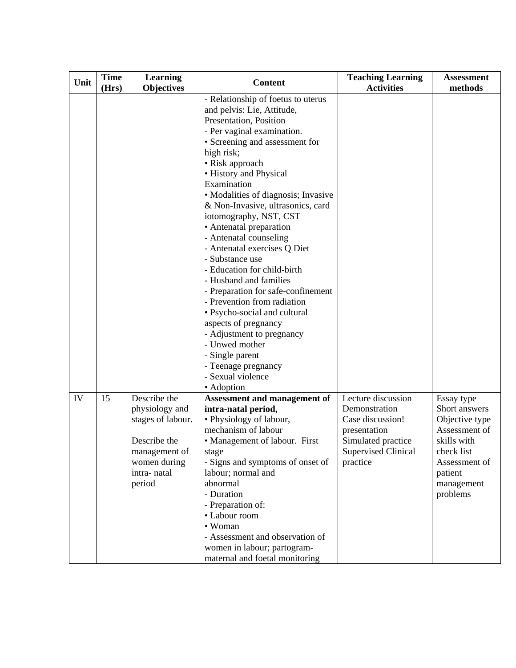| Unit | <b>Time</b><br>(Hrs) | <b>Learning</b><br><b>Objectives</b>                                                                                          | <b>Content</b>                                                                                                                                                                                                                                                                                                                                                                                                                                                                                                                                                                                                                                                                                                                                                       | <b>Teaching Learning</b><br><b>Activities</b>                                                                                           | <b>Assessment</b><br>methods                                                                                                                      |
|------|----------------------|-------------------------------------------------------------------------------------------------------------------------------|----------------------------------------------------------------------------------------------------------------------------------------------------------------------------------------------------------------------------------------------------------------------------------------------------------------------------------------------------------------------------------------------------------------------------------------------------------------------------------------------------------------------------------------------------------------------------------------------------------------------------------------------------------------------------------------------------------------------------------------------------------------------|-----------------------------------------------------------------------------------------------------------------------------------------|---------------------------------------------------------------------------------------------------------------------------------------------------|
|      |                      |                                                                                                                               | - Relationship of foetus to uterus<br>and pelvis: Lie, Attitude,<br>Presentation, Position<br>- Per vaginal examination.<br>• Screening and assessment for<br>high risk;<br>• Risk approach<br>· History and Physical<br>Examination<br>· Modalities of diagnosis; Invasive<br>& Non-Invasive, ultrasonics, card<br>iotomography, NST, CST<br>• Antenatal preparation<br>- Antenatal counseling<br>- Antenatal exercises Q Diet<br>- Substance use<br>- Education for child-birth<br>- Husband and families<br>- Preparation for safe-confinement<br>- Prevention from radiation<br>• Psycho-social and cultural<br>aspects of pregnancy<br>- Adjustment to pregnancy<br>- Unwed mother<br>- Single parent<br>- Teenage pregnancy<br>- Sexual violence<br>• Adoption |                                                                                                                                         |                                                                                                                                                   |
| IV   | 15                   | Describe the<br>physiology and<br>stages of labour.<br>Describe the<br>management of<br>women during<br>intra-natal<br>period | Assessment and management of<br>intra-natal period,<br>• Physiology of labour,<br>mechanism of labour<br>• Management of labour. First<br>stage<br>- Signs and symptoms of onset of<br>labour; normal and<br>abnormal<br>- Duration<br>- Preparation of:<br>• Labour room<br>• Woman<br>- Assessment and observation of<br>women in labour; partogram-<br>maternal and foetal monitoring                                                                                                                                                                                                                                                                                                                                                                             | Lecture discussion<br>Demonstration<br>Case discussion!<br>presentation<br>Simulated practice<br><b>Supervised Clinical</b><br>practice | Essay type<br>Short answers<br>Objective type<br>Assessment of<br>skills with<br>check list<br>Assessment of<br>patient<br>management<br>problems |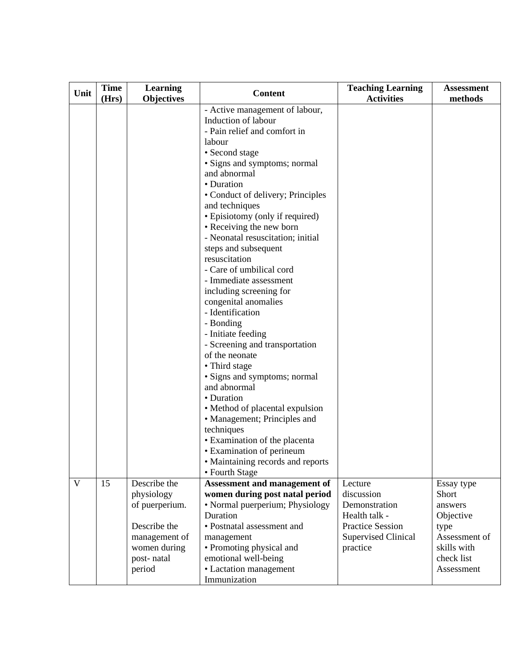| Unit | <b>Time</b><br>(Hrs) | Learning<br><b>Objectives</b>                                                                                         | <b>Content</b>                                                                                                                                                                                                                                                                                                                                                                                                                                                                                                                                                                                                                                                                                                                                                                                                                                                                               | <b>Teaching Learning</b><br><b>Activities</b>                                                                                | <b>Assessment</b><br>methods                                                                                    |
|------|----------------------|-----------------------------------------------------------------------------------------------------------------------|----------------------------------------------------------------------------------------------------------------------------------------------------------------------------------------------------------------------------------------------------------------------------------------------------------------------------------------------------------------------------------------------------------------------------------------------------------------------------------------------------------------------------------------------------------------------------------------------------------------------------------------------------------------------------------------------------------------------------------------------------------------------------------------------------------------------------------------------------------------------------------------------|------------------------------------------------------------------------------------------------------------------------------|-----------------------------------------------------------------------------------------------------------------|
|      |                      |                                                                                                                       | - Active management of labour,<br>Induction of labour<br>- Pain relief and comfort in<br>labour<br>• Second stage<br>· Signs and symptoms; normal<br>and abnormal<br>• Duration<br>• Conduct of delivery; Principles<br>and techniques<br>• Episiotomy (only if required)<br>• Receiving the new born<br>- Neonatal resuscitation; initial<br>steps and subsequent<br>resuscitation<br>- Care of umbilical cord<br>- Immediate assessment<br>including screening for<br>congenital anomalies<br>- Identification<br>- Bonding<br>- Initiate feeding<br>- Screening and transportation<br>of the neonate<br>• Third stage<br>· Signs and symptoms; normal<br>and abnormal<br>• Duration<br>• Method of placental expulsion<br>• Management; Principles and<br>techniques<br>• Examination of the placenta<br>• Examination of perineum<br>• Maintaining records and reports<br>• Fourth Stage |                                                                                                                              |                                                                                                                 |
| V    | 15                   | Describe the<br>physiology<br>of puerperium.<br>Describe the<br>management of<br>women during<br>post-natal<br>period | <b>Assessment and management of</b><br>women during post natal period<br>• Normal puerperium; Physiology<br>Duration<br>• Postnatal assessment and<br>management<br>• Promoting physical and<br>emotional well-being<br>• Lactation management<br>Immunization                                                                                                                                                                                                                                                                                                                                                                                                                                                                                                                                                                                                                               | Lecture<br>discussion<br>Demonstration<br>Health talk -<br><b>Practice Session</b><br><b>Supervised Clinical</b><br>practice | Essay type<br>Short<br>answers<br>Objective<br>type<br>Assessment of<br>skills with<br>check list<br>Assessment |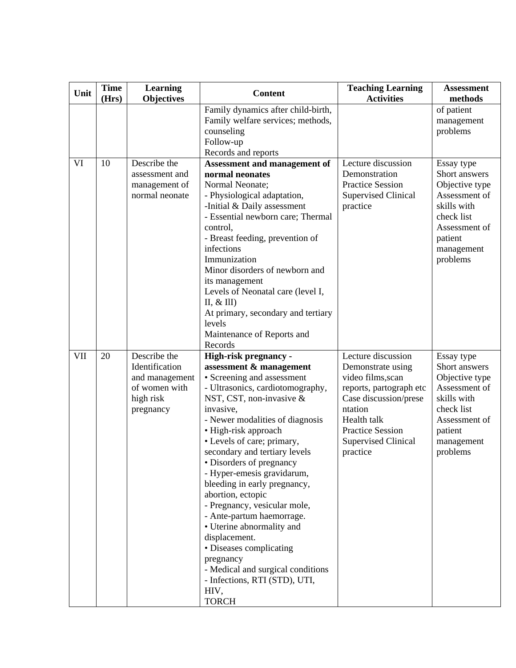| Unit | <b>Time</b><br>(Hrs) | Learning<br><b>Objectives</b>                                                               | <b>Content</b>                                                                                                                                                                                                                                                                                                                                                                                                                                                                                                                                                                                                                                           | <b>Teaching Learning</b><br><b>Activities</b>                                                                                                                                                                   | <b>Assessment</b><br>methods                                                                                                                      |
|------|----------------------|---------------------------------------------------------------------------------------------|----------------------------------------------------------------------------------------------------------------------------------------------------------------------------------------------------------------------------------------------------------------------------------------------------------------------------------------------------------------------------------------------------------------------------------------------------------------------------------------------------------------------------------------------------------------------------------------------------------------------------------------------------------|-----------------------------------------------------------------------------------------------------------------------------------------------------------------------------------------------------------------|---------------------------------------------------------------------------------------------------------------------------------------------------|
|      |                      |                                                                                             | Family dynamics after child-birth,<br>Family welfare services; methods,<br>counseling<br>Follow-up<br>Records and reports                                                                                                                                                                                                                                                                                                                                                                                                                                                                                                                                |                                                                                                                                                                                                                 | of patient<br>management<br>problems                                                                                                              |
| VI   | 10                   | Describe the<br>assessment and<br>management of<br>normal neonate                           | <b>Assessment and management of</b><br>normal neonates<br>Normal Neonate;<br>- Physiological adaptation,<br>-Initial & Daily assessment<br>- Essential newborn care; Thermal<br>control,<br>- Breast feeding, prevention of<br>infections<br>Immunization<br>Minor disorders of newborn and<br>its management<br>Levels of Neonatal care (level I,<br>$II, \& III)$<br>At primary, secondary and tertiary<br>levels<br>Maintenance of Reports and<br>Records                                                                                                                                                                                             | Lecture discussion<br>Demonstration<br><b>Practice Session</b><br><b>Supervised Clinical</b><br>practice                                                                                                        | Essay type<br>Short answers<br>Objective type<br>Assessment of<br>skills with<br>check list<br>Assessment of<br>patient<br>management<br>problems |
| VII  | 20                   | Describe the<br>Identification<br>and management<br>of women with<br>high risk<br>pregnancy | High-risk pregnancy -<br>assessment & management<br>• Screening and assessment<br>- Ultrasonics, cardiotomography,<br>NST, CST, non-invasive $\&$<br>invasive,<br>- Newer modalities of diagnosis<br>• High-risk approach<br>• Levels of care; primary,<br>secondary and tertiary levels<br>• Disorders of pregnancy<br>- Hyper-emesis gravidarum,<br>bleeding in early pregnancy,<br>abortion, ectopic<br>- Pregnancy, vesicular mole,<br>- Ante-partum haemorrage.<br>• Uterine abnormality and<br>displacement.<br>• Diseases complicating<br>pregnancy<br>- Medical and surgical conditions<br>- Infections, RTI (STD), UTI,<br>HIV,<br><b>TORCH</b> | Lecture discussion<br>Demonstrate using<br>video films, scan<br>reports, partograph etc<br>Case discussion/prese<br>ntation<br>Health talk<br><b>Practice Session</b><br><b>Supervised Clinical</b><br>practice | Essay type<br>Short answers<br>Objective type<br>Assessment of<br>skills with<br>check list<br>Assessment of<br>patient<br>management<br>problems |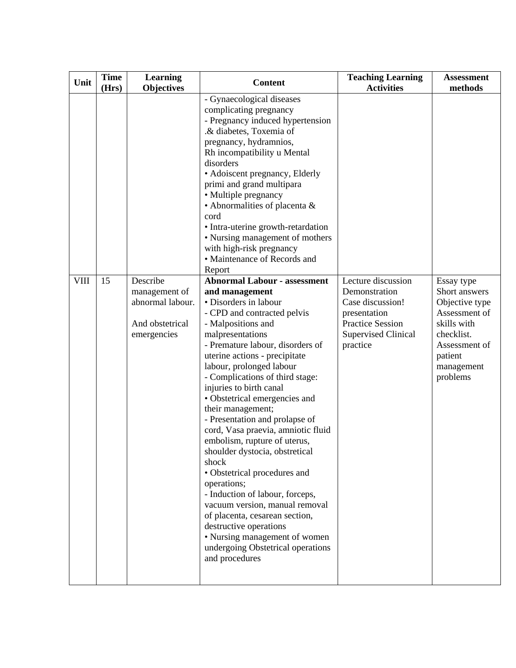| Unit        | <b>Time</b><br>(Hrs) | <b>Learning</b><br><b>Objectives</b>                                            | <b>Content</b>                                                                                                                                                                                                                                                                                                                                                                                                                                                                                                                                                                                                                                                                                                                                                                                          | <b>Teaching Learning</b><br><b>Activities</b>                                                                                                | <b>Assessment</b><br>methods                                                                                                                      |
|-------------|----------------------|---------------------------------------------------------------------------------|---------------------------------------------------------------------------------------------------------------------------------------------------------------------------------------------------------------------------------------------------------------------------------------------------------------------------------------------------------------------------------------------------------------------------------------------------------------------------------------------------------------------------------------------------------------------------------------------------------------------------------------------------------------------------------------------------------------------------------------------------------------------------------------------------------|----------------------------------------------------------------------------------------------------------------------------------------------|---------------------------------------------------------------------------------------------------------------------------------------------------|
|             |                      |                                                                                 | - Gynaecological diseases<br>complicating pregnancy<br>- Pregnancy induced hypertension<br>.& diabetes, Toxemia of<br>pregnancy, hydramnios,<br>Rh incompatibility u Mental<br>disorders<br>• Adoiscent pregnancy, Elderly<br>primi and grand multipara<br>• Multiple pregnancy<br>• Abnormalities of placenta &<br>cord<br>• Intra-uterine growth-retardation<br>• Nursing management of mothers<br>with high-risk pregnancy<br>• Maintenance of Records and<br>Report                                                                                                                                                                                                                                                                                                                                 |                                                                                                                                              |                                                                                                                                                   |
| <b>VIII</b> | 15                   | Describe<br>management of<br>abnormal labour.<br>And obstetrical<br>emergencies | <b>Abnormal Labour - assessment</b><br>and management<br>• Disorders in labour<br>- CPD and contracted pelvis<br>- Malpositions and<br>malpresentations<br>- Premature labour, disorders of<br>uterine actions - precipitate<br>labour, prolonged labour<br>- Complications of third stage:<br>injuries to birth canal<br>• Obstetrical emergencies and<br>their management;<br>- Presentation and prolapse of<br>cord, Vasa praevia, amniotic fluid<br>embolism, rupture of uterus,<br>shoulder dystocia, obstretical<br>shock<br>• Obstetrical procedures and<br>operations;<br>- Induction of labour, forceps,<br>vacuum version, manual removal<br>of placenta, cesarean section,<br>destructive operations<br>• Nursing management of women<br>undergoing Obstetrical operations<br>and procedures | Lecture discussion<br>Demonstration<br>Case discussion!<br>presentation<br><b>Practice Session</b><br><b>Supervised Clinical</b><br>practice | Essay type<br>Short answers<br>Objective type<br>Assessment of<br>skills with<br>checklist.<br>Assessment of<br>patient<br>management<br>problems |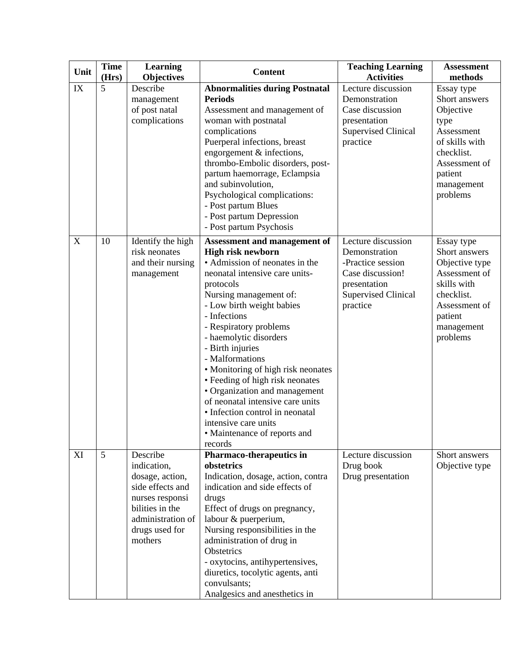| Unit                            | <b>Time</b> | <b>Learning</b>                                                                                                                                        | <b>Content</b>                                                                                                                                                                                                                                                                                                                                                                                                                                                                                                                                                  | <b>Teaching Learning</b>                                                                                                               | <b>Assessment</b>                                                                                                                                    |
|---------------------------------|-------------|--------------------------------------------------------------------------------------------------------------------------------------------------------|-----------------------------------------------------------------------------------------------------------------------------------------------------------------------------------------------------------------------------------------------------------------------------------------------------------------------------------------------------------------------------------------------------------------------------------------------------------------------------------------------------------------------------------------------------------------|----------------------------------------------------------------------------------------------------------------------------------------|------------------------------------------------------------------------------------------------------------------------------------------------------|
|                                 | (Hrs)       | <b>Objectives</b>                                                                                                                                      |                                                                                                                                                                                                                                                                                                                                                                                                                                                                                                                                                                 | <b>Activities</b>                                                                                                                      | methods                                                                                                                                              |
| IX<br>$\boldsymbol{\mathrm{X}}$ | 5<br>10     | Describe<br>management<br>of post natal<br>complications                                                                                               | <b>Abnormalities during Postnatal</b><br><b>Periods</b><br>Assessment and management of<br>woman with postnatal<br>complications<br>Puerperal infections, breast<br>engorgement & infections,<br>thrombo-Embolic disorders, post-<br>partum haemorrage, Eclampsia<br>and subinvolution,<br>Psychological complications:<br>- Post partum Blues<br>- Post partum Depression<br>- Post partum Psychosis                                                                                                                                                           | Lecture discussion<br>Demonstration<br>Case discussion<br>presentation<br><b>Supervised Clinical</b><br>practice<br>Lecture discussion | Essay type<br>Short answers<br>Objective<br>type<br>Assessment<br>of skills with<br>checklist.<br>Assessment of<br>patient<br>management<br>problems |
|                                 |             | Identify the high<br>risk neonates<br>and their nursing<br>management                                                                                  | Assessment and management of<br><b>High risk newborn</b><br>• Admission of neonates in the<br>neonatal intensive care units-<br>protocols<br>Nursing management of:<br>- Low birth weight babies<br>- Infections<br>- Respiratory problems<br>- haemolytic disorders<br>- Birth injuries<br>- Malformations<br>• Monitoring of high risk neonates<br>• Feeding of high risk neonates<br>• Organization and management<br>of neonatal intensive care units<br>• Infection control in neonatal<br>intensive care units<br>• Maintenance of reports and<br>records | Demonstration<br>-Practice session<br>Case discussion!<br>presentation<br><b>Supervised Clinical</b><br>practice                       | Essay type<br>Short answers<br>Objective type<br>Assessment of<br>skills with<br>checklist.<br>Assessment of<br>patient<br>management<br>problems    |
| XI                              | 5           | Describe<br>indication,<br>dosage, action,<br>side effects and<br>nurses responsi<br>bilities in the<br>administration of<br>drugs used for<br>mothers | Pharmaco-therapeutics in<br>obstetrics<br>Indication, dosage, action, contra<br>indication and side effects of<br>drugs<br>Effect of drugs on pregnancy,<br>labour & puerperium,<br>Nursing responsibilities in the<br>administration of drug in<br>Obstetrics<br>- oxytocins, antihypertensives,<br>diuretics, tocolytic agents, anti<br>convulsants;<br>Analgesics and anesthetics in                                                                                                                                                                         | Lecture discussion<br>Drug book<br>Drug presentation                                                                                   | Short answers<br>Objective type                                                                                                                      |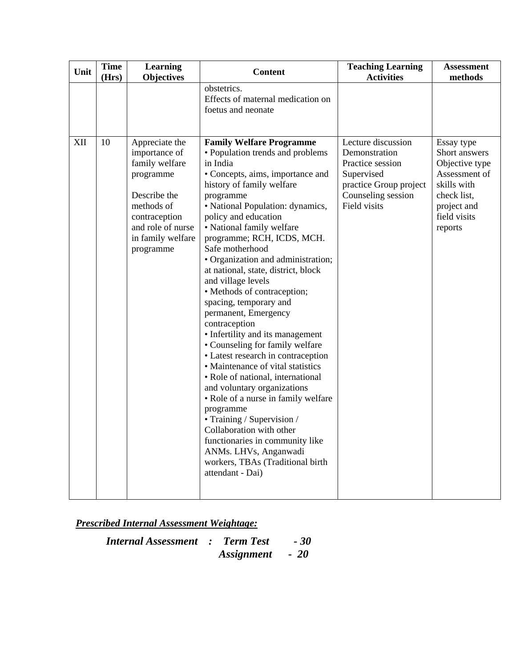| Unit | <b>Time</b><br>(Hrs) | Learning<br><b>Objectives</b>                                                                                                                                        | <b>Content</b>                                                                                                                                                                                                                                                                                                                                                                                                                                                                                                                                                                                                                                                                                                                                                                                                                                                                                                                                                       | <b>Teaching Learning</b><br><b>Activities</b>                                                                                         | <b>Assessment</b><br>methods                                                                                                           |
|------|----------------------|----------------------------------------------------------------------------------------------------------------------------------------------------------------------|----------------------------------------------------------------------------------------------------------------------------------------------------------------------------------------------------------------------------------------------------------------------------------------------------------------------------------------------------------------------------------------------------------------------------------------------------------------------------------------------------------------------------------------------------------------------------------------------------------------------------------------------------------------------------------------------------------------------------------------------------------------------------------------------------------------------------------------------------------------------------------------------------------------------------------------------------------------------|---------------------------------------------------------------------------------------------------------------------------------------|----------------------------------------------------------------------------------------------------------------------------------------|
|      |                      |                                                                                                                                                                      | obstetrics.<br>Effects of maternal medication on<br>foetus and neonate                                                                                                                                                                                                                                                                                                                                                                                                                                                                                                                                                                                                                                                                                                                                                                                                                                                                                               |                                                                                                                                       |                                                                                                                                        |
| XII  | 10                   | Appreciate the<br>importance of<br>family welfare<br>programme<br>Describe the<br>methods of<br>contraception<br>and role of nurse<br>in family welfare<br>programme | <b>Family Welfare Programme</b><br>· Population trends and problems<br>in India<br>• Concepts, aims, importance and<br>history of family welfare<br>programme<br>• National Population: dynamics,<br>policy and education<br>• National family welfare<br>programme; RCH, ICDS, MCH.<br>Safe motherhood<br>• Organization and administration;<br>at national, state, district, block<br>and village levels<br>• Methods of contraception;<br>spacing, temporary and<br>permanent, Emergency<br>contraception<br>• Infertility and its management<br>• Counseling for family welfare<br>• Latest research in contraception<br>• Maintenance of vital statistics<br>• Role of national, international<br>and voluntary organizations<br>• Role of a nurse in family welfare<br>programme<br>• Training / Supervision /<br>Collaboration with other<br>functionaries in community like<br>ANMs. LHVs, Anganwadi<br>workers, TBAs (Traditional birth<br>attendant - Dai) | Lecture discussion<br>Demonstration<br>Practice session<br>Supervised<br>practice Group project<br>Counseling session<br>Field visits | Essay type<br>Short answers<br>Objective type<br>Assessment of<br>skills with<br>check list,<br>project and<br>field visits<br>reports |

| <b>Internal Assessment : Term Test</b> |                 | $-30^{\circ}$ |
|----------------------------------------|-----------------|---------------|
|                                        | Assignment - 20 |               |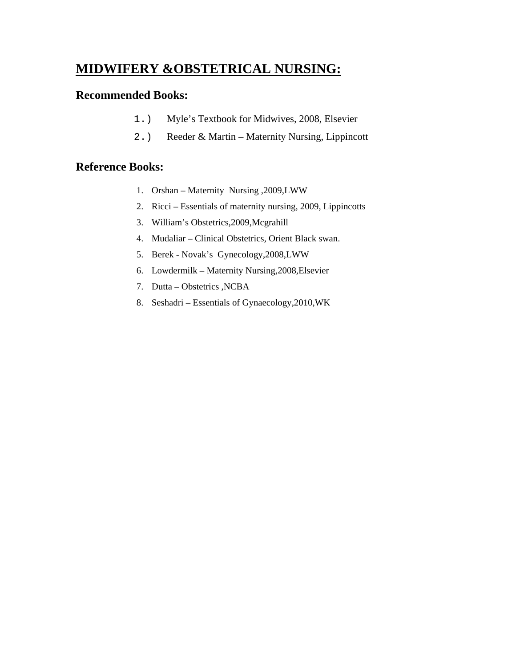## **MIDWIFERY &OBSTETRICAL NURSING:**

## **Recommended Books:**

- 1.) Myle's Textbook for Midwives, 2008, Elsevier
- 2.) Reeder & Martin Maternity Nursing, Lippincott

## **Reference Books:**

- 1. Orshan Maternity Nursing ,2009,LWW
- 2. Ricci Essentials of maternity nursing, 2009, Lippincotts
- 3. William's Obstetrics,2009,Mcgrahill
- 4. Mudaliar Clinical Obstetrics, Orient Black swan.
- 5. Berek Novak's Gynecology,2008,LWW
- 6. Lowdermilk Maternity Nursing,2008,Elsevier
- 7. Dutta Obstetrics ,NCBA
- 8. Seshadri Essentials of Gynaecology,2010,WK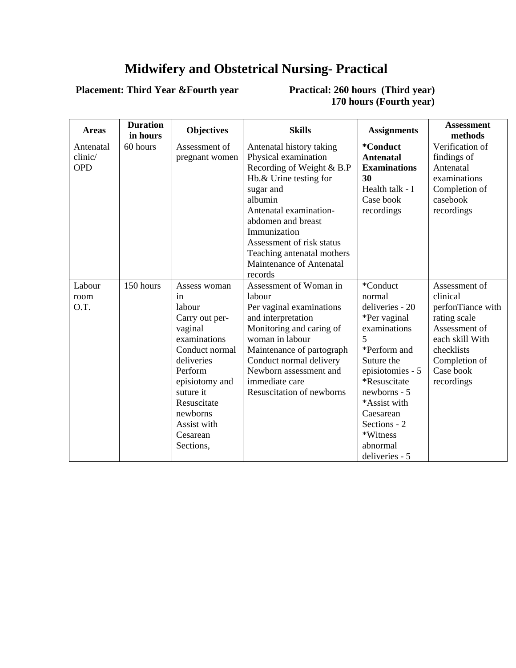## **Midwifery and Obstetrical Nursing- Practical**

## **Placement: Third Year &Fourth year**

**Practical: 260 hours (Third year) 170 hours (Fourth year)** 

| <b>Areas</b> | <b>Duration</b><br>in hours | <b>Objectives</b> | <b>Skills</b>                    | <b>Assignments</b>  | <b>Assessment</b><br>methods |
|--------------|-----------------------------|-------------------|----------------------------------|---------------------|------------------------------|
| Antenatal    | 60 hours                    | Assessment of     | Antenatal history taking         | *Conduct            | Verification of              |
| clinic/      |                             | pregnant women    | Physical examination             | <b>Antenatal</b>    | findings of                  |
| <b>OPD</b>   |                             |                   | Recording of Weight & B.P        | <b>Examinations</b> | Antenatal                    |
|              |                             |                   | Hb.& Urine testing for           | 30                  | examinations                 |
|              |                             |                   | sugar and                        | Health talk - I     | Completion of                |
|              |                             |                   | albumin                          | Case book           | casebook                     |
|              |                             |                   | Antenatal examination-           | recordings          | recordings                   |
|              |                             |                   | abdomen and breast               |                     |                              |
|              |                             |                   | Immunization                     |                     |                              |
|              |                             |                   | Assessment of risk status        |                     |                              |
|              |                             |                   | Teaching antenatal mothers       |                     |                              |
|              |                             |                   | Maintenance of Antenatal         |                     |                              |
|              |                             |                   | records                          |                     |                              |
| Labour       | 150 hours                   | Assess woman      | Assessment of Woman in           | *Conduct            | Assessment of                |
| room         |                             | in                | labour                           | normal              | clinical                     |
| O.T.         |                             | labour            | Per vaginal examinations         | deliveries - 20     | perfonTiance with            |
|              |                             | Carry out per-    | and interpretation               | *Per vaginal        | rating scale                 |
|              |                             | vaginal           | Monitoring and caring of         | examinations        | Assessment of                |
|              |                             | examinations      | woman in labour                  | 5                   | each skill With              |
|              |                             | Conduct normal    | Maintenance of partograph        | *Perform and        | checklists                   |
|              |                             | deliveries        | Conduct normal delivery          | Suture the          | Completion of                |
|              |                             | Perform           | Newborn assessment and           | episiotomies - 5    | Case book                    |
|              |                             | episiotomy and    | immediate care                   | *Resuscitate        | recordings                   |
|              |                             | suture it         | <b>Resuscitation of newborns</b> | newborns - 5        |                              |
|              |                             | Resuscitate       |                                  | *Assist with        |                              |
|              |                             | newborns          |                                  | Caesarean           |                              |
|              |                             | Assist with       |                                  | Sections - 2        |                              |
|              |                             | Cesarean          |                                  | *Witness            |                              |
|              |                             | Sections,         |                                  | abnormal            |                              |
|              |                             |                   |                                  | deliveries - 5      |                              |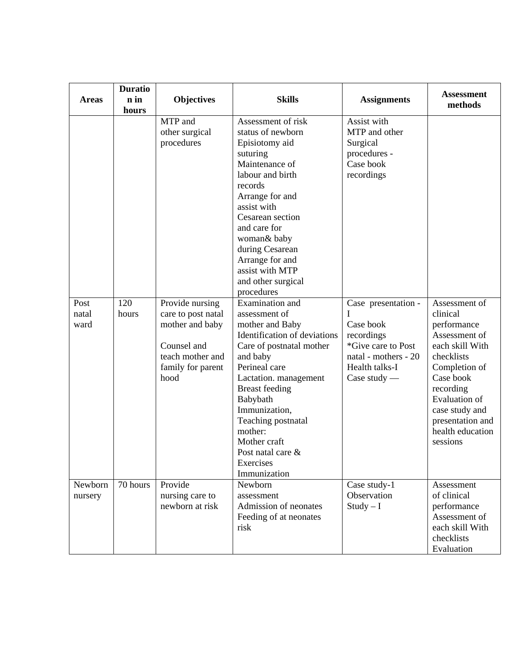| <b>Areas</b>          | <b>Duratio</b><br>n in | <b>Objectives</b>                                                                                                                                           | <b>Skills</b>                                                                                                                                                                                                                                                                                                                                                                                                                                            | <b>Assignments</b>                                                                                                                                                                                         | <b>Assessment</b><br>methods                                                                                         |
|-----------------------|------------------------|-------------------------------------------------------------------------------------------------------------------------------------------------------------|----------------------------------------------------------------------------------------------------------------------------------------------------------------------------------------------------------------------------------------------------------------------------------------------------------------------------------------------------------------------------------------------------------------------------------------------------------|------------------------------------------------------------------------------------------------------------------------------------------------------------------------------------------------------------|----------------------------------------------------------------------------------------------------------------------|
| Post<br>natal<br>ward | hours<br>120<br>hours  | MTP and<br>other surgical<br>procedures<br>Provide nursing<br>care to post natal<br>mother and baby<br>Counsel and<br>teach mother and<br>family for parent | Assessment of risk<br>status of newborn<br>Episiotomy aid<br>suturing<br>Maintenance of<br>labour and birth<br>records<br>Arrange for and<br>assist with<br>Cesarean section<br>and care for<br>woman& baby<br>during Cesarean<br>Arrange for and<br>assist with MTP<br>and other surgical<br>procedures<br>Examination and<br>assessment of<br>mother and Baby<br>Identification of deviations<br>Care of postnatal mother<br>and baby<br>Perineal care | Assist with<br>MTP and other<br>Surgical<br>procedures -<br>Case book<br>recordings<br>Case presentation -<br>I<br>Case book<br>recordings<br>*Give care to Post<br>natal - mothers - 20<br>Health talks-I | Assessment of<br>clinical<br>performance<br>Assessment of<br>each skill With<br>checklists<br>Completion of          |
|                       |                        | hood                                                                                                                                                        | Lactation. management<br><b>Breast</b> feeding<br>Babybath<br>Immunization,<br>Teaching postnatal<br>mother:<br>Mother craft<br>Post natal care &<br>Exercises<br>Immunization                                                                                                                                                                                                                                                                           | Case study $-$                                                                                                                                                                                             | Case book<br>recording<br><b>Evaluation of</b><br>case study and<br>presentation and<br>health education<br>sessions |
| Newborn<br>nursery    | 70 hours               | Provide<br>nursing care to<br>newborn at risk                                                                                                               | Newborn<br>assessment<br>Admission of neonates<br>Feeding of at neonates<br>risk                                                                                                                                                                                                                                                                                                                                                                         | Case study-1<br>Observation<br>$Study - I$                                                                                                                                                                 | Assessment<br>of clinical<br>performance<br>Assessment of<br>each skill With<br>checklists<br>Evaluation             |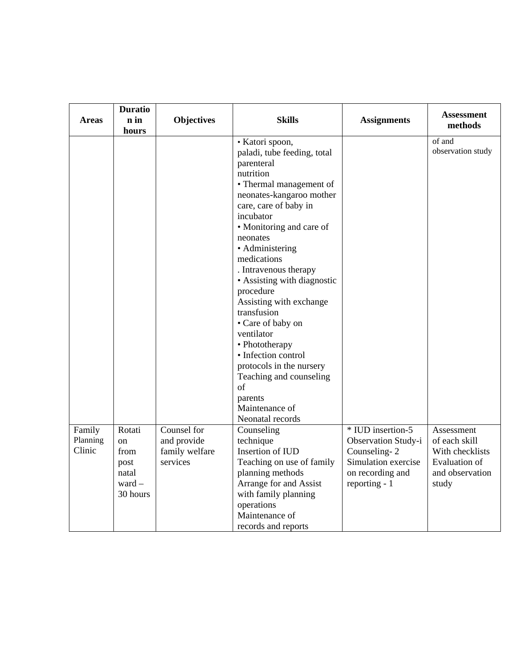|                              | <b>Duratio</b>                                                           |                                                          |                                                                                                                                                                                                                                                                                                                                                                                                                                                                                                                                                           |                                                                                                                      |                                                                                                    |
|------------------------------|--------------------------------------------------------------------------|----------------------------------------------------------|-----------------------------------------------------------------------------------------------------------------------------------------------------------------------------------------------------------------------------------------------------------------------------------------------------------------------------------------------------------------------------------------------------------------------------------------------------------------------------------------------------------------------------------------------------------|----------------------------------------------------------------------------------------------------------------------|----------------------------------------------------------------------------------------------------|
| <b>Areas</b>                 | n in                                                                     | <b>Objectives</b>                                        | <b>Skills</b>                                                                                                                                                                                                                                                                                                                                                                                                                                                                                                                                             | <b>Assignments</b>                                                                                                   | <b>Assessment</b><br>methods                                                                       |
|                              | hours                                                                    |                                                          |                                                                                                                                                                                                                                                                                                                                                                                                                                                                                                                                                           |                                                                                                                      |                                                                                                    |
|                              |                                                                          |                                                          | · Katori spoon,<br>paladi, tube feeding, total<br>parenteral<br>nutrition<br>• Thermal management of<br>neonates-kangaroo mother<br>care, care of baby in<br>incubator<br>• Monitoring and care of<br>neonates<br>• Administering<br>medications<br>. Intravenous therapy<br>• Assisting with diagnostic<br>procedure<br>Assisting with exchange<br>transfusion<br>• Care of baby on<br>ventilator<br>• Phototherapy<br>· Infection control<br>protocols in the nursery<br>Teaching and counseling<br>of<br>parents<br>Maintenance of<br>Neonatal records |                                                                                                                      | of and<br>observation study                                                                        |
| Family<br>Planning<br>Clinic | Rotati<br><sub>on</sub><br>from<br>post<br>natal<br>$ward -$<br>30 hours | Counsel for<br>and provide<br>family welfare<br>services | Counseling<br>technique<br>Insertion of IUD<br>Teaching on use of family<br>planning methods<br>Arrange for and Assist<br>with family planning<br>operations<br>Maintenance of<br>records and reports                                                                                                                                                                                                                                                                                                                                                     | * IUD insertion-5<br>Observation Study-i<br>Counseling-2<br>Simulation exercise<br>on recording and<br>reporting - 1 | Assessment<br>of each skill<br>With checklists<br><b>Evaluation</b> of<br>and observation<br>study |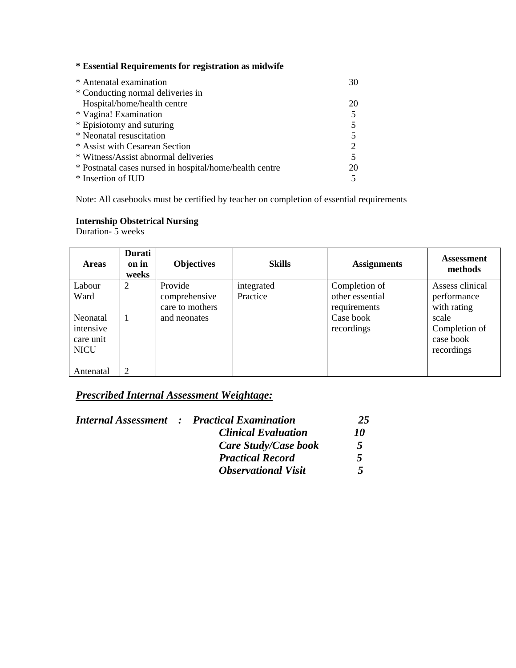|  |  | * Essential Requirements for registration as midwife |  |  |  |
|--|--|------------------------------------------------------|--|--|--|
|--|--|------------------------------------------------------|--|--|--|

| * Antenatal examination                                 | 30 |
|---------------------------------------------------------|----|
| * Conducting normal deliveries in                       |    |
| Hospital/home/health centre                             | 20 |
| * Vagina! Examination                                   |    |
| * Episiotomy and suturing                               |    |
| * Neonatal resuscitation                                |    |
| * Assist with Cesarean Section                          |    |
| * Witness/Assist abnormal deliveries                    |    |
| * Postnatal cases nursed in hospital/home/health centre | 20 |
| * Insertion of IUD                                      |    |

Note: All casebooks must be certified by teacher on completion of essential requirements

## **Internship Obstetrical Nursing**

Duration- 5 weeks

| <b>Areas</b> | Durati<br>on in<br>weeks | <b>Objectives</b> | <b>Skills</b> | <b>Assignments</b> | <b>Assessment</b><br>methods |
|--------------|--------------------------|-------------------|---------------|--------------------|------------------------------|
| Labour       | 2                        | Provide           | integrated    | Completion of      | Assess clinical              |
| Ward         |                          | comprehensive     | Practice      | other essential    | performance                  |
|              |                          | care to mothers   |               | requirements       | with rating                  |
| Neonatal     | 1                        | and neonates      |               | Case book          | scale                        |
| intensive    |                          |                   |               | recordings         | Completion of                |
| care unit    |                          |                   |               |                    | case book                    |
| <b>NICU</b>  |                          |                   |               |                    | recordings                   |
|              |                          |                   |               |                    |                              |
| Antenatal    | 2                        |                   |               |                    |                              |

## *Prescribed Internal Assessment Weightage:*

|  | <b>Internal Assessment : Practical Examination</b> | 25               |
|--|----------------------------------------------------|------------------|
|  | <b>Clinical Evaluation</b>                         | <i><b>10</b></i> |
|  | Care Study/Case book                               | 5                |
|  | <b>Practical Record</b>                            | 5                |
|  | <b>Observational Visit</b>                         | 5                |
|  |                                                    |                  |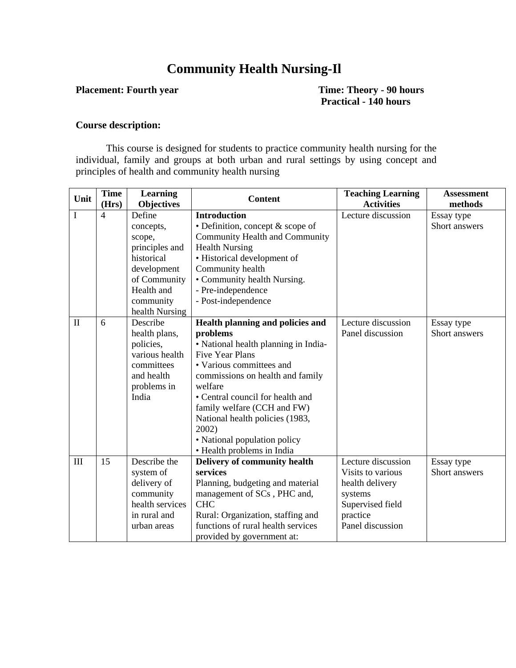## **Community Health Nursing-Il**

**Placement: Fourth year Time: Theory - 90 hours Practical - 140 hours** 

#### **Course description:**

This course is designed for students to practice community health nursing for the individual, family and groups at both urban and rural settings by using concept and principles of health and community health nursing

| Unit         | <b>Time</b>    | <b>Learning</b>   | <b>Content</b>                       | <b>Teaching Learning</b> | <b>Assessment</b> |
|--------------|----------------|-------------------|--------------------------------------|--------------------------|-------------------|
|              | (Hrs)          | <b>Objectives</b> |                                      | <b>Activities</b>        | methods           |
| I            | $\overline{4}$ | Define            | <b>Introduction</b>                  | Lecture discussion       | Essay type        |
|              |                | concepts,         | • Definition, concept & scope of     |                          | Short answers     |
|              |                | scope,            | Community Health and Community       |                          |                   |
|              |                | principles and    | <b>Health Nursing</b>                |                          |                   |
|              |                | historical        | • Historical development of          |                          |                   |
|              |                | development       | Community health                     |                          |                   |
|              |                | of Community      | • Community health Nursing.          |                          |                   |
|              |                | Health and        | - Pre-independence                   |                          |                   |
|              |                | community         | - Post-independence                  |                          |                   |
|              |                | health Nursing    |                                      |                          |                   |
| $\mathbf{I}$ | 6              | Describe          | Health planning and policies and     | Lecture discussion       | Essay type        |
|              |                | health plans,     | problems                             | Panel discussion         | Short answers     |
|              |                | policies,         | • National health planning in India- |                          |                   |
|              |                | various health    | <b>Five Year Plans</b>               |                          |                   |
|              |                | committees        | • Various committees and             |                          |                   |
|              |                | and health        | commissions on health and family     |                          |                   |
|              |                | problems in       | welfare                              |                          |                   |
|              |                | India             | • Central council for health and     |                          |                   |
|              |                |                   | family welfare (CCH and FW)          |                          |                   |
|              |                |                   | National health policies (1983,      |                          |                   |
|              |                |                   | 2002)                                |                          |                   |
|              |                |                   | • National population policy         |                          |                   |
|              |                |                   | • Health problems in India           |                          |                   |
| III          | 15             | Describe the      | <b>Delivery of community health</b>  | Lecture discussion       | Essay type        |
|              |                | system of         | services                             | Visits to various        | Short answers     |
|              |                | delivery of       | Planning, budgeting and material     | health delivery          |                   |
|              |                | community         | management of SCs, PHC and,          | systems                  |                   |
|              |                | health services   | <b>CHC</b>                           | Supervised field         |                   |
|              |                | in rural and      | Rural: Organization, staffing and    | practice                 |                   |
|              |                | urban areas       | functions of rural health services   | Panel discussion         |                   |
|              |                |                   | provided by government at:           |                          |                   |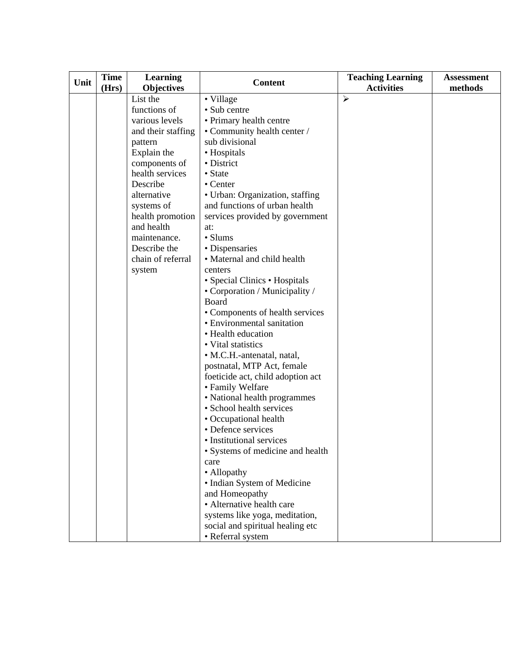| Unit | <b>Time</b> | Learning           | <b>Content</b>                    | <b>Teaching Learning</b> | <b>Assessment</b> |
|------|-------------|--------------------|-----------------------------------|--------------------------|-------------------|
|      | (Hrs)       | <b>Objectives</b>  |                                   | <b>Activities</b>        | methods           |
|      |             | List the           | • Village                         | $\blacktriangleright$    |                   |
|      |             | functions of       | • Sub centre                      |                          |                   |
|      |             | various levels     | • Primary health centre           |                          |                   |
|      |             | and their staffing | • Community health center /       |                          |                   |
|      |             | pattern            | sub divisional                    |                          |                   |
|      |             | Explain the        | • Hospitals                       |                          |                   |
|      |             | components of      | • District                        |                          |                   |
|      |             | health services    | • State                           |                          |                   |
|      |             | Describe           | $\bullet$ Center                  |                          |                   |
|      |             | alternative        | • Urban: Organization, staffing   |                          |                   |
|      |             | systems of         | and functions of urban health     |                          |                   |
|      |             | health promotion   | services provided by government   |                          |                   |
|      |             | and health         | at:                               |                          |                   |
|      |             | maintenance.       | • Slums                           |                          |                   |
|      |             | Describe the       | • Dispensaries                    |                          |                   |
|      |             | chain of referral  | • Maternal and child health       |                          |                   |
|      |             | system             | centers                           |                          |                   |
|      |             |                    | • Special Clinics • Hospitals     |                          |                   |
|      |             |                    | • Corporation / Municipality /    |                          |                   |
|      |             |                    | <b>Board</b>                      |                          |                   |
|      |             |                    | • Components of health services   |                          |                   |
|      |             |                    | • Environmental sanitation        |                          |                   |
|      |             |                    | • Health education                |                          |                   |
|      |             |                    | • Vital statistics                |                          |                   |
|      |             |                    | · M.C.H.-antenatal, natal,        |                          |                   |
|      |             |                    | postnatal, MTP Act, female        |                          |                   |
|      |             |                    | foeticide act, child adoption act |                          |                   |
|      |             |                    | • Family Welfare                  |                          |                   |
|      |             |                    | • National health programmes      |                          |                   |
|      |             |                    | • School health services          |                          |                   |
|      |             |                    | • Occupational health             |                          |                   |
|      |             |                    | • Defence services                |                          |                   |
|      |             |                    | • Institutional services          |                          |                   |
|      |             |                    | • Systems of medicine and health  |                          |                   |
|      |             |                    | care                              |                          |                   |
|      |             |                    | • Allopathy                       |                          |                   |
|      |             |                    | • Indian System of Medicine       |                          |                   |
|      |             |                    | and Homeopathy                    |                          |                   |
|      |             |                    | • Alternative health care         |                          |                   |
|      |             |                    | systems like yoga, meditation,    |                          |                   |
|      |             |                    | social and spiritual healing etc  |                          |                   |
|      |             |                    | • Referral system                 |                          |                   |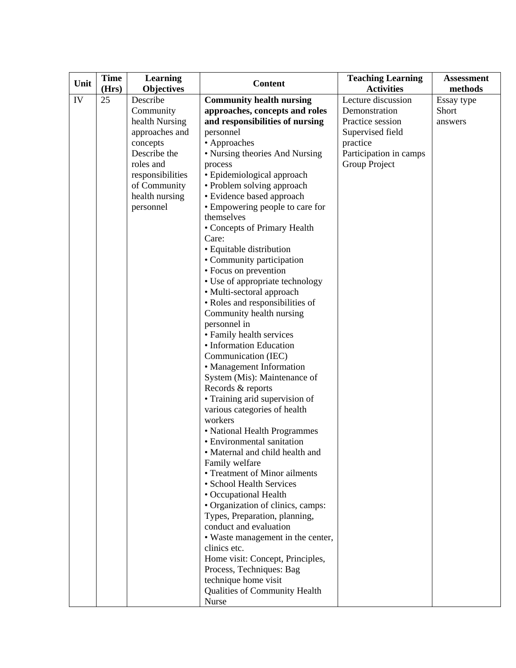| Unit | <b>Time</b> | <b>Learning</b>   | <b>Content</b>                    | <b>Teaching Learning</b> | <b>Assessment</b> |
|------|-------------|-------------------|-----------------------------------|--------------------------|-------------------|
|      | (Hrs)       | <b>Objectives</b> |                                   | <b>Activities</b>        | methods           |
| IV   | 25          | Describe          | <b>Community health nursing</b>   | Lecture discussion       | Essay type        |
|      |             | Community         | approaches, concepts and roles    | Demonstration            | Short             |
|      |             | health Nursing    | and responsibilities of nursing   | Practice session         | answers           |
|      |             | approaches and    | personnel                         | Supervised field         |                   |
|      |             | concepts          | • Approaches                      | practice                 |                   |
|      |             | Describe the      | • Nursing theories And Nursing    | Participation in camps   |                   |
|      |             | roles and         | process                           | Group Project            |                   |
|      |             | responsibilities  | • Epidemiological approach        |                          |                   |
|      |             | of Community      | • Problem solving approach        |                          |                   |
|      |             | health nursing    | • Evidence based approach         |                          |                   |
|      |             | personnel         | • Empowering people to care for   |                          |                   |
|      |             |                   | themselves                        |                          |                   |
|      |             |                   | • Concepts of Primary Health      |                          |                   |
|      |             |                   | Care:                             |                          |                   |
|      |             |                   | • Equitable distribution          |                          |                   |
|      |             |                   | • Community participation         |                          |                   |
|      |             |                   | • Focus on prevention             |                          |                   |
|      |             |                   | • Use of appropriate technology   |                          |                   |
|      |             |                   | • Multi-sectoral approach         |                          |                   |
|      |             |                   | • Roles and responsibilities of   |                          |                   |
|      |             |                   | Community health nursing          |                          |                   |
|      |             |                   | personnel in                      |                          |                   |
|      |             |                   | • Family health services          |                          |                   |
|      |             |                   | • Information Education           |                          |                   |
|      |             |                   | Communication (IEC)               |                          |                   |
|      |             |                   | • Management Information          |                          |                   |
|      |             |                   | System (Mis): Maintenance of      |                          |                   |
|      |             |                   | Records & reports                 |                          |                   |
|      |             |                   | • Training arid supervision of    |                          |                   |
|      |             |                   | various categories of health      |                          |                   |
|      |             |                   | workers                           |                          |                   |
|      |             |                   | • National Health Programmes      |                          |                   |
|      |             |                   | • Environmental sanitation        |                          |                   |
|      |             |                   | • Maternal and child health and   |                          |                   |
|      |             |                   | Family welfare                    |                          |                   |
|      |             |                   | • Treatment of Minor ailments     |                          |                   |
|      |             |                   | · School Health Services          |                          |                   |
|      |             |                   | • Occupational Health             |                          |                   |
|      |             |                   | • Organization of clinics, camps: |                          |                   |
|      |             |                   | Types, Preparation, planning,     |                          |                   |
|      |             |                   | conduct and evaluation            |                          |                   |
|      |             |                   | • Waste management in the center, |                          |                   |
|      |             |                   | clinics etc.                      |                          |                   |
|      |             |                   | Home visit: Concept, Principles,  |                          |                   |
|      |             |                   | Process, Techniques: Bag          |                          |                   |
|      |             |                   | technique home visit              |                          |                   |
|      |             |                   | Qualities of Community Health     |                          |                   |
|      |             |                   | Nurse                             |                          |                   |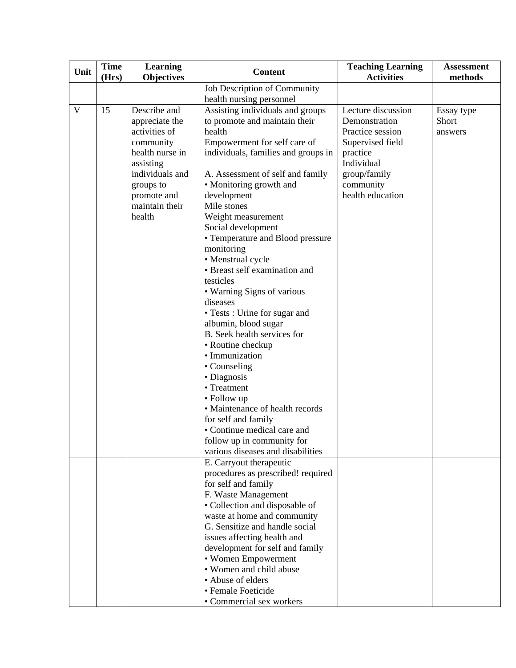| Unit | <b>Time</b><br>(Hrs) | <b>Learning</b><br><b>Objectives</b> | <b>Content</b>                                     | <b>Teaching Learning</b><br><b>Activities</b> | <b>Assessment</b><br>methods |
|------|----------------------|--------------------------------------|----------------------------------------------------|-----------------------------------------------|------------------------------|
|      |                      |                                      | Job Description of Community                       |                                               |                              |
|      |                      |                                      | health nursing personnel                           |                                               |                              |
| V    | 15                   | Describe and                         | Assisting individuals and groups                   | Lecture discussion                            | Essay type                   |
|      |                      | appreciate the                       | to promote and maintain their                      | Demonstration                                 | Short                        |
|      |                      | activities of                        | health                                             | Practice session                              | answers                      |
|      |                      | community                            | Empowerment for self care of                       | Supervised field                              |                              |
|      |                      | health nurse in                      | individuals, families and groups in                | practice                                      |                              |
|      |                      | assisting                            |                                                    | Individual                                    |                              |
|      |                      | individuals and                      | A. Assessment of self and family                   | group/family                                  |                              |
|      |                      | groups to                            | • Monitoring growth and                            | community                                     |                              |
|      |                      | promote and<br>maintain their        | development<br>Mile stones                         | health education                              |                              |
|      |                      | health                               | Weight measurement                                 |                                               |                              |
|      |                      |                                      | Social development                                 |                                               |                              |
|      |                      |                                      | • Temperature and Blood pressure                   |                                               |                              |
|      |                      |                                      | monitoring                                         |                                               |                              |
|      |                      |                                      | • Menstrual cycle                                  |                                               |                              |
|      |                      |                                      | • Breast self examination and                      |                                               |                              |
|      |                      |                                      | testicles                                          |                                               |                              |
|      |                      |                                      | • Warning Signs of various                         |                                               |                              |
|      |                      |                                      | diseases                                           |                                               |                              |
|      |                      |                                      | • Tests : Urine for sugar and                      |                                               |                              |
|      |                      |                                      | albumin, blood sugar                               |                                               |                              |
|      |                      |                                      | B. Seek health services for                        |                                               |                              |
|      |                      |                                      | • Routine checkup                                  |                                               |                              |
|      |                      |                                      | • Immunization                                     |                                               |                              |
|      |                      |                                      | • Counseling                                       |                                               |                              |
|      |                      |                                      | • Diagnosis                                        |                                               |                              |
|      |                      |                                      | • Treatment                                        |                                               |                              |
|      |                      |                                      | • Follow up<br>• Maintenance of health records     |                                               |                              |
|      |                      |                                      |                                                    |                                               |                              |
|      |                      |                                      | for self and family<br>• Continue medical care and |                                               |                              |
|      |                      |                                      | follow up in community for                         |                                               |                              |
|      |                      |                                      | various diseases and disabilities                  |                                               |                              |
|      |                      |                                      | E. Carryout therapeutic                            |                                               |                              |
|      |                      |                                      | procedures as prescribed! required                 |                                               |                              |
|      |                      |                                      | for self and family                                |                                               |                              |
|      |                      |                                      | F. Waste Management                                |                                               |                              |
|      |                      |                                      | • Collection and disposable of                     |                                               |                              |
|      |                      |                                      | waste at home and community                        |                                               |                              |
|      |                      |                                      | G. Sensitize and handle social                     |                                               |                              |
|      |                      |                                      | issues affecting health and                        |                                               |                              |
|      |                      |                                      | development for self and family                    |                                               |                              |
|      |                      |                                      | • Women Empowerment                                |                                               |                              |
|      |                      |                                      | • Women and child abuse                            |                                               |                              |
|      |                      |                                      | • Abuse of elders                                  |                                               |                              |
|      |                      |                                      | · Female Foeticide                                 |                                               |                              |
|      |                      |                                      | · Commercial sex workers                           |                                               |                              |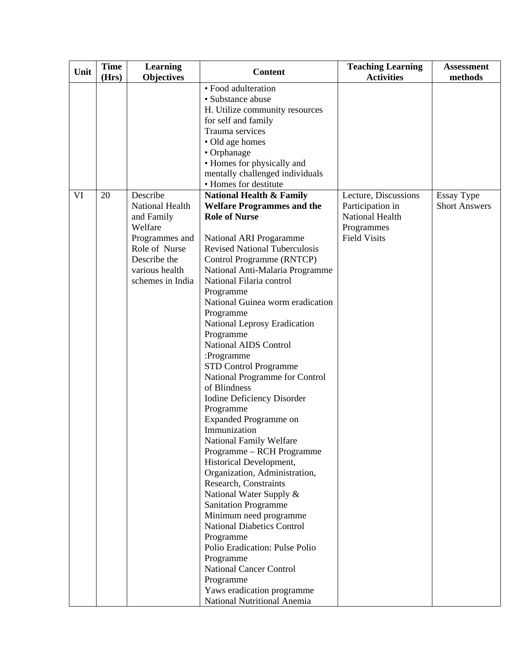| Unit | <b>Time</b> | <b>Learning</b>   | <b>Content</b>                               | <b>Teaching Learning</b> | <b>Assessment</b>    |
|------|-------------|-------------------|----------------------------------------------|--------------------------|----------------------|
|      | (Hrs)       | <b>Objectives</b> |                                              | <b>Activities</b>        | methods              |
|      |             |                   | · Food adulteration                          |                          |                      |
|      |             |                   | • Substance abuse                            |                          |                      |
|      |             |                   | H. Utilize community resources               |                          |                      |
|      |             |                   | for self and family                          |                          |                      |
|      |             |                   | Trauma services                              |                          |                      |
|      |             |                   | • Old age homes                              |                          |                      |
|      |             |                   | • Orphanage                                  |                          |                      |
|      |             |                   | • Homes for physically and                   |                          |                      |
|      |             |                   | mentally challenged individuals              |                          |                      |
|      |             |                   | • Homes for destitute                        |                          |                      |
| VI   | 20          | Describe          | <b>National Health &amp; Family</b>          | Lecture, Discussions     | <b>Essay Type</b>    |
|      |             | National Health   | <b>Welfare Programmes and the</b>            | Participation in         | <b>Short Answers</b> |
|      |             | and Family        | <b>Role of Nurse</b>                         | National Health          |                      |
|      |             | Welfare           |                                              | Programmes               |                      |
|      |             | Programmes and    | National ARI Progaramme                      | <b>Field Visits</b>      |                      |
|      |             | Role of Nurse     | <b>Revised National Tuberculosis</b>         |                          |                      |
|      |             | Describe the      | Control Programme (RNTCP)                    |                          |                      |
|      |             | various health    | National Anti-Malaria Programme              |                          |                      |
|      |             | schemes in India  | National Filaria control                     |                          |                      |
|      |             |                   | Programme                                    |                          |                      |
|      |             |                   | National Guinea worm eradication             |                          |                      |
|      |             |                   | Programme                                    |                          |                      |
|      |             |                   | National Leprosy Eradication                 |                          |                      |
|      |             |                   | Programme                                    |                          |                      |
|      |             |                   | National AIDS Control                        |                          |                      |
|      |             |                   | :Programme                                   |                          |                      |
|      |             |                   | <b>STD Control Programme</b>                 |                          |                      |
|      |             |                   | National Programme for Control               |                          |                      |
|      |             |                   | of Blindness                                 |                          |                      |
|      |             |                   |                                              |                          |                      |
|      |             |                   | Iodine Deficiency Disorder                   |                          |                      |
|      |             |                   | Programme                                    |                          |                      |
|      |             |                   | <b>Expanded Programme on</b><br>Immunization |                          |                      |
|      |             |                   |                                              |                          |                      |
|      |             |                   | National Family Welfare                      |                          |                      |
|      |             |                   | Programme - RCH Programme                    |                          |                      |
|      |             |                   | Historical Development,                      |                          |                      |
|      |             |                   | Organization, Administration,                |                          |                      |
|      |             |                   | Research, Constraints                        |                          |                      |
|      |             |                   | National Water Supply &                      |                          |                      |
|      |             |                   | <b>Sanitation Programme</b>                  |                          |                      |
|      |             |                   | Minimum need programme                       |                          |                      |
|      |             |                   | <b>National Diabetics Control</b>            |                          |                      |
|      |             |                   | Programme                                    |                          |                      |
|      |             |                   | Polio Eradication: Pulse Polio               |                          |                      |
|      |             |                   | Programme                                    |                          |                      |
|      |             |                   | <b>National Cancer Control</b>               |                          |                      |
|      |             |                   | Programme                                    |                          |                      |
|      |             |                   | Yaws eradication programme                   |                          |                      |
|      |             |                   | National Nutritional Anemia                  |                          |                      |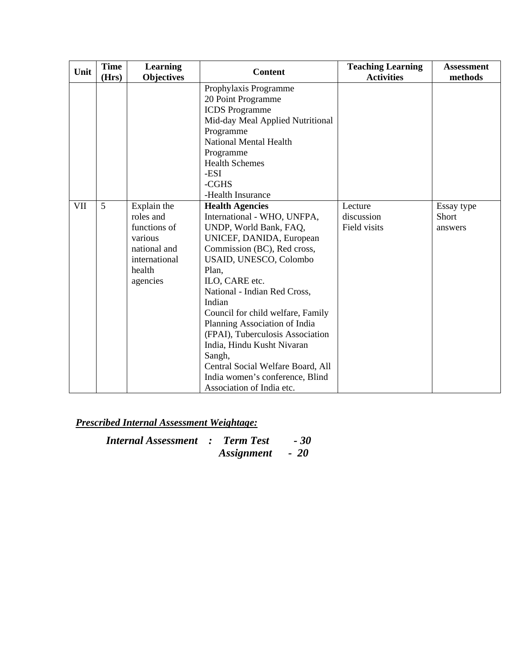| Unit | <b>Time</b> | Learning          | <b>Content</b>                    | <b>Teaching Learning</b> | <b>Assessment</b> |
|------|-------------|-------------------|-----------------------------------|--------------------------|-------------------|
|      | (Hrs)       | <b>Objectives</b> |                                   | <b>Activities</b>        | methods           |
|      |             |                   | Prophylaxis Programme             |                          |                   |
|      |             |                   | 20 Point Programme                |                          |                   |
|      |             |                   | <b>ICDS</b> Programme             |                          |                   |
|      |             |                   | Mid-day Meal Applied Nutritional  |                          |                   |
|      |             |                   | Programme                         |                          |                   |
|      |             |                   | National Mental Health            |                          |                   |
|      |             |                   | Programme                         |                          |                   |
|      |             |                   | <b>Health Schemes</b>             |                          |                   |
|      |             |                   | -ESI                              |                          |                   |
|      |             |                   | -CGHS                             |                          |                   |
|      |             |                   | -Health Insurance                 |                          |                   |
| VII  | 5           | Explain the       | <b>Health Agencies</b>            | Lecture                  | Essay type        |
|      |             | roles and         | International - WHO, UNFPA,       | discussion               | Short             |
|      |             | functions of      | UNDP, World Bank, FAQ,            | Field visits             | answers           |
|      |             | various           | UNICEF, DANIDA, European          |                          |                   |
|      |             | national and      | Commission (BC), Red cross,       |                          |                   |
|      |             | international     | USAID, UNESCO, Colombo            |                          |                   |
|      |             | health            | Plan,                             |                          |                   |
|      |             | agencies          | ILO, CARE etc.                    |                          |                   |
|      |             |                   | National - Indian Red Cross,      |                          |                   |
|      |             |                   | Indian                            |                          |                   |
|      |             |                   | Council for child welfare, Family |                          |                   |
|      |             |                   | Planning Association of India     |                          |                   |
|      |             |                   | (FPAI), Tuberculosis Association  |                          |                   |
|      |             |                   | India, Hindu Kusht Nivaran        |                          |                   |
|      |             |                   | Sangh,                            |                          |                   |
|      |             |                   | Central Social Welfare Board, All |                          |                   |
|      |             |                   | India women's conference, Blind   |                          |                   |
|      |             |                   | Association of India etc.         |                          |                   |

*Internal Assessment : Term Test - 30*   $\bm{A}$ *ssignment*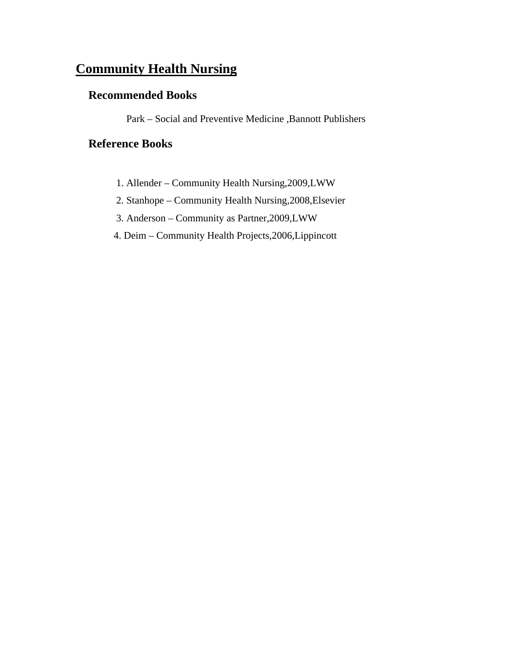## **Community Health Nursing**

## **Recommended Books**

Park – Social and Preventive Medicine ,Bannott Publishers

## **Reference Books**

- 1. Allender Community Health Nursing,2009,LWW
- 2. Stanhope Community Health Nursing,2008,Elsevier
- 3. Anderson Community as Partner,2009,LWW
- 4. Deim Community Health Projects,2006,Lippincott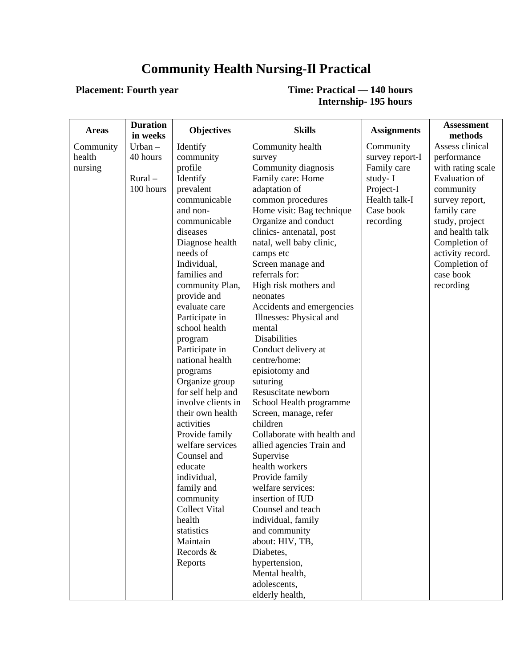## **Community Health Nursing-Il Practical**

## **Placement: Fourth year Time: Practical — 140 hours Internship- 195 hours**

| <b>Areas</b> | <b>Duration</b>        | <b>Objectives</b>         | <b>Skills</b>                                  | <b>Assignments</b>         | <b>Assessment</b>                         |
|--------------|------------------------|---------------------------|------------------------------------------------|----------------------------|-------------------------------------------|
|              | in weeks               |                           |                                                |                            | methods                                   |
| Community    | $Urban -$              | Identify                  | Community health                               | Community                  | Assess clinical                           |
| health       | 40 hours               | community                 | survey                                         | survey report-I            | performance                               |
| nursing      |                        | profile                   | Community diagnosis<br>Family care: Home       | Family care                | with rating scale<br><b>Evaluation of</b> |
|              | $Rural -$<br>100 hours | Identify                  |                                                | study-I                    |                                           |
|              |                        | prevalent<br>communicable | adaptation of                                  | Project-I<br>Health talk-I | community                                 |
|              |                        | and non-                  | common procedures<br>Home visit: Bag technique | Case book                  | survey report,<br>family care             |
|              |                        | communicable              | Organize and conduct                           | recording                  | study, project                            |
|              |                        | diseases                  | clinics- antenatal, post                       |                            | and health talk                           |
|              |                        | Diagnose health           | natal, well baby clinic,                       |                            | Completion of                             |
|              |                        | needs of                  | camps etc                                      |                            | activity record.                          |
|              |                        | Individual,               | Screen manage and                              |                            | Completion of                             |
|              |                        | families and              | referrals for:                                 |                            | case book                                 |
|              |                        | community Plan,           | High risk mothers and                          |                            | recording                                 |
|              |                        | provide and               | neonates                                       |                            |                                           |
|              |                        | evaluate care             | Accidents and emergencies                      |                            |                                           |
|              |                        | Participate in            | Illnesses: Physical and                        |                            |                                           |
|              |                        | school health             | mental                                         |                            |                                           |
|              |                        | program                   | Disabilities                                   |                            |                                           |
|              |                        | Participate in            | Conduct delivery at                            |                            |                                           |
|              |                        | national health           | centre/home:                                   |                            |                                           |
|              |                        | programs                  | episiotomy and                                 |                            |                                           |
|              |                        | Organize group            | suturing                                       |                            |                                           |
|              |                        | for self help and         | Resuscitate newborn                            |                            |                                           |
|              |                        | involve clients in        | School Health programme                        |                            |                                           |
|              |                        | their own health          | Screen, manage, refer                          |                            |                                           |
|              |                        | activities                | children                                       |                            |                                           |
|              |                        | Provide family            | Collaborate with health and                    |                            |                                           |
|              |                        | welfare services          | allied agencies Train and                      |                            |                                           |
|              |                        | Counsel and               | Supervise                                      |                            |                                           |
|              |                        | educate                   | health workers                                 |                            |                                           |
|              |                        | individual,               | Provide family                                 |                            |                                           |
|              |                        | family and                | welfare services:                              |                            |                                           |
|              |                        | community                 | insertion of IUD                               |                            |                                           |
|              |                        | <b>Collect Vital</b>      | Counsel and teach                              |                            |                                           |
|              |                        | health                    | individual, family                             |                            |                                           |
|              |                        | statistics                | and community                                  |                            |                                           |
|              |                        | Maintain                  | about: HIV, TB,                                |                            |                                           |
|              |                        | Records &                 | Diabetes,                                      |                            |                                           |
|              |                        | Reports                   | hypertension,                                  |                            |                                           |
|              |                        |                           | Mental health,                                 |                            |                                           |
|              |                        |                           | adolescents,                                   |                            |                                           |
|              |                        |                           | elderly health,                                |                            |                                           |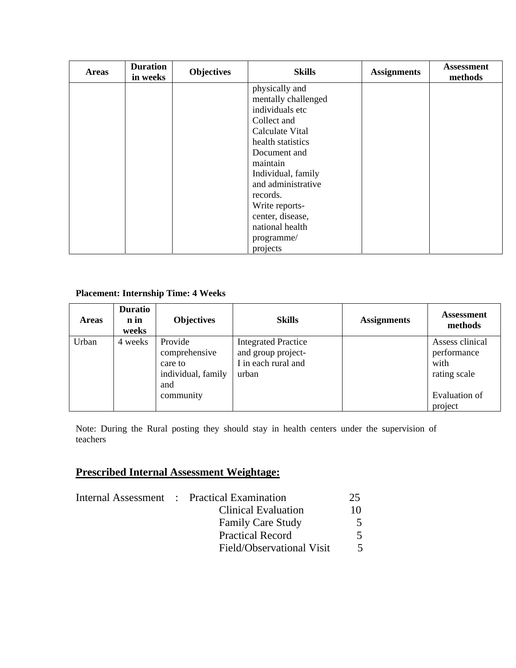| <b>Areas</b> | <b>Duration</b><br>in weeks | <b>Objectives</b> | <b>Skills</b>       | <b>Assignments</b> | <b>Assessment</b><br>methods |
|--------------|-----------------------------|-------------------|---------------------|--------------------|------------------------------|
|              |                             |                   | physically and      |                    |                              |
|              |                             |                   | mentally challenged |                    |                              |
|              |                             |                   | individuals etc     |                    |                              |
|              |                             |                   | Collect and         |                    |                              |
|              |                             |                   | Calculate Vital     |                    |                              |
|              |                             |                   | health statistics   |                    |                              |
|              |                             |                   | Document and        |                    |                              |
|              |                             |                   | maintain            |                    |                              |
|              |                             |                   | Individual, family  |                    |                              |
|              |                             |                   | and administrative  |                    |                              |
|              |                             |                   | records.            |                    |                              |
|              |                             |                   | Write reports-      |                    |                              |
|              |                             |                   | center, disease,    |                    |                              |
|              |                             |                   | national health     |                    |                              |
|              |                             |                   | programme/          |                    |                              |
|              |                             |                   | projects            |                    |                              |

## **Placement: Internship Time: 4 Weeks**

| <b>Areas</b> | <b>Duratio</b><br>n in<br>weeks | <b>Objectives</b>                                                             | <b>Skills</b>                                                                    | <b>Assignments</b> | <b>Assessment</b><br>methods                                                              |
|--------------|---------------------------------|-------------------------------------------------------------------------------|----------------------------------------------------------------------------------|--------------------|-------------------------------------------------------------------------------------------|
| Urban        | 4 weeks                         | Provide<br>comprehensive<br>care to<br>individual, family<br>and<br>community | <b>Integrated Practice</b><br>and group project-<br>I in each rural and<br>urban |                    | Assess clinical<br>performance<br>with<br>rating scale<br><b>Evaluation of</b><br>project |

Note: During the Rural posting they should stay in health centers under the supervision of teachers

## **Prescribed Internal Assessment Weightage:**

|  | Internal Assessment : Practical Examination | 25 |
|--|---------------------------------------------|----|
|  | Clinical Evaluation                         | 10 |
|  | <b>Family Care Study</b>                    |    |
|  | <b>Practical Record</b>                     |    |
|  | Field/Observational Visit                   |    |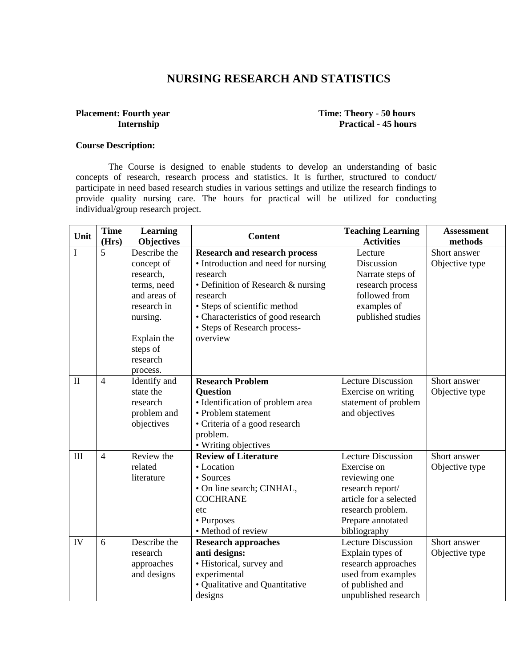## **NURSING RESEARCH AND STATISTICS**

# **Placement: Fourth year** Time: Theory - 50 hours

# **Internship Practical - 45 hours**

#### **Course Description:**

The Course is designed to enable students to develop an understanding of basic concepts of research, research process and statistics. It is further, structured to conduct/ participate in need based research studies in various settings and utilize the research findings to provide quality nursing care. The hours for practical will be utilized for conducting individual/group research project.

| Unit         | <b>Time</b><br>(Hrs) | <b>Learning</b><br><b>Objectives</b>                                                                                                                 | <b>Content</b>                                                                                                                                                                                                                                              | <b>Teaching Learning</b><br><b>Activities</b>                                                                                                                     | <b>Assessment</b><br>methods   |
|--------------|----------------------|------------------------------------------------------------------------------------------------------------------------------------------------------|-------------------------------------------------------------------------------------------------------------------------------------------------------------------------------------------------------------------------------------------------------------|-------------------------------------------------------------------------------------------------------------------------------------------------------------------|--------------------------------|
| I            | 5                    | Describe the<br>concept of<br>research,<br>terms, need<br>and areas of<br>research in<br>nursing.<br>Explain the<br>steps of<br>research<br>process. | <b>Research and research process</b><br>• Introduction and need for nursing<br>research<br>• Definition of Research & nursing<br>research<br>• Steps of scientific method<br>• Characteristics of good research<br>• Steps of Research process-<br>overview | Lecture<br>Discussion<br>Narrate steps of<br>research process<br>followed from<br>examples of<br>published studies                                                | Short answer<br>Objective type |
| $\mathbf{I}$ | $\overline{4}$       | Identify and<br>state the<br>research<br>problem and<br>objectives                                                                                   | <b>Research Problem</b><br><b>Question</b><br>· Identification of problem area<br>• Problem statement<br>• Criteria of a good research<br>problem.<br>• Writing objectives                                                                                  | <b>Lecture Discussion</b><br>Exercise on writing<br>statement of problem<br>and objectives                                                                        | Short answer<br>Objective type |
| III          | $\overline{4}$       | Review the<br>related<br>literature                                                                                                                  | <b>Review of Literature</b><br>• Location<br>• Sources<br>• On line search; CINHAL,<br><b>COCHRANE</b><br>etc<br>• Purposes<br>• Method of review                                                                                                           | <b>Lecture Discussion</b><br>Exercise on<br>reviewing one<br>research report/<br>article for a selected<br>research problem.<br>Prepare annotated<br>bibliography | Short answer<br>Objective type |
| IV           | 6                    | Describe the<br>research<br>approaches<br>and designs                                                                                                | <b>Research approaches</b><br>anti designs:<br>• Historical, survey and<br>experimental<br>· Qualitative and Quantitative<br>designs                                                                                                                        | <b>Lecture Discussion</b><br>Explain types of<br>research approaches<br>used from examples<br>of published and<br>unpublished research                            | Short answer<br>Objective type |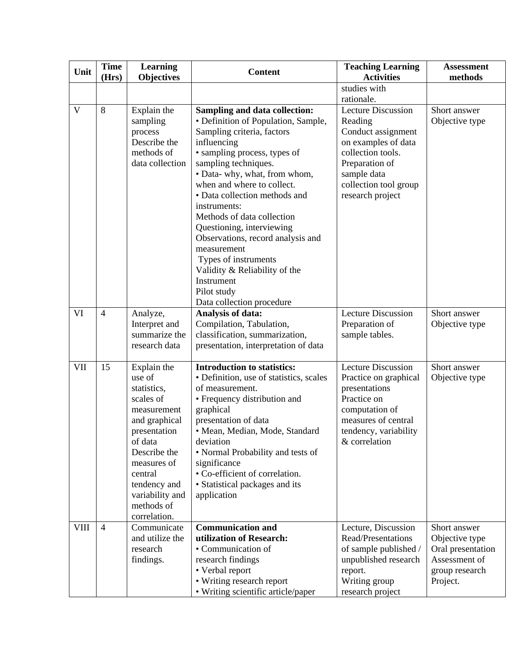| Unit         | <b>Time</b><br>(Hrs) | <b>Learning</b><br><b>Objectives</b>                                                                                                                                                                                    | <b>Content</b>                                                                                                                                                                                                                                                                                                                                                                                                                                                                                                              | <b>Teaching Learning</b><br><b>Activities</b>                                                                                                                                        | <b>Assessment</b><br>methods                                                                       |
|--------------|----------------------|-------------------------------------------------------------------------------------------------------------------------------------------------------------------------------------------------------------------------|-----------------------------------------------------------------------------------------------------------------------------------------------------------------------------------------------------------------------------------------------------------------------------------------------------------------------------------------------------------------------------------------------------------------------------------------------------------------------------------------------------------------------------|--------------------------------------------------------------------------------------------------------------------------------------------------------------------------------------|----------------------------------------------------------------------------------------------------|
|              |                      |                                                                                                                                                                                                                         |                                                                                                                                                                                                                                                                                                                                                                                                                                                                                                                             | studies with<br>rationale.                                                                                                                                                           |                                                                                                    |
| $\mathbf{V}$ | 8                    | Explain the<br>sampling<br>process<br>Describe the<br>methods of<br>data collection                                                                                                                                     | Sampling and data collection:<br>• Definition of Population, Sample,<br>Sampling criteria, factors<br>influencing<br>• sampling process, types of<br>sampling techniques.<br>• Data- why, what, from whom,<br>when and where to collect.<br>• Data collection methods and<br>instruments:<br>Methods of data collection<br>Questioning, interviewing<br>Observations, record analysis and<br>measurement<br>Types of instruments<br>Validity & Reliability of the<br>Instrument<br>Pilot study<br>Data collection procedure | <b>Lecture Discussion</b><br>Reading<br>Conduct assignment<br>on examples of data<br>collection tools.<br>Preparation of<br>sample data<br>collection tool group<br>research project | Short answer<br>Objective type                                                                     |
| VI           | $\overline{4}$       | Analyze,<br>Interpret and<br>summarize the<br>research data                                                                                                                                                             | Analysis of data:<br>Compilation, Tabulation,<br>classification, summarization,<br>presentation, interpretation of data                                                                                                                                                                                                                                                                                                                                                                                                     | <b>Lecture Discussion</b><br>Preparation of<br>sample tables.                                                                                                                        | Short answer<br>Objective type                                                                     |
| <b>VII</b>   | 15                   | Explain the<br>use of<br>statistics,<br>scales of<br>measurement<br>and graphical<br>presentation<br>of data<br>Describe the<br>measures of<br>central<br>tendency and<br>variability and<br>methods of<br>correlation. | <b>Introduction to statistics:</b><br>• Definition, use of statistics, scales<br>of measurement.<br>• Frequency distribution and<br>graphical<br>presentation of data<br>· Mean, Median, Mode, Standard<br>deviation<br>• Normal Probability and tests of<br>significance<br>• Co-efficient of correlation.<br>• Statistical packages and its<br>application                                                                                                                                                                | <b>Lecture Discussion</b><br>Practice on graphical<br>presentations<br>Practice on<br>computation of<br>measures of central<br>tendency, variability<br>& correlation                | Short answer<br>Objective type                                                                     |
| <b>VIII</b>  | $\overline{4}$       | Communicate<br>and utilize the<br>research<br>findings.                                                                                                                                                                 | <b>Communication and</b><br>utilization of Research:<br>• Communication of<br>research findings<br>• Verbal report<br>• Writing research report<br>• Writing scientific article/paper                                                                                                                                                                                                                                                                                                                                       | Lecture, Discussion<br>Read/Presentations<br>of sample published /<br>unpublished research<br>report.<br>Writing group<br>research project                                           | Short answer<br>Objective type<br>Oral presentation<br>Assessment of<br>group research<br>Project. |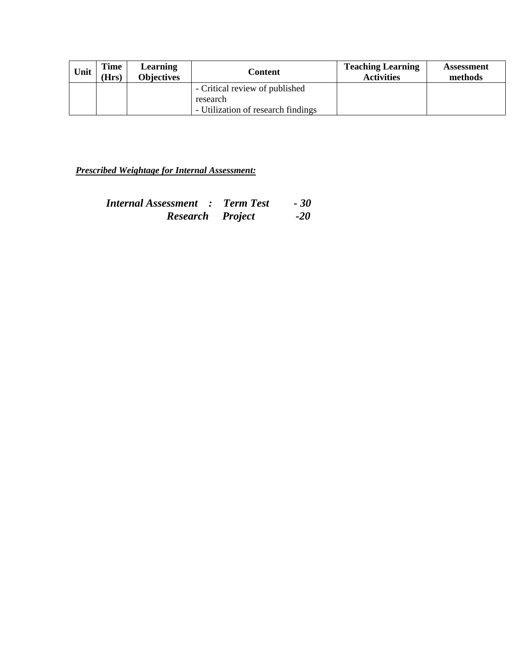| Unit | Time<br>(Hrs) | Learning<br><b>Objectives</b> | Content                            | <b>Teaching Learning</b><br><b>Activities</b> | <b>Assessment</b><br>methods |
|------|---------------|-------------------------------|------------------------------------|-----------------------------------------------|------------------------------|
|      |               |                               | - Critical review of published     |                                               |                              |
|      |               |                               | research                           |                                               |                              |
|      |               |                               | - Utilization of research findings |                                               |                              |

*Prescribed Weightage for Internal Assessment:*

| <b>Internal Assessment : Term Test</b> | $-30$ |
|----------------------------------------|-------|
| <b>Research</b> Project                | $-20$ |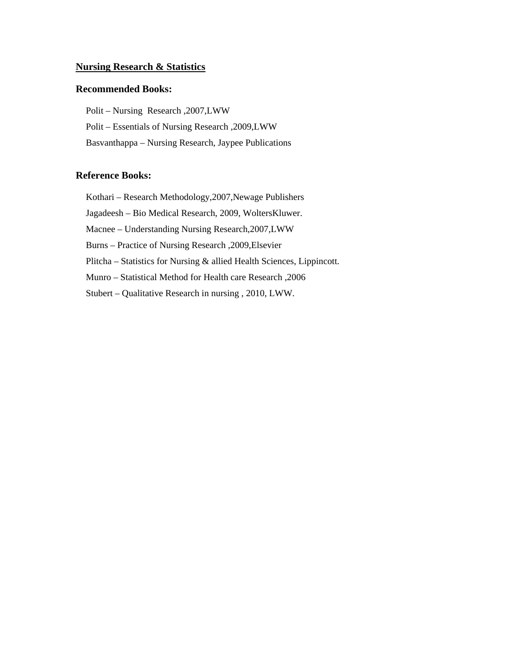#### **Nursing Research & Statistics**

#### **Recommended Books:**

Polit – Nursing Research ,2007,LWW Polit – Essentials of Nursing Research ,2009,LWW Basvanthappa – Nursing Research, Jaypee Publications

#### **Reference Books:**

Kothari – Research Methodology,2007,Newage Publishers

Jagadeesh – Bio Medical Research, 2009, WoltersKluwer.

Macnee – Understanding Nursing Research,2007,LWW

Burns – Practice of Nursing Research ,2009,Elsevier

Plitcha – Statistics for Nursing & allied Health Sciences, Lippincott.

Munro – Statistical Method for Health care Research ,2006

Stubert – Qualitative Research in nursing , 2010, LWW.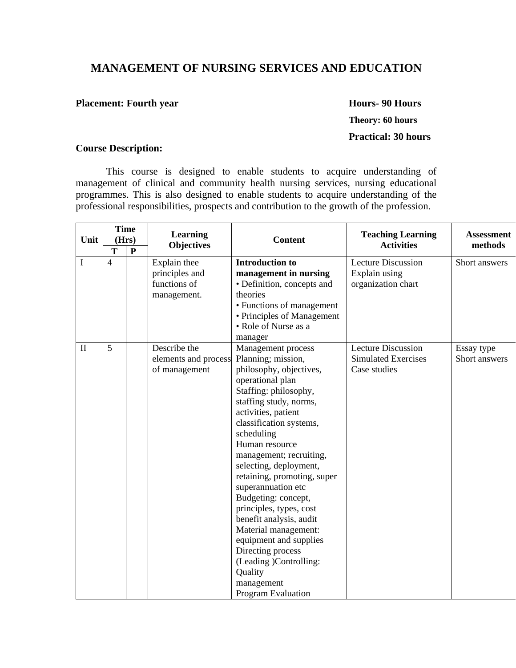## **MANAGEMENT OF NURSING SERVICES AND EDUCATION**

#### **Placement: Fourth year Mours- 90 Hours- 90 Hours**

# **Theory: 60 hours Practical: 30 hours**

## **Course Description:**

This course is designed to enable students to acquire understanding of management of clinical and community health nursing services, nursing educational programmes. This is also designed to enable students to acquire understanding of the professional responsibilities, prospects and contribution to the growth of the profession.

| Unit         | <b>Time</b><br>(Hrs) |              | <b>Learning</b>                                               | <b>Content</b>                                                                                                                                                                                                                                                                                                                                                                                                                                                                                                                                                      | <b>Teaching Learning</b>                                                | <b>Assessment</b>           |
|--------------|----------------------|--------------|---------------------------------------------------------------|---------------------------------------------------------------------------------------------------------------------------------------------------------------------------------------------------------------------------------------------------------------------------------------------------------------------------------------------------------------------------------------------------------------------------------------------------------------------------------------------------------------------------------------------------------------------|-------------------------------------------------------------------------|-----------------------------|
|              | T                    | $\mathbf{P}$ | <b>Objectives</b>                                             |                                                                                                                                                                                                                                                                                                                                                                                                                                                                                                                                                                     | <b>Activities</b>                                                       | methods                     |
| I            | $\overline{4}$       |              | Explain thee<br>principles and<br>functions of<br>management. | <b>Introduction to</b><br>management in nursing<br>• Definition, concepts and<br>theories<br>• Functions of management<br>• Principles of Management<br>• Role of Nurse as a<br>manager                                                                                                                                                                                                                                                                                                                                                                             | <b>Lecture Discussion</b><br>Explain using<br>organization chart        | Short answers               |
| $\mathbf{I}$ | 5                    |              | Describe the<br>elements and process<br>of management         | Management process<br>Planning; mission,<br>philosophy, objectives,<br>operational plan<br>Staffing: philosophy,<br>staffing study, norms,<br>activities, patient<br>classification systems,<br>scheduling<br>Human resource<br>management; recruiting,<br>selecting, deployment,<br>retaining, promoting, super<br>superannuation etc<br>Budgeting: concept,<br>principles, types, cost<br>benefit analysis, audit<br>Material management:<br>equipment and supplies<br>Directing process<br>(Leading )Controlling:<br>Quality<br>management<br>Program Evaluation | <b>Lecture Discussion</b><br><b>Simulated Exercises</b><br>Case studies | Essay type<br>Short answers |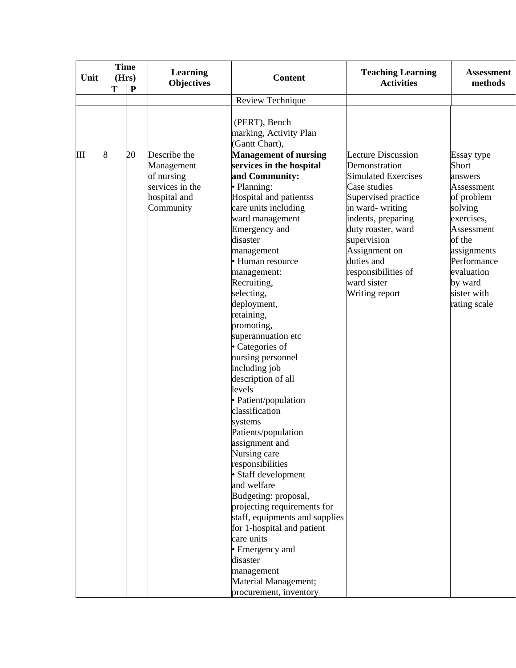| Unit | <b>Time</b><br>(Hrs) |           | <b>Learning</b>                                                                          | <b>Content</b>                                                                                                                                                                                                                                                                                                                                                                                                                                                                                                                                                                                                                                                                                                                                                                                                                                  | <b>Teaching Learning</b>                                                                                                                                                                                                                                                      | <b>Assessment</b>                                                                                                                                                                                 |
|------|----------------------|-----------|------------------------------------------------------------------------------------------|-------------------------------------------------------------------------------------------------------------------------------------------------------------------------------------------------------------------------------------------------------------------------------------------------------------------------------------------------------------------------------------------------------------------------------------------------------------------------------------------------------------------------------------------------------------------------------------------------------------------------------------------------------------------------------------------------------------------------------------------------------------------------------------------------------------------------------------------------|-------------------------------------------------------------------------------------------------------------------------------------------------------------------------------------------------------------------------------------------------------------------------------|---------------------------------------------------------------------------------------------------------------------------------------------------------------------------------------------------|
|      | T                    | ${\bf P}$ | <b>Objectives</b>                                                                        |                                                                                                                                                                                                                                                                                                                                                                                                                                                                                                                                                                                                                                                                                                                                                                                                                                                 | <b>Activities</b>                                                                                                                                                                                                                                                             | methods                                                                                                                                                                                           |
|      |                      |           |                                                                                          | Review Technique                                                                                                                                                                                                                                                                                                                                                                                                                                                                                                                                                                                                                                                                                                                                                                                                                                |                                                                                                                                                                                                                                                                               |                                                                                                                                                                                                   |
|      |                      |           |                                                                                          | (PERT), Bench<br>marking, Activity Plan<br>(Gantt Chart),                                                                                                                                                                                                                                                                                                                                                                                                                                                                                                                                                                                                                                                                                                                                                                                       |                                                                                                                                                                                                                                                                               |                                                                                                                                                                                                   |
| Ш    | 8                    | 20        | Describe the<br>Management<br>of nursing<br>services in the<br>hospital and<br>Community | <b>Management of nursing</b><br>services in the hospital<br>and Community:<br>• Planning:<br>Hospital and patientss<br>care units including<br>ward management<br>Emergency and<br>disaster<br>management<br>• Human resource<br>management:<br>Recruiting,<br>selecting,<br>deployment,<br>retaining,<br>promoting,<br>superannuation etc<br>• Categories of<br>nursing personnel<br>including job<br>description of all<br>levels<br>· Patient/population<br>classification<br>systems<br>Patients/population<br>assignment and<br>Nursing care<br>responsibilities<br>· Staff development<br>and welfare<br>Budgeting: proposal,<br>projecting requirements for<br>staff, equipments and supplies<br>for 1-hospital and patient<br>care units<br>• Emergency and<br>disaster<br>management<br>Material Management;<br>procurement, inventory | Lecture Discussion<br>Demonstration<br><b>Simulated Exercises</b><br>Case studies<br>Supervised practice<br>in ward-writing<br>indents, preparing<br>duty roaster, ward<br>supervision<br>Assignment on<br>duties and<br>responsibilities of<br>ward sister<br>Writing report | Essay type<br>Short<br>answers<br>Assessment<br>of problem<br>solving<br>exercises,<br>Assessment<br>of the<br>assignments<br>Performance<br>evaluation<br>by ward<br>sister with<br>rating scale |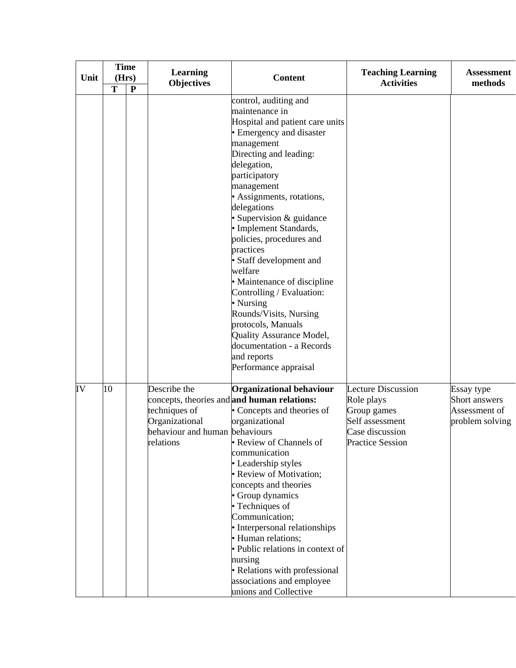| Unit |    | <b>Time</b><br>(Hrs) | <b>Learning</b><br><b>Objectives</b>                                                           | <b>Content</b>                                                                                                                                                                                                                                                                                                                                                                                                                                                                                                                                                                                          | <b>Teaching Learning</b><br><b>Activities</b>                                                                           | <b>Assessment</b><br>methods                                    |
|------|----|----------------------|------------------------------------------------------------------------------------------------|---------------------------------------------------------------------------------------------------------------------------------------------------------------------------------------------------------------------------------------------------------------------------------------------------------------------------------------------------------------------------------------------------------------------------------------------------------------------------------------------------------------------------------------------------------------------------------------------------------|-------------------------------------------------------------------------------------------------------------------------|-----------------------------------------------------------------|
|      | T  | $\mathbf{P}$         |                                                                                                | control, auditing and<br>maintenance in<br>Hospital and patient care units<br>• Emergency and disaster<br>management<br>Directing and leading:<br>delegation,<br>participatory<br>management<br>• Assignments, rotations,<br>delegations<br>· Supervision & guidance<br>· Implement Standards,<br>policies, procedures and<br>practices<br>• Staff development and<br>welfare<br>• Maintenance of discipline<br>Controlling / Evaluation:<br>• Nursing<br>Rounds/Visits, Nursing<br>protocols, Manuals<br>Quality Assurance Model,<br>documentation - a Records<br>and reports<br>Performance appraisal |                                                                                                                         |                                                                 |
| IV   | 10 |                      | Describe the<br>techniques of<br>Organizational<br>behaviour and human behaviours<br>relations | <b>Organizational behaviour</b><br>concepts, theories and and human relations:<br>• Concepts and theories of<br>organizational<br>• Review of Channels of<br>communication<br>• Leadership styles<br>• Review of Motivation;<br>concepts and theories<br>• Group dynamics<br>• Techniques of<br>Communication;<br>• Interpersonal relationships<br>· Human relations;<br>· Public relations in context of<br>nursing<br>• Relations with professional<br>associations and employee<br>unions and Collective                                                                                             | <b>Lecture Discussion</b><br>Role plays<br>Group games<br>Self assessment<br>Case discussion<br><b>Practice Session</b> | Essay type<br>Short answers<br>Assessment of<br>problem solving |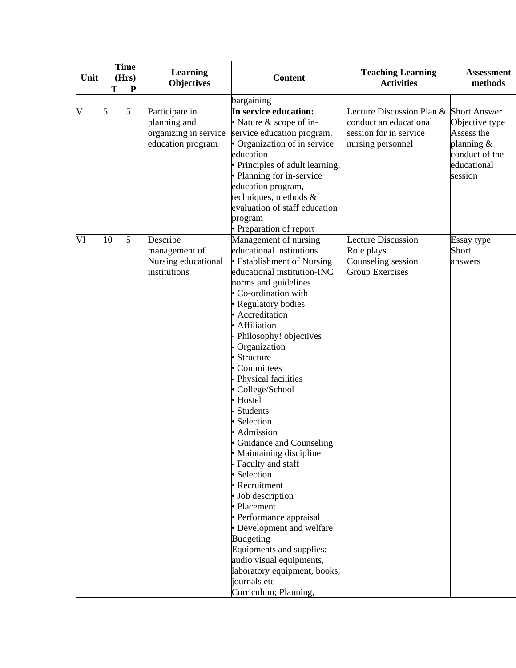|                         | <b>Time</b> | <b>Learning</b><br><b>Objectives</b>                                         |                                                                                                                                                                                                                                                                                                                                                                                                                                                                                                                                                                                                                                                                                                                                                                                               |                                                                                                                 | <b>Assessment</b><br>methods                                                              |  |
|-------------------------|-------------|------------------------------------------------------------------------------|-----------------------------------------------------------------------------------------------------------------------------------------------------------------------------------------------------------------------------------------------------------------------------------------------------------------------------------------------------------------------------------------------------------------------------------------------------------------------------------------------------------------------------------------------------------------------------------------------------------------------------------------------------------------------------------------------------------------------------------------------------------------------------------------------|-----------------------------------------------------------------------------------------------------------------|-------------------------------------------------------------------------------------------|--|
| Unit                    | (Hrs)       |                                                                              | <b>Content</b>                                                                                                                                                                                                                                                                                                                                                                                                                                                                                                                                                                                                                                                                                                                                                                                | <b>Teaching Learning</b><br><b>Activities</b>                                                                   |                                                                                           |  |
| T                       | ${\bf P}$   |                                                                              |                                                                                                                                                                                                                                                                                                                                                                                                                                                                                                                                                                                                                                                                                                                                                                                               |                                                                                                                 |                                                                                           |  |
|                         |             |                                                                              | bargaining                                                                                                                                                                                                                                                                                                                                                                                                                                                                                                                                                                                                                                                                                                                                                                                    |                                                                                                                 |                                                                                           |  |
| $\overline{\mathsf{V}}$ | 5           | Participate in<br>planning and<br>organizing in service<br>education program | In service education:<br>• Nature & scope of in-<br>service education program,<br>• Organization of in service<br>education<br>· Principles of adult learning,<br>• Planning for in-service<br>education program,<br>techniques, methods &<br>evaluation of staff education<br>program                                                                                                                                                                                                                                                                                                                                                                                                                                                                                                        | Lecture Discussion Plan & Short Answer<br>conduct an educational<br>session for in service<br>nursing personnel | Objective type<br>Assess the<br>planning $\&$<br>conduct of the<br>educational<br>session |  |
| VI<br>10                | 5           | Describe<br>management of<br>Nursing educational<br>institutions             | • Preparation of report<br>Management of nursing<br>educational institutions<br>• Establishment of Nursing<br>educational institution-INC<br>norms and guidelines<br>• Co-ordination with<br>· Regulatory bodies<br>· Accreditation<br>· Affiliation<br>Philosophy! objectives<br>Organization<br>• Structure<br>• Committees<br>Physical facilities<br>· College/School<br>· Hostel<br>Students<br>· Selection<br>· Admission<br>• Guidance and Counseling<br>• Maintaining discipline<br>Faculty and staff<br>· Selection<br>• Recruitment<br>• Job description<br>• Placement<br>• Performance appraisal<br>• Development and welfare<br><b>Budgeting</b><br>Equipments and supplies:<br>audio visual equipments,<br>laboratory equipment, books,<br>journals etc<br>Curriculum; Planning, | <b>Lecture Discussion</b><br>Role plays<br>Counseling session<br><b>Group Exercises</b>                         | Essay type<br>Short<br>answers                                                            |  |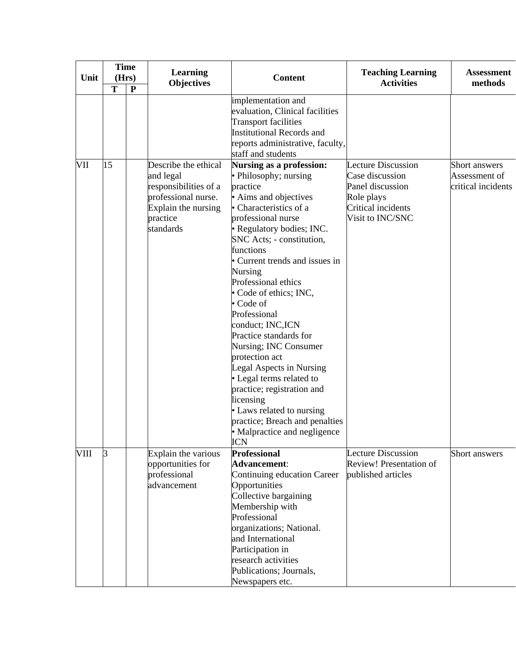|      | <b>Time</b> |           | <b>Learning</b><br><b>Objectives</b> |                                  |                                               | <b>Assessment</b>  |
|------|-------------|-----------|--------------------------------------|----------------------------------|-----------------------------------------------|--------------------|
| Unit | (Hrs)       |           |                                      | <b>Content</b>                   | <b>Teaching Learning</b><br><b>Activities</b> | methods            |
|      | T           | ${\bf P}$ |                                      |                                  |                                               |                    |
|      |             |           |                                      | implementation and               |                                               |                    |
|      |             |           |                                      | evaluation, Clinical facilities  |                                               |                    |
|      |             |           |                                      | <b>Transport facilities</b>      |                                               |                    |
|      |             |           |                                      | Institutional Records and        |                                               |                    |
|      |             |           |                                      | reports administrative, faculty, |                                               |                    |
|      |             |           |                                      | staff and students               |                                               |                    |
| VII  | 15          |           | Describe the ethical                 | Nursing as a profession:         | <b>Lecture Discussion</b>                     | Short answers      |
|      |             |           | and legal                            | • Philosophy; nursing            | Case discussion                               | Assessment of      |
|      |             |           | responsibilities of a                | practice                         | Panel discussion                              | critical incidents |
|      |             |           | professional nurse.                  | • Aims and objectives            | Role plays                                    |                    |
|      |             |           | Explain the nursing                  | • Characteristics of a           | Critical incidents                            |                    |
|      |             |           | practice                             | professional nurse               | Visit to INC/SNC                              |                    |
|      |             |           | standards                            | · Regulatory bodies; INC.        |                                               |                    |
|      |             |           |                                      | SNC Acts; - constitution,        |                                               |                    |
|      |             |           |                                      | functions                        |                                               |                    |
|      |             |           |                                      | • Current trends and issues in   |                                               |                    |
|      |             |           |                                      | Nursing                          |                                               |                    |
|      |             |           |                                      | Professional ethics              |                                               |                    |
|      |             |           |                                      | • Code of ethics; INC,           |                                               |                    |
|      |             |           |                                      | • Code of                        |                                               |                    |
|      |             |           |                                      | Professional                     |                                               |                    |
|      |             |           |                                      | conduct; INC,ICN                 |                                               |                    |
|      |             |           |                                      | Practice standards for           |                                               |                    |
|      |             |           |                                      | Nursing; INC Consumer            |                                               |                    |
|      |             |           |                                      | protection act                   |                                               |                    |
|      |             |           |                                      | Legal Aspects in Nursing         |                                               |                    |
|      |             |           |                                      | • Legal terms related to         |                                               |                    |
|      |             |           |                                      | practice; registration and       |                                               |                    |
|      |             |           |                                      | licensing                        |                                               |                    |
|      |             |           |                                      | • Laws related to nursing        |                                               |                    |
|      |             |           |                                      | practice; Breach and penalties   |                                               |                    |
|      |             |           |                                      | • Malpractice and negligence     |                                               |                    |
|      |             |           |                                      | <b>ICN</b>                       |                                               |                    |
| VIII | R           |           | Explain the various                  | <b>Professional</b>              | Lecture Discussion                            | Short answers      |
|      |             |           | opportunities for                    | <b>Advancement:</b>              | <b>Review! Presentation of</b>                |                    |
|      |             |           | professional                         | Continuing education Career      | published articles                            |                    |
|      |             |           | advancement                          | Opportunities                    |                                               |                    |
|      |             |           |                                      | Collective bargaining            |                                               |                    |
|      |             |           |                                      | Membership with<br>Professional  |                                               |                    |
|      |             |           |                                      |                                  |                                               |                    |
|      |             |           |                                      | organizations; National.         |                                               |                    |
|      |             |           |                                      | and International                |                                               |                    |
|      |             |           |                                      | Participation in                 |                                               |                    |
|      |             |           |                                      | research activities              |                                               |                    |
|      |             |           |                                      | Publications; Journals,          |                                               |                    |
|      |             |           |                                      | Newspapers etc.                  |                                               |                    |